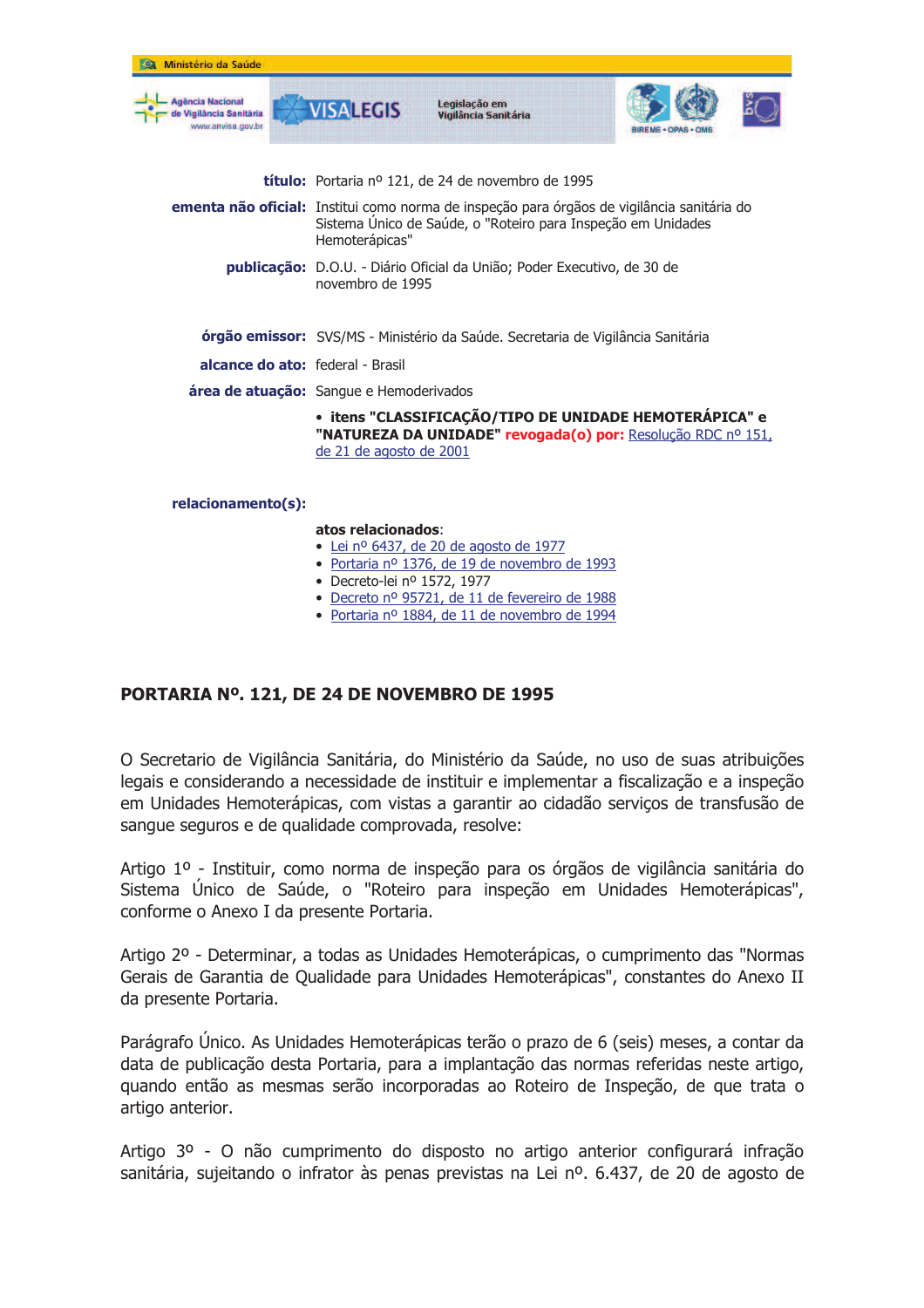| Ministério da Saúde                                             |                         |                                                                                                    |                                                                                                                                                            |  |  |  |  |
|-----------------------------------------------------------------|-------------------------|----------------------------------------------------------------------------------------------------|------------------------------------------------------------------------------------------------------------------------------------------------------------|--|--|--|--|
| gência Nacional<br><b>Iáncia Sanitária</b><br>No. anvisa dov.br | <b>VISALEGIS</b>        | Legislação em<br>Vigilância Sanitária                                                              |                                                                                                                                                            |  |  |  |  |
|                                                                 |                         | <b>título:</b> Portaria nº 121, de 24 de novembro de 1995                                          |                                                                                                                                                            |  |  |  |  |
|                                                                 | Hemoterápicas"          |                                                                                                    | ementa não oficial: Institui como norma de inspeção para órgãos de vigilância sanitária do<br>Sistema Único de Saúde, o "Roteiro para Inspeção em Unidades |  |  |  |  |
|                                                                 |                         | <b>publicação:</b> D.O.U. - Diário Oficial da União; Poder Executivo, de 30 de<br>novembro de 1995 |                                                                                                                                                            |  |  |  |  |
|                                                                 |                         |                                                                                                    | órgão emissor: SVS/MS - Ministério da Saúde. Secretaria de Vigilância Sanitária                                                                            |  |  |  |  |
| <b>alcance do ato:</b> federal - Brasil                         |                         |                                                                                                    |                                                                                                                                                            |  |  |  |  |
| <b>área de atuação:</b> Sangue e Hemoderivados                  |                         |                                                                                                    |                                                                                                                                                            |  |  |  |  |
|                                                                 | de 21 de agosto de 2001 |                                                                                                    | · itens "CLASSIFICAÇÃO/TIPO DE UNIDADE HEMOTERÁPICA" e<br>"NATUREZA DA UNIDADE" revogada(o) por: Resolução RDC nº 151,                                     |  |  |  |  |
| relacionamento(s):                                              |                         |                                                                                                    |                                                                                                                                                            |  |  |  |  |

#### atos relacionados:

- · Lei nº 6437, de 20 de agosto de 1977
- · Portaria nº 1376, de 19 de novembro de 1993
- · Decreto-lei nº 1572, 1977
- · Decreto nº 95721, de 11 de fevereiro de 1988
- · Portaria nº 1884, de 11 de novembro de 1994

### PORTARIA Nº. 121, DE 24 DE NOVEMBRO DE 1995

O Secretario de Vigilância Sanitária, do Ministério da Saúde, no uso de suas atribuições legais e considerando a necessidade de instituir e implementar a fiscalização e a inspeção em Unidades Hemoterápicas, com vistas a garantir ao cidadão serviços de transfusão de sanque seguros e de qualidade comprovada, resolve:

Artigo 1º - Instituir, como norma de inspeção para os órgãos de vigilância sanitária do Sistema Único de Saúde, o "Roteiro para inspeção em Unidades Hemoterápicas", conforme o Anexo I da presente Portaria.

Artigo 2º - Determinar, a todas as Unidades Hemoterápicas, o cumprimento das "Normas" Gerais de Garantia de Qualidade para Unidades Hemoterápicas", constantes do Anexo II da presente Portaria.

Parágrafo Único. As Unidades Hemoterápicas terão o prazo de 6 (seis) meses, a contar da data de publicação desta Portaria, para a implantação das normas referidas neste artigo, guando então as mesmas serão incorporadas ao Roteiro de Inspeção, de que trata o artigo anterior.

Artigo 3º - O não cumprimento do disposto no artigo anterior configurará infração sanitária, sujeitando o infrator às penas previstas na Lei nº, 6,437, de 20 de agosto de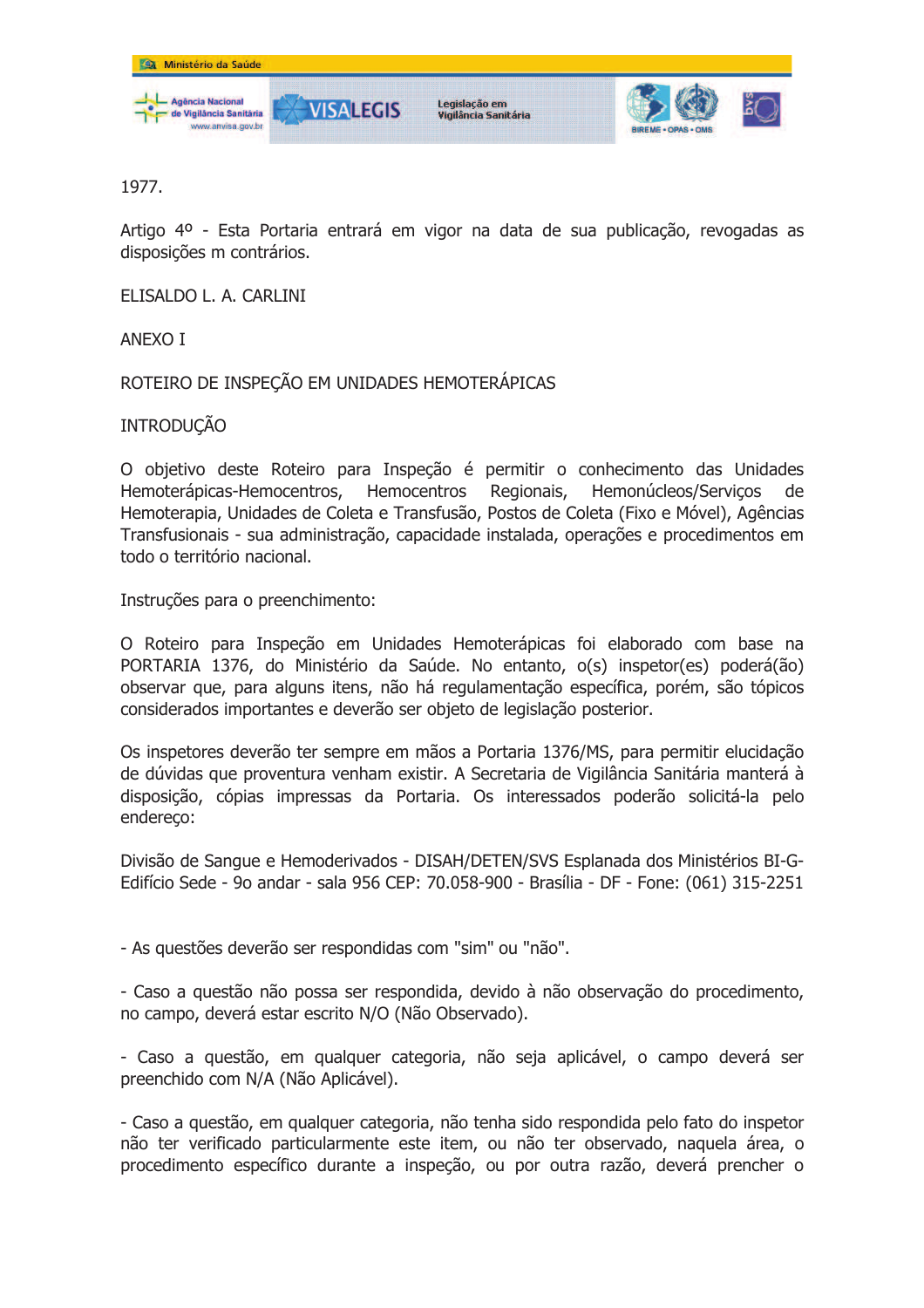

1977.

Artigo 4º - Esta Portaria entrará em vigor na data de sua publicação, revogadas as disposições m contrários.

ELISALDO L. A. CARLINI

ANEXO I

ROTEIRO DE INSPEÇÃO EM UNIDADES HEMOTERÁPICAS

**INTRODUCÃO** 

O objetivo deste Roteiro para Inspeção é permitir o conhecimento das Unidades Hemoterápicas-Hemocentros, Hemocentros Regionais, Hemonúcleos/Servicos de Hemoterapia, Unidades de Coleta e Transfusão, Postos de Coleta (Fixo e Móvel), Agências Transfusionais - sua administração, capacidade instalada, operações e procedimentos em todo o território nacional.

Instruções para o preenchimento:

O Roteiro para Inspecão em Unidades Hemoterápicas foi elaborado com base na PORTARIA 1376, do Ministério da Saúde. No entanto, o(s) inspetor(es) poderá(ão) observar que, para alguns itens, não há regulamentação específica, porém, são tópicos considerados importantes e deverão ser objeto de legislação posterior.

Os inspetores deverão ter sempre em mãos a Portaria 1376/MS, para permitir elucidação de dúvidas que proventura venham existir. A Secretaria de Vigilância Sanitária manterá à disposição, cópias impressas da Portaria. Os interessados poderão solicitá-la pelo endereco:

Divisão de Sanque e Hemoderivados - DISAH/DETEN/SVS Esplanada dos Ministérios BI-G-Edifício Sede - 9o andar - sala 956 CEP: 70.058-900 - Brasília - DF - Fone: (061) 315-2251

- As questões deverão ser respondidas com "sim" ou "não".

- Caso a questão não possa ser respondida, devido à não observação do procedimento, no campo, deverá estar escrito N/O (Não Observado).

- Caso a questão, em qualquer categoria, não seja aplicável, o campo deverá ser preenchido com N/A (Não Aplicável).

- Caso a questão, em qualquer categoria, não tenha sido respondida pelo fato do inspetor não ter verificado particularmente este item, ou não ter observado, naquela área, o procedimento específico durante a inspeção, ou por outra razão, deverá prencher o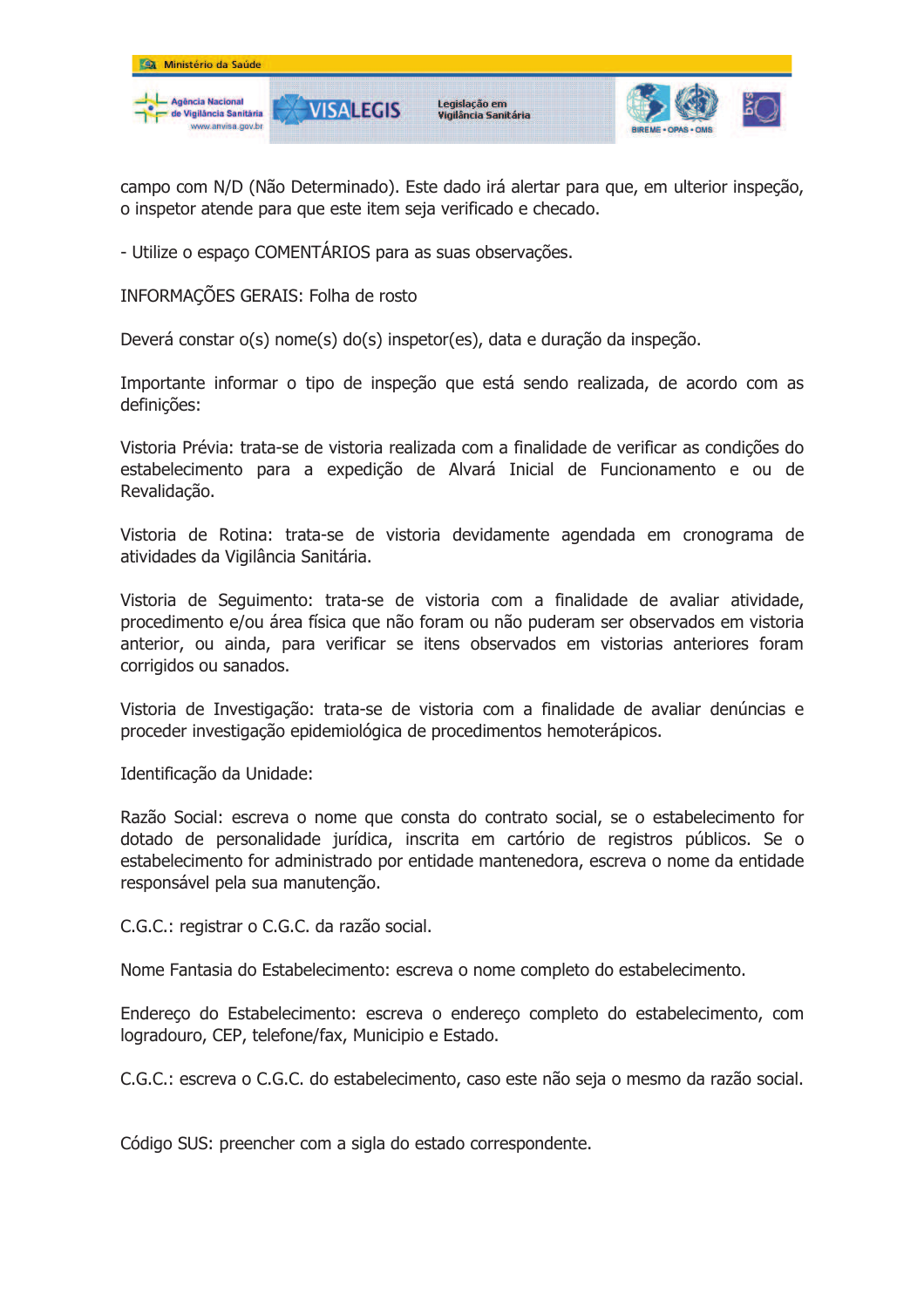

campo com N/D (Não Determinado). Este dado irá alertar para que, em ulterior inspeção, o inspetor atende para que este item seja verificado e checado.

- Utilize o espaco COMENTÁRIOS para as suas observações.

INFORMAÇÕES GERAIS: Folha de rosto

Deverá constar o(s) nome(s) do(s) inspetor(es), data e duração da inspeção.

Importante informar o tipo de inspeção que está sendo realizada, de acordo com as definições:

Vistoria Prévia: trata-se de vistoria realizada com a finalidade de verificar as condições do estabelecimento para a expedição de Alvará Inicial de Funcionamento e ou de Revalidação.

Vistoria de Rotina: trata-se de vistoria devidamente agendada em cronograma de atividades da Vigilância Sanitária.

Vistoria de Seguimento: trata-se de vistoria com a finalidade de avaliar atividade, procedimento e/ou área física que não foram ou não puderam ser observados em vistoria anterior, ou ainda, para verificar se itens observados em vistorias anteriores foram corrigidos ou sanados.

Vistoria de Investigação: trata-se de vistoria com a finalidade de avaliar denúncias e proceder investigação epidemiológica de procedimentos hemoterápicos.

Identificação da Unidade:

Razão Social: escreva o nome que consta do contrato social, se o estabelecimento for dotado de personalidade jurídica, inscrita em cartório de registros públicos. Se o estabelecimento for administrado por entidade mantenedora, escreva o nome da entidade responsável pela sua manutenção.

C.G.C.: registrar o C.G.C. da razão social.

Nome Fantasia do Estabelecimento: escreva o nome completo do estabelecimento.

Endereco do Estabelecimento: escreva o endereco completo do estabelecimento, com logradouro, CEP, telefone/fax, Municipio e Estado.

C.G.C.: escreva o C.G.C. do estabelecimento, caso este não seja o mesmo da razão social.

Código SUS: preencher com a sigla do estado correspondente.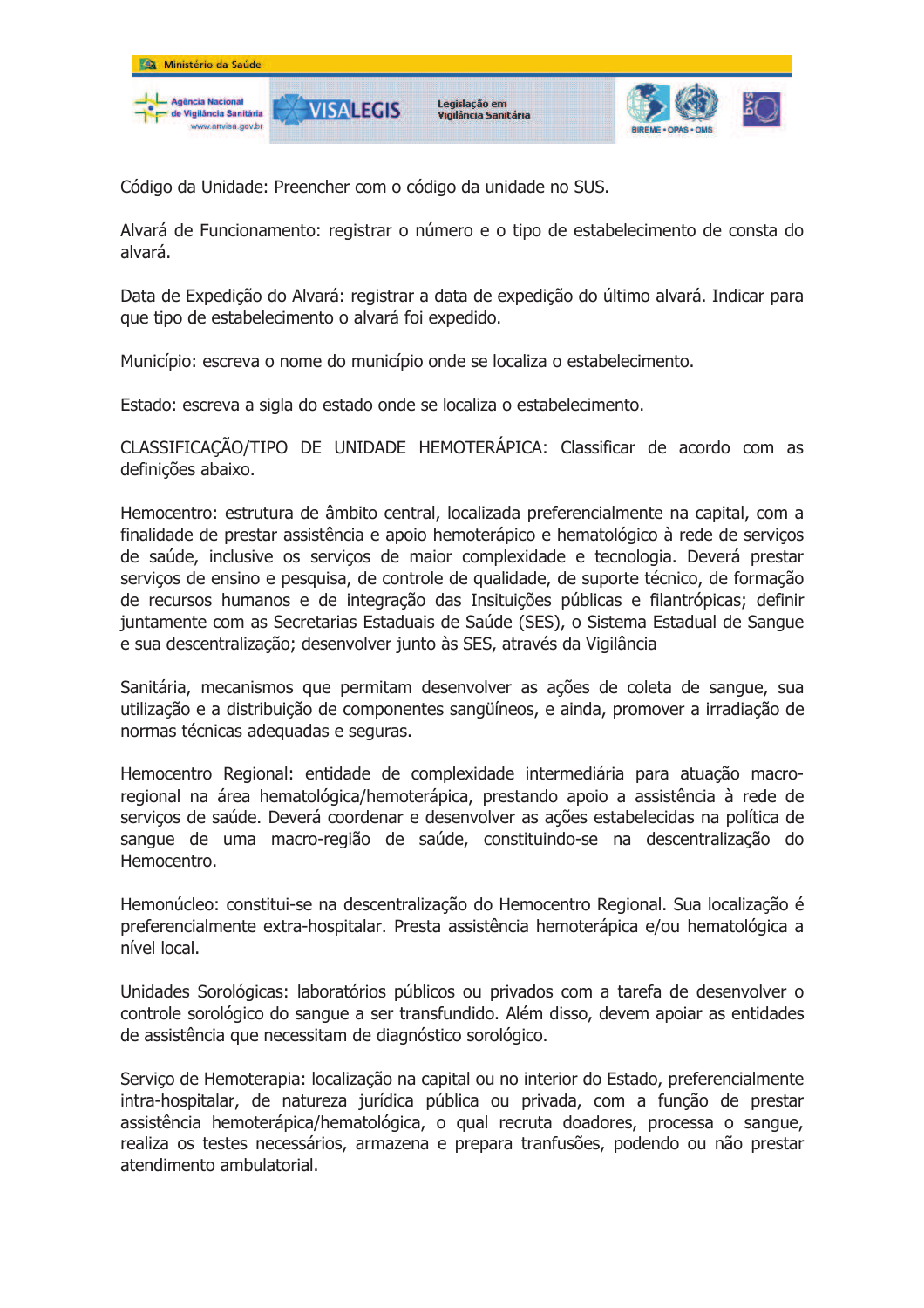

Código da Unidade: Preencher com o código da unidade no SUS.

Alvará de Funcionamento: registrar o número e o tipo de estabelecimento de consta do alvará.

Data de Expedição do Alvará: registrar a data de expedição do último alvará. Indicar para que tipo de estabelecimento o alvará foi expedido.

Município: escreva o nome do município onde se localiza o estabelecimento.

Estado: escreva a sigla do estado onde se localiza o estabelecimento.

CLASSIFICAÇÃO/TIPO DE UNIDADE HEMOTERÁPICA: Classificar de acordo com as definições abaixo.

Hemocentro: estrutura de âmbito central, localizada preferencialmente na capital, com a finalidade de prestar assistência e apoio hemoterápico e hematológico à rede de serviços de saúde, inclusive os servicos de maior complexidade e tecnologia. Deverá prestar servicos de ensino e pesquisa, de controle de qualidade, de suporte técnico, de formação de recursos humanos e de integração das Insituições públicas e filantrópicas; definir juntamente com as Secretarias Estaduais de Saúde (SES), o Sistema Estadual de Sangue e sua descentralização; desenvolver junto às SES, através da Vigilância

Sanitária, mecanismos que permitam desenvolver as ações de coleta de sangue, sua utilização e a distribuição de componentes sangüíneos, e ainda, promover a irradiação de normas técnicas adequadas e seguras.

Hemocentro Regional: entidade de complexidade intermediária para atuação macroregional na área hematológica/hemoterápica, prestando apoio a assistência à rede de serviços de saúde. Deverá coordenar e desenvolver as ações estabelecidas na política de sangue de uma macro-região de saúde, constituindo-se na descentralização do Hemocentro.

Hemonúcleo: constitui-se na descentralização do Hemocentro Regional. Sua localização é preferencialmente extra-hospitalar. Presta assistência hemoterápica e/ou hematológica a nível local.

Unidades Sorológicas: laboratórios públicos ou privados com a tarefa de desenvolver o controle sorológico do sangue a ser transfundido. Além disso, devem apoiar as entidades de assistência que necessitam de diagnóstico sorológico.

Serviço de Hemoterapia: localização na capital ou no interior do Estado, preferencialmente intra-hospitalar, de natureza jurídica pública ou privada, com a função de prestar assistência hemoterápica/hematológica, o qual recruta doadores, processa o sangue, realiza os testes necessários, armazena e prepara tranfusões, podendo ou não prestar atendimento ambulatorial.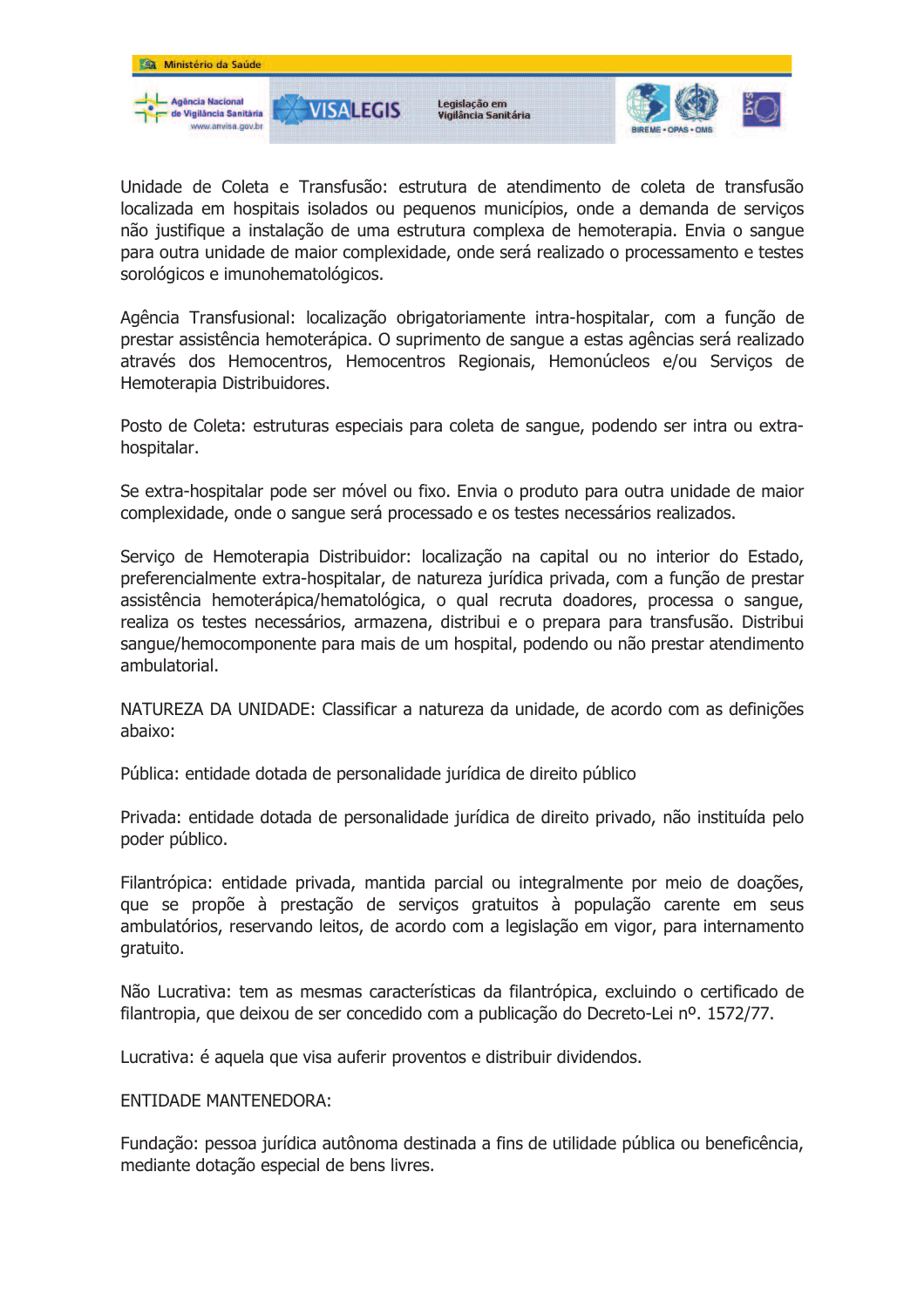

Unidade de Coleta e Transfusão: estrutura de atendimento de coleta de transfusão localizada em hospitais isolados ou pequenos municípios, onde a demanda de serviços não justifique a instalação de uma estrutura complexa de hemoterapia. Envia o sangue para outra unidade de maior complexidade, onde será realizado o processamento e testes sorológicos e imunohematológicos.

Agência Transfusional: localização obrigatoriamente intra-hospitalar, com a função de prestar assistência hemoterápica. O suprimento de sangue a estas agências será realizado através dos Hemocentros, Hemocentros Regionais, Hemonúcleos e/ou Serviços de Hemoterapia Distribuidores.

Posto de Coleta: estruturas especiais para coleta de sangue, podendo ser intra ou extrahospitalar.

Se extra-hospitalar pode ser móvel ou fixo. Envia o produto para outra unidade de major complexidade, onde o sangue será processado e os testes necessários realizados.

Servico de Hemoterapia Distribuidor: localização na capital ou no interior do Estado, preferencialmente extra-hospitalar, de natureza jurídica privada, com a função de prestar assistência hemoterápica/hematológica, o qual recruta doadores, processa o sangue, realiza os testes necessários, armazena, distribui e o prepara para transfusão. Distribui sangue/hemocomponente para mais de um hospital, podendo ou não prestar atendimento ambulatorial.

NATUREZA DA UNIDADE: Classificar a natureza da unidade, de acordo com as definições abaixo:

Pública: entidade dotada de personalidade jurídica de direito público

Privada: entidade dotada de personalidade jurídica de direito privado, não instituída pelo poder público.

Filantrópica: entidade privada, mantida parcial ou integralmente por meio de doações, que se propõe à prestação de serviços gratuitos à população carente em seus ambulatórios, reservando leitos, de acordo com a legislação em vigor, para internamento aratuito.

Não Lucrativa: tem as mesmas características da filantrópica, excluindo o certificado de filantropia, que deixou de ser concedido com a publicação do Decreto-Lei nº. 1572/77.

Lucrativa: é aquela que visa auferir proventos e distribuir dividendos.

### **FNTIDADE MANTENEDORA:**

Fundação: pessoa jurídica autônoma destinada a fins de utilidade pública ou beneficência, mediante dotação especial de bens livres.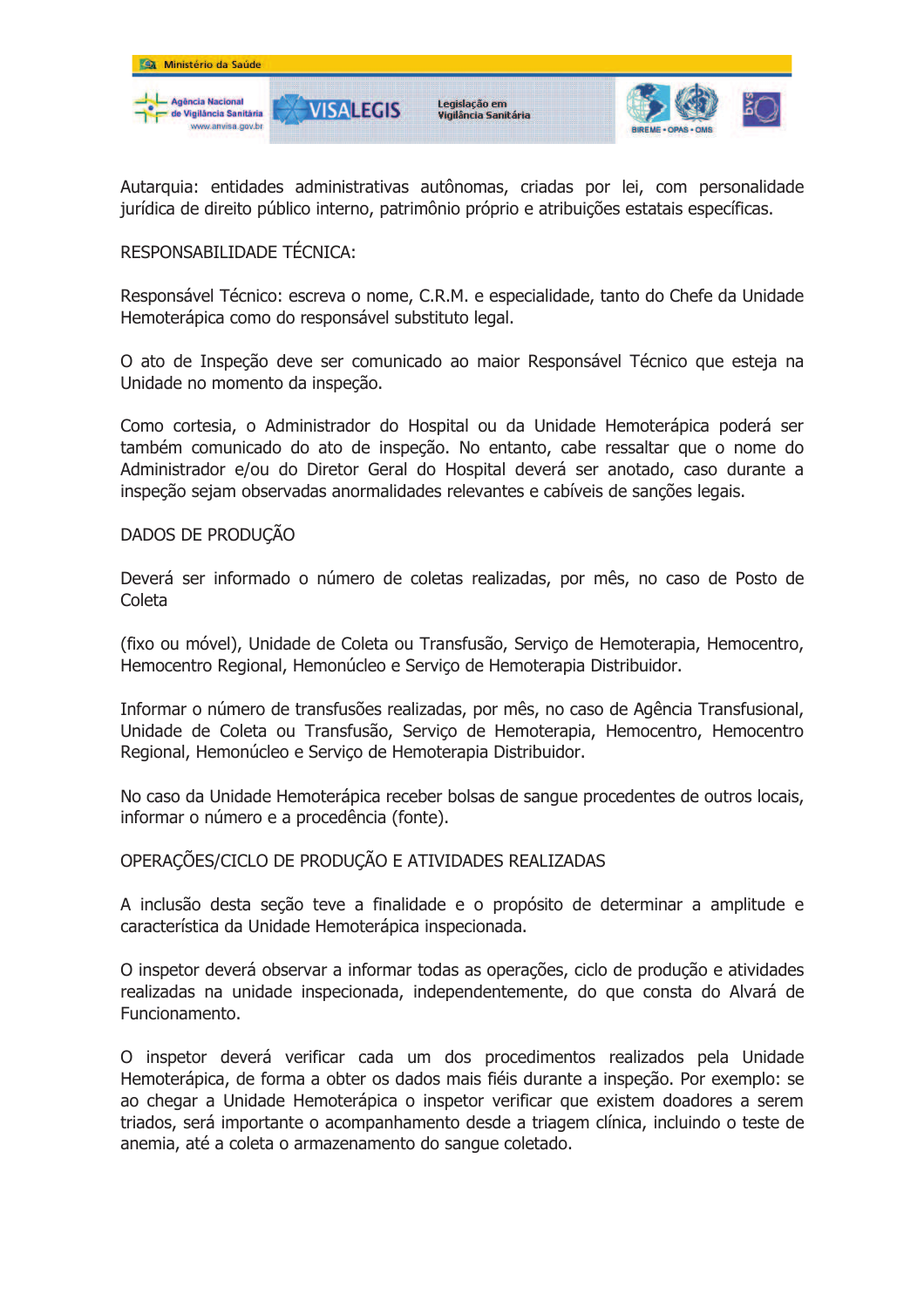

Autarquia: entidades administrativas autônomas, criadas por lei, com personalidade jurídica de direito público interno, patrimônio próprio e atribuições estatais específicas.

## RESPONSABILIDADE TÉCNICA:

Responsável Técnico: escreva o nome, C.R.M. e especialidade, tanto do Chefe da Unidade Hemoterápica como do responsável substituto legal.

O ato de Inspeção deve ser comunicado ao maior Responsável Técnico que esteja na Unidade no momento da inspeção.

Como cortesia, o Administrador do Hospital ou da Unidade Hemoterápica poderá ser também comunicado do ato de inspecão. No entanto, cabe ressaltar que o nome do Administrador e/ou do Diretor Geral do Hospital deverá ser anotado, caso durante a inspecão sejam observadas anormalidades relevantes e cabíveis de sancões legais.

### DADOS DE PRODUÇÃO

Deverá ser informado o número de coletas realizadas, por mês, no caso de Posto de Coleta

(fixo ou móvel), Unidade de Coleta ou Transfusão, Servico de Hemoterapia, Hemocentro, Hemocentro Regional, Hemonúcleo e Serviço de Hemoterapia Distribuidor.

Informar o número de transfusões realizadas, por mês, no caso de Agência Transfusional, Unidade de Coleta ou Transfusão, Servico de Hemoterapia, Hemocentro, Hemocentro Regional, Hemonúcleo e Serviço de Hemoterapia Distribuidor.

No caso da Unidade Hemoterápica receber bolsas de sangue procedentes de outros locais, informar o número e a procedência (fonte).

### OPERAÇÕES/CICLO DE PRODUÇÃO E ATIVIDADES REALIZADAS

A inclusão desta seção teve a finalidade e o propósito de determinar a amplitude e característica da Unidade Hemoterápica inspecionada.

O inspetor deverá observar a informar todas as operações, ciclo de produção e atividades realizadas na unidade inspecionada, independentemente, do que consta do Alvará de Funcionamento.

O inspetor deverá verificar cada um dos procedimentos realizados pela Unidade Hemoterápica, de forma a obter os dados mais fiéis durante a inspeção. Por exemplo: se ao chegar a Unidade Hemoterápica o inspetor verificar que existem doadores a serem triados, será importante o acompanhamento desde a triagem clínica, incluindo o teste de anemia, até a coleta o armazenamento do sangue coletado.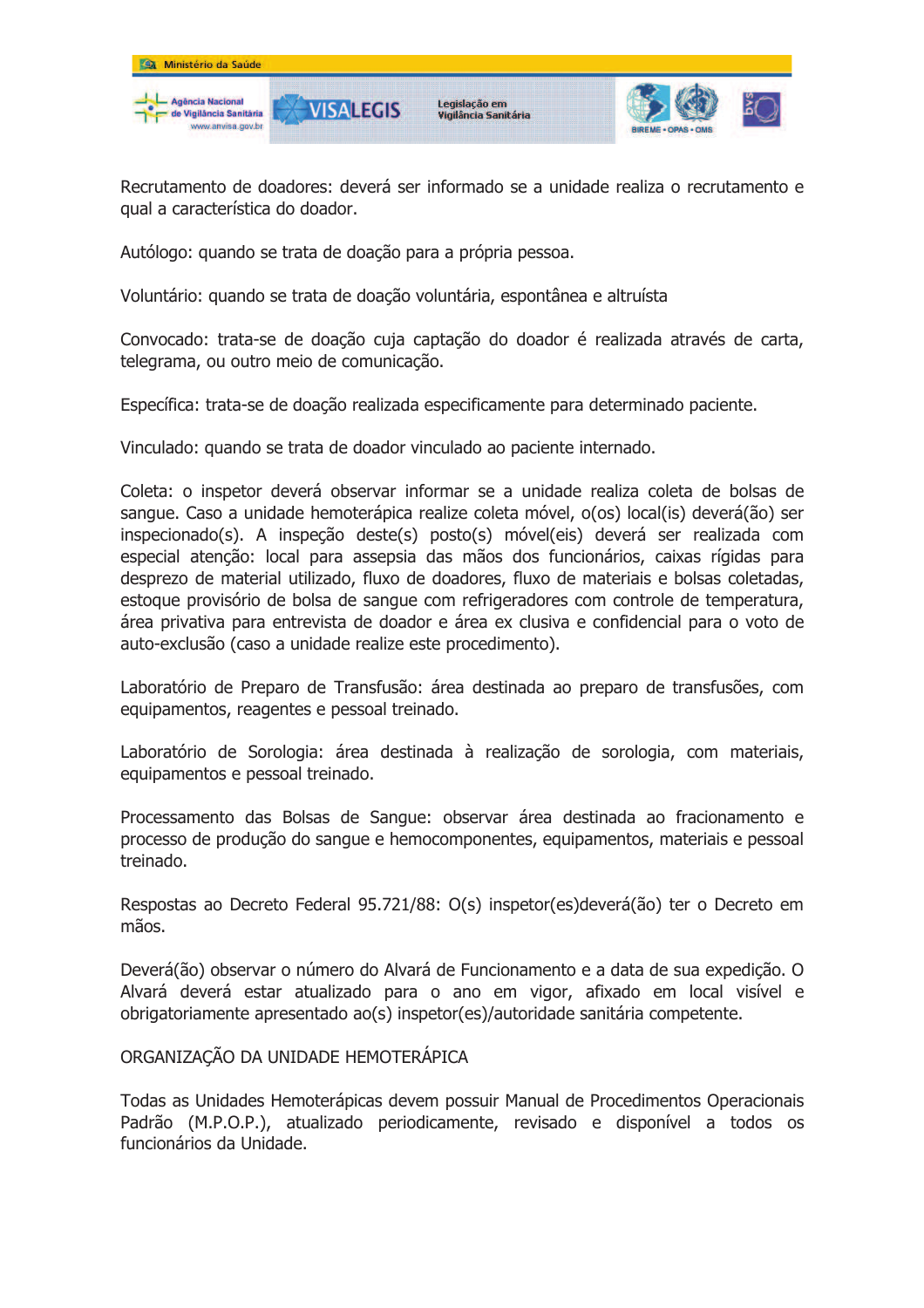

Recrutamento de doadores: deverá ser informado se a unidade realiza o recrutamento e qual a característica do doador.

Autólogo: guando se trata de doação para a própria pessoa.

Voluntário: quando se trata de doação voluntária, espontânea e altruísta

Convocado: trata-se de doação cuja captação do doador é realizada através de carta, telegrama, ou outro meio de comunicação.

Específica: trata-se de doação realizada especificamente para determinado paciente.

Vinculado: quando se trata de doador vinculado ao paciente internado.

Coleta: o inspetor deverá observar informar se a unidade realiza coleta de bolsas de sangue. Caso a unidade hemoterápica realize coleta móvel, o(os) local(is) deverá(ão) ser inspecionado(s). A inspeção deste(s) posto(s) móvel(eis) deverá ser realizada com especial atenção: local para assepsia das mãos dos funcionários, caixas rígidas para desprezo de material utilizado, fluxo de doadores, fluxo de materiais e bolsas coletadas, estoque provisório de bolsa de sangue com refrigeradores com controle de temperatura, área privativa para entrevista de doador e área ex clusiva e confidencial para o voto de auto-exclusão (caso a unidade realize este procedimento).

Laboratório de Preparo de Transfusão: área destinada ao preparo de transfusões, com equipamentos, reagentes e pessoal treinado.

Laboratório de Sorologia: área destinada à realização de sorologia, com materiais, equipamentos e pessoal treinado.

Processamento das Bolsas de Sangue: observar área destinada ao fracionamento e processo de produção do sangue e hemocomponentes, equipamentos, materiais e pessoal treinado.

Respostas ao Decreto Federal 95.721/88: O(s) inspetor(es)deverá(ão) ter o Decreto em mãos.

Deverá(ão) observar o número do Alvará de Funcionamento e a data de sua expedição. O Alvará deverá estar atualizado para o ano em vigor, afixado em local visível e obrigatoriamente apresentado ao(s) inspetor(es)/autoridade sanitária competente.

# ORGANIZAÇÃO DA UNIDADE HEMOTERÁPICA

Todas as Unidades Hemoterápicas devem possuir Manual de Procedimentos Operacionais Padrão (M.P.O.P.), atualizado periodicamente, revisado e disponível a todos os funcionários da Unidade.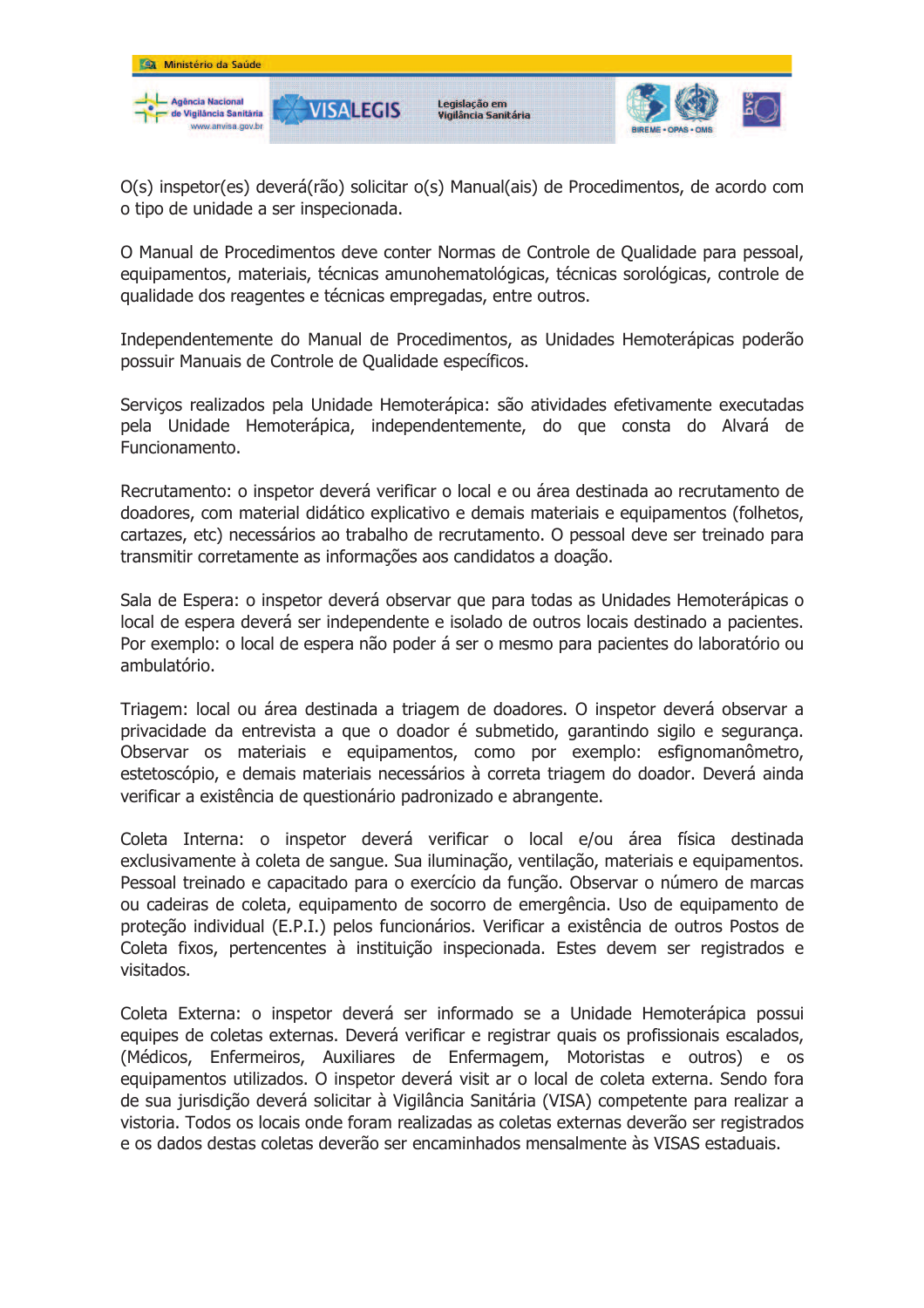

O(s) inspetor(es) deverá(rão) solicitar o(s) Manual(ais) de Procedimentos, de acordo com o tipo de unidade a ser inspecionada.

O Manual de Procedimentos deve conter Normas de Controle de Oualidade para pessoal, equipamentos, materiais, técnicas amunohematológicas, técnicas sorológicas, controle de qualidade dos reagentes e técnicas empregadas, entre outros.

Independentemente do Manual de Procedimentos, as Unidades Hemoterápicas poderão possuir Manuais de Controle de Oualidade específicos.

Serviços realizados pela Unidade Hemoterápica: são atividades efetivamente executadas pela Unidade Hemoterápica, independentemente, do que consta do Alvará de Funcionamento.

Recrutamento: o inspetor deverá verificar o local e ou área destinada ao recrutamento de doadores, com material didático explicativo e demais materiais e equipamentos (folhetos, cartazes, etc) necessários ao trabalho de recrutamento. O pessoal deve ser treinado para transmitir corretamente as informações aos candidatos a doação.

Sala de Espera: o inspetor deverá observar que para todas as Unidades Hemoterápicas o local de espera deverá ser independente e isolado de outros locais destinado a pacientes. Por exemplo: o local de espera não poder á ser o mesmo para pacientes do laboratório ou ambulatório.

Triagem: local ou área destinada a triagem de doadores. O inspetor deverá observar a privacidade da entrevista a que o doador é submetido, garantindo sigilo e segurança. Observar os materiais e equipamentos, como por exemplo: esfignomanômetro, estetoscópio, e demais materiais necessários à correta triagem do doador. Deverá ainda verificar a existência de questionário padronizado e abrangente.

Coleta Interna: o inspetor deverá verificar o local e/ou área física destinada exclusivamente à coleta de sangue. Sua iluminação, ventilação, materiais e equipamentos. Pessoal treinado e capacitado para o exercício da função. Observar o número de marcas ou cadeiras de coleta, equipamento de socorro de emergência. Uso de equipamento de proteção individual (E.P.I.) pelos funcionários. Verificar a existência de outros Postos de Coleta fixos, pertencentes à instituição inspecionada. Estes devem ser registrados e visitados.

Coleta Externa: o inspetor deverá ser informado se a Unidade Hemoterápica possui equipes de coletas externas. Deverá verificar e registrar quais os profissionais escalados, (Médicos, Enfermeiros, Auxiliares de Enfermagem, Motoristas e outros) e os equipamentos utilizados. O inspetor deverá visit ar o local de coleta externa. Sendo fora de sua jurisdição deverá solicitar à Vigilância Sanitária (VISA) competente para realizar a vistoria. Todos os locais onde foram realizadas as coletas externas deverão ser registrados e os dados destas coletas deverão ser encaminhados mensalmente às VISAS estaduais.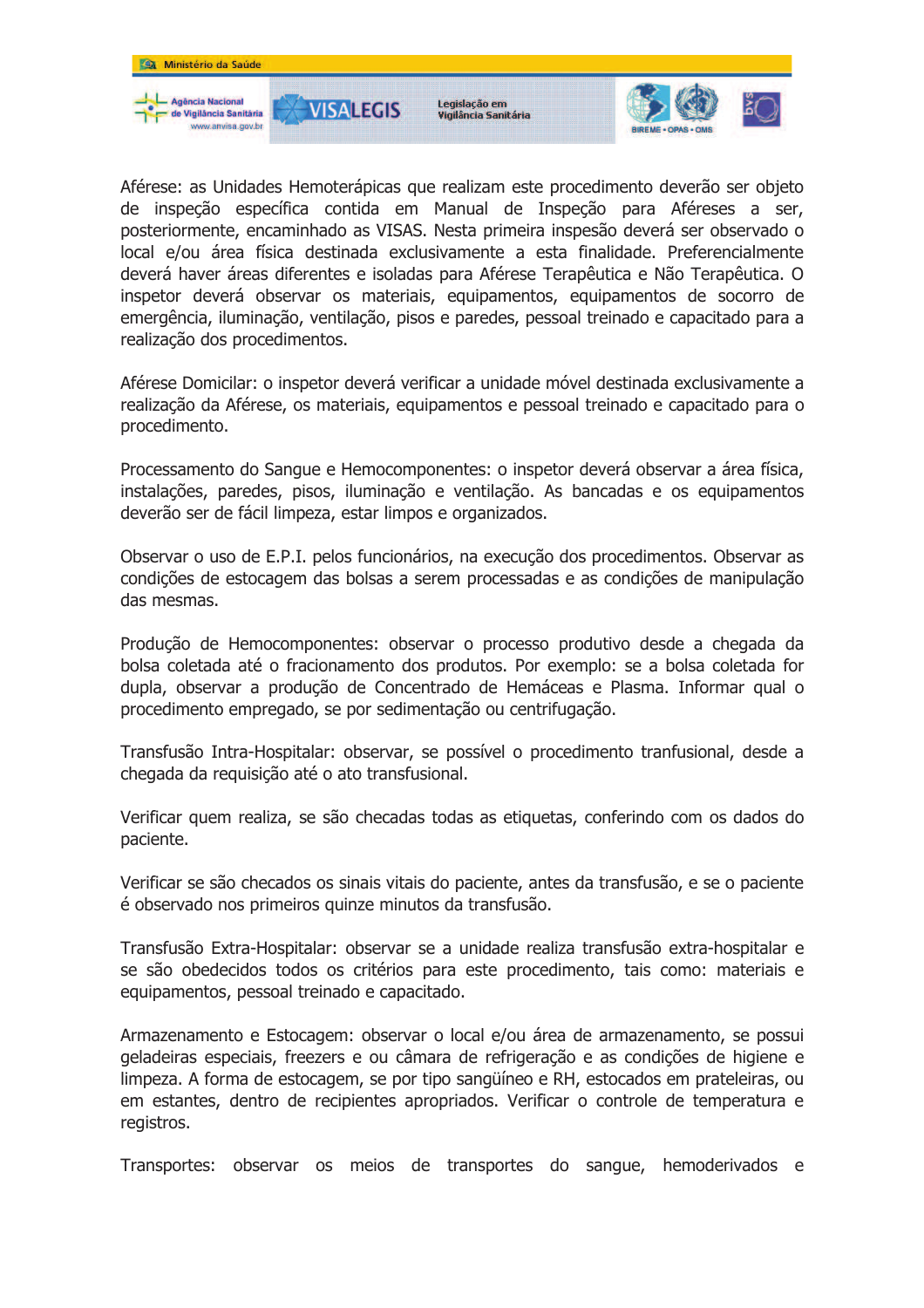

Aférese: as Unidades Hemoterápicas que realizam este procedimento deverão ser objeto de inspeção específica contida em Manual de Inspeção para Aféreses a ser, posteriormente, encaminhado as VISAS. Nesta primeira inspesão deverá ser observado o local e/ou área física destinada exclusivamente a esta finalidade. Preferencialmente deverá haver áreas diferentes e isoladas para Aférese Terapêutica e Não Terapêutica. O inspetor deverá observar os materiais, equipamentos, equipamentos de socorro de emergência, iluminação, ventilação, pisos e paredes, pessoal treinado e capacitado para a realização dos procedimentos.

Aférese Domicilar: o inspetor deverá verificar a unidade móvel destinada exclusivamente a realização da Aférese, os materiais, equipamentos e pessoal treinado e capacitado para o procedimento.

Processamento do Sangue e Hemocomponentes: o inspetor deverá observar a área física, instalações, paredes, pisos, iluminação e ventilação. As bancadas e os equipamentos deverão ser de fácil limpeza, estar limpos e organizados.

Observar o uso de E.P.I. pelos funcionários, na execução dos procedimentos. Observar as condições de estocagem das bolsas a serem processadas e as condições de manipulação das mesmas.

Produção de Hemocomponentes: observar o processo produtivo desde a chegada da bolsa coletada até o fracionamento dos produtos. Por exemplo: se a bolsa coletada for dupla, observar a produção de Concentrado de Hemáceas e Plasma. Informar qual o procedimento empregado, se por sedimentação ou centrifugação.

Transfusão Intra-Hospitalar: observar, se possível o procedimento tranfusional, desde a chegada da reguisição até o ato transfusional.

Verificar quem realiza, se são checadas todas as etiquetas, conferindo com os dados do paciente.

Verificar se são checados os sinais vitais do paciente, antes da transfusão, e se o paciente é observado nos primeiros quinze minutos da transfusão.

Transfusão Extra-Hospitalar; observar se a unidade realiza transfusão extra-hospitalar e se são obedecidos todos os critérios para este procedimento, tais como: materiais e equipamentos, pessoal treinado e capacitado.

Armazenamento e Estocagem: observar o local e/ou área de armazenamento, se possui geladeiras especiais, freezers e ou câmara de refrigeração e as condições de higiene e limpeza. A forma de estocagem, se por tipo sangüíneo e RH, estocados em prateleiras, ou em estantes, dentro de recipientes apropriados. Verificar o controle de temperatura e registros.

Transportes: observar os meios de transportes do sangue, hemoderivados e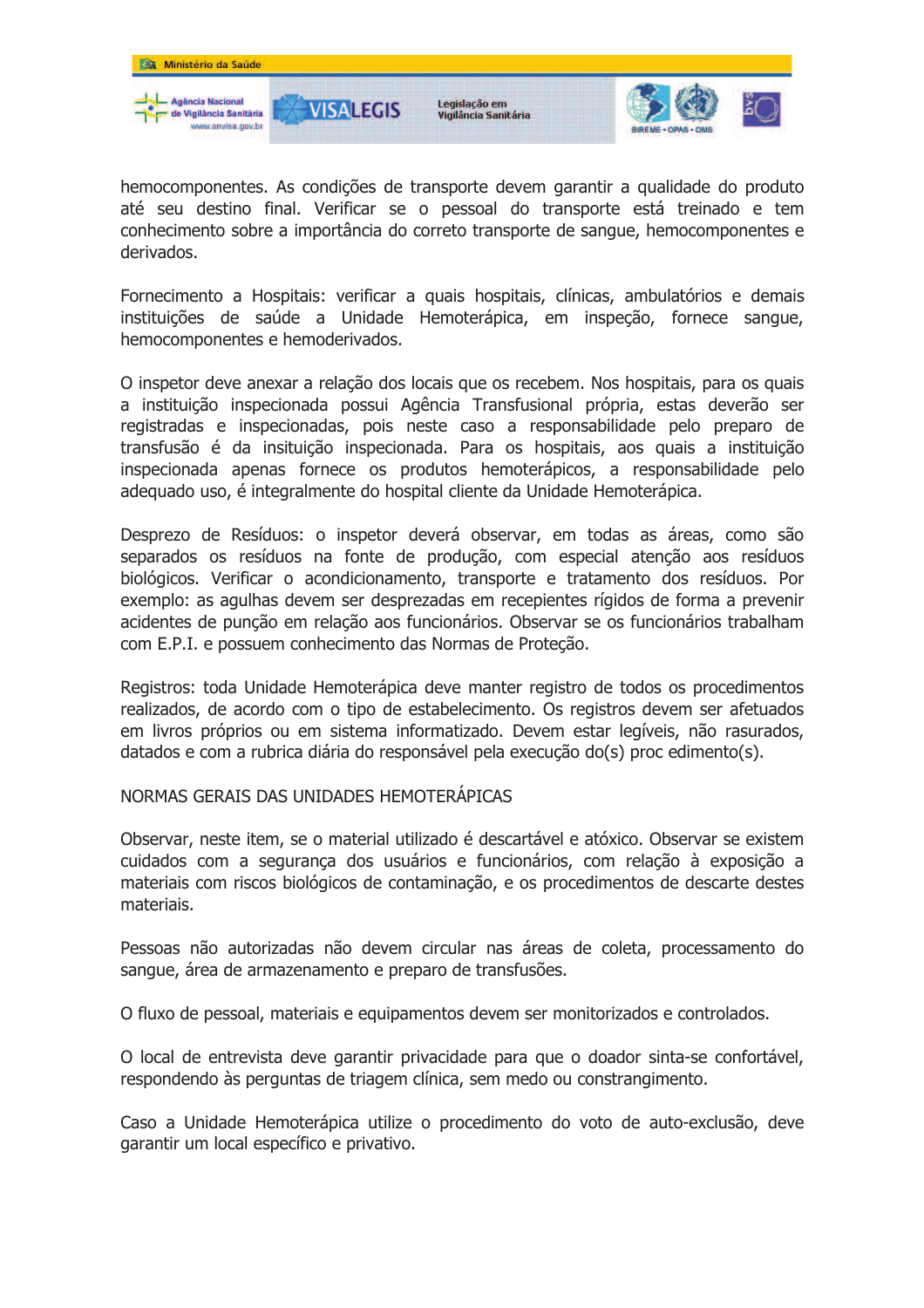

hemocomponentes. As condições de transporte devem garantir a qualidade do produto até seu destino final. Verificar se o pessoal do transporte está treinado e tem conhecimento sobre a importância do correto transporte de sangue, hemocomponentes e derivados.

Fornecimento a Hospitais: verificar a quais hospitais, clínicas, ambulatórios e demais instituicões de saúde a Unidade Hemoterápica, em inspeção, fornece sangue, hemocomponentes e hemoderivados.

O inspetor deve anexar a relação dos locais que os recebem. Nos hospitais, para os quais a instituição inspecionada possui Agência Transfusional própria, estas deverão ser registradas e inspecionadas, pois neste caso a responsabilidade pelo preparo de transfusão é da insituição inspecionada. Para os hospitais, aos quais a instituição inspecionada apenas fornece os produtos hemoterápicos, a responsabilidade pelo adequado uso, é integralmente do hospital cliente da Unidade Hemoterápica.

Desprezo de Resíduos: o inspetor deverá observar, em todas as áreas, como são separados os resíduos na fonte de produção, com especial atenção aos resíduos biológicos. Verificar o acondicionamento, transporte e tratamento dos resíduos. Por exemplo: as agulhas devem ser desprezadas em recepientes rígidos de forma a prevenir acidentes de punção em relação aos funcionários. Observar se os funcionários trabalham com E.P.I. e possuem conhecimento das Normas de Proteção.

Registros: toda Unidade Hemoterápica deve manter registro de todos os procedimentos realizados, de acordo com o tipo de estabelecimento. Os registros devem ser afetuados em livros próprios ou em sistema informatizado. Devem estar legíveis, não rasurados, datados e com a rubrica diária do responsável pela execução do(s) proc edimento(s).

NORMAS GERAIS DAS UNIDADES HEMOTERÁPICAS

Observar, neste item, se o material utilizado é descartável e atóxico. Observar se existem cuidados com a segurança dos usuários e funcionários, com relação à exposição a materiais com riscos biológicos de contaminação, e os procedimentos de descarte destes materiais.

Pessoas não autorizadas não devem circular nas áreas de coleta, processamento do sangue, área de armazenamento e preparo de transfusões.

O fluxo de pessoal, materiais e equipamentos devem ser monitorizados e controlados.

O local de entrevista deve garantir privacidade para que o doador sinta-se confortável, respondendo às perguntas de triagem clínica, sem medo ou constrangimento.

Caso a Unidade Hemoterápica utilize o procedimento do voto de auto-exclusão, deve garantir um local específico e privativo.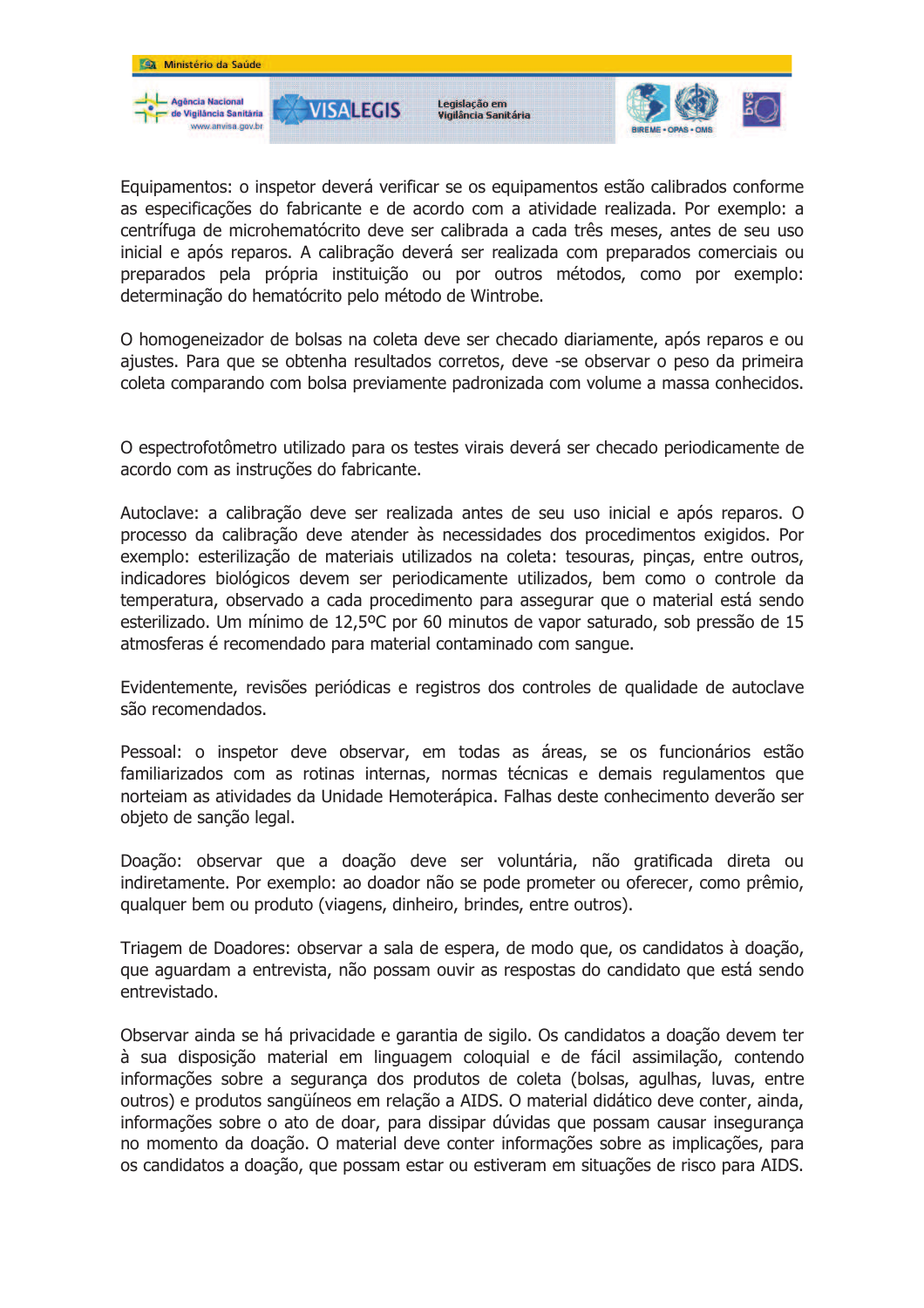

Equipamentos: o inspetor deverá verificar se os equipamentos estão calibrados conforme as especificações do fabricante e de acordo com a atividade realizada. Por exemplo: a centrífuga de microhematócrito deve ser calibrada a cada três meses, antes de seu uso inicial e após reparos. A calibração deverá ser realizada com preparados comerciais ou preparados pela própria instituição ou por outros métodos, como por exemplo: determinação do hematócrito pelo método de Wintrobe.

O homogeneizador de bolsas na coleta deve ser checado diariamente, após reparos e ou ajustes. Para que se obtenha resultados corretos, deve -se observar o peso da primeira coleta comparando com bolsa previamente padronizada com volume a massa conhecidos.

O espectrofotômetro utilizado para os testes virais deverá ser checado periodicamente de acordo com as instruções do fabricante.

Autoclave: a calibração deve ser realizada antes de seu uso inicial e após reparos. O processo da calibração deve atender às necessidades dos procedimentos exigidos. Por exemplo: esterilização de materiais utilizados na coleta: tesouras, pincas, entre outros, indicadores biológicos devem ser periodicamente utilizados, bem como o controle da temperatura, observado a cada procedimento para assegurar que o material está sendo esterilizado. Um mínimo de 12,5ºC por 60 minutos de vapor saturado, sob pressão de 15 atmosferas é recomendado para material contaminado com sangue.

Evidentemente, revisões periódicas e registros dos controles de qualidade de autoclave são recomendados.

Pessoal: o inspetor deve observar, em todas as áreas, se os funcionários estão familiarizados com as rotinas internas, normas técnicas e demais regulamentos que norteiam as atividades da Unidade Hemoterápica. Falhas deste conhecimento deverão ser objeto de sanção legal.

Doação: observar que a doação deve ser voluntária, não gratificada direta ou indiretamente. Por exemplo: ao doador não se pode prometer ou oferecer, como prêmio, qualquer bem ou produto (viagens, dinheiro, brindes, entre outros).

Triagem de Doadores: observar a sala de espera, de modo que, os candidatos à doação, que aguardam a entrevista, não possam ouvir as respostas do candidato que está sendo entrevistado.

Observar ainda se há privacidade e garantia de sigilo. Os candidatos a doação devem ter à sua disposição material em linguagem cologuial e de fácil assimilação, contendo informações sobre a segurança dos produtos de coleta (bolsas, agulhas, luvas, entre outros) e produtos sangüíneos em relação a AIDS. O material didático deve conter, ainda, informações sobre o ato de doar, para dissipar dúvidas que possam causar insegurança no momento da doação. O material deve conter informações sobre as implicações, para os candidatos a doação, que possam estar ou estiveram em situações de risco para AIDS.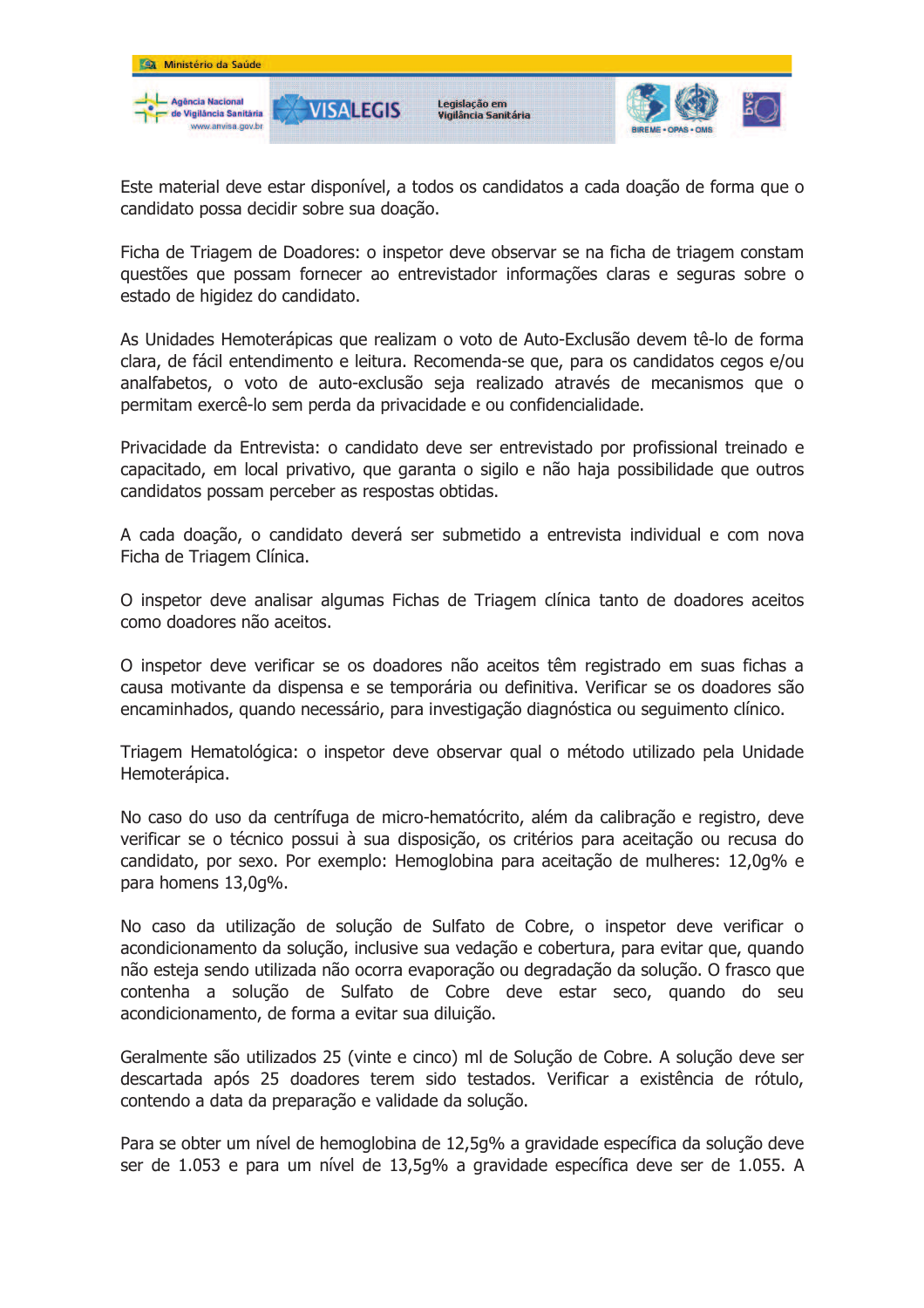

Este material deve estar disponível, a todos os candidatos a cada doação de forma que o candidato possa decidir sobre sua doação.

Ficha de Triagem de Doadores: o inspetor deve observar se na ficha de triagem constam questões que possam fornecer ao entrevistador informações claras e seguras sobre o estado de higidez do candidato.

As Unidades Hemoterápicas que realizam o voto de Auto-Exclusão devem tê-lo de forma clara, de fácil entendimento e leitura. Recomenda-se que, para os candidatos cegos e/ou analfabetos, o voto de auto-exclusão seja realizado através de mecanismos que o permitam exercê-lo sem perda da privacidade e ou confidencialidade.

Privacidade da Entrevista: o candidato deve ser entrevistado por profissional treinado e capacitado, em local privativo, que garanta o sigilo e não haja possibilidade que outros candidatos possam perceber as respostas obtidas.

A cada doação, o candidato deverá ser submetido a entrevista individual e com nova Ficha de Triagem Clínica.

O inspetor deve analisar algumas Fichas de Triagem clínica tanto de doadores aceitos como doadores não aceitos.

O inspetor deve verificar se os doadores não aceitos têm registrado em suas fichas a causa motivante da dispensa e se temporária ou definitiva. Verificar se os doadores são encaminhados, quando necessário, para investigação diagnóstica ou sequimento clínico.

Triagem Hematológica: o inspetor deve observar qual o método utilizado pela Unidade Hemoterápica.

No caso do uso da centrífuga de micro-hematócrito, além da calibração e registro, deve verificar se o técnico possui à sua disposição, os critérios para aceitação ou recusa do candidato, por sexo. Por exemplo: Hemoglobina para aceitação de mulheres: 12,0q% e para homens 13,0q%.

No caso da utilização de solução de Sulfato de Cobre, o inspetor deve verificar o acondicionamento da solução, inclusive sua vedação e cobertura, para evitar que, quando não esteja sendo utilizada não ocorra evaporação ou degradação da solução. O frasco que contenha a solução de Sulfato de Cobre deve estar seco, quando do seu acondicionamento, de forma a evitar sua diluição.

Geralmente são utilizados 25 (vinte e cinco) ml de Solução de Cobre. A solução deve ser descartada após 25 doadores terem sido testados. Verificar a existência de rótulo, contendo a data da preparação e validade da solução.

Para se obter um nível de hemoglobina de 12,5q% a gravidade específica da solução deve ser de 1.053 e para um nível de 13,5q% a gravidade específica deve ser de 1.055. A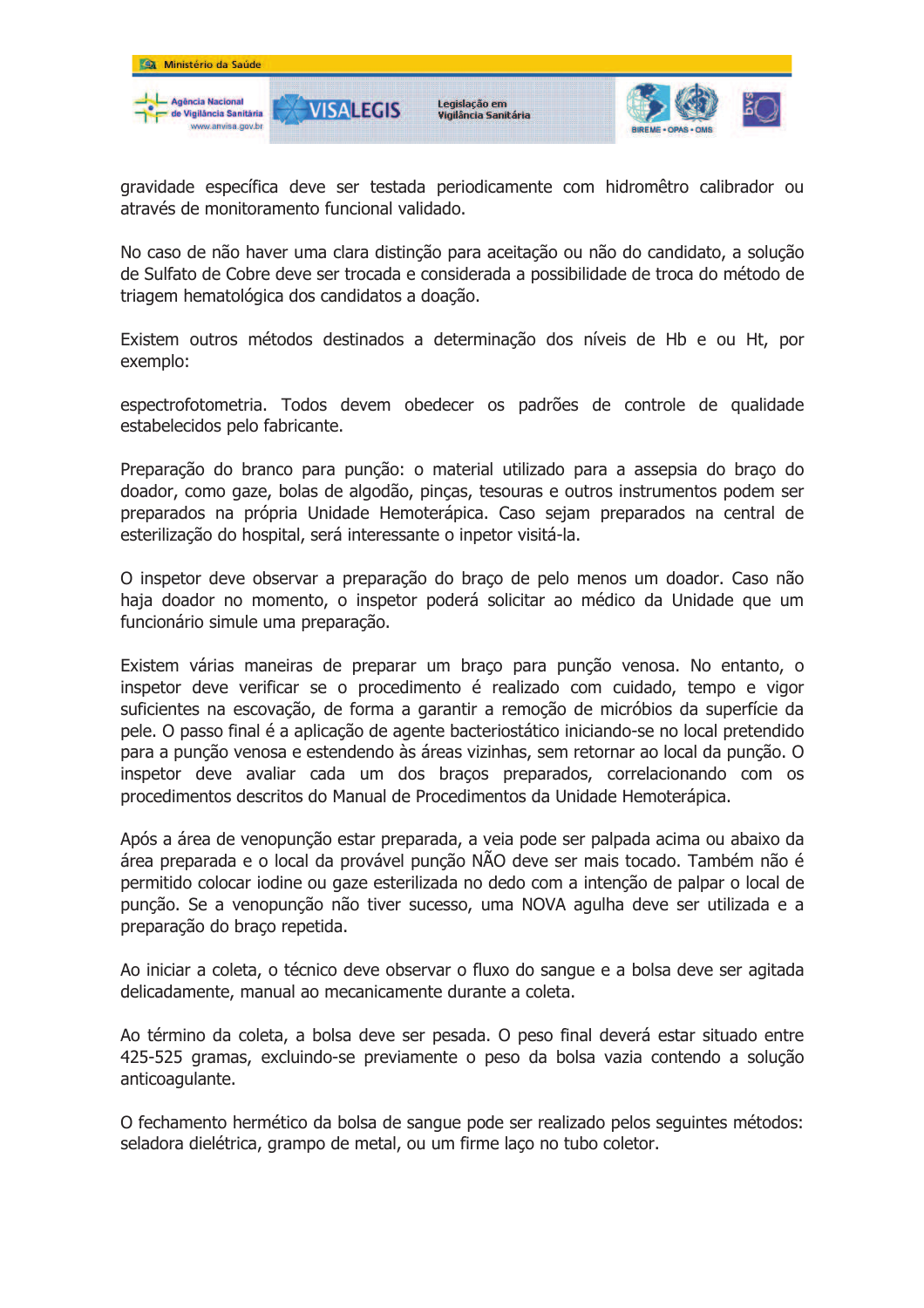

gravidade específica deve ser testada periodicamente com hidromêtro calibrador ou através de monitoramento funcional validado.

No caso de não haver uma clara distinção para aceitação ou não do candidato, a solução de Sulfato de Cobre deve ser trocada e considerada a possibilidade de troca do método de triagem hematológica dos candidatos a doação.

Existem outros métodos destinados a determinação dos níveis de Hb e ou Ht, por exemplo:

espectrofotometria. Todos devem obedecer os padrões de controle de qualidade estabelecidos pelo fabricante.

Preparação do branco para punção: o material utilizado para a assepsia do braço do doador, como gaze, bolas de algodão, pinças, tesouras e outros instrumentos podem ser preparados na própria Unidade Hemoterápica. Caso sejam preparados na central de esterilização do hospital, será interessante o inpetor visitá-la.

O inspetor deve observar a preparação do braço de pelo menos um doador. Caso não haja doador no momento, o inspetor poderá solicitar ao médico da Unidade que um funcionário simule uma preparação.

Existem várias maneiras de preparar um braço para punção venosa. No entanto, o inspetor deve verificar se o procedimento é realizado com cuidado, tempo e vigor suficientes na escovação, de forma a garantir a remoção de micróbios da superfície da pele. O passo final é a aplicação de agente bacteriostático iniciando-se no local pretendido para a punção venosa e estendendo às áreas vizinhas, sem retornar ao local da punção. O inspetor deve avaliar cada um dos bracos preparados, correlacionando com os procedimentos descritos do Manual de Procedimentos da Unidade Hemoterápica.

Após a área de venopunção estar preparada, a veia pode ser palpada acima ou abaixo da área preparada e o local da provável punção NÃO deve ser mais tocado. Também não é permitido colocar iodine ou gaze esterilizada no dedo com a intenção de palpar o local de punção. Se a venopunção não tiver sucesso, uma NOVA agulha deve ser utilizada e a preparação do braço repetida.

Ao iniciar a coleta, o técnico deve observar o fluxo do sangue e a bolsa deve ser agitada delicadamente, manual ao mecanicamente durante a coleta.

Ao término da coleta, a bolsa deve ser pesada. O peso final deverá estar situado entre 425-525 gramas, excluindo-se previamente o peso da bolsa vazia contendo a solução anticoagulante.

O fechamento hermético da bolsa de sangue pode ser realizado pelos seguintes métodos: seladora dielétrica, grampo de metal, ou um firme laço no tubo coletor.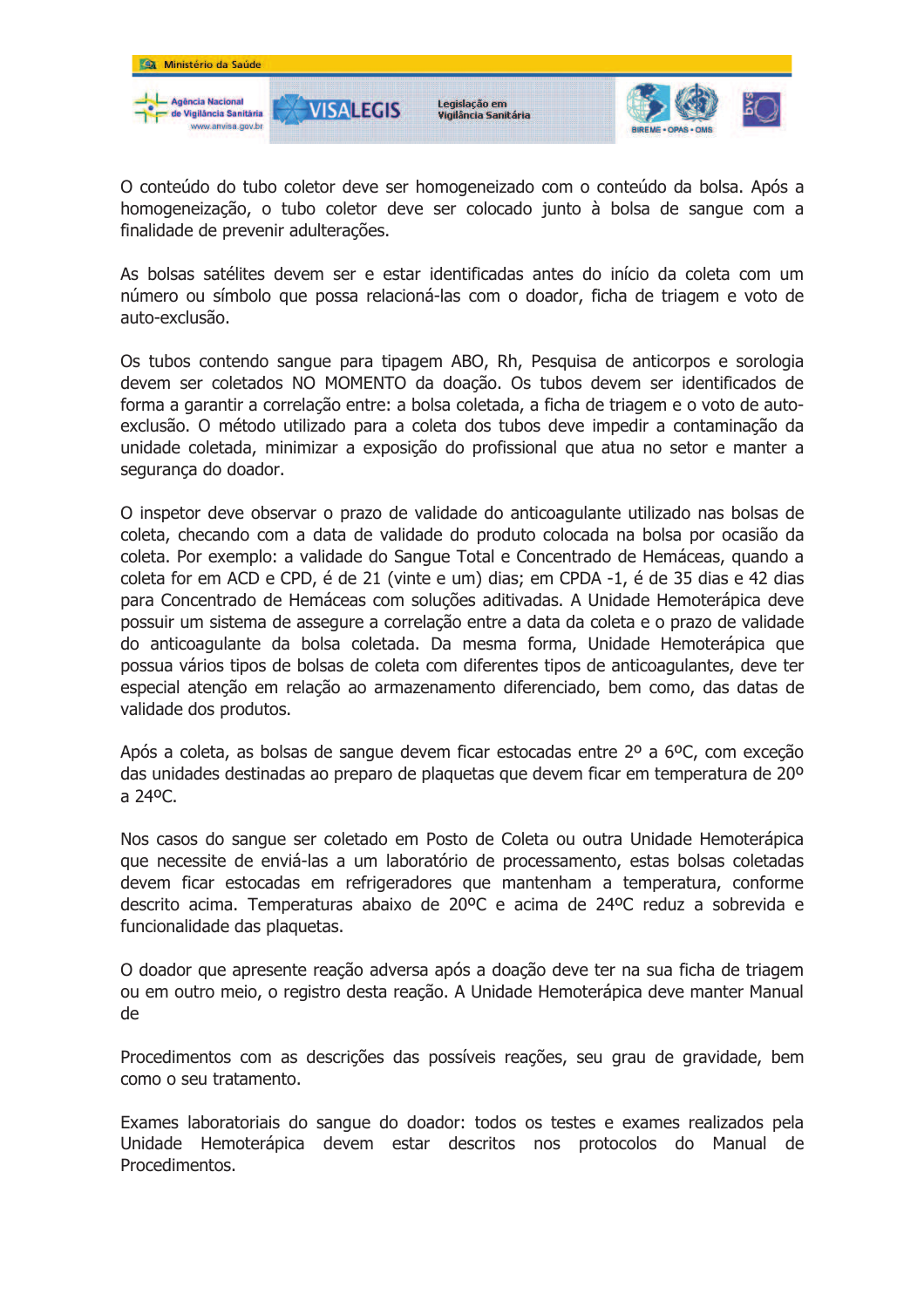

O conteúdo do tubo coletor deve ser homogeneizado com o conteúdo da bolsa. Após a homogeneização, o tubo coletor deve ser colocado junto à bolsa de sangue com a finalidade de prevenir adulterações.

As bolsas satélites devem ser e estar identificadas antes do início da coleta com um número ou símbolo que possa relacioná-las com o doador, ficha de triagem e voto de auto-exclusão.

Os tubos contendo sangue para tipagem ABO, Rh, Pesquisa de anticorpos e sorologia devem ser coletados NO MOMENTO da doação. Os tubos devem ser identificados de forma a garantir a correlação entre: a bolsa coletada, a ficha de triagem e o voto de autoexclusão. O método utilizado para a coleta dos tubos deve impedir a contaminação da unidade coletada, minimizar a exposição do profissional que atua no setor e manter a segurança do doador.

O inspetor deve observar o prazo de validade do anticoagulante utilizado nas bolsas de coleta, checando com a data de validade do produto colocada na bolsa por ocasião da coleta. Por exemplo: a validade do Sangue Total e Concentrado de Hemáceas, guando a coleta for em ACD e CPD, é de 21 (vinte e um) dias; em CPDA -1, é de 35 dias e 42 dias para Concentrado de Hemáceas com soluções aditivadas. A Unidade Hemoterápica deve possuir um sistema de assegure a correlação entre a data da coleta e o prazo de validade do anticoagulante da bolsa coletada. Da mesma forma, Unidade Hemoterápica que possua vários tipos de bolsas de coleta com diferentes tipos de anticoagulantes, deve ter especial atenção em relação ao armazenamento diferenciado, bem como, das datas de validade dos produtos.

Após a coleta, as bolsas de sangue devem ficar estocadas entre 2º a 6ºC, com exceção das unidades destinadas ao preparo de plaquetas que devem ficar em temperatura de 20° a 24°C.

Nos casos do sangue ser coletado em Posto de Coleta ou outra Unidade Hemoterápica que necessite de enviá-las a um laboratório de processamento, estas bolsas coletadas devem ficar estocadas em refrigeradores que mantenham a temperatura, conforme descrito acima. Temperaturas abaixo de 20°C e acima de 24°C reduz a sobrevida e funcionalidade das plaquetas.

O doador que apresente reação adversa após a doação deve ter na sua ficha de triagem ou em outro meio, o registro desta reação. A Unidade Hemoterápica deve manter Manual de

Procedimentos com as descrições das possíveis reações, seu grau de gravidade, bem como o seu tratamento.

Exames laboratoriais do sangue do doador: todos os testes e exames realizados pela Unidade Hemoterápica devem estar descritos nos protocolos do Manual de Procedimentos.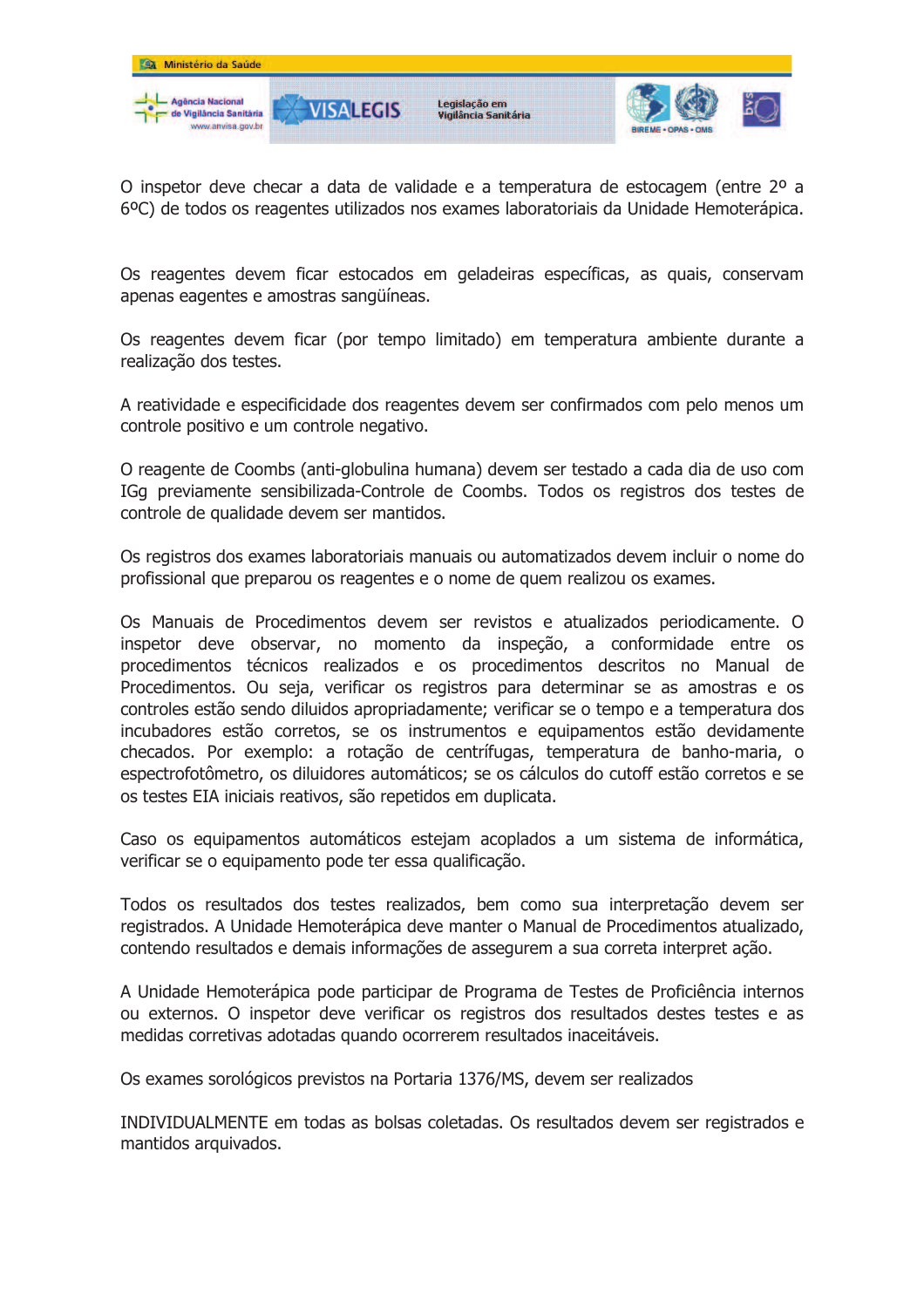

O inspetor deve checar a data de validade e a temperatura de estocagem (entre 2º a 6°C) de todos os reagentes utilizados nos exames laboratoriais da Unidade Hemoterápica.

Os reagentes devem ficar estocados em geladeiras específicas, as quais, conservam apenas eagentes e amostras sangüíneas.

Os reagentes devem ficar (por tempo limitado) em temperatura ambiente durante a realização dos testes.

A reatividade e especificidade dos reagentes devem ser confirmados com pelo menos um controle positivo e um controle negativo.

O reagente de Coombs (anti-globulina humana) devem ser testado a cada dia de uso com IGq previamente sensibilizada-Controle de Coombs. Todos os registros dos testes de controle de qualidade devem ser mantidos.

Os registros dos exames laboratoriais manuais ou automatizados devem incluir o nome do profissional que preparou os reagentes e o nome de quem realizou os exames.

Os Manuais de Procedimentos devem ser revistos e atualizados periodicamente. O inspetor deve observar, no momento da inspeção, a conformidade entre os procedimentos técnicos realizados e os procedimentos descritos no Manual de Procedimentos. Ou seja, verificar os registros para determinar se as amostras e os controles estão sendo diluidos apropriadamente; verificar se o tempo e a temperatura dos incubadores estão corretos, se os instrumentos e equipamentos estão devidamente checados. Por exemplo: a rotação de centrífugas, temperatura de banho-maria, o espectrofotômetro, os diluidores automáticos; se os cálculos do cutoff estão corretos e se os testes EIA iniciais reativos, são repetidos em duplicata.

Caso os equipamentos automáticos estejam acoplados a um sistema de informática, verificar se o equipamento pode ter essa qualificação.

Todos os resultados dos testes realizados, bem como sua interpretação devem ser registrados. A Unidade Hemoterápica deve manter o Manual de Procedimentos atualizado, contendo resultados e demais informações de assegurem a sua correta interpret ação.

A Unidade Hemoterápica pode participar de Programa de Testes de Proficiência internos ou externos. O inspetor deve verificar os registros dos resultados destes testes e as medidas corretivas adotadas guando ocorrerem resultados inaceitáveis.

Os exames sorológicos previstos na Portaria 1376/MS, devem ser realizados

INDIVIDUALMENTE em todas as bolsas coletadas. Os resultados devem ser registrados e mantidos arquivados.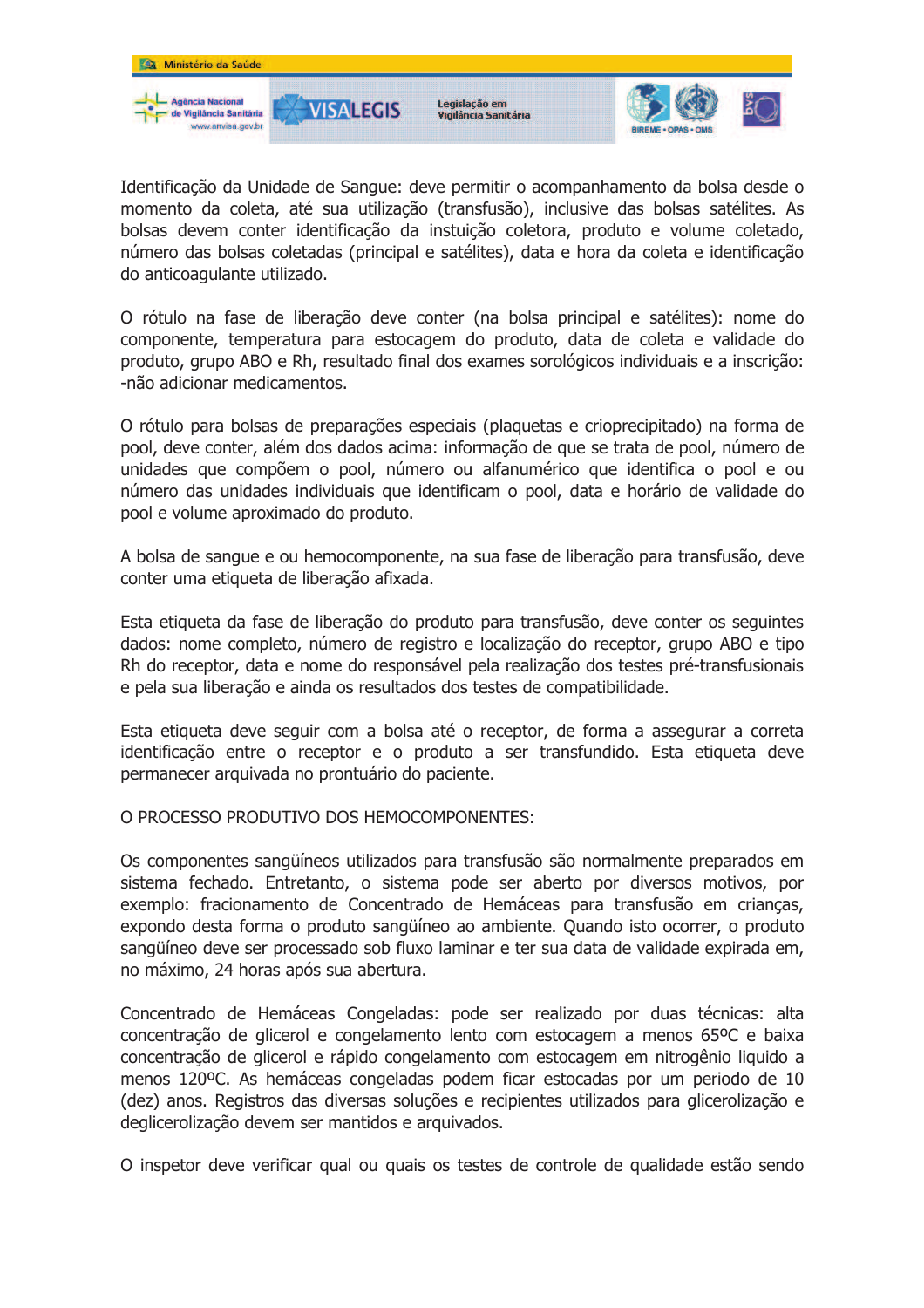

Identificação da Unidade de Sangue: deve permitir o acompanhamento da bolsa desde o momento da coleta, até sua utilização (transfusão), inclusive das bolsas satélites. As bolsas devem conter identificação da instuição coletora, produto e volume coletado, número das bolsas coletadas (principal e satélites), data e hora da coleta e identificação do anticoaquiante utilizado.

O rótulo na fase de liberação deve conter (na bolsa principal e satélites): nome do componente, temperatura para estocagem do produto, data de coleta e validade do produto, grupo ABO e Rh, resultado final dos exames sorológicos individuais e a inscrição: -não adicionar medicamentos.

O rótulo para bolsas de preparações especiais (plaquetas e crioprecipitado) na forma de pool, deve conter, além dos dados acima: informação de que se trata de pool, número de unidades que compõem o pool, número ou alfanumérico que identifica o pool e ou número das unidades individuais que identificam o pool, data e horário de validade do pool e volume aproximado do produto.

A bolsa de sangue e ou hemocomponente, na sua fase de liberação para transfusão, deve conter uma etiqueta de liberação afixada.

Esta etiqueta da fase de liberação do produto para transfusão, deve conter os seguintes dados: nome completo, número de registro e localização do receptor, grupo ABO e tipo Rh do receptor, data e nome do responsável pela realização dos testes pré-transfusionais e pela sua liberação e ainda os resultados dos testes de compatibilidade.

Esta etiqueta deve sequir com a bolsa até o receptor, de forma a assegurar a correta identificação entre o receptor e o produto a ser transfundido. Esta etiqueta deve permanecer arquivada no prontuário do paciente.

### O PROCESSO PRODUTIVO DOS HEMOCOMPONENTES:

Os componentes sangüíneos utilizados para transfusão são normalmente preparados em sistema fechado. Entretanto, o sistema pode ser aberto por diversos motivos, por exemplo: fracionamento de Concentrado de Hemáceas para transfusão em crianças, expondo desta forma o produto sangüíneo ao ambiente. Quando isto ocorrer, o produto sangüíneo deve ser processado sob fluxo laminar e ter sua data de validade expirada em, no máximo, 24 horas após sua abertura.

Concentrado de Hemáceas Congeladas: pode ser realizado por duas técnicas: alta concentração de glicerol e congelamento lento com estocagem a menos 65ºC e baixa concentração de glicerol e rápido congelamento com estocagem em nitrogênio liquido a menos 120°C. As hemáceas congeladas podem ficar estocadas por um periodo de 10 (dez) anos. Registros das diversas soluções e recipientes utilizados para glicerolização e deglicerolização devem ser mantidos e arquivados.

O inspetor deve verificar qual ou quais os testes de controle de qualidade estão sendo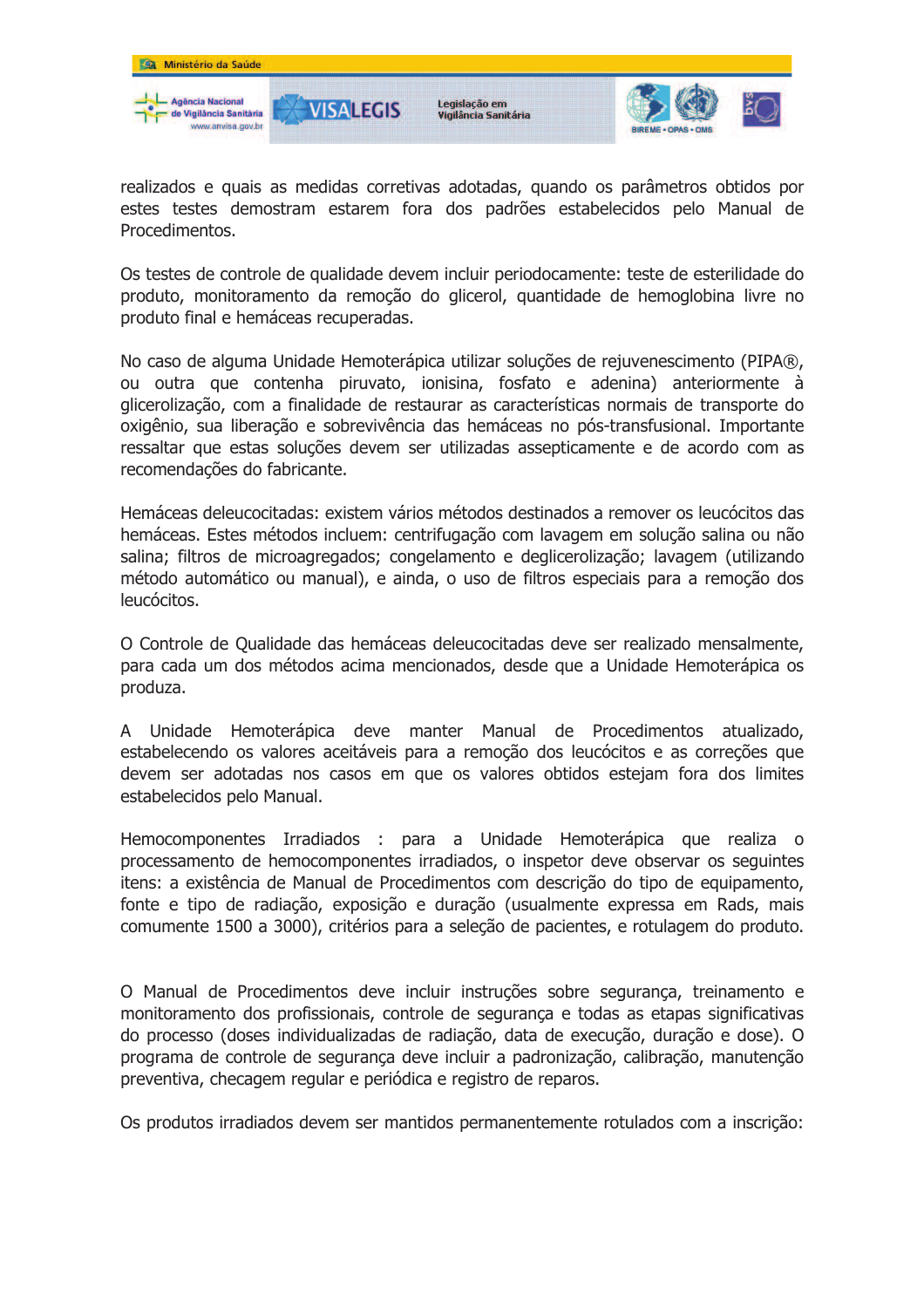

realizados e quais as medidas corretivas adotadas, quando os parâmetros obtidos por estes testes demostram estarem fora dos padrões estabelecidos pelo Manual de Procedimentos.

Os testes de controle de qualidade devem incluir periodocamente: teste de esterilidade do produto, monitoramento da remoção do glicerol, quantidade de hemoglobina livre no produto final e hemáceas recuperadas.

No caso de alguma Unidade Hemoterápica utilizar soluções de rejuvenescimento (PIPA®, ou outra que contenha piruvato, ionisina, fosfato e adenina) anteriormente à glicerolização, com a finalidade de restaurar as características normais de transporte do oxigênio, sua liberação e sobrevivência das hemáceas no pós-transfusional. Importante ressaltar que estas soluções devem ser utilizadas assepticamente e de acordo com as recomendações do fabricante.

Hemáceas deleucocitadas: existem vários métodos destinados a remover os leucócitos das hemáceas. Estes métodos incluem: centrifugação com lavagem em solução salina ou não salina; filtros de microagregados; congelamento e deglicerolização; lavagem (utilizando método automático ou manual), e ainda, o uso de filtros especiais para a remoção dos leucócitos.

O Controle de Oualidade das hemáceas deleucocitadas deve ser realizado mensalmente, para cada um dos métodos acima mencionados, desde que a Unidade Hemoterápica os produza.

A Unidade Hemoterápica deve manter Manual de Procedimentos atualizado, estabelecendo os valores aceitáveis para a remoção dos leucócitos e as correções que devem ser adotadas nos casos em que os valores obtidos estejam fora dos limites estabelecidos pelo Manual.

Hemocomponentes Irradiados : para a Unidade Hemoterápica que realiza o processamento de hemocomponentes irradiados, o inspetor deve observar os sequintes itens: a existência de Manual de Procedimentos com descrição do tipo de equipamento, fonte e tipo de radiação, exposição e duração (usualmente expressa em Rads, mais comumente 1500 a 3000), critérios para a seleção de pacientes, e rotulagem do produto.

O Manual de Procedimentos deve incluir instruções sobre segurança, treinamento e monitoramento dos profissionais, controle de segurança e todas as etapas significativas do processo (doses individualizadas de radiação, data de execução, duração e dose). O programa de controle de segurança deve incluir a padronização, calibração, manutenção preventiva, checagem regular e periódica e registro de reparos.

Os produtos irradiados devem ser mantidos permanentemente rotulados com a inscrição: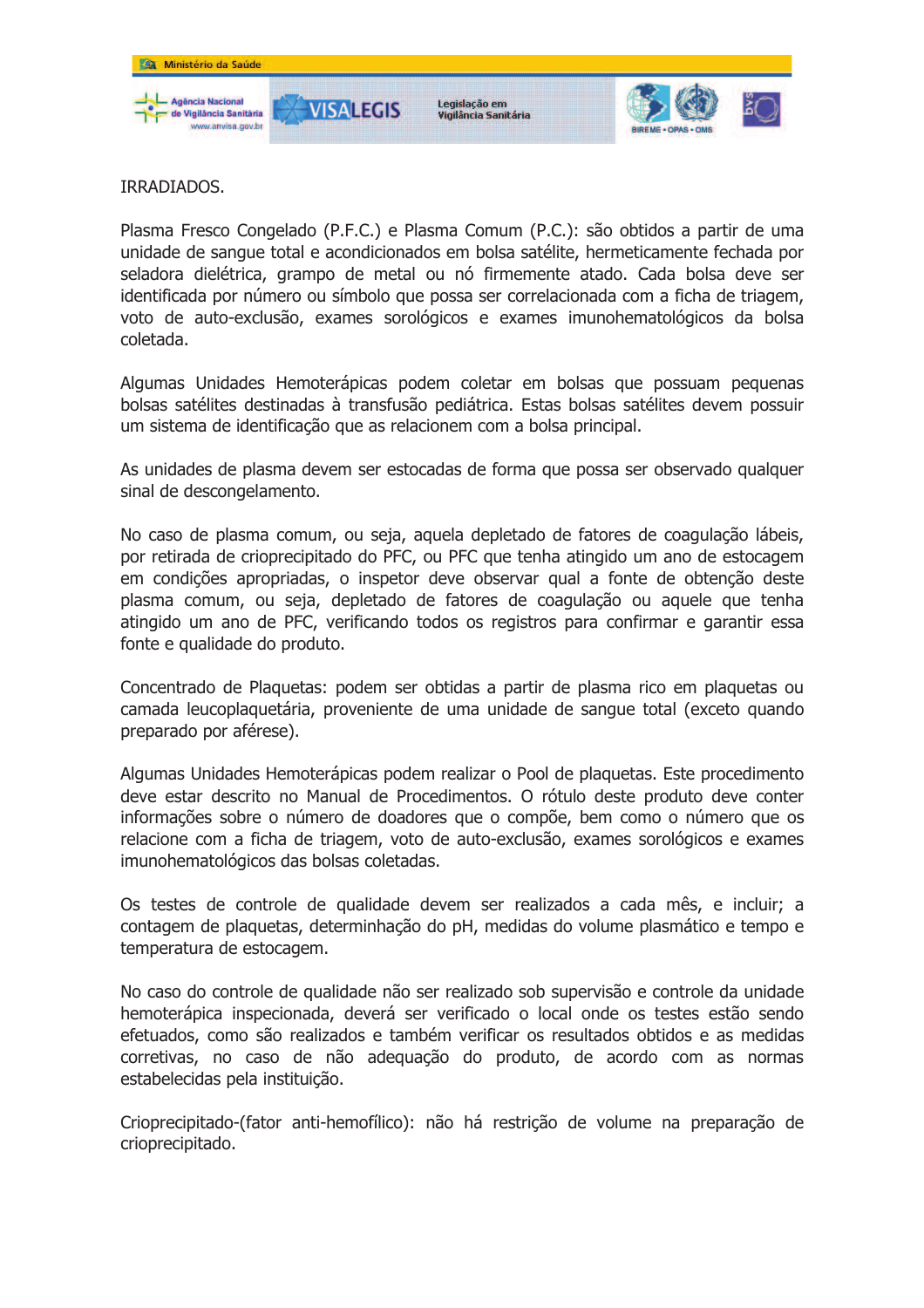

IRRADIADOS.

Plasma Fresco Congelado (P.F.C.) e Plasma Comum (P.C.): são obtidos a partir de uma unidade de sangue total e acondicionados em bolsa satélite, hermeticamente fechada por seladora dielétrica, grampo de metal ou nó firmemente atado. Cada bolsa deve ser identificada por número ou símbolo que possa ser correlacionada com a ficha de triagem, voto de auto-exclusão, exames sorológicos e exames imunohematológicos da bolsa coletada.

Algumas Unidades Hemoterápicas podem coletar em bolsas que possuam pequenas bolsas satélites destinadas à transfusão pediátrica. Estas bolsas satélites devem possuir um sistema de identificação que as relacionem com a bolsa principal.

As unidades de plasma devem ser estocadas de forma que possa ser observado qualquer sinal de descongelamento.

No caso de plasma comum, ou seja, aquela depletado de fatores de coagulação lábeis, por retirada de crioprecipitado do PFC, ou PFC que tenha atingido um ano de estocagem em condições apropriadas, o inspetor deve observar qual a fonte de obtenção deste plasma comum, ou seja, depletado de fatores de coagulação ou aquele que tenha atingido um ano de PFC, verificando todos os registros para confirmar e garantir essa fonte e qualidade do produto.

Concentrado de Plaquetas: podem ser obtidas a partir de plasma rico em plaquetas ou camada leucoplaquetária, proveniente de uma unidade de sangue total (exceto quando preparado por aférese).

Algumas Unidades Hemoterápicas podem realizar o Pool de plaguetas. Este procedimento deve estar descrito no Manual de Procedimentos. O rótulo deste produto deve conter informações sobre o número de doadores que o compõe, bem como o número que os relacione com a ficha de triagem, voto de auto-exclusão, exames sorológicos e exames imunohematológicos das bolsas coletadas.

Os testes de controle de qualidade devem ser realizados a cada mês, e incluir; a contagem de plaquetas, determinhação do pH, medidas do volume plasmático e tempo e temperatura de estocagem.

No caso do controle de qualidade não ser realizado sob supervisão e controle da unidade hemoterápica inspecionada, deverá ser verificado o local onde os testes estão sendo efetuados, como são realizados e também verificar os resultados obtidos e as medidas corretivas, no caso de não adequação do produto, de acordo com as normas estabelecidas pela instituição.

Crioprecipitado-(fator anti-hemofílico): não há restrição de volume na preparação de crioprecipitado.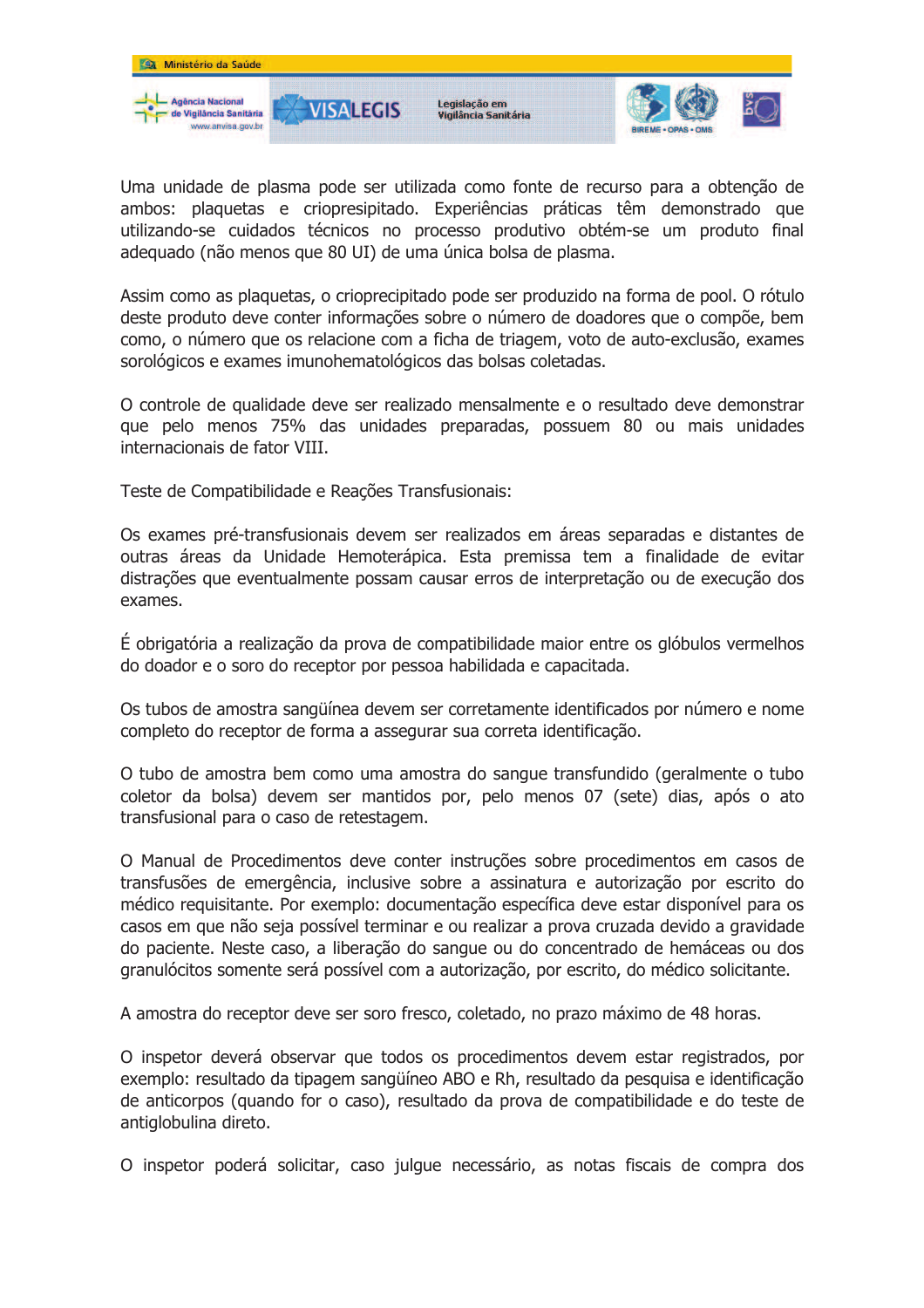

Uma unidade de plasma pode ser utilizada como fonte de recurso para a obtenção de ambos: plaquetas e criopresipitado. Experiências práticas têm demonstrado que utilizando-se cuidados técnicos no processo produtivo obtém-se um produto final adeguado (não menos que 80 UI) de uma única bolsa de plasma.

Assim como as plaquetas, o crioprecipitado pode ser produzido na forma de pool. O rótulo deste produto deve conter informações sobre o número de doadores que o compõe, bem como, o número que os relacione com a ficha de triagem, voto de auto-exclusão, exames sorológicos e exames imunohematológicos das bolsas coletadas.

O controle de qualidade deve ser realizado mensalmente e o resultado deve demonstrar que pelo menos 75% das unidades preparadas, possuem 80 ou mais unidades internacionais de fator VIII.

Teste de Compatibilidade e Reações Transfusionais:

Os exames pré-transfusionais devem ser realizados em áreas separadas e distantes de outras áreas da Unidade Hemoterápica. Esta premissa tem a finalidade de evitar distrações que eventualmente possam causar erros de interpretação ou de execução dos exames.

É obrigatória a realização da prova de compatibilidade maior entre os glóbulos vermelhos do doador e o soro do receptor por pessoa habilidada e capacitada.

Os tubos de amostra sangüínea devem ser corretamente identificados por número e nome completo do receptor de forma a assegurar sua correta identificação.

O tubo de amostra bem como uma amostra do sangue transfundido (geralmente o tubo coletor da bolsa) devem ser mantidos por, pelo menos 07 (sete) dias, após o ato transfusional para o caso de retestagem.

O Manual de Procedimentos deve conter instruções sobre procedimentos em casos de transfusões de emergência, inclusive sobre a assinatura e autorização por escrito do médico requisitante. Por exemplo: documentação específica deve estar disponível para os casos em que não seja possível terminar e ou realizar a prova cruzada devido a gravidade do paciente. Neste caso, a liberação do sangue ou do concentrado de hemáceas ou dos granulócitos somente será possível com a autorização, por escrito, do médico solicitante.

A amostra do receptor deve ser soro fresco, coletado, no prazo máximo de 48 horas.

O inspetor deverá observar que todos os procedimentos devem estar registrados, por exemplo: resultado da tipagem sangüíneo ABO e Rh, resultado da pesquisa e identificação de anticorpos (quando for o caso), resultado da prova de compatibilidade e do teste de antiglobulina direto.

O inspetor poderá solicitar, caso julgue necessário, as notas fiscais de compra dos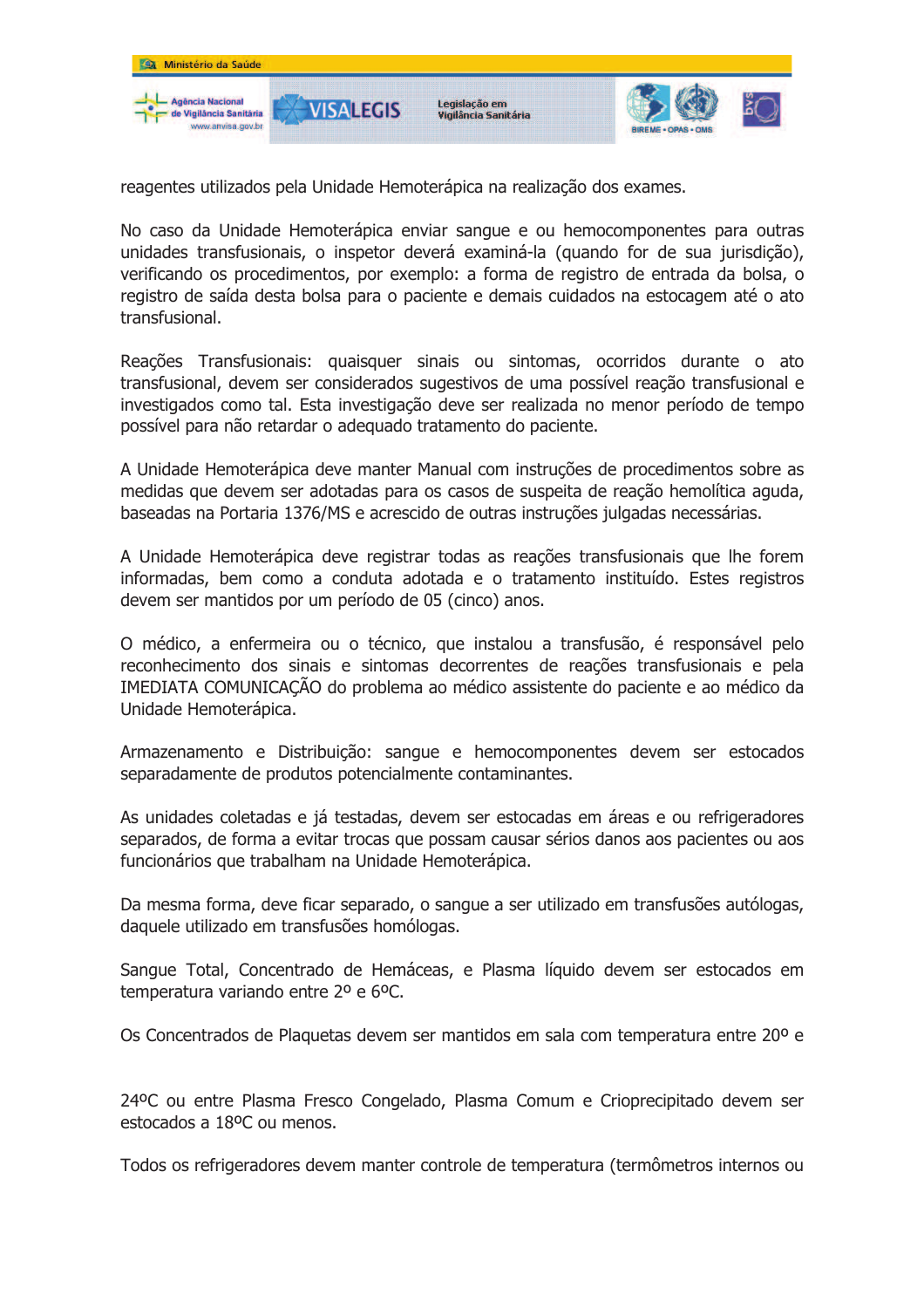

reagentes utilizados pela Unidade Hemoterápica na realização dos exames.

No caso da Unidade Hemoterápica enviar sangue e ou hemocomponentes para outras unidades transfusionais, o inspetor deverá examiná-la (quando for de sua jurisdição), verificando os procedimentos, por exemplo: a forma de registro de entrada da bolsa, o registro de saída desta bolsa para o paciente e demais cuidados na estocagem até o ato transfusional.

Reações Transfusionais: quaisquer sinais ou sintomas, ocorridos durante o ato transfusional, devem ser considerados sugestivos de uma possível reação transfusional e investigados como tal. Esta investigação deve ser realizada no menor período de tempo possível para não retardar o adequado tratamento do paciente.

A Unidade Hemoterápica deve manter Manual com instruções de procedimentos sobre as medidas que devem ser adotadas para os casos de suspeita de reação hemolítica aguda, baseadas na Portaria 1376/MS e acrescido de outras instruções julgadas necessárias.

A Unidade Hemoterápica deve registrar todas as reações transfusionais que lhe forem informadas, bem como a conduta adotada e o tratamento instituído. Estes registros devem ser mantidos por um período de 05 (cinco) anos.

O médico, a enfermeira ou o técnico, que instalou a transfusão, é responsável pelo reconhecimento dos sinais e sintomas decorrentes de reações transfusionais e pela IMEDIATA COMUNICAÇÃO do problema ao médico assistente do paciente e ao médico da Unidade Hemoterápica.

Armazenamento e Distribuição: sanque e hemocomponentes devem ser estocados separadamente de produtos potencialmente contaminantes.

As unidades coletadas e já testadas, devem ser estocadas em áreas e ou refrigeradores separados, de forma a evitar trocas que possam causar sérios danos aos pacientes ou aos funcionários que trabalham na Unidade Hemoterápica.

Da mesma forma, deve ficar separado, o sangue a ser utilizado em transfusões autólogas, daquele utilizado em transfusões homólogas.

Sangue Total, Concentrado de Hemáceas, e Plasma líquido devem ser estocados em temperatura variando entre 2º e 6ºC.

Os Concentrados de Plaquetas devem ser mantidos em sala com temperatura entre 20º e

24ºC ou entre Plasma Fresco Congelado, Plasma Comum e Crioprecipitado devem ser estocados a 18ºC ou menos.

Todos os refrigeradores devem manter controle de temperatura (termômetros internos ou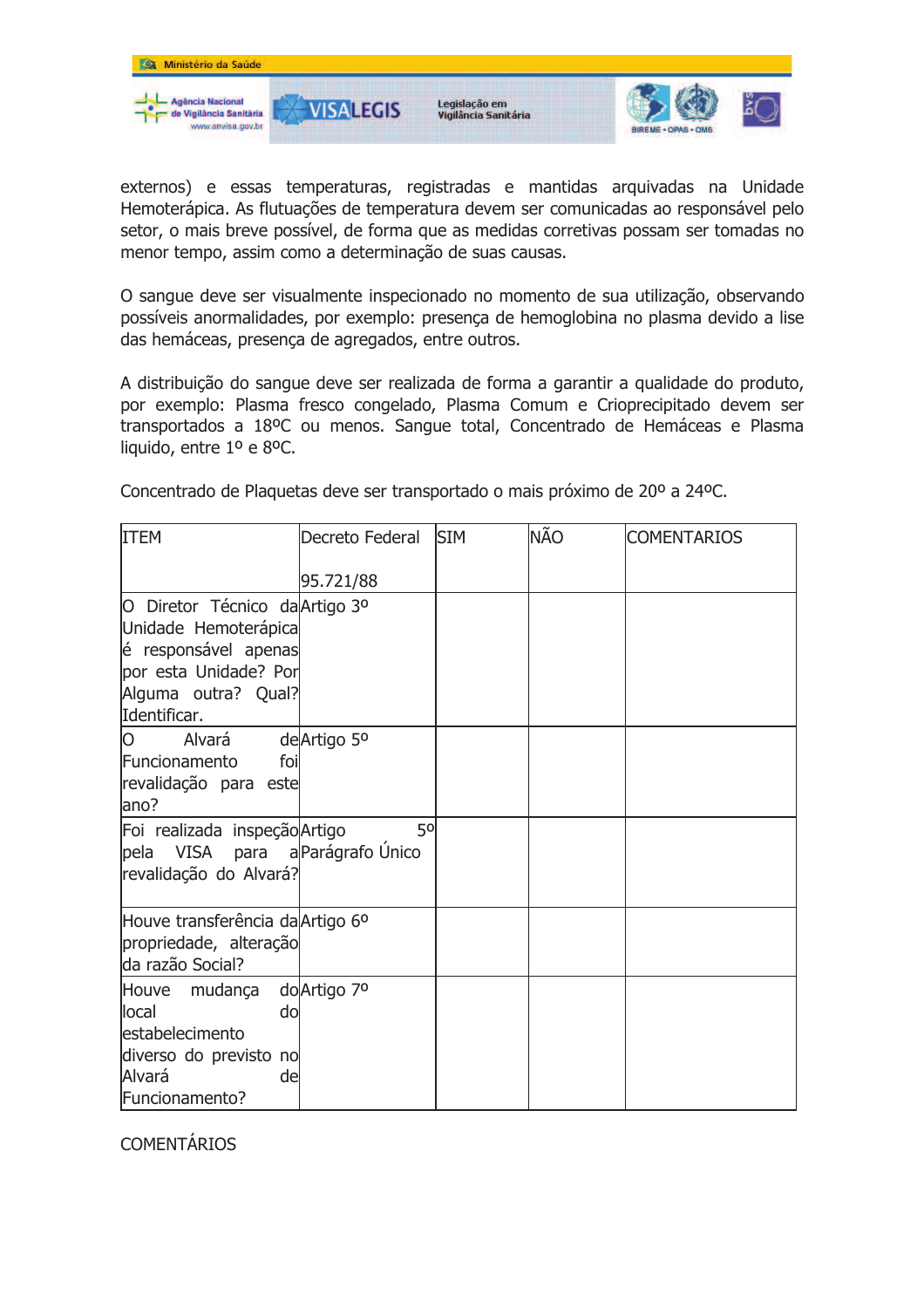

externos) e essas temperaturas, registradas e mantidas arquivadas na Unidade Hemoterápica. As flutuações de temperatura devem ser comunicadas ao responsável pelo setor, o mais breve possível, de forma que as medidas corretivas possam ser tomadas no menor tempo, assim como a determinação de suas causas.

O sangue deve ser visualmente inspecionado no momento de sua utilização, observando possíveis anormalidades, por exemplo: presenca de hemoglobina no plasma devido a lise das hemáceas, presença de agregados, entre outros.

A distribuição do sangue deve ser realizada de forma a garantir a qualidade do produto, por exemplo: Plasma fresco congelado, Plasma Comum e Crioprecipitado devem ser transportados a 18ºC ou menos. Sangue total, Concentrado de Hemáceas e Plasma liquido, entre 1º e 8ºC.

Concentrado de Plaquetas deve ser transportado o mais próximo de 20º a 24ºC.

| <b>ITEM</b>                                                                                                                                    | Decreto Federal | <b>SIM</b> | <b>NÃO</b> | <b>COMENTARIOS</b> |
|------------------------------------------------------------------------------------------------------------------------------------------------|-----------------|------------|------------|--------------------|
|                                                                                                                                                | 95.721/88       |            |            |                    |
| O Diretor Técnico da Artigo 3º<br>Unidade Hemoterápica<br>é responsável apenas<br>por esta Unidade? Por<br>Alguma outra? Qual?<br>Identificar. |                 |            |            |                    |
| O<br>Alvará<br>Funcionamento<br>foi<br>revalidação para este<br>ano?                                                                           | de Artigo 5°    |            |            |                    |
| Foi realizada inspeção Artigo<br>pela VISA para a Parágrafo Único<br>revalidação do Alvará?                                                    | 50              |            |            |                    |
| Houve transferência da Artigo 6º<br>propriedade, alteração<br>da razão Social?                                                                 |                 |            |            |                    |
| Houve mudança<br>local<br>do<br>estabelecimento<br>diverso do previsto no<br>Alvará<br>de<br>Funcionamento?                                    | do Artigo 7º    |            |            |                    |

**COMENTÁRIOS**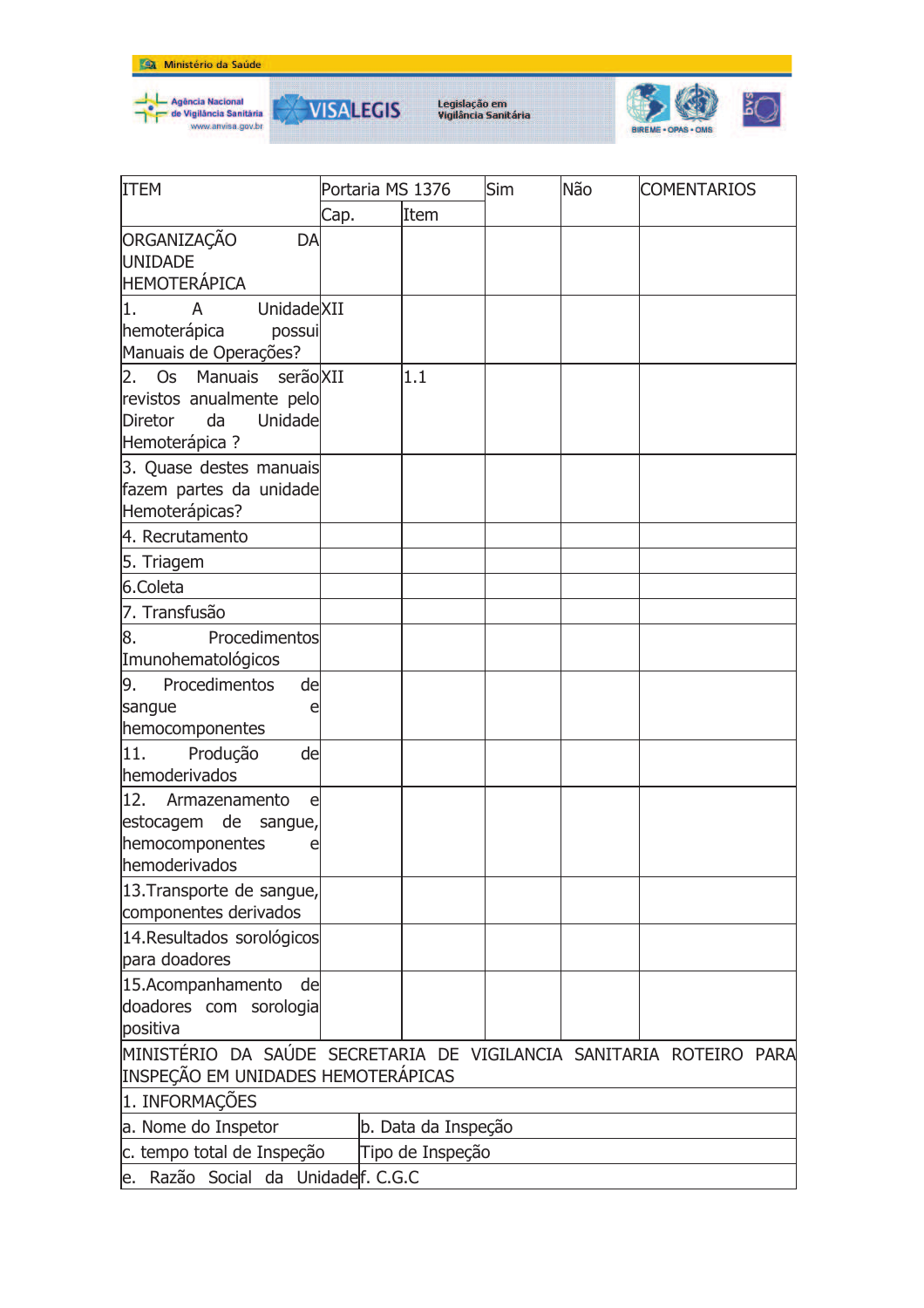





| <b>ITEM</b>                                                         | Portaria MS 1376 |                  | Sim | Não | <b>COMENTARIOS</b> |
|---------------------------------------------------------------------|------------------|------------------|-----|-----|--------------------|
|                                                                     | Cap.             | Item             |     |     |                    |
| ORGANIZAÇÃO<br>DA                                                   |                  |                  |     |     |                    |
| <b>UNIDADE</b>                                                      |                  |                  |     |     |                    |
| HEMOTERÁPICA                                                        |                  |                  |     |     |                    |
| UnidadeXII<br>1.<br>A                                               |                  |                  |     |     |                    |
| hemoterápica<br>possui                                              |                  |                  |     |     |                    |
| Manuais de Operações?                                               |                  |                  |     |     |                    |
| <b>Os</b><br>Manuais serão XII<br>2.                                |                  | 1.1              |     |     |                    |
| revistos anualmente pelo                                            |                  |                  |     |     |                    |
| Unidade<br>Diretor<br>da                                            |                  |                  |     |     |                    |
| Hemoterápica ?                                                      |                  |                  |     |     |                    |
| 3. Quase destes manuais                                             |                  |                  |     |     |                    |
| fazem partes da unidade                                             |                  |                  |     |     |                    |
| Hemoterápicas?                                                      |                  |                  |     |     |                    |
| 4. Recrutamento                                                     |                  |                  |     |     |                    |
| 5. Triagem                                                          |                  |                  |     |     |                    |
| 6.Coleta                                                            |                  |                  |     |     |                    |
| 7. Transfusão                                                       |                  |                  |     |     |                    |
| 8.<br>Procedimentos                                                 |                  |                  |     |     |                    |
| Imunohematológicos                                                  |                  |                  |     |     |                    |
| 9.<br>Procedimentos<br>de                                           |                  |                  |     |     |                    |
| sangue<br>e                                                         |                  |                  |     |     |                    |
| hemocomponentes                                                     |                  |                  |     |     |                    |
| 11.<br>Produção<br>de                                               |                  |                  |     |     |                    |
| hemoderivados                                                       |                  |                  |     |     |                    |
| 12.<br>Armazenamento<br>e                                           |                  |                  |     |     |                    |
| estocagem de<br>sangue,                                             |                  |                  |     |     |                    |
| hemocomponentes<br>e                                                |                  |                  |     |     |                    |
| hemoderivados                                                       |                  |                  |     |     |                    |
| 13. Transporte de sangue,                                           |                  |                  |     |     |                    |
| componentes derivados                                               |                  |                  |     |     |                    |
| 14. Resultados sorológicos                                          |                  |                  |     |     |                    |
| para doadores                                                       |                  |                  |     |     |                    |
| 15.Acompanhamento<br>de                                             |                  |                  |     |     |                    |
| doadores com sorologia                                              |                  |                  |     |     |                    |
| positiva                                                            |                  |                  |     |     |                    |
| MINISTÉRIO DA SAÚDE SECRETARIA DE VIGILANCIA SANITARIA ROTEIRO PARA |                  |                  |     |     |                    |
| INSPEÇÃO EM UNIDADES HEMOTERÁPICAS                                  |                  |                  |     |     |                    |
| 1. INFORMAÇÕES                                                      |                  |                  |     |     |                    |
| a. Nome do Inspetor<br>b. Data da Inspeção                          |                  |                  |     |     |                    |
| c. tempo total de Inspeção                                          |                  | Tipo de Inspeção |     |     |                    |
| e. Razão Social da Unidadelf. C.G.C                                 |                  |                  |     |     |                    |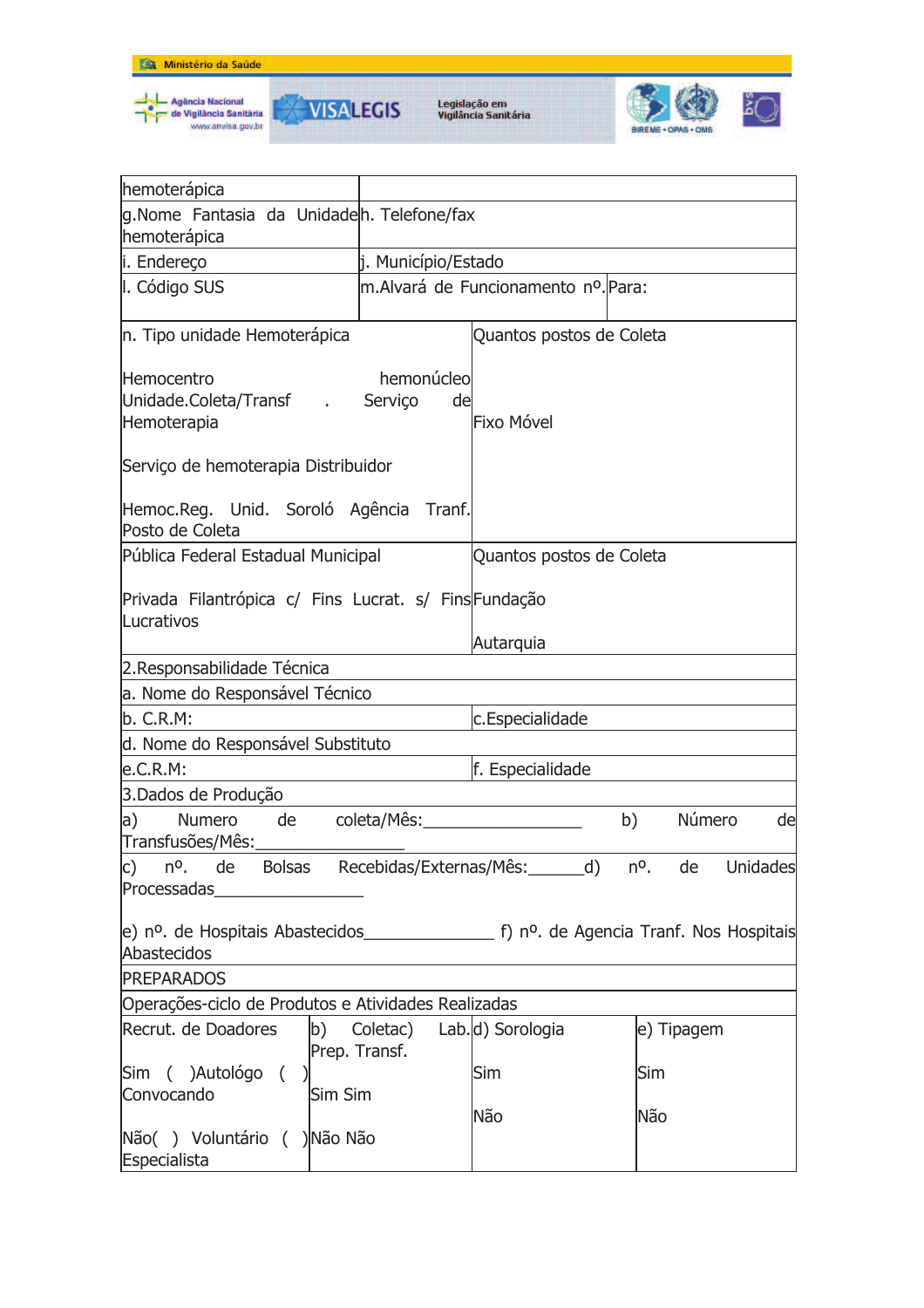





| hemoterápica                                                                         |                              |                                     |                       |
|--------------------------------------------------------------------------------------|------------------------------|-------------------------------------|-----------------------|
| g.Nome Fantasia da Unidadeh. Telefone/fax<br>hemoterápica                            |                              |                                     |                       |
| i. Endereço                                                                          | j. Município/Estado          |                                     |                       |
| I. Código SUS                                                                        |                              | m.Alvará de Funcionamento nº. Para: |                       |
| n. Tipo unidade Hemoterápica                                                         |                              | Quantos postos de Coleta            |                       |
| Hemocentro<br>Unidade.Coleta/Transf .<br>Hemoterapia                                 | hemonúcleo<br>Serviço<br>de  | Fixo Móvel                          |                       |
| Serviço de hemoterapia Distribuidor                                                  |                              |                                     |                       |
| Hemoc.Reg. Unid. Soroló Agência Tranf.<br>Posto de Coleta                            |                              |                                     |                       |
| Pública Federal Estadual Municipal                                                   |                              | Quantos postos de Coleta            |                       |
| Privada Filantrópica c/ Fins Lucrat. s/ FinsFundação<br>Lucrativos                   |                              |                                     |                       |
|                                                                                      |                              | Autarquia                           |                       |
| 2. Responsabilidade Técnica                                                          |                              |                                     |                       |
| a. Nome do Responsável Técnico                                                       |                              |                                     |                       |
| b. C.R.M:                                                                            |                              | c.Especialidade                     |                       |
| d. Nome do Responsável Substituto                                                    |                              |                                     |                       |
| e.C.R.M:                                                                             |                              | f. Especialidade                    |                       |
| 3.Dados de Produção                                                                  |                              |                                     |                       |
| a)<br>Numero<br>de<br>Transfusões/Mês:                                               | coleta/Mês:                  | b)                                  | Número<br>de          |
| c) nº. de Bolsas Recebidas/Externas/Mês:_______d)<br>Processadas____________________ |                              |                                     | nº.<br>Unidades<br>de |
| Abastecidos                                                                          |                              |                                     |                       |
| <b>PREPARADOS</b>                                                                    |                              |                                     |                       |
| Operações-ciclo de Produtos e Atividades Realizadas                                  |                              |                                     |                       |
| Recrut. de Doadores                                                                  | b) Coletac)<br>Prep. Transf. | Lab.d) Sorologia                    | e) Tipagem            |
| Sim ( )Autológo (<br>Convocando<br>Sim Sim                                           |                              | Sim                                 | Sim                   |
| Não() Voluntário ()Não Não<br>Especialista                                           |                              | Não                                 | Não                   |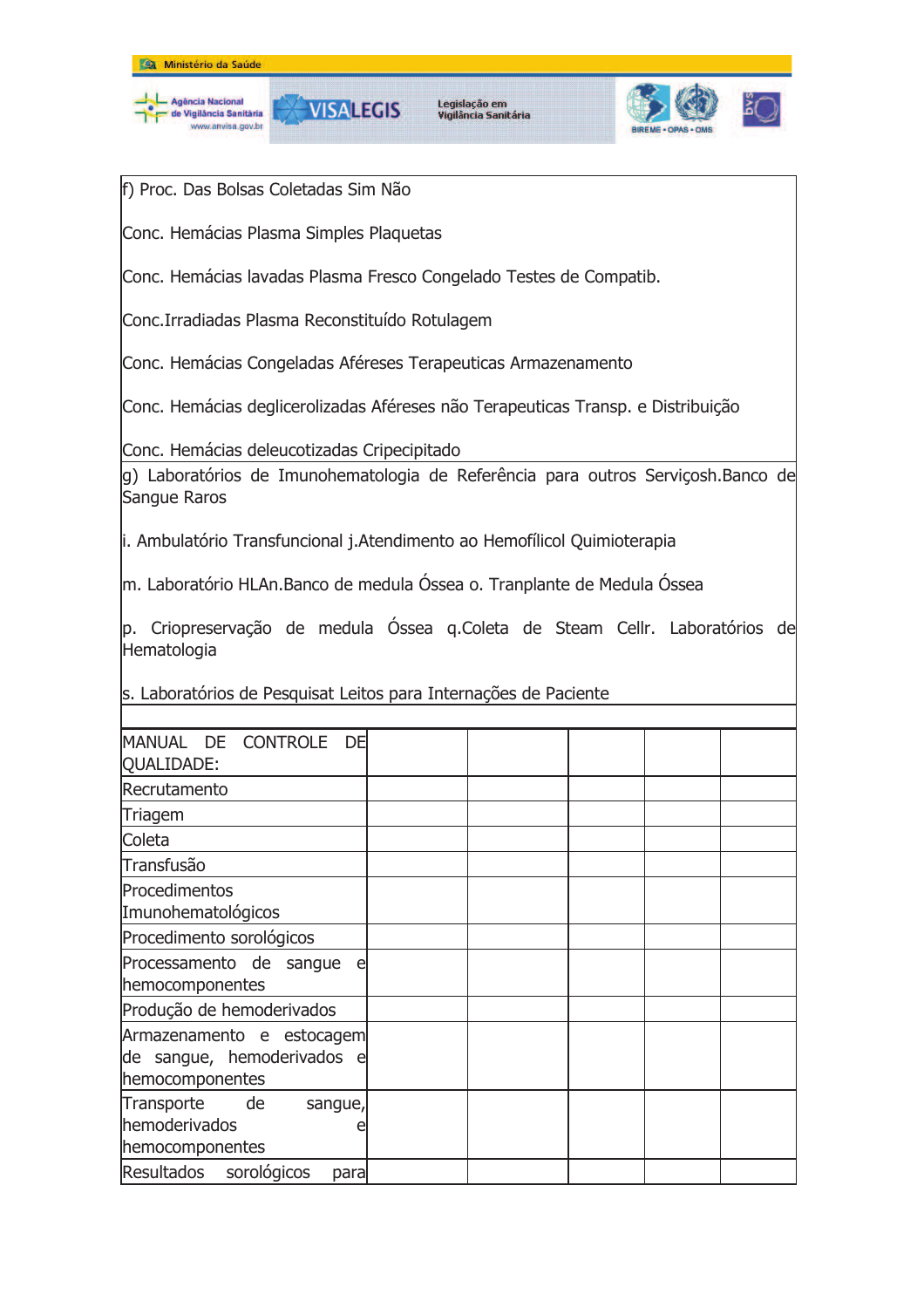



Legislação em<br>Vigilância Sanitária



f) Proc. Das Bolsas Coletadas Sim Não

Conc. Hemácias Plasma Simples Plaquetas

Conc. Hemácias lavadas Plasma Fresco Congelado Testes de Compatib.

Conc.Irradiadas Plasma Reconstituído Rotulagem

Conc. Hemácias Congeladas Aféreses Terapeuticas Armazenamento

Conc. Hemácias deglicerolizadas Aféreses não Terapeuticas Transp. e Distribuição

Conc. Hemácias deleucotizadas Cripecipitado

g) Laboratórios de Imunohematologia de Referência para outros Serviçosh.Banco de Sangue Raros

i. Ambulatório Transfuncional j.Atendimento ao Hemofílicol Quimioterapia

m. Laboratório HLAn.Banco de medula Óssea o. Tranplante de Medula Óssea

p. Criopreservação de medula Óssea g.Coleta de Steam Cellr. Laboratórios de Hematologia

s. Laboratórios de Pesquisat Leitos para Internações de Paciente

| MANUAL DE CONTROLE DE<br>QUALIDADE:                                        |  |  |  |
|----------------------------------------------------------------------------|--|--|--|
| Recrutamento                                                               |  |  |  |
| Triagem                                                                    |  |  |  |
| Coleta                                                                     |  |  |  |
| Transfusão                                                                 |  |  |  |
| Procedimentos<br>Imunohematológicos                                        |  |  |  |
| Procedimento sorológicos                                                   |  |  |  |
| Processamento de sangue<br>e<br>hemocomponentes                            |  |  |  |
| Produção de hemoderivados                                                  |  |  |  |
| Armazenamento e estocagem<br>de sangue, hemoderivados e<br>hemocomponentes |  |  |  |
| Transporte<br>de<br>sangue,<br>hemoderivados<br>hemocomponentes            |  |  |  |
| Resultados sorológicos<br>para                                             |  |  |  |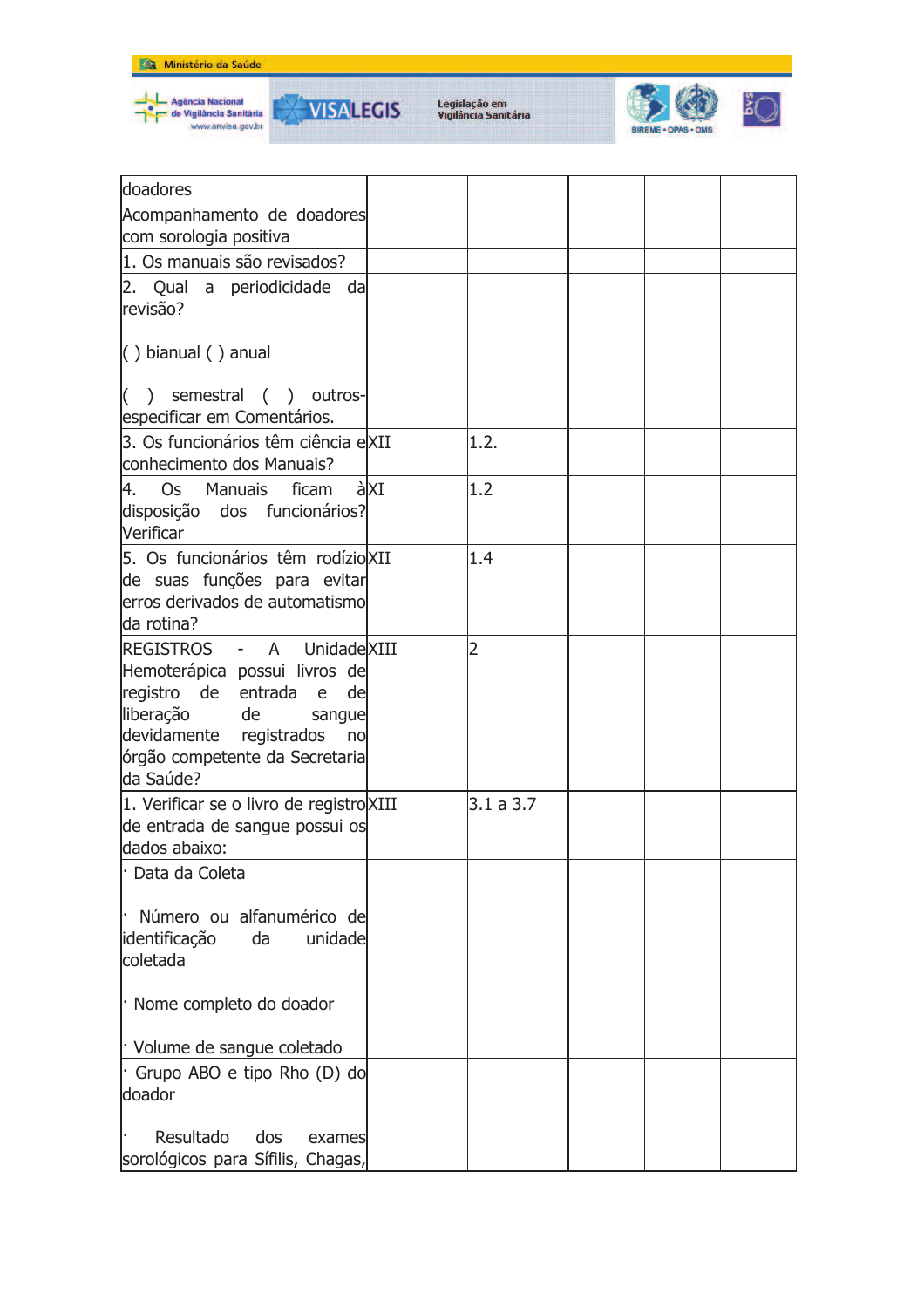





| doadores                                                                                                                                                                                                     |     |           |  |  |
|--------------------------------------------------------------------------------------------------------------------------------------------------------------------------------------------------------------|-----|-----------|--|--|
| Acompanhamento de doadores                                                                                                                                                                                   |     |           |  |  |
| com sorologia positiva                                                                                                                                                                                       |     |           |  |  |
| 1. Os manuais são revisados?                                                                                                                                                                                 |     |           |  |  |
| 2. Qual a periodicidade da<br>revisão?                                                                                                                                                                       |     |           |  |  |
| $( )$ bianual $( )$ anual                                                                                                                                                                                    |     |           |  |  |
| $($ )<br>semestral ( ) outros-<br>especificar em Comentários.                                                                                                                                                |     |           |  |  |
| 3. Os funcionários têm ciência eXII<br>conhecimento dos Manuais?                                                                                                                                             |     | 1.2.      |  |  |
| 4. Os Manuais ficam<br>disposição dos funcionários?<br>Verificar                                                                                                                                             | àXI | 1.2       |  |  |
| 5. Os funcionários têm rodízio XII<br>de suas funções para evitar<br>lerros derivados de automatismo<br>da rotina?                                                                                           |     | 1.4       |  |  |
| REGISTROS - A UnidadeXIII<br>Hemoterápica possui livros de<br>registro de entrada<br>de<br>e<br>liberação<br>de de<br>sangue<br>devidamente registrados<br>no<br>órgão competente da Secretaria<br>da Saúde? |     | 2         |  |  |
| 1. Verificar se o livro de registro XIII<br>de entrada de sangue possui os<br>dados abaixo:                                                                                                                  |     | 3.1 a 3.7 |  |  |
| · Data da Coleta<br>Número ou alfanumérico de<br>identificação<br>da<br>unidade<br>coletada                                                                                                                  |     |           |  |  |
| · Nome completo do doador                                                                                                                                                                                    |     |           |  |  |
| · Volume de sangue coletado                                                                                                                                                                                  |     |           |  |  |
| Grupo ABO e tipo Rho (D) do<br>doador                                                                                                                                                                        |     |           |  |  |
| Resultado<br>dos<br>exames<br>sorológicos para Sífilis, Chagas,                                                                                                                                              |     |           |  |  |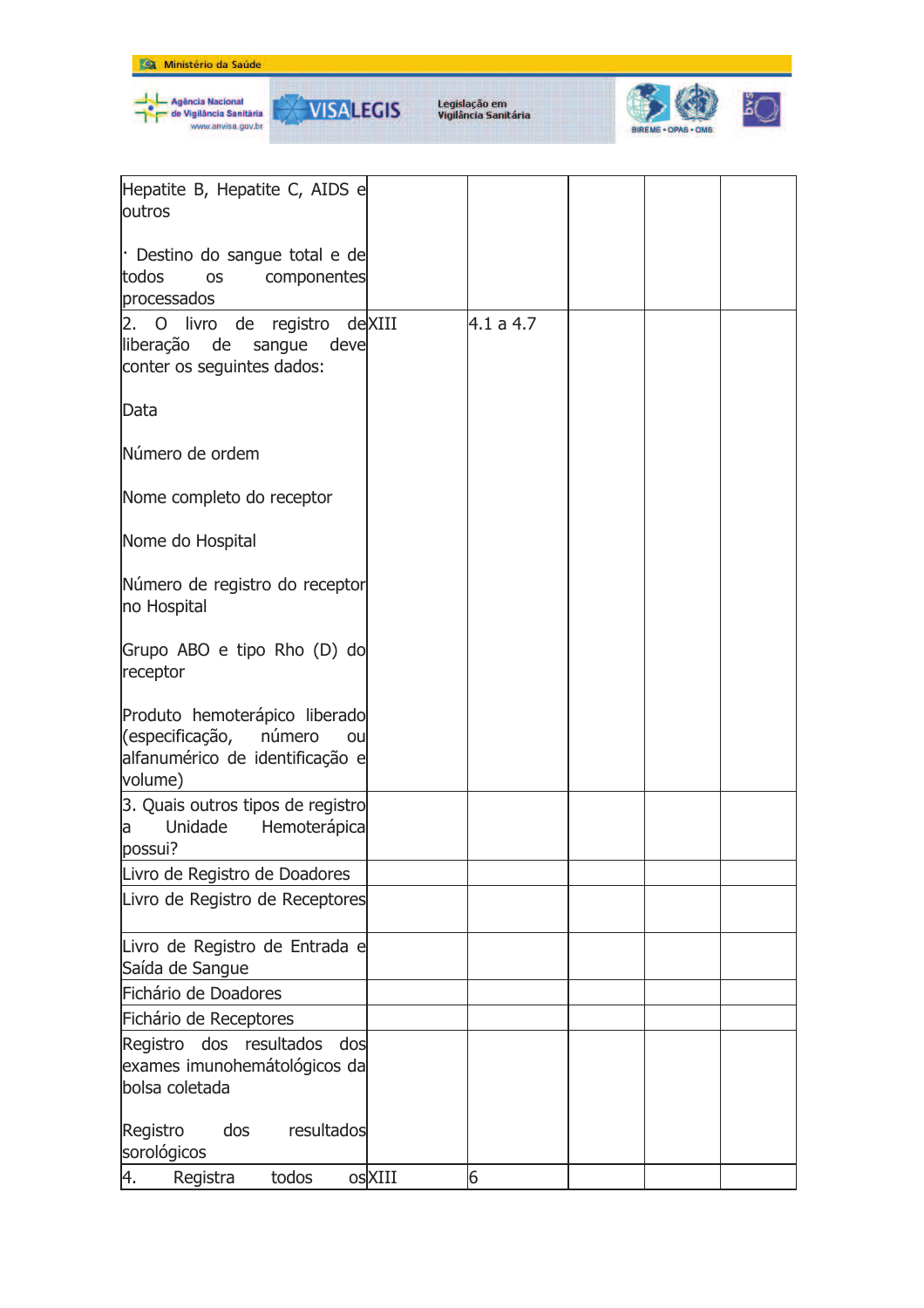



₩

**VISALEGIS** 



| Hepatite B, Hepatite C, AIDS e<br>outros                                                                    |        |           |  |  |
|-------------------------------------------------------------------------------------------------------------|--------|-----------|--|--|
| Destino do sangue total e de<br>todos<br>componentes<br><b>OS</b><br>processados                            |        |           |  |  |
| 2. O livro de registro deXIII<br>liberação de<br>sangue<br>deve<br>conter os seguintes dados:               |        | 4.1 a 4.7 |  |  |
| Data                                                                                                        |        |           |  |  |
| Número de ordem                                                                                             |        |           |  |  |
| Nome completo do receptor                                                                                   |        |           |  |  |
| Nome do Hospital                                                                                            |        |           |  |  |
| Número de registro do receptor<br>no Hospital                                                               |        |           |  |  |
| Grupo ABO e tipo Rho (D) do<br>receptor                                                                     |        |           |  |  |
| Produto hemoterápico liberado<br>(especificação, número<br>ou<br>alfanumérico de identificação e<br>volume) |        |           |  |  |
| 3. Quais outros tipos de registro<br>Unidade<br>Hemoterápica<br>a<br>possui?                                |        |           |  |  |
| Livro de Registro de Doadores                                                                               |        |           |  |  |
| Livro de Registro de Receptores                                                                             |        |           |  |  |
| Livro de Registro de Entrada e<br>Saída de Sangue                                                           |        |           |  |  |
| Fichário de Doadores                                                                                        |        |           |  |  |
| Fichário de Receptores                                                                                      |        |           |  |  |
| Registro dos resultados<br>dos                                                                              |        |           |  |  |
| exames imunohemátológicos da                                                                                |        |           |  |  |
| bolsa coletada                                                                                              |        |           |  |  |
| Registro<br>dos<br>resultados<br>sorológicos                                                                |        |           |  |  |
| 4.<br>Registra<br>todos                                                                                     | osXIII | 6         |  |  |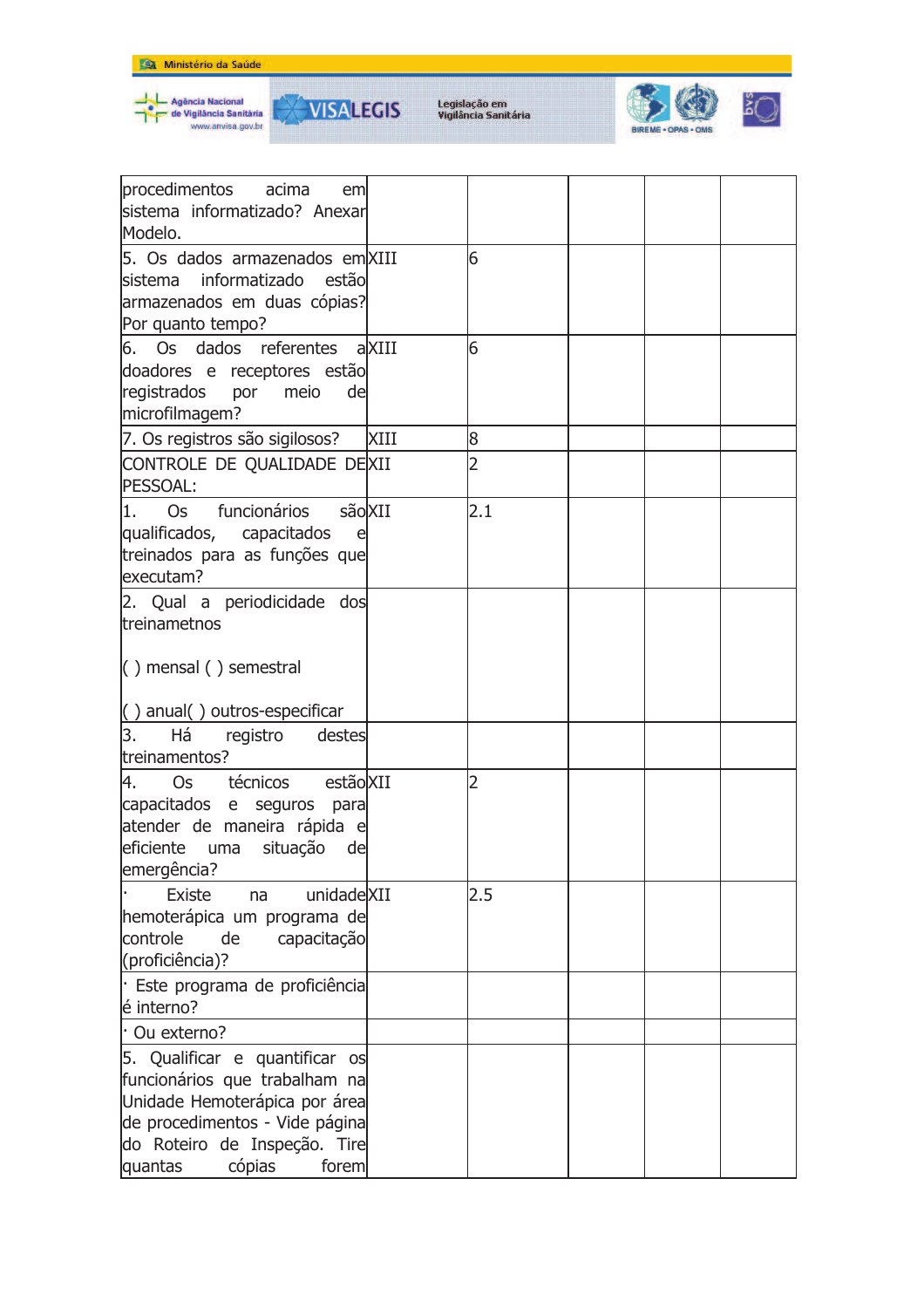





| procedimentos acima<br>em<br>sistema informatizado? Anexar<br>Modelo.                                                                                                                            |      |                |  |  |
|--------------------------------------------------------------------------------------------------------------------------------------------------------------------------------------------------|------|----------------|--|--|
| 5. Os dados armazenados em XIII<br>informatizado estão<br><b>lsistema</b><br>armazenados em duas cópias?<br>Por quanto tempo?                                                                    |      | 6              |  |  |
| 6. Os dados referentes aXIII<br>doadores e receptores estão<br>registrados<br>por<br>meio<br>de<br>microfilmagem?                                                                                |      | 6              |  |  |
| 7. Os registros são sigilosos?                                                                                                                                                                   | XIII | 8              |  |  |
| CONTROLE DE QUALIDADE DEXII<br>PESSOAL:                                                                                                                                                          |      | 2              |  |  |
| sãoXII<br>funcionários<br>11.<br>Os<br>qualificados, capacitados<br>e<br>treinados para as funções que<br>executam?                                                                              |      | 2.1            |  |  |
| 2. Qual a periodicidade dos<br>treinametnos<br>$( )$ mensal $( )$ semestral                                                                                                                      |      |                |  |  |
| $( )$ anual $( )$ outros-especificar                                                                                                                                                             |      |                |  |  |
| 3.<br>Há<br>registro<br>destes<br>treinamentos?                                                                                                                                                  |      |                |  |  |
| técnicos estão XII<br>4.<br>Os<br>capacitados e seguros para<br>atender de maneira rápida e<br>eficiente<br>situação<br>uma<br>de<br>emergência?                                                 |      | $\overline{2}$ |  |  |
| <b>Existe</b><br>unidadeXII<br>na<br>hemoterápica um programa de<br>controle<br>de<br>capacitação<br>(proficiência)?                                                                             |      | 2.5            |  |  |
| Este programa de proficiência<br>é interno?                                                                                                                                                      |      |                |  |  |
| Ou externo?                                                                                                                                                                                      |      |                |  |  |
| 5. Qualificar e quantificar os<br>funcionários que trabalham na<br>Unidade Hemoterápica por área<br>de procedimentos - Vide página<br>do Roteiro de Inspeção. Tire<br>cópias<br>quantas<br>forem |      |                |  |  |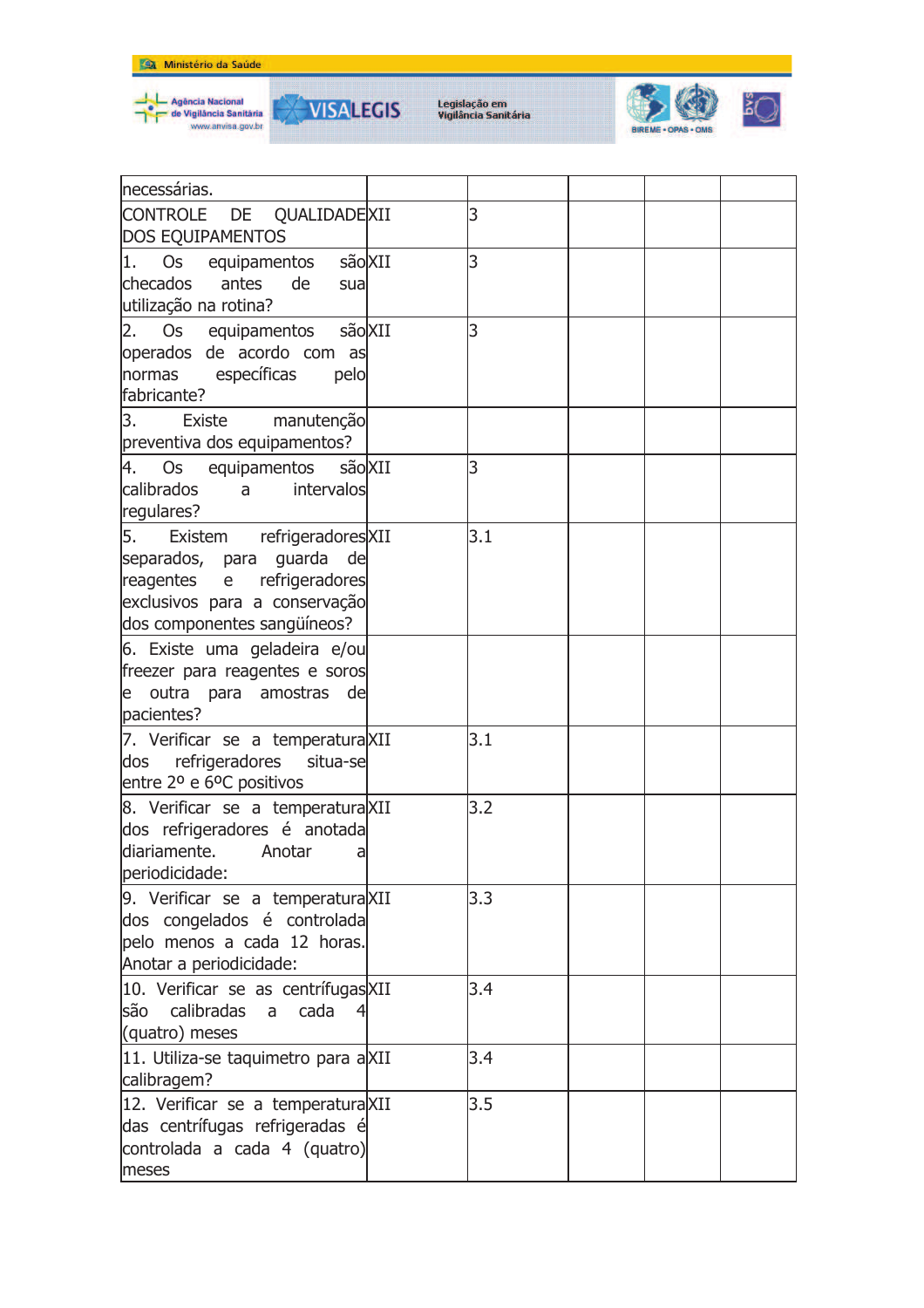

₩



| necessárias.                                  |     |  |  |
|-----------------------------------------------|-----|--|--|
| CONTROLE DE QUALIDADEXII                      | 3   |  |  |
| <b>DOS EQUIPAMENTOS</b>                       |     |  |  |
| 1. Os equipamentos<br>sãoXII                  | 3   |  |  |
| checados<br>antes<br>de<br>sua                |     |  |  |
| utilização na rotina?                         |     |  |  |
|                                               | 3   |  |  |
| 2. Os equipamentos sãoXII                     |     |  |  |
| operados de acordo com as                     |     |  |  |
| normas específicas<br>pelo                    |     |  |  |
| fabricante?                                   |     |  |  |
| 3. Existe manutenção                          |     |  |  |
| preventiva dos equipamentos?                  |     |  |  |
| 4. Os equipamentos são XII                    | 3   |  |  |
| calibrados<br>intervalos<br>$a \qquad \qquad$ |     |  |  |
| regulares?                                    |     |  |  |
| 5. Existem refrigeradores XII                 | 3.1 |  |  |
| separados, para guarda de                     |     |  |  |
| reagentes e refrigeradores                    |     |  |  |
| exclusivos para a conservação                 |     |  |  |
| dos componentes sangüíneos?                   |     |  |  |
| 6. Existe uma geladeira e/ou                  |     |  |  |
| freezer para reagentes e soros                |     |  |  |
| e outra para amostras de                      |     |  |  |
| pacientes?                                    |     |  |  |
|                                               | 3.1 |  |  |
| 7. Verificar se a temperatura XII             |     |  |  |
| dos refrigeradores situa-se                   |     |  |  |
| entre 2º e 6ºC positivos                      |     |  |  |
| 8. Verificar se a temperatura XII             | 3.2 |  |  |
| dos refrigeradores é anotada                  |     |  |  |
| diariamente. Anotar<br>a                      |     |  |  |
| periodicidade:                                |     |  |  |
| 9. Verificar se a temperatura XII             | 3.3 |  |  |
| dos congelados é controlada                   |     |  |  |
| pelo menos a cada 12 horas.                   |     |  |  |
| Anotar a periodicidade:                       |     |  |  |
| 10. Verificar se as centrífugas XII           | 3.4 |  |  |
| calibradas<br>cada<br>lsão<br>a               |     |  |  |
| (quatro) meses                                |     |  |  |
| 11. Utiliza-se taquimetro para aXII           | 3.4 |  |  |
| calibragem?                                   |     |  |  |
|                                               | 3.5 |  |  |
| 12. Verificar se a temperatura XII            |     |  |  |
| das centrífugas refrigeradas é                |     |  |  |
| controlada a cada 4 (quatro)                  |     |  |  |
| meses                                         |     |  |  |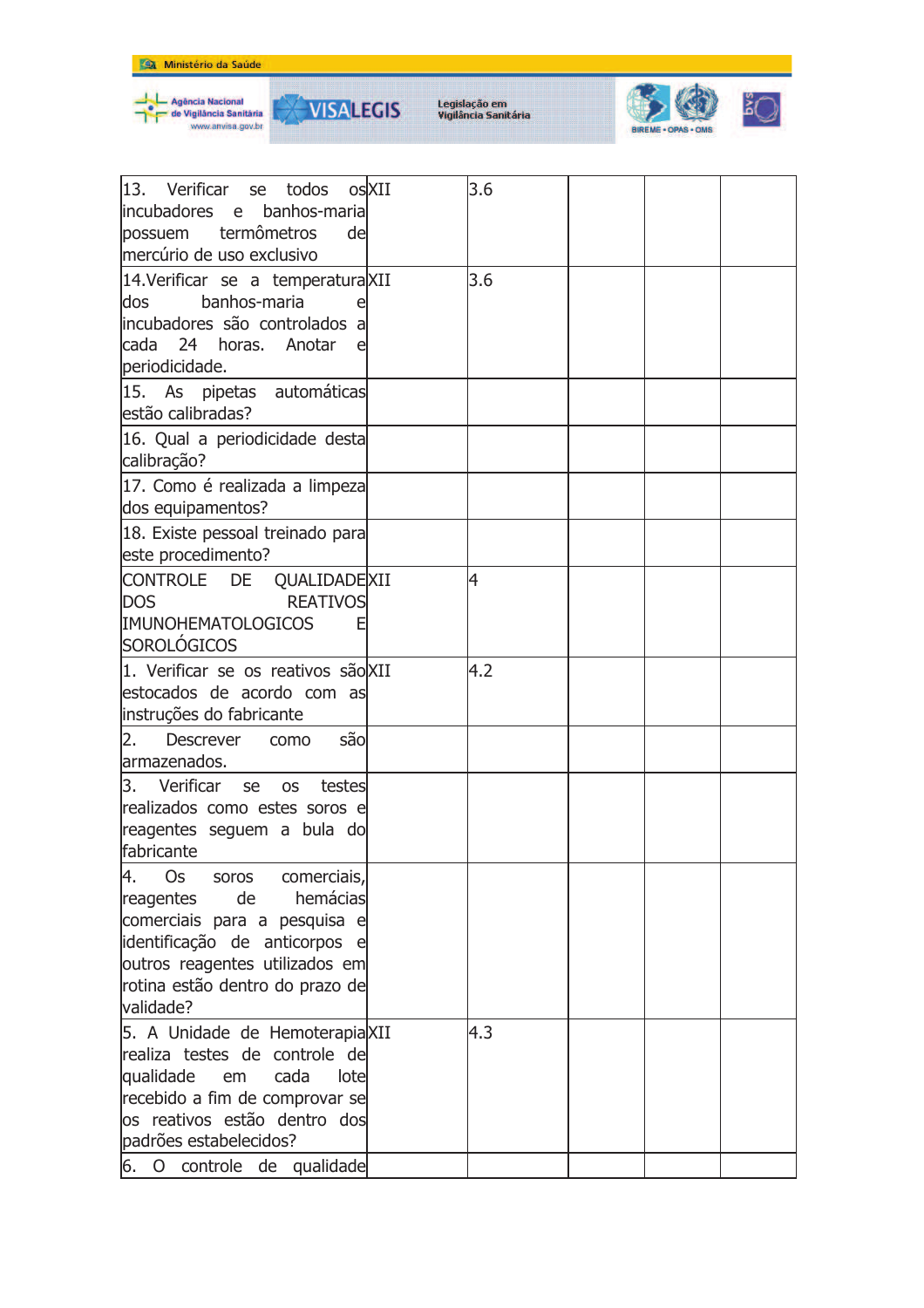





| 13. Verificar<br>se todos<br>lincubadores<br>banhos-maria<br>e —<br>termômetros<br>de<br>possuem<br>mercúrio de uso exclusivo                                                                                      | osXII | 3.6 |  |  |
|--------------------------------------------------------------------------------------------------------------------------------------------------------------------------------------------------------------------|-------|-----|--|--|
| 14. Verificar se a temperatura XII<br>banhos-maria<br>dos<br>e<br>incubadores são controlados a<br>cada 24 horas. Anotar<br>periodicidade.                                                                         |       | 3.6 |  |  |
| 15. As pipetas automáticas<br>estão calibradas?                                                                                                                                                                    |       |     |  |  |
| 16. Qual a periodicidade desta<br>calibração?                                                                                                                                                                      |       |     |  |  |
| 17. Como é realizada a limpeza<br>dos equipamentos?                                                                                                                                                                |       |     |  |  |
| 18. Existe pessoal treinado para<br>este procedimento?                                                                                                                                                             |       |     |  |  |
| CONTROLE DE<br>QUALIDADE XII<br><b>DOS</b><br><b>REATIVOS</b><br><b>IMUNOHEMATOLOGICOS</b><br>E<br>SOROLÓGICOS                                                                                                     |       | 4   |  |  |
| 1. Verificar se os reativos são XII<br>estocados de acordo com as<br>instruções do fabricante                                                                                                                      |       | 4.2 |  |  |
| 2.<br><b>Descrever</b><br>são<br>como<br>armazenados.                                                                                                                                                              |       |     |  |  |
| Verificar<br>3.<br>se<br><b>OS</b><br>testes<br>realizados como estes soros e<br>reagentes seguem a bula do<br>fabricante                                                                                          |       |     |  |  |
| 4.<br>comerciais,<br>Os<br>soros<br>hemácias<br>reagentes<br>de<br>comerciais para a pesquisa e<br>identificação de anticorpos e<br>outros reagentes utilizados em<br>rotina estão dentro do prazo de<br>validade? |       |     |  |  |
| 5. A Unidade de HemoterapiaXII<br>lrealiza testes de controle de<br>qualidade<br>cada<br>em<br>lotel<br>recebido a fim de comprovar se<br>los reativos estão dentro dos<br>padrões estabelecidos?                  |       | 4.3 |  |  |
| 6.<br>controle de qualidade<br>$\circ$                                                                                                                                                                             |       |     |  |  |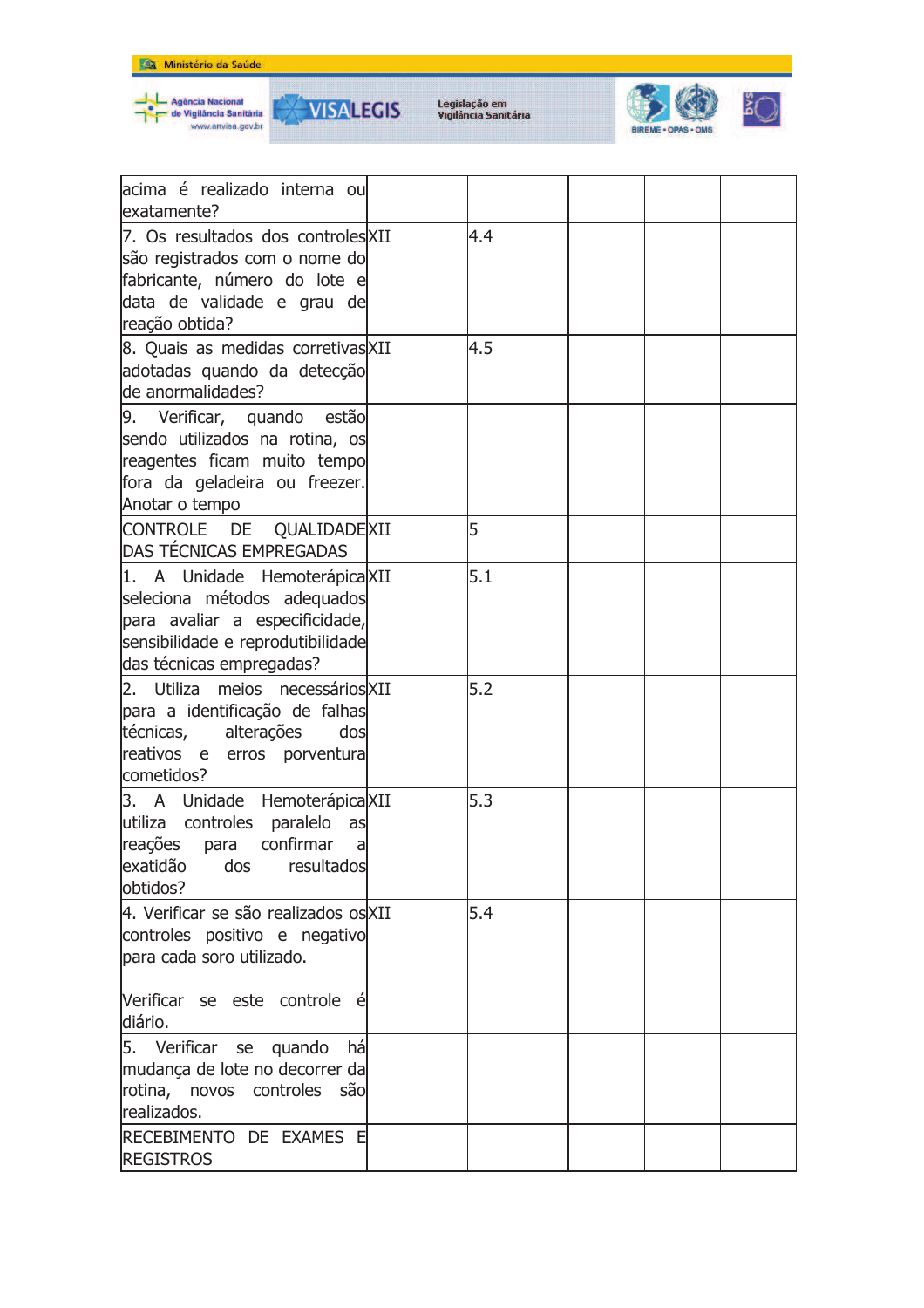





₩



| lacima é realizado interna ou<br>exatamente?                                                                                                                    |     |  |  |
|-----------------------------------------------------------------------------------------------------------------------------------------------------------------|-----|--|--|
| 7. Os resultados dos controles XII<br>são registrados com o nome do<br>fabricante, número do lote e<br>data de validade e grau de<br>reação obtida?             | 4.4 |  |  |
| 8. Quais as medidas corretivas XII<br>adotadas quando da detecção<br>lde anormalidades?                                                                         | 4.5 |  |  |
| 9. Verificar, quando estão<br>sendo utilizados na rotina, os<br>reagentes ficam muito tempo<br>fora da geladeira ou freezer.<br>Anotar o tempo                  |     |  |  |
| CONTROLE DE QUALIDADEXII<br>DAS TÉCNICAS EMPREGADAS                                                                                                             | 5   |  |  |
| 1. A Unidade Hemoterápica XII<br>seleciona métodos adequados<br>para avaliar a especificidade,<br>sensibilidade e reprodutibilidade<br>das técnicas empregadas? | 5.1 |  |  |
| 2. Utiliza meios necessários XII<br>para a identificação de falhas<br>técnicas, alterações<br>dos<br>reativos e erros porventura<br>cometidos?                  | 5.2 |  |  |
| 3. A Unidade Hemoterápica XII<br>utiliza controles paralelo<br>as<br>reações para confirmar<br>a<br>exatidão dos resultados<br>lobtidos?                        | 5.3 |  |  |
| 4. Verificar se são realizados os XII<br>controles positivo e negativo<br>para cada soro utilizado.                                                             | 5.4 |  |  |
| Verificar se este controle é<br>diário.                                                                                                                         |     |  |  |
| 5. Verificar se quando<br>há<br>mudança de lote no decorrer da<br>rotina, novos controles<br>são<br>realizados.                                                 |     |  |  |
| RECEBIMENTO DE EXAMES E<br><b>REGISTROS</b>                                                                                                                     |     |  |  |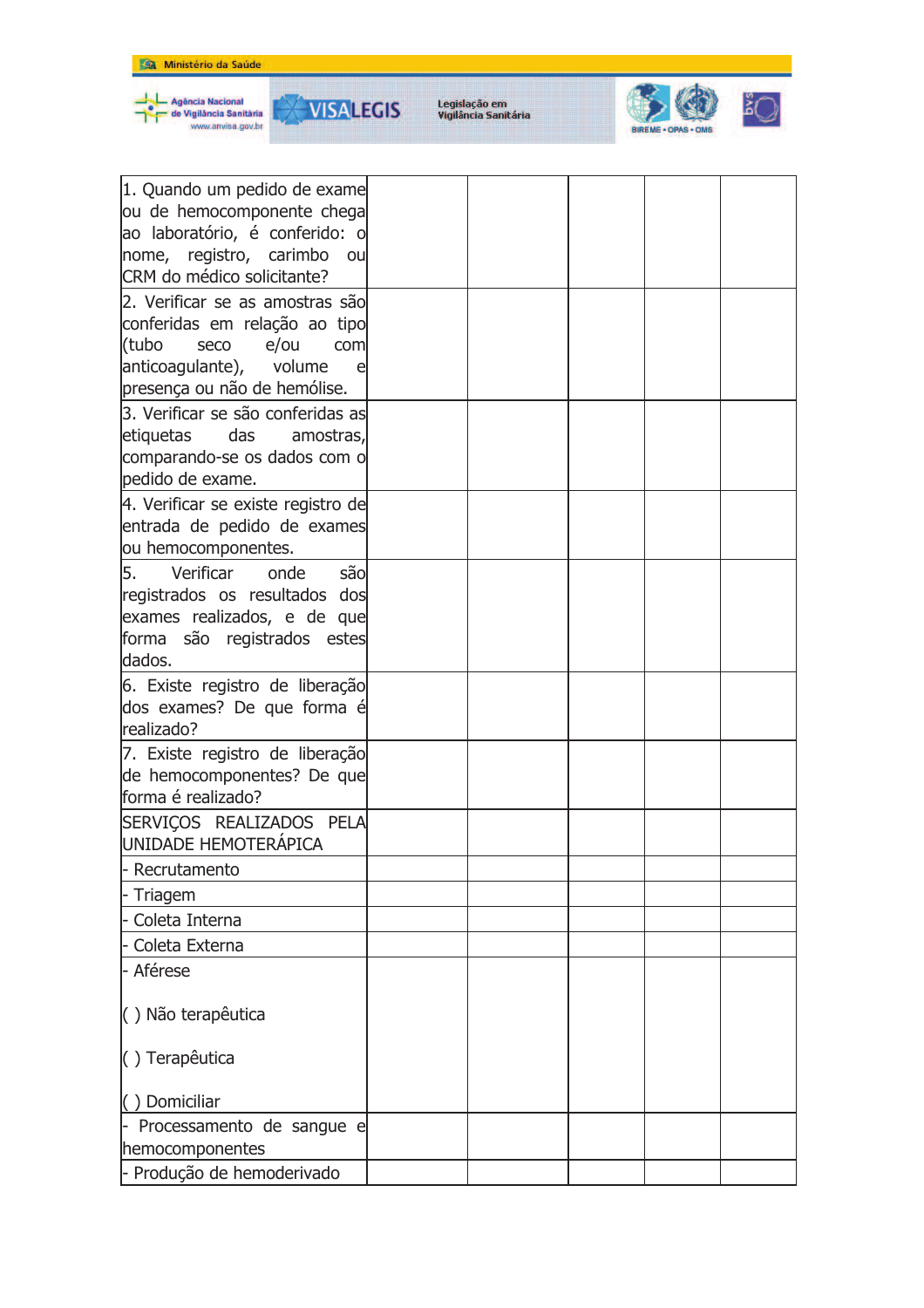

Agência Nacional<br>de Vigilância Sanităria<br>www.anvisa.gov.br

**VISALEGIS** 

₩



| 1. Quando um pedido de exame       |  |  |  |
|------------------------------------|--|--|--|
| ou de hemocomponente chega         |  |  |  |
| ao laboratório, é conferido: o     |  |  |  |
| nome, registro, carimbo<br>ou      |  |  |  |
| CRM do médico solicitante?         |  |  |  |
| 2. Verificar se as amostras são    |  |  |  |
| conferidas em relação ao tipo      |  |  |  |
| (tubo<br>seco<br>e/ou<br>com       |  |  |  |
| anticoagulante), volume<br>e       |  |  |  |
| presença ou não de hemólise.       |  |  |  |
| 3. Verificar se são conferidas as  |  |  |  |
| das<br>etiquetas<br>amostras,      |  |  |  |
| comparando-se os dados com o       |  |  |  |
| pedido de exame.                   |  |  |  |
| 4. Verificar se existe registro de |  |  |  |
| entrada de pedido de exames        |  |  |  |
| ou hemocomponentes.                |  |  |  |
| 5.<br>Verificar<br>sãol<br>onde    |  |  |  |
| registrados os resultados dos      |  |  |  |
| exames realizados, e de que        |  |  |  |
| forma são registrados estes        |  |  |  |
| dados.                             |  |  |  |
| 6. Existe registro de liberação    |  |  |  |
| dos exames? De que forma é         |  |  |  |
| realizado?                         |  |  |  |
| 7. Existe registro de liberação    |  |  |  |
| de hemocomponentes? De que         |  |  |  |
| forma é realizado?                 |  |  |  |
| SERVIÇOS REALIZADOS PELA           |  |  |  |
| UNIDADE HEMOTERÁPICA               |  |  |  |
| Recrutamento                       |  |  |  |
| Triagem                            |  |  |  |
| Coleta Interna                     |  |  |  |
| Coleta Externa                     |  |  |  |
| - Aférese                          |  |  |  |
|                                    |  |  |  |
| () Não terapêutica                 |  |  |  |
|                                    |  |  |  |
| () Terapêutica                     |  |  |  |
| () Domiciliar                      |  |  |  |
| Processamento de sangue e          |  |  |  |
| hemocomponentes                    |  |  |  |
| - Produção de hemoderivado         |  |  |  |
|                                    |  |  |  |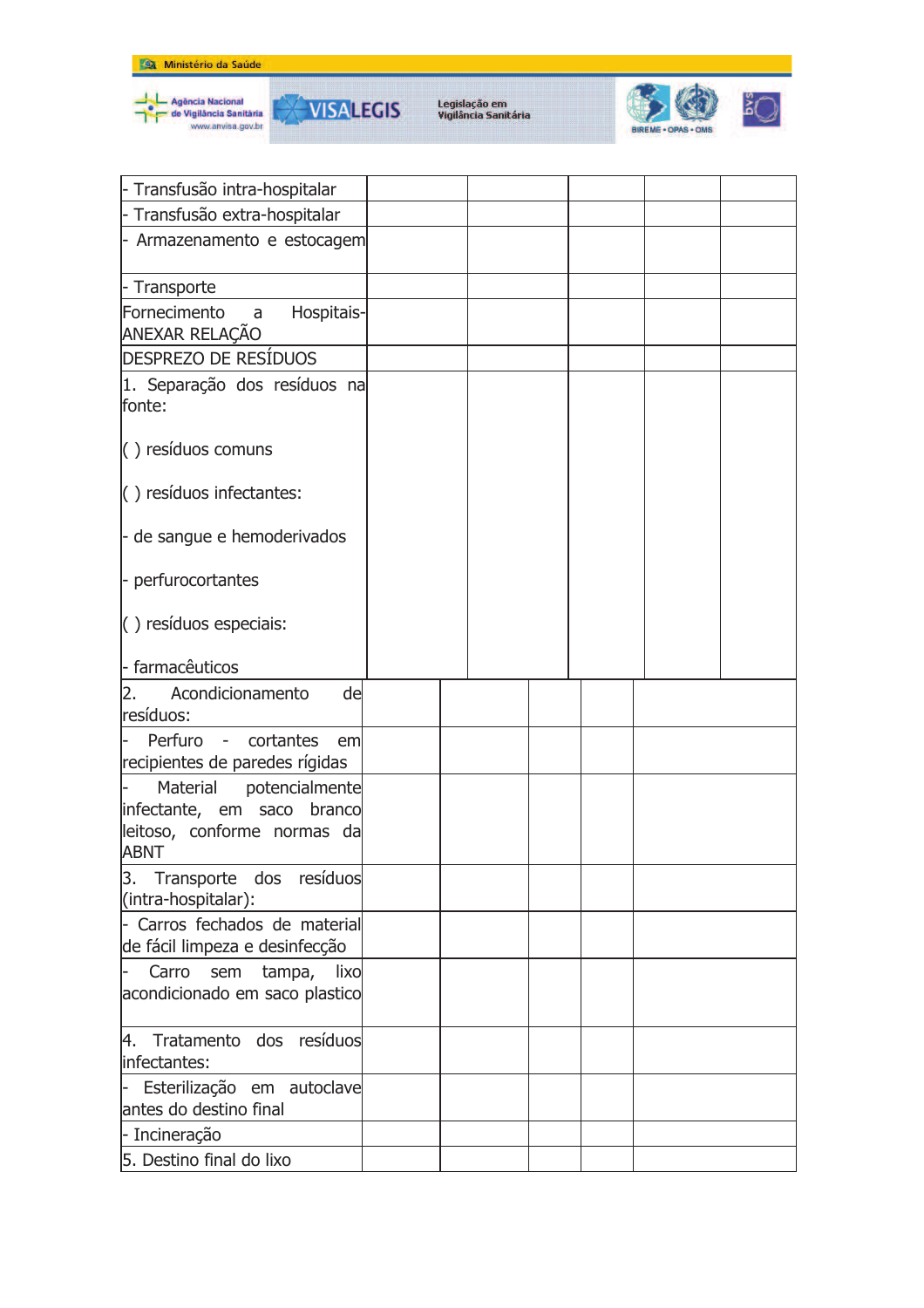







| - Transfusão intra-hospitalar                                    |  |  |  |
|------------------------------------------------------------------|--|--|--|
| - Transfusão extra-hospitalar                                    |  |  |  |
| - Armazenamento e estocagem                                      |  |  |  |
| - Transporte                                                     |  |  |  |
| Fornecimento<br>Hospitais-<br>$\overline{a}$<br>ANEXAR RELAÇÃO   |  |  |  |
| <b>DESPREZO DE RESÍDUOS</b>                                      |  |  |  |
| 1. Separação dos resíduos na<br>fonte:                           |  |  |  |
| () resíduos comuns                                               |  |  |  |
| $\left( \ \right)$ resíduos infectantes:                         |  |  |  |
| - de sangue e hemoderivados                                      |  |  |  |
| - perfurocortantes                                               |  |  |  |
| $( )$ resíduos especiais:                                        |  |  |  |
| - farmacêuticos                                                  |  |  |  |
| Acondicionamento<br>de<br>2.<br>resíduos:                        |  |  |  |
| Perfuro - cortantes<br>l-<br>em                                  |  |  |  |
| recipientes de paredes rígidas                                   |  |  |  |
| potencialmente<br>Material                                       |  |  |  |
| infectante, em saco branco                                       |  |  |  |
| leitoso, conforme normas da<br><b>ABNT</b>                       |  |  |  |
| Transporte dos resíduos<br>3.                                    |  |  |  |
| (intra-hospitalar):                                              |  |  |  |
| - Carros fechados de material<br>de fácil limpeza e desinfecção  |  |  |  |
| lixo<br>Carro<br>tampa,<br>sem<br>acondicionado em saco plastico |  |  |  |
| 4. Tratamento dos resíduos<br>infectantes:                       |  |  |  |
| Esterilização em autoclave                                       |  |  |  |
| antes do destino final                                           |  |  |  |
| - Incineração                                                    |  |  |  |
| 5. Destino final do lixo                                         |  |  |  |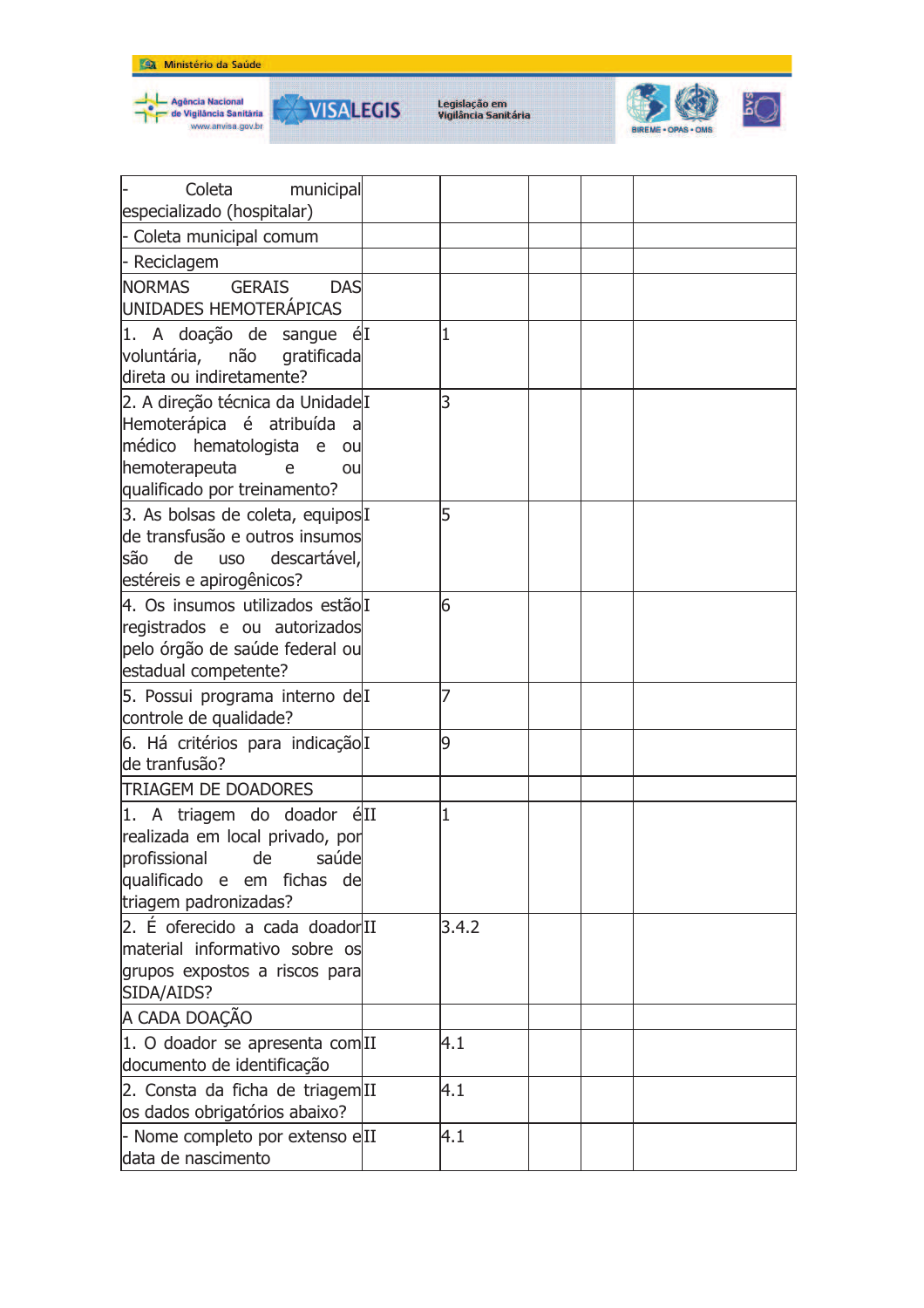



| Coleta<br>municipal                                                       |       |  |  |
|---------------------------------------------------------------------------|-------|--|--|
| especializado (hospitalar)                                                |       |  |  |
| - Coleta municipal comum                                                  |       |  |  |
| - Reciclagem                                                              |       |  |  |
| <b>NORMAS</b><br><b>GERAIS</b><br><b>DAS</b>                              |       |  |  |
| UNIDADES HEMOTERÁPICAS                                                    |       |  |  |
| 1. A doação de sangue élI                                                 | 1     |  |  |
| voluntária, não gratificada                                               |       |  |  |
| direta ou indiretamente?                                                  |       |  |  |
| 2. A direção técnica da Unidade I                                         | 3     |  |  |
| Hemoterápica é atribuída<br>- al                                          |       |  |  |
| médico hematologista e<br>ou                                              |       |  |  |
| hemoterapeuta<br>e<br>ou                                                  |       |  |  |
| qualificado por treinamento?                                              |       |  |  |
| 3. As bolsas de coleta, equipos I                                         | 5     |  |  |
| de transfusão e outros insumos<br>descartável,<br>são<br>de<br><b>USO</b> |       |  |  |
| estéreis e apirogênicos?                                                  |       |  |  |
| 4. Os insumos utilizados estãolI                                          | 6     |  |  |
| registrados e ou autorizados                                              |       |  |  |
| pelo órgão de saúde federal ou                                            |       |  |  |
| estadual competente?                                                      |       |  |  |
| 5. Possui programa interno delI                                           |       |  |  |
| controle de qualidade?                                                    |       |  |  |
| 6. Há critérios para indicação I                                          | 9     |  |  |
| de tranfusão?                                                             |       |  |  |
| <b>TRIAGEM DE DOADORES</b>                                                |       |  |  |
| 1. A triagem do doador éII                                                | 1     |  |  |
| realizada em local privado, por                                           |       |  |  |
| <u>lprofissional de saúde</u>                                             |       |  |  |
| qualificado e em fichas de                                                |       |  |  |
| triagem padronizadas?                                                     |       |  |  |
| 2. É oferecido a cada doadorIII                                           | 3.4.2 |  |  |
| material informativo sobre os                                             |       |  |  |
| grupos expostos a riscos para                                             |       |  |  |
| SIDA/AIDS?                                                                |       |  |  |
| A CADA DOAÇÃO                                                             |       |  |  |
| 1. O doador se apresenta com <sup>III</sup>                               | 4.1   |  |  |
| documento de identificação                                                |       |  |  |
| 2. Consta da ficha de triagem <sup>II</sup>                               | 4.1   |  |  |
| os dados obrigatórios abaixo?                                             |       |  |  |
| - Nome completo por extenso eII                                           | 4.1   |  |  |
| data de nascimento                                                        |       |  |  |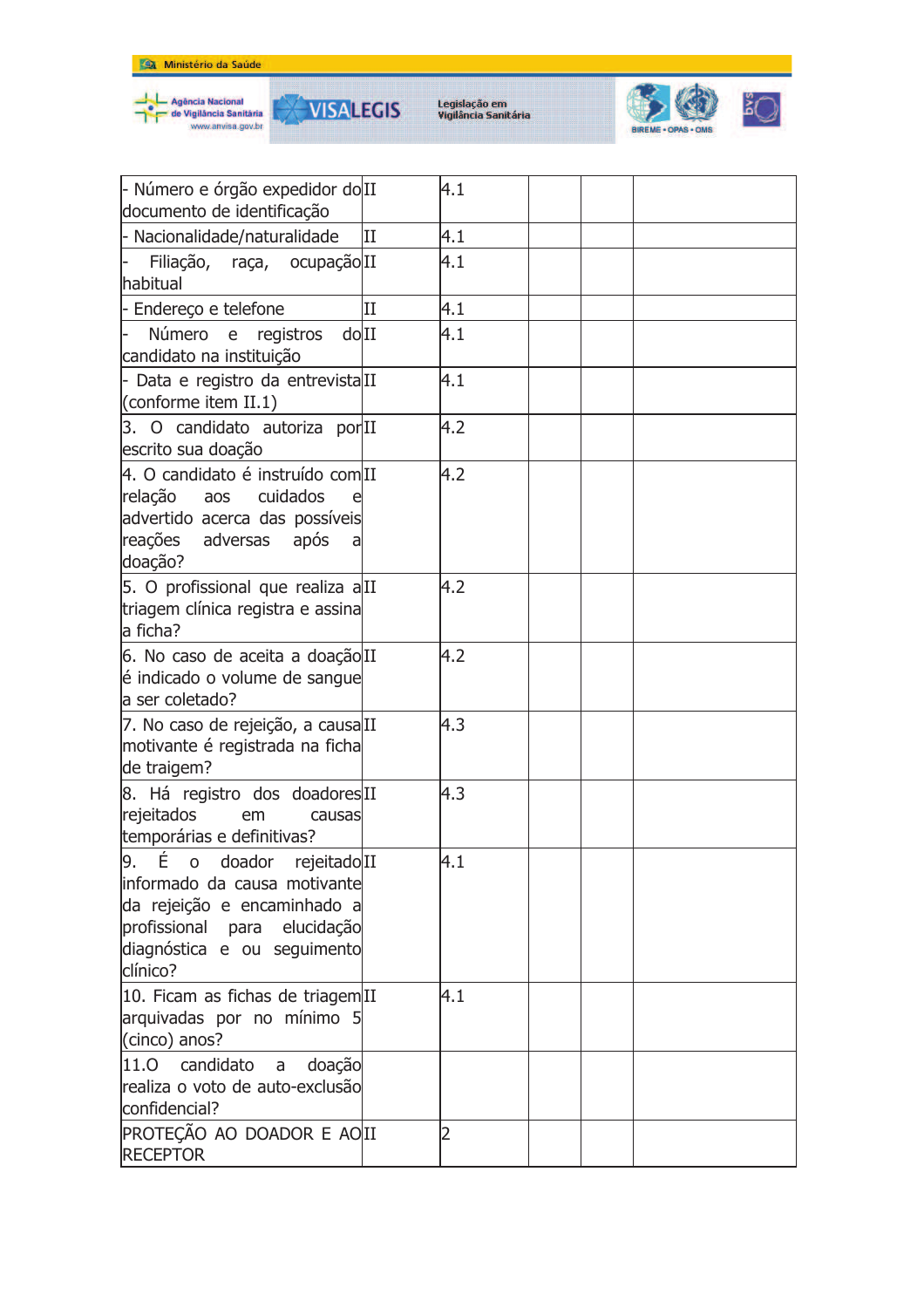



₩



| - Número e órgão expedidor do II<br>documento de identificação                                                                                                                       |              | 4.1 |  |  |
|--------------------------------------------------------------------------------------------------------------------------------------------------------------------------------------|--------------|-----|--|--|
| - Nacionalidade/naturalidade                                                                                                                                                         | II           | 4.1 |  |  |
| Filiação, raça, ocupação II<br>habitual                                                                                                                                              |              | 4.1 |  |  |
| - Endereço e telefone                                                                                                                                                                | $\mathbf{I}$ | 4.1 |  |  |
| Número e<br>dolII<br>registros<br>candidato na instituição                                                                                                                           |              | 4.1 |  |  |
| - Data e registro da entrevistalII<br>(conforme item $II.1$ )                                                                                                                        |              | 4.1 |  |  |
| 3. O candidato autoriza por <sup>II</sup><br>escrito sua doação                                                                                                                      |              | 4.2 |  |  |
| 4. O candidato é instruído com<br>relação<br>cuidados<br>aos<br>advertido acerca das possíveis<br>reações adversas<br>após<br>al<br>doação?                                          |              | 4.2 |  |  |
| 5. O profissional que realiza alII<br>triagem clínica registra e assina<br>la ficha?                                                                                                 |              | 4.2 |  |  |
| 6. No caso de aceita a doação II<br>é indicado o volume de sangue<br>a ser coletado?                                                                                                 |              | 4.2 |  |  |
| 7. No caso de rejeição, a causaIII<br>motivante é registrada na ficha<br>de traigem?                                                                                                 |              | 4.3 |  |  |
| 8. Há registro dos doadoresII<br>rejeitados<br>em<br>causas<br>temporárias e definitivas?                                                                                            |              | 4.3 |  |  |
| $\left 9. \right $ E o doador rejeitado II<br>informado da causa motivante<br>da rejeição e encaminhado a<br>profissional para elucidação<br>diagnóstica e ou seguimento<br>clínico? |              | 4.1 |  |  |
| 10. Ficam as fichas de triagemIII<br>arquivadas por no mínimo 5<br>(cinco) anos?                                                                                                     |              | 4.1 |  |  |
| candidato<br>doação<br>11.0<br>a<br>realiza o voto de auto-exclusão<br>confidencial?                                                                                                 |              |     |  |  |
| PROTEÇÃO AO DOADOR E AOII<br><b>RECEPTOR</b>                                                                                                                                         |              |     |  |  |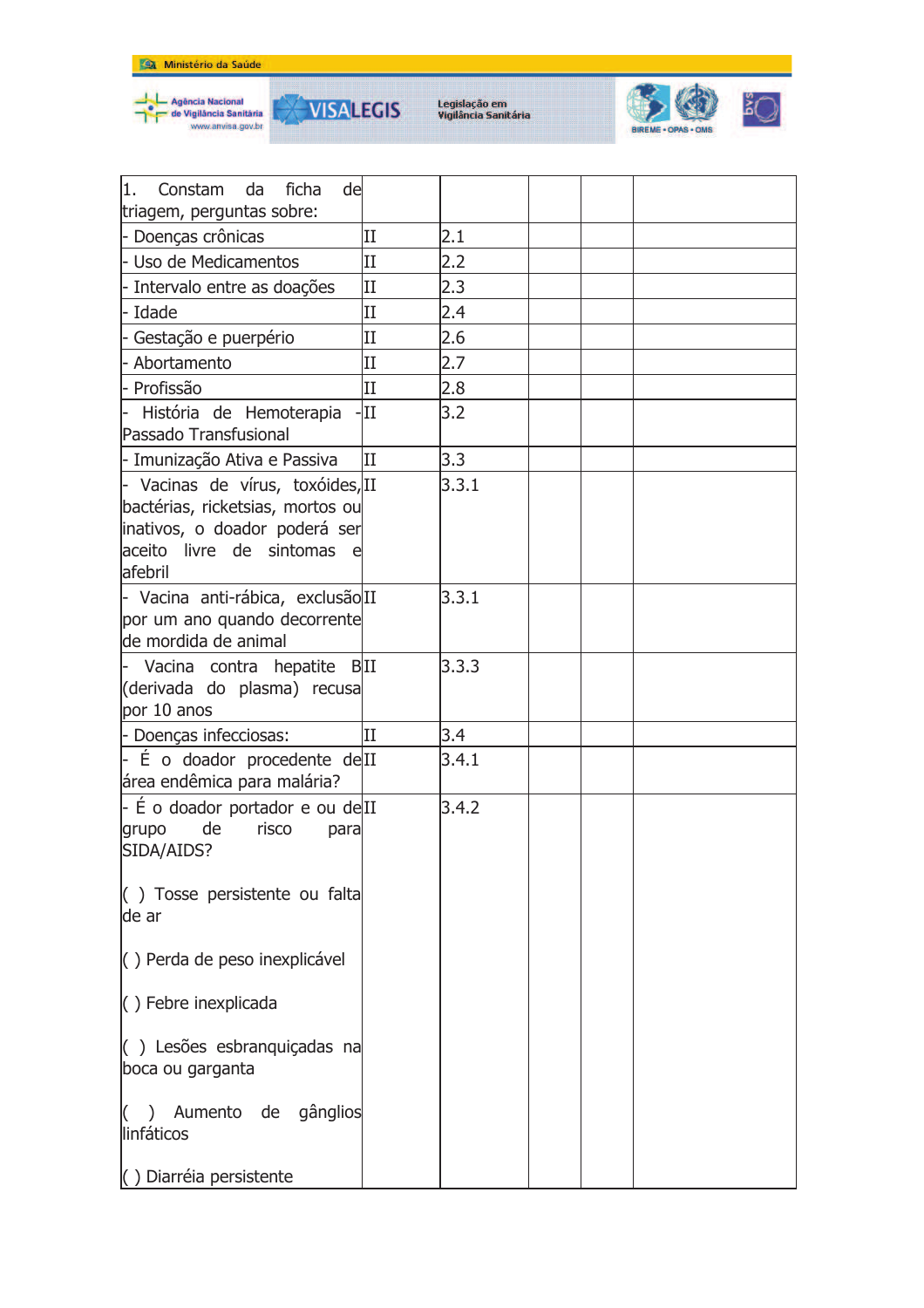







| 1.<br>ficha<br>Constam<br>da<br>del                                                                                                               |                      |       |  |  |
|---------------------------------------------------------------------------------------------------------------------------------------------------|----------------------|-------|--|--|
| triagem, perguntas sobre:                                                                                                                         | II                   | 2.1   |  |  |
| - Doenças crônicas<br>l- Uso de Medicamentos                                                                                                      | II                   |       |  |  |
|                                                                                                                                                   |                      | 2.2   |  |  |
| - Intervalo entre as doações                                                                                                                      | $\rm II$<br>$\rm II$ | 2.3   |  |  |
| - Idade                                                                                                                                           |                      | 2.4   |  |  |
| - Gestação e puerpério                                                                                                                            | $\mathbf{I}$         | 2.6   |  |  |
| - Abortamento                                                                                                                                     | $\rm II$             | 2.7   |  |  |
| - Profissão                                                                                                                                       | $\mathbf{I}$         | 2.8   |  |  |
| História de Hemoterapia<br>Passado Transfusional                                                                                                  | $-III$               | 3.2   |  |  |
| - Imunização Ativa e Passiva                                                                                                                      | ΙI                   | 3.3   |  |  |
| - Vacinas de vírus, toxóides, II<br>bactérias, ricketsias, mortos ou<br>inativos, o doador poderá ser<br>aceito livre de sintomas<br>e<br>afebril |                      | 3.3.1 |  |  |
| - Vacina anti-rábica, exclusão II<br>por um ano quando decorrente<br>de mordida de animal                                                         |                      | 3.3.1 |  |  |
| Vacina contra hepatite BII<br>(derivada do plasma) recusa<br>por 10 anos                                                                          |                      | 3.3.3 |  |  |
| - Doenças infecciosas:                                                                                                                            | II                   | 3.4   |  |  |
| $-$ É o doador procedente de <sup>II</sup><br>área endêmica para malária?                                                                         |                      | 3.4.1 |  |  |
| - É o doador portador e ou delII<br>de<br>risco<br>grupo<br>para<br>SIDA/AIDS?                                                                    |                      | 3.4.2 |  |  |
| $($ ) Tosse persistente ou falta<br>de ar                                                                                                         |                      |       |  |  |
| $( )$ Perda de peso inexplicável                                                                                                                  |                      |       |  |  |
| $( )$ Febre inexplicada                                                                                                                           |                      |       |  |  |
| $($ ) Lesões esbranguiçadas na<br>boca ou garganta                                                                                                |                      |       |  |  |
| $($ )<br>Aumento de gânglios<br>linfáticos                                                                                                        |                      |       |  |  |
| () Diarréia persistente                                                                                                                           |                      |       |  |  |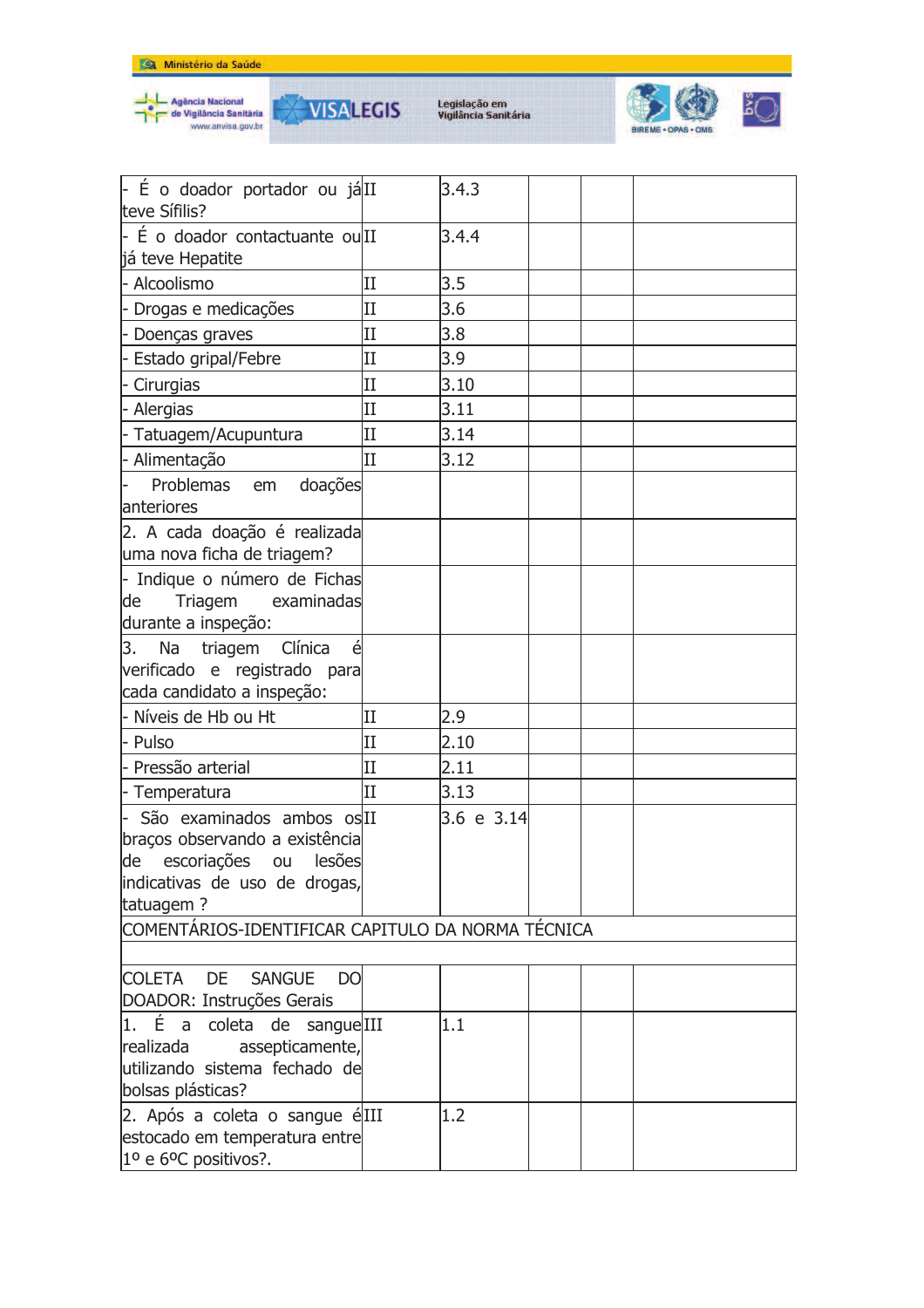





| - É o doador portador ou já II<br>teve Sífilis?                                                                                        |                     | 3.4.3      |  |  |  |  |  |
|----------------------------------------------------------------------------------------------------------------------------------------|---------------------|------------|--|--|--|--|--|
| - É o doador contactuante ou II<br>já teve Hepatite                                                                                    |                     | 3.4.4      |  |  |  |  |  |
| - Alcoolismo                                                                                                                           | $_{\rm II}$         | 3.5        |  |  |  |  |  |
| - Drogas e medicações                                                                                                                  | $\overline{\rm II}$ | 3.6        |  |  |  |  |  |
| - Doenças graves                                                                                                                       | $_{\rm II}$         | 3.8        |  |  |  |  |  |
| - Estado gripal/Febre                                                                                                                  | $_{\rm II}$         | 3.9        |  |  |  |  |  |
| - Cirurgias                                                                                                                            | $_{\rm II}$         | 3.10       |  |  |  |  |  |
| - Alergias                                                                                                                             | $\rm II$            | 3.11       |  |  |  |  |  |
| - Tatuagem/Acupuntura                                                                                                                  | $_{\rm II}$         | 3.14       |  |  |  |  |  |
| - Alimentação                                                                                                                          | II                  | 3.12       |  |  |  |  |  |
| Problemas em<br>doações<br>anteriores                                                                                                  |                     |            |  |  |  |  |  |
| 2. A cada doação é realizada<br>uma nova ficha de triagem?                                                                             |                     |            |  |  |  |  |  |
| - Indique o número de Fichas<br>Triagem<br>examinadas<br>de<br>durante a inspeção:                                                     |                     |            |  |  |  |  |  |
| 3.<br>Na triagem<br>Clínica<br>é<br>verificado e registrado para<br>cada candidato a inspeção:                                         |                     |            |  |  |  |  |  |
| - Níveis de Hb ou Ht                                                                                                                   | п                   | 2.9        |  |  |  |  |  |
| - Pulso                                                                                                                                | II                  | 2.10       |  |  |  |  |  |
| - Pressão arterial                                                                                                                     | п                   | 2.11       |  |  |  |  |  |
| - Temperatura                                                                                                                          | II                  | 3.13       |  |  |  |  |  |
| São examinados ambos os II<br>braços observando a existência<br>de escoriações ou lesões<br>indicativas de uso de drogas,<br>tatuagem? |                     | 3.6 e 3.14 |  |  |  |  |  |
| COMENTÁRIOS-IDENTIFICAR CAPITULO DA NORMA TÉCNICA                                                                                      |                     |            |  |  |  |  |  |
|                                                                                                                                        |                     |            |  |  |  |  |  |
| DE<br><b>COLETA</b><br><b>SANGUE</b><br>DO<br>DOADOR: Instruções Gerais                                                                |                     |            |  |  |  |  |  |
| 1. É a coleta de sangue III<br>assepticamente,<br>realizada<br>utilizando sistema fechado de<br>bolsas plásticas?                      |                     | 1.1        |  |  |  |  |  |
| 2. Após a coleta o sangue é <sup>III</sup><br>estocado em temperatura entre<br>1º e 6ºC positivos?.                                    |                     | 1.2        |  |  |  |  |  |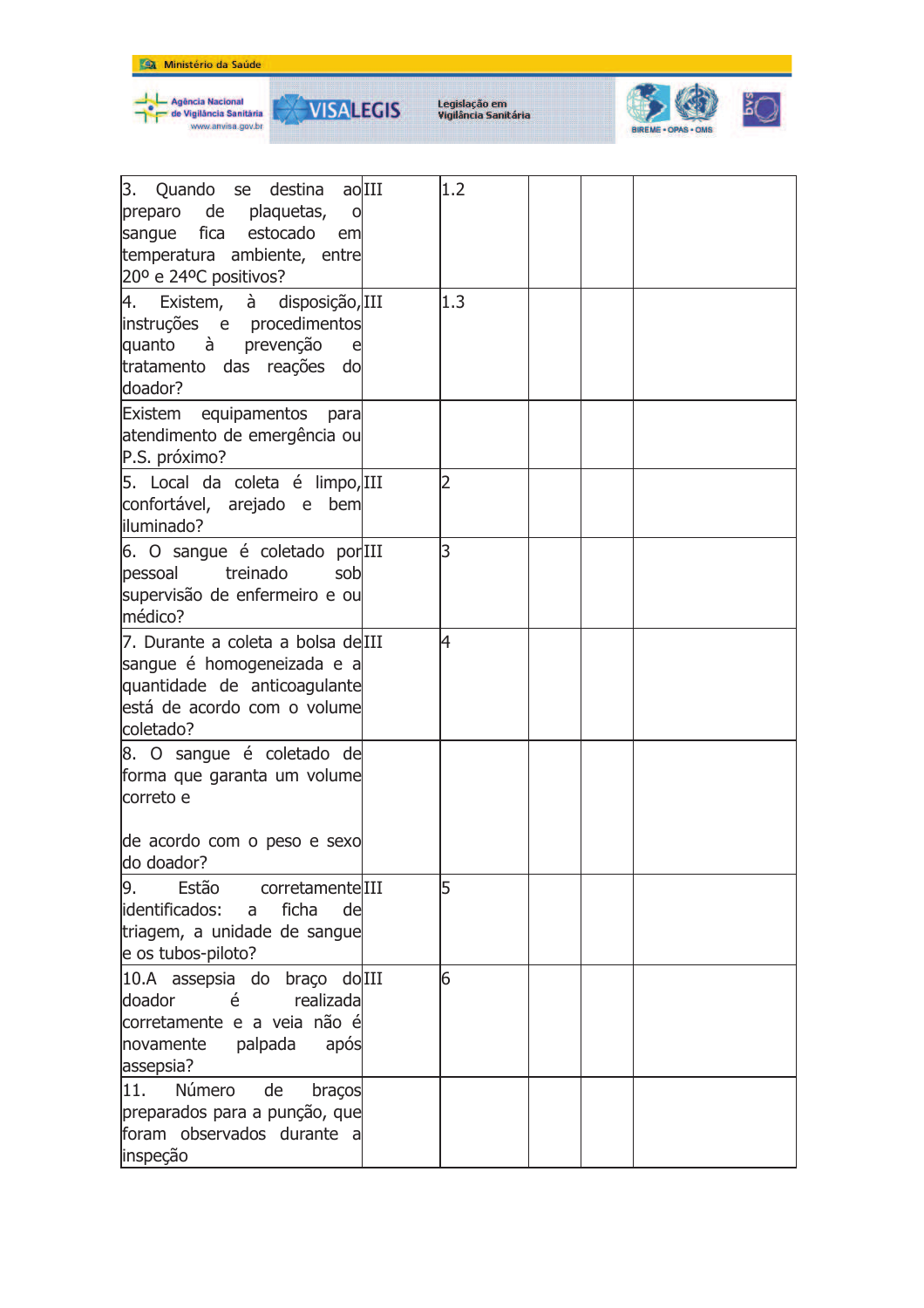



**VISALEGIS** 

₩



| 3. Quando se destina ao III<br>preparo de plaquetas,<br>$\circ$<br>sangue fica estocado<br>em<br>temperatura ambiente, entre<br>20° e 24°C positivos? | 1.2            |  |  |
|-------------------------------------------------------------------------------------------------------------------------------------------------------|----------------|--|--|
| 4. Existem, à disposição, III<br>instruções e procedimentos<br>quanto à prevenção<br>tratamento das reações do<br>doador?                             | 1.3            |  |  |
| Existem equipamentos para<br>atendimento de emergência ou<br>P.S. próximo?                                                                            |                |  |  |
| 5. Local da coleta é limpo, III<br>confortável, arejado e bem<br>liluminado?                                                                          | $\overline{2}$ |  |  |
| 6. O sangue é coletado por III<br>pessoal<br>treinado<br>sob<br>supervisão de enfermeiro e ou<br>médico?                                              | 3              |  |  |
| 7. Durante a coleta a bolsa delIII<br>sangue é homogeneizada e a<br>quantidade de anticoagulante<br>está de acordo com o volume<br>coletado?          | 4              |  |  |
| 8. O sangue é coletado de<br>forma que garanta um volume<br>correto e                                                                                 |                |  |  |
| de acordo com o peso e sexo<br>do doador?                                                                                                             |                |  |  |
| Estão<br>corretamenteIII<br>9.<br>lidentificados:<br>ficha<br>a<br>de<br>triagem, a unidade de sangue<br>e os tubos-piloto?                           | 5              |  |  |
| 10.A assepsia do braço do III<br>doador<br>é<br>realizada<br>corretamente e a veia não é<br>novamente<br>palpada<br>após<br>assepsia?                 | 6              |  |  |
| 11.<br>Número<br>de<br>braços<br>preparados para a punção, que<br>foram observados durante a<br>inspeção                                              |                |  |  |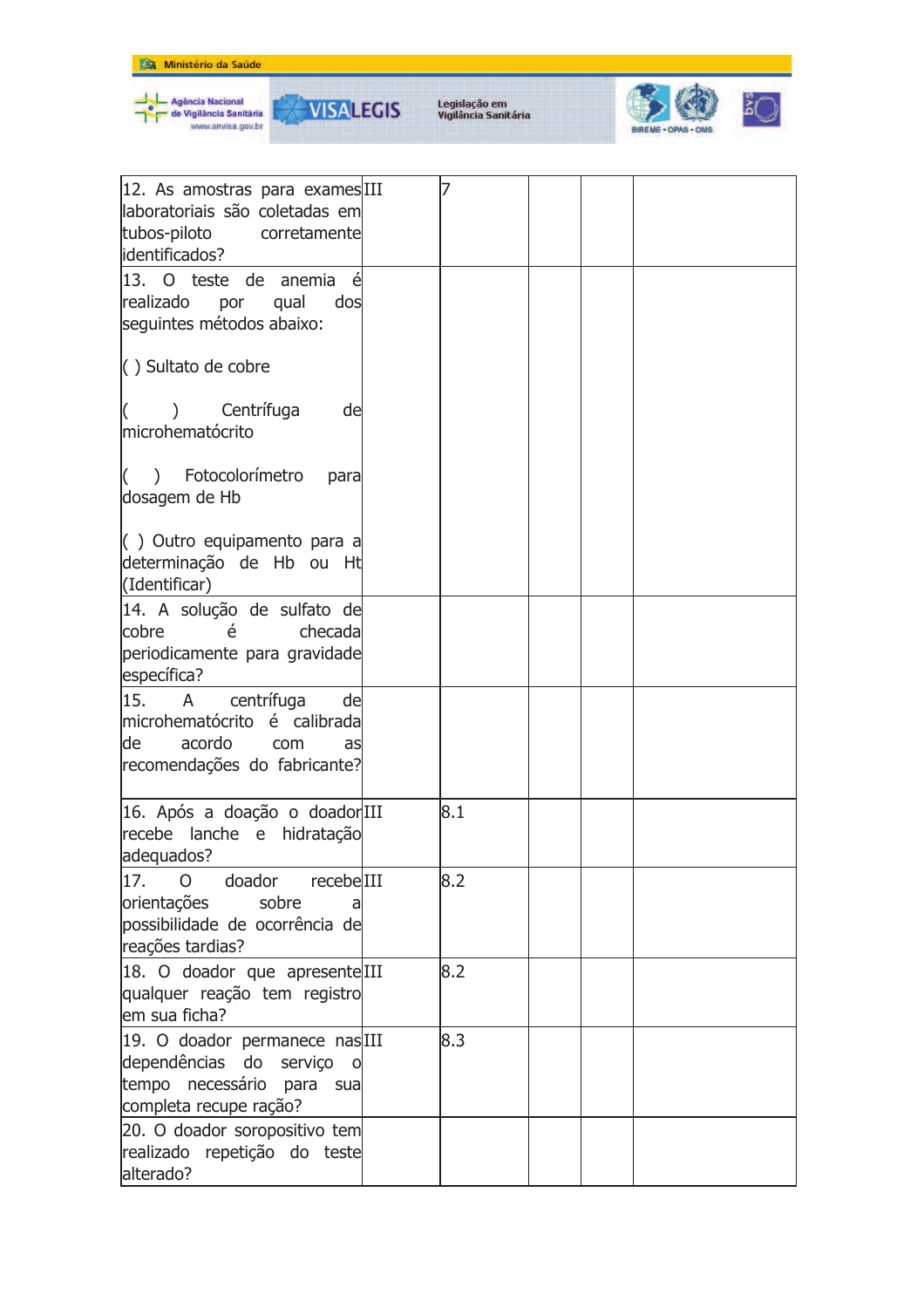







| 12. As amostras para exames III<br>laboratoriais são coletadas em<br>tubos-piloto<br>corretamente<br>identificados?                        |     |  |  |
|--------------------------------------------------------------------------------------------------------------------------------------------|-----|--|--|
| 13. O teste de anemia<br>realizado<br>por<br>qual<br>dos<br>seguintes métodos abaixo:                                                      |     |  |  |
| $\langle$ ) Sultato de cobre                                                                                                               |     |  |  |
| Centrífuga<br>de<br>$\mathcal{E}$<br>microhematócrito                                                                                      |     |  |  |
| ) Fotocolorímetro<br>$\left($<br>para<br>dosagem de Hb                                                                                     |     |  |  |
| $\left( \begin{array}{c} \end{array} \right)$ Outro equipamento para a<br>determinação de Hb ou Ht<br>(Identificar)                        |     |  |  |
| 14. A solução de sulfato de<br>cobre<br>checada<br>é<br>periodicamente para gravidade<br>específica?                                       |     |  |  |
| centrífuga<br>15.<br>A<br>de<br>microhematócrito é calibrada<br>acordo<br>de<br>com<br>as<br>recomendações do fabricante?                  |     |  |  |
| 16. Após a doação o doadorIII<br>recebe lanche e hidratação<br>adequados?                                                                  | 8.1 |  |  |
| 17.<br>doador<br>recebelIII<br>$\overline{O}$<br>orientações<br>sobre<br>a<br>possibilidade de ocorrência de<br>reações tardias?           | 8.2 |  |  |
| 18. O doador que apresenteIII<br>qualquer reação tem registro<br>em sua ficha?                                                             | 8.2 |  |  |
| 19. O doador permanece nasIII<br>dependências do serviço<br>$\overline{\mathbf{O}}$<br>tempo necessário para sua<br>completa recupe ração? | 8.3 |  |  |
| 20. O doador soropositivo tem<br>realizado repetição do teste<br>alterado?                                                                 |     |  |  |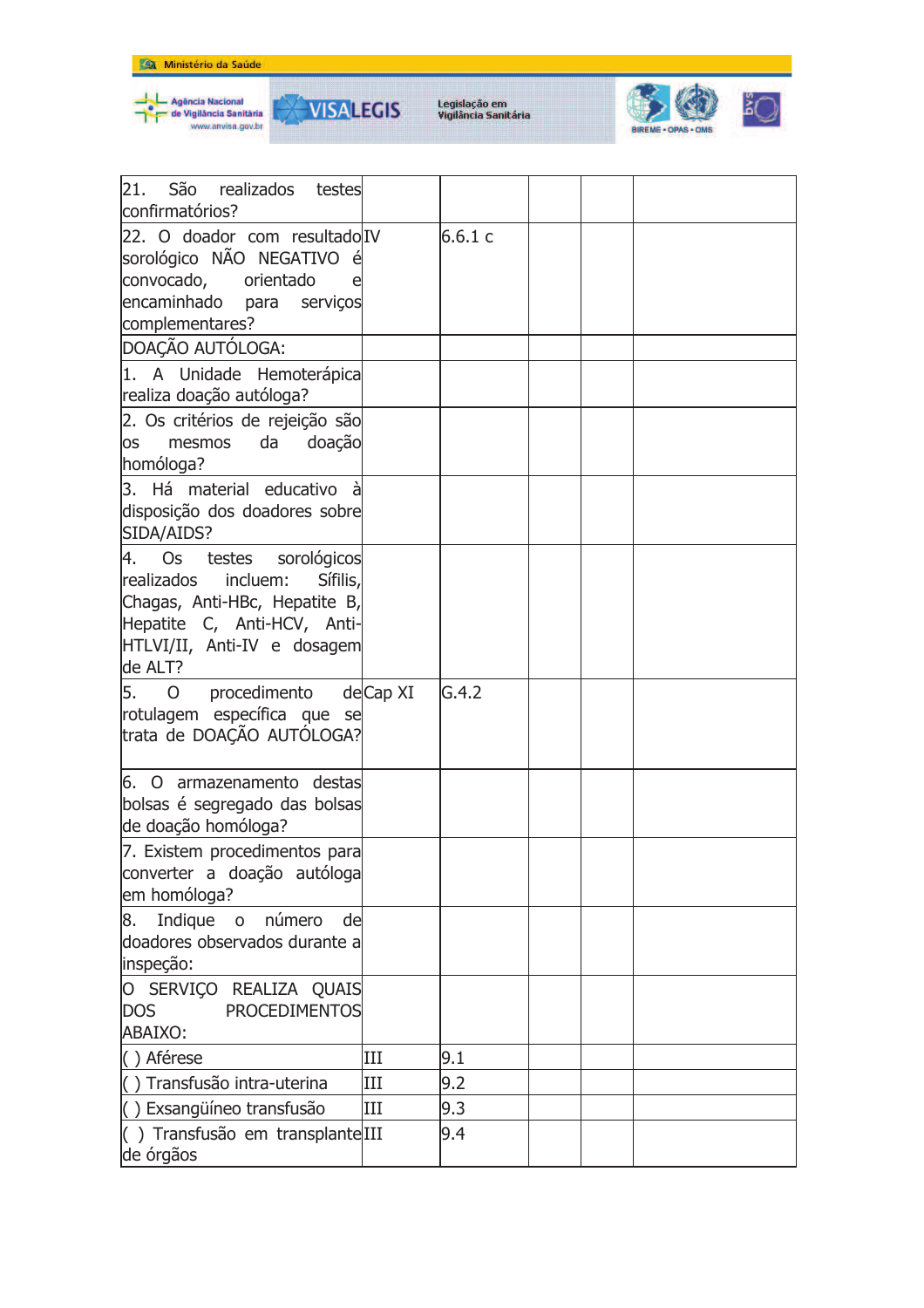







| 21.<br>São realizados testes<br>confirmatórios?                                                                                                                          |     |        |  |  |
|--------------------------------------------------------------------------------------------------------------------------------------------------------------------------|-----|--------|--|--|
| 22. O doador com resultado IV<br>sorológico NÃO NEGATIVO é<br>convocado,<br>orientado<br>encaminhado para<br>serviços<br>complementares?                                 |     | 6.6.1c |  |  |
| DOAÇÃO AUTÓLOGA:                                                                                                                                                         |     |        |  |  |
| 1. A Unidade Hemoterápica<br>realiza doação autóloga?                                                                                                                    |     |        |  |  |
| 2. Os critérios de rejeição são<br>da<br>doação<br>mesmos<br><b>OS</b><br>homóloga?                                                                                      |     |        |  |  |
| 3. Há material educativo<br>à<br>disposição dos doadores sobre<br>SIDA/AIDS?                                                                                             |     |        |  |  |
| 4. Os testes sorológicos<br>Sífilis,<br>realizados<br>incluem:<br>Chagas, Anti-HBc, Hepatite B,<br>Hepatite C, Anti-HCV, Anti-<br>HTLVI/II, Anti-IV e dosagem<br>de ALT? |     |        |  |  |
| 5.<br>procedimento deCap XI<br>$\overline{O}$<br>rotulagem específica que se<br>trata de DOAÇÃO AUTÓLOGA?                                                                |     | G.4.2  |  |  |
| 6. O armazenamento destas<br>bolsas é segregado das bolsas<br>de doação homóloga?                                                                                        |     |        |  |  |
| 7. Existem procedimentos para<br>converter a doação autóloga<br>em homóloga?                                                                                             |     |        |  |  |
| número<br>Indique<br>8.<br>$\overline{O}$<br>de<br>doadores observados durante a<br>inspeção:                                                                            |     |        |  |  |
| O SERVIÇO REALIZA QUAIS<br><b>DOS</b><br><b>PROCEDIMENTOS</b><br>ABAIXO:                                                                                                 |     |        |  |  |
| () Aférese                                                                                                                                                               | Ш   | 9.1    |  |  |
| Transfusão intra-uterina                                                                                                                                                 | Ш   | 9.2    |  |  |
| () Exsangüíneo transfusão                                                                                                                                                | III | 9.3    |  |  |
| () Transfusão em transplante III<br>de órgãos                                                                                                                            |     | 9.4    |  |  |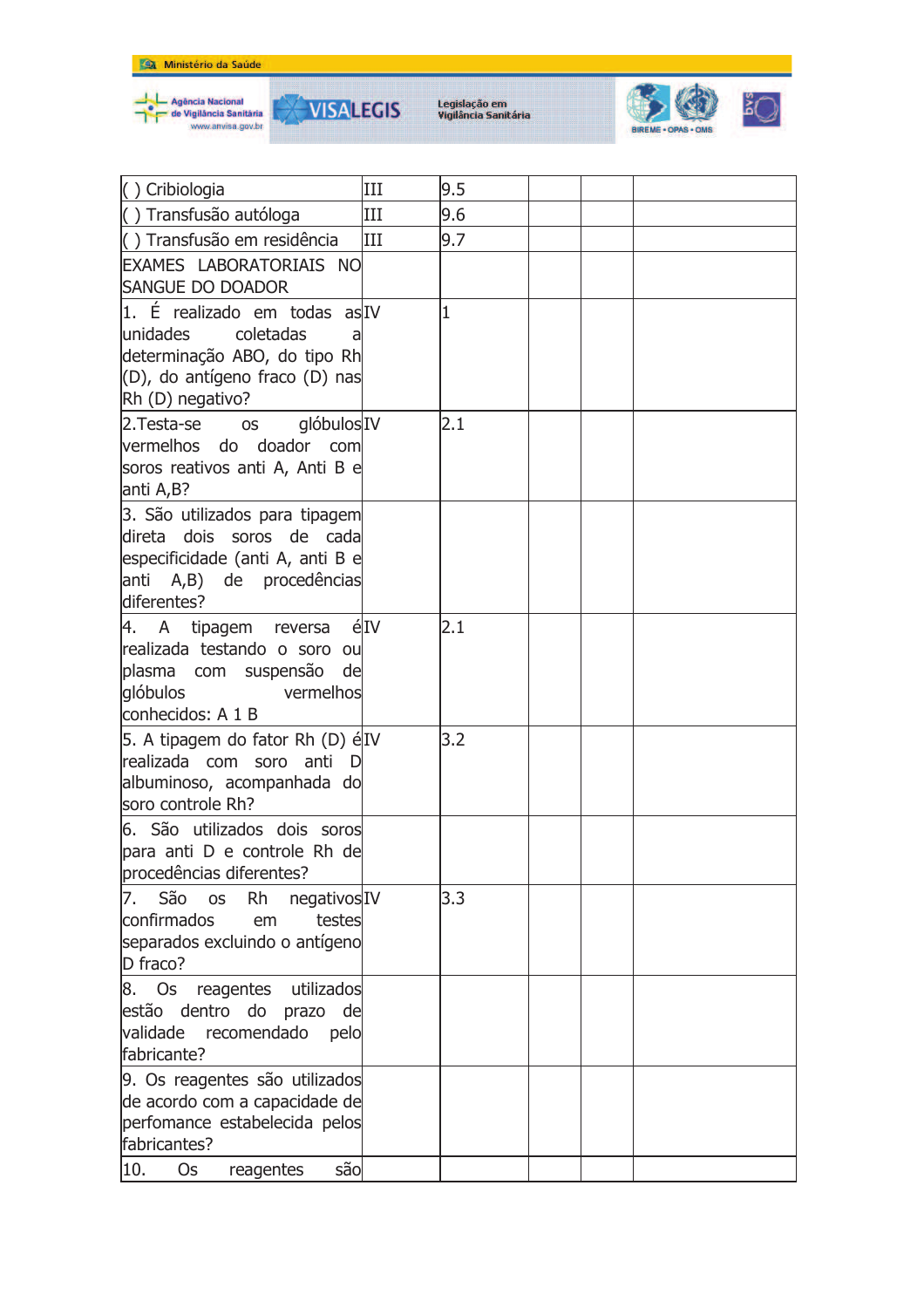

**VISALEGIS** 



| () Cribiologia                                             | III | 9.5 |  |  |
|------------------------------------------------------------|-----|-----|--|--|
| () Transfusão autóloga                                     | III | 9.6 |  |  |
| () Transfusão em residência                                | Ш   | 9.7 |  |  |
| EXAMES LABORATORIAIS NO                                    |     |     |  |  |
| <b>SANGUE DO DOADOR</b>                                    |     |     |  |  |
| 1. É realizado em todas as IV                              |     | 1   |  |  |
| lunidades<br>coletadas                                     |     |     |  |  |
| determinação ABO, do tipo Rh                               |     |     |  |  |
| (D), do antígeno fraco (D) nas                             |     |     |  |  |
| Rh (D) negativo?                                           |     |     |  |  |
| 2. Testa-se<br>glóbulosIV<br><b>OS</b>                     |     | 2.1 |  |  |
| vermelhos do doador com<br>soros reativos anti A, Anti B e |     |     |  |  |
| anti A,B?                                                  |     |     |  |  |
| 3. São utilizados para tipagem                             |     |     |  |  |
| direta dois soros de cada                                  |     |     |  |  |
| especificidade (anti A, anti B e                           |     |     |  |  |
| A,B) de procedências<br>anti                               |     |     |  |  |
| diferentes?                                                |     |     |  |  |
| 4. A tipagem reversa                                       | éIV | 2.1 |  |  |
| realizada testando o soro ou                               |     |     |  |  |
| plasma com suspensão<br>de<br>glóbulos<br>vermelhos        |     |     |  |  |
| conhecidos: A 1 B                                          |     |     |  |  |
| 5. A tipagem do fator Rh (D) élIV                          |     | 3.2 |  |  |
| realizada com soro anti<br>$\overline{D}$                  |     |     |  |  |
| albuminoso, acompanhada do                                 |     |     |  |  |
| soro controle Rh?                                          |     |     |  |  |
| 6. São utilizados dois soros                               |     |     |  |  |
| para anti D e controle Rh de                               |     |     |  |  |
| procedências diferentes?                                   |     |     |  |  |
| São<br><b>Rh</b><br>negativosIV<br>7.<br><b>OS</b>         |     | 3.3 |  |  |
| confirmados<br>testes<br>em                                |     |     |  |  |
| separados excluindo o antígeno<br>D fraco?                 |     |     |  |  |
| reagentes<br>utilizados<br>8. Os                           |     |     |  |  |
| estão dentro do prazo de                                   |     |     |  |  |
| validade<br>recomendado<br>pelo                            |     |     |  |  |
| fabricante?                                                |     |     |  |  |
| 9. Os reagentes são utilizados                             |     |     |  |  |
| de acordo com a capacidade de                              |     |     |  |  |
| perfomance estabelecida pelos                              |     |     |  |  |
| fabricantes?                                               |     |     |  |  |
| são<br>10.<br>Os<br>reagentes                              |     |     |  |  |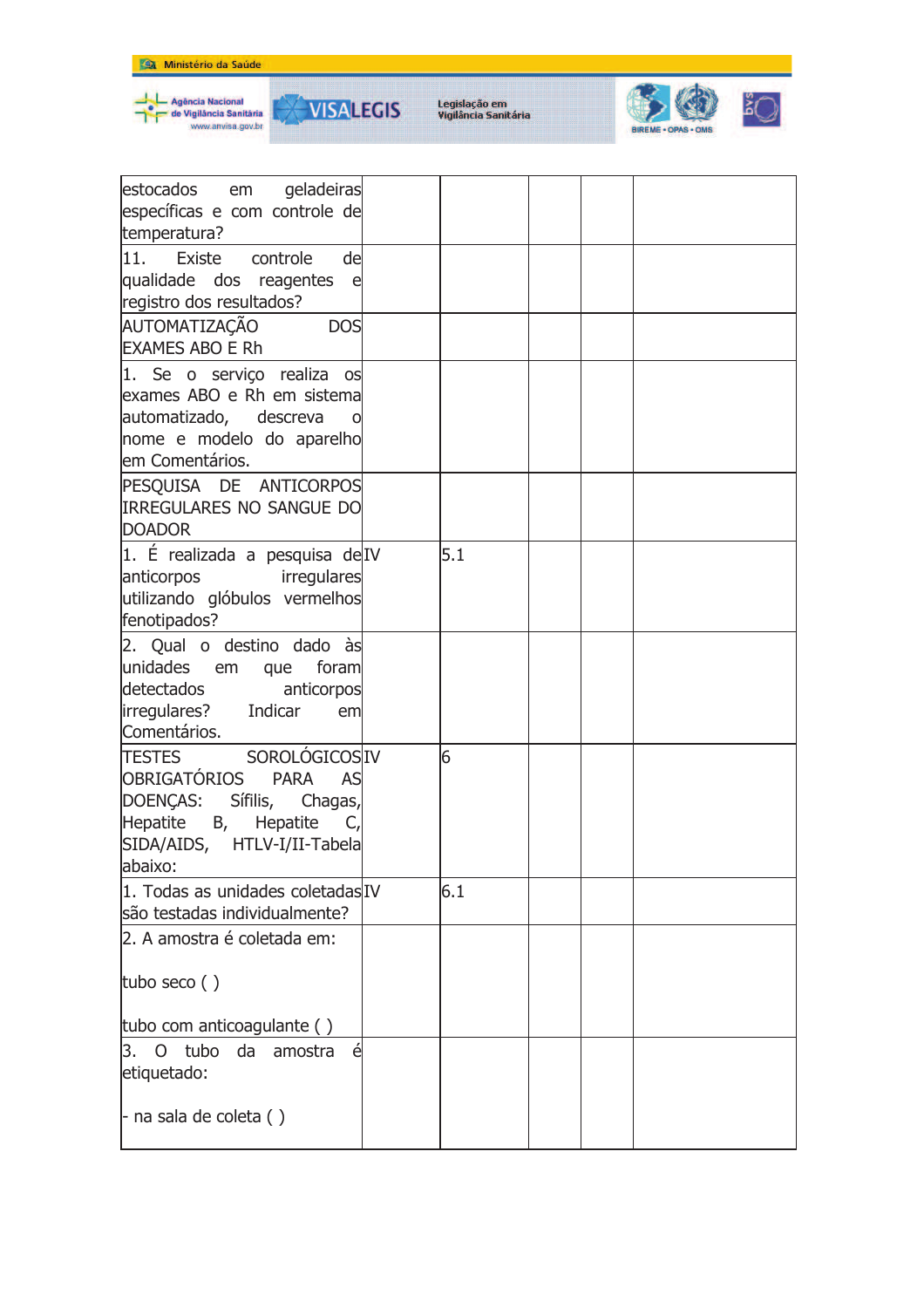







| estocados em<br>geladeiras<br>específicas e com controle de |     |  |  |
|-------------------------------------------------------------|-----|--|--|
| temperatura?                                                |     |  |  |
| $ 11\rangle$<br>de<br>Existe<br>controle                    |     |  |  |
| qualidade dos reagentes<br>el el                            |     |  |  |
| registro dos resultados?                                    |     |  |  |
| AUTOMATIZAÇÃO<br><b>DOS</b>                                 |     |  |  |
|                                                             |     |  |  |
| <b>EXAMES ABO E Rh</b>                                      |     |  |  |
| 1. Se o serviço realiza os                                  |     |  |  |
| exames ABO e Rh em sistema                                  |     |  |  |
| automatizado, descreva                                      |     |  |  |
| nome e modelo do aparelho                                   |     |  |  |
| em Comentários.                                             |     |  |  |
| PESQUISA DE ANTICORPOS                                      |     |  |  |
| <b>IRREGULARES NO SANGUE DO</b>                             |     |  |  |
|                                                             |     |  |  |
| <b>DOADOR</b>                                               |     |  |  |
| 1. É realizada a pesquisa de IV                             | 5.1 |  |  |
| anticorpos<br>irregulares                                   |     |  |  |
| utilizando glóbulos vermelhos                               |     |  |  |
| fenotipados?                                                |     |  |  |
| 2. Qual o destino dado às                                   |     |  |  |
| unidades em que<br>foram                                    |     |  |  |
|                                                             |     |  |  |
| detectados<br>anticorpos                                    |     |  |  |
| irregulares? Indicar<br>em                                  |     |  |  |
| Comentários.                                                |     |  |  |
| TESTES SOROLÓGICOSIV                                        | 6   |  |  |
| OBRIGATÓRIOS<br><b>PARA</b><br>AS                           |     |  |  |
| DOENÇAS: Sífilis, Chagas,                                   |     |  |  |
| Hepatite B, Hepatite<br>- C.                                |     |  |  |
| SIDA/AIDS, HTLV-I/II-Tabela                                 |     |  |  |
| abaixo:                                                     |     |  |  |
|                                                             |     |  |  |
| 1. Todas as unidades coletadas IV                           | 6.1 |  |  |
| são testadas individualmente?                               |     |  |  |
| 2. A amostra é coletada em:                                 |     |  |  |
|                                                             |     |  |  |
| tubo seco $()$                                              |     |  |  |
|                                                             |     |  |  |
| tubo com anticoagulante ()                                  |     |  |  |
| 3.<br>$\overline{O}$<br>tubo<br>da<br>amostra<br>é          |     |  |  |
| etiquetado:                                                 |     |  |  |
|                                                             |     |  |  |
| $-$ na sala de coleta ()                                    |     |  |  |
|                                                             |     |  |  |
|                                                             |     |  |  |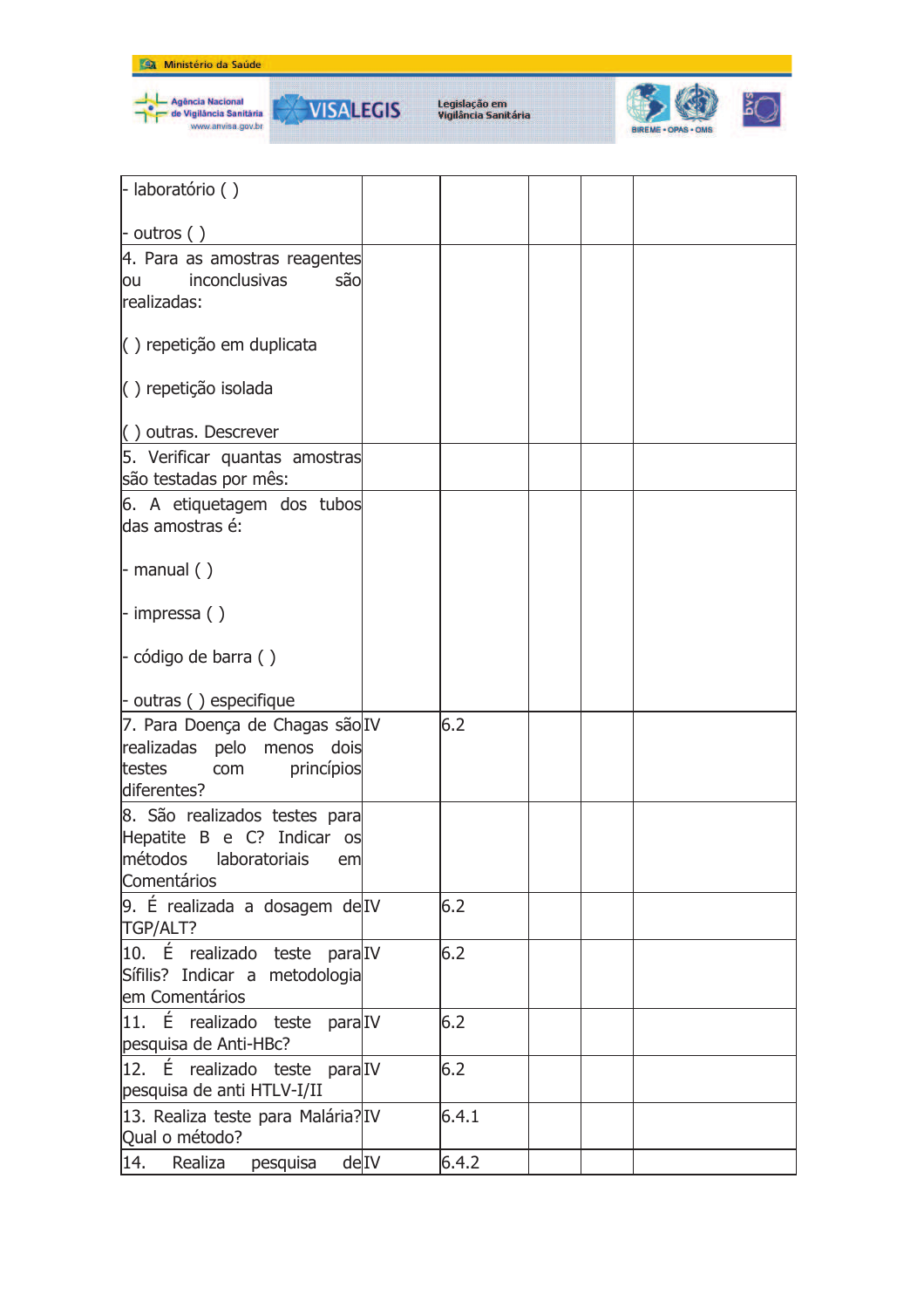



**VISALEGIS** 



| - laboratório ()                         |      |       |  |  |
|------------------------------------------|------|-------|--|--|
| $\vert$ - outros ()                      |      |       |  |  |
| 4. Para as amostras reagentes            |      |       |  |  |
| inconclusivas<br>sãol<br>ou              |      |       |  |  |
| realizadas:                              |      |       |  |  |
|                                          |      |       |  |  |
| () repetição em duplicata                |      |       |  |  |
| $( )$ repetição isolada                  |      |       |  |  |
| () outras. Descrever                     |      |       |  |  |
| 5. Verificar quantas amostras            |      |       |  |  |
| são testadas por mês:                    |      |       |  |  |
| 6. A etiquetagem dos tubos               |      |       |  |  |
| das amostras é:                          |      |       |  |  |
|                                          |      |       |  |  |
|                                          |      |       |  |  |
| $\vdash$ manual ()                       |      |       |  |  |
|                                          |      |       |  |  |
| $-$ impressa ()                          |      |       |  |  |
| $\vert$ - código de barra ()             |      |       |  |  |
|                                          |      |       |  |  |
| $\vdash$ outras () especifique           |      |       |  |  |
| 7. Para Doença de Chagas são IV          |      | 6.2   |  |  |
| realizadas<br>dois                       |      |       |  |  |
| pelo<br>menos                            |      |       |  |  |
| testes<br>princípios<br>com              |      |       |  |  |
| diferentes?                              |      |       |  |  |
| 8. São realizados testes para            |      |       |  |  |
| Hepatite B e C? Indicar os               |      |       |  |  |
| métodos<br>laboratoriais<br>em           |      |       |  |  |
| Comentários                              |      |       |  |  |
| 9. É realizada a dosagem de IV           |      | 6.2   |  |  |
| TGP/ALT?                                 |      |       |  |  |
| 10. É realizado teste para <sup>TV</sup> |      | 6.2   |  |  |
| Sífilis? Indicar a metodologia           |      |       |  |  |
| em Comentários                           |      |       |  |  |
| É<br>11.<br>realizado teste paralIV      |      | 6.2   |  |  |
| pesquisa de Anti-HBc?                    |      |       |  |  |
| 12. É realizado teste para <sup>TV</sup> |      | 6.2   |  |  |
| pesquisa de anti HTLV-I/II               |      |       |  |  |
| 13. Realiza teste para Malária? IV       |      | 6.4.1 |  |  |
| Qual o método?                           |      |       |  |  |
| 14.<br>Realiza<br>pesquisa               | deIV | 6.4.2 |  |  |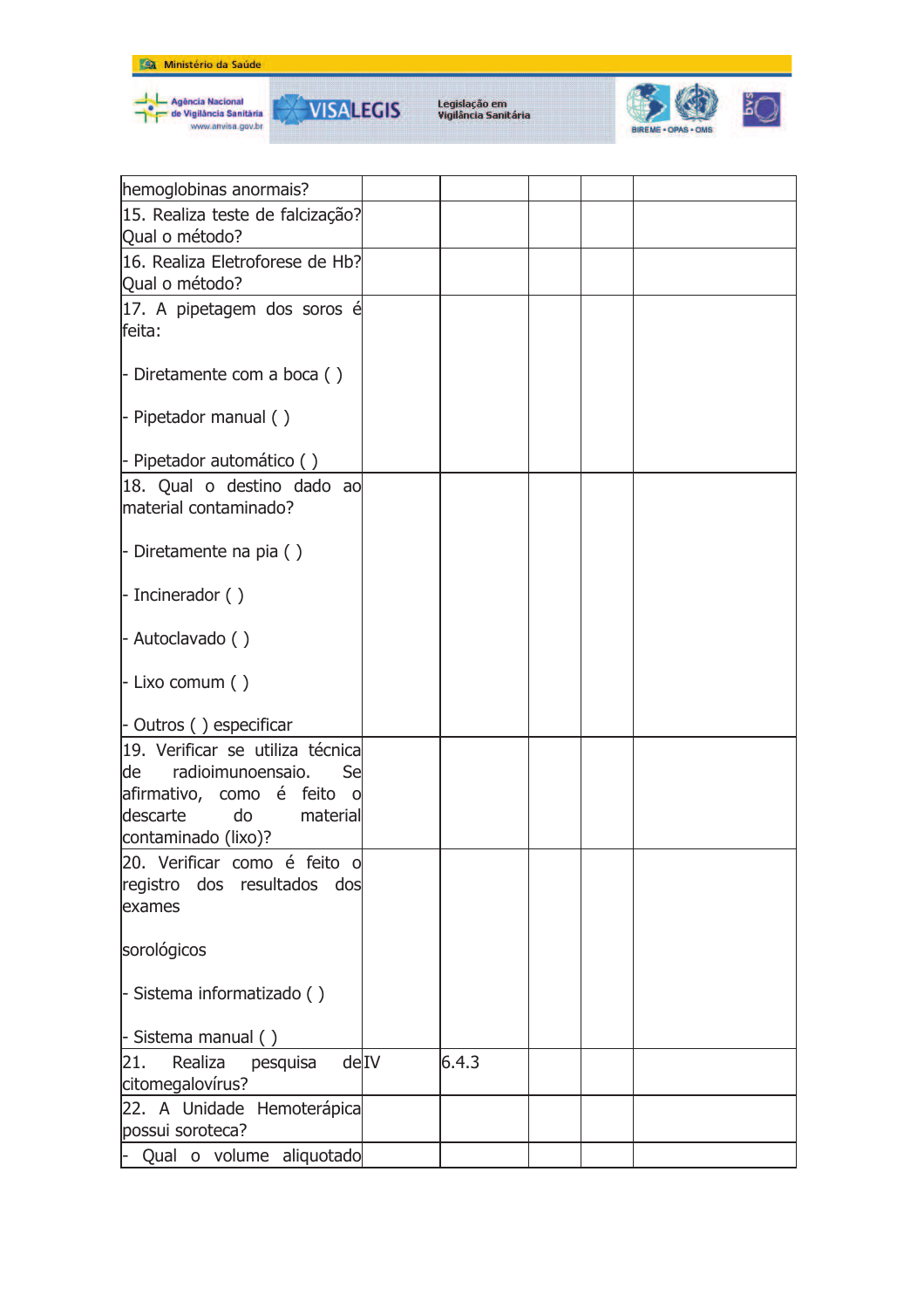







| hemoglobinas anormais?                                                                                                                                |       |  |  |
|-------------------------------------------------------------------------------------------------------------------------------------------------------|-------|--|--|
| 15. Realiza teste de falcização?<br>Qual o método?                                                                                                    |       |  |  |
| 16. Realiza Eletroforese de Hb?                                                                                                                       |       |  |  |
| Qual o método?                                                                                                                                        |       |  |  |
| 17. A pipetagem dos soros é<br>feita:                                                                                                                 |       |  |  |
| - Diretamente com a boca $( )$                                                                                                                        |       |  |  |
| $\vert$ - Pipetador manual ()                                                                                                                         |       |  |  |
| - Pipetador automático ()                                                                                                                             |       |  |  |
| 18. Qual o destino dado ao<br>material contaminado?                                                                                                   |       |  |  |
| - Diretamente na pia $( )$                                                                                                                            |       |  |  |
| $\vert$ - Incinerador ()                                                                                                                              |       |  |  |
| - Autoclavado ()                                                                                                                                      |       |  |  |
| $-$ Lixo comum ()                                                                                                                                     |       |  |  |
| - Outros () especificar                                                                                                                               |       |  |  |
| 19. Verificar se utiliza técnica<br>de<br>radioimunoensaio.<br>Sel<br>afirmativo, como é feito o<br>descarte<br>do<br>material<br>contaminado (lixo)? |       |  |  |
| 20. Verificar como é feito o<br>dos<br>resultados<br>registro<br>dos<br>exames                                                                        |       |  |  |
| sorológicos                                                                                                                                           |       |  |  |
| - Sistema informatizado ()                                                                                                                            |       |  |  |
| - Sistema manual ()                                                                                                                                   |       |  |  |
| deIV<br>pesquisa<br>21.<br>Realiza<br>citomegalovírus?                                                                                                | 6.4.3 |  |  |
| 22. A Unidade Hemoterápica<br>possui soroteca?                                                                                                        |       |  |  |
| - Qual o volume aliquotado                                                                                                                            |       |  |  |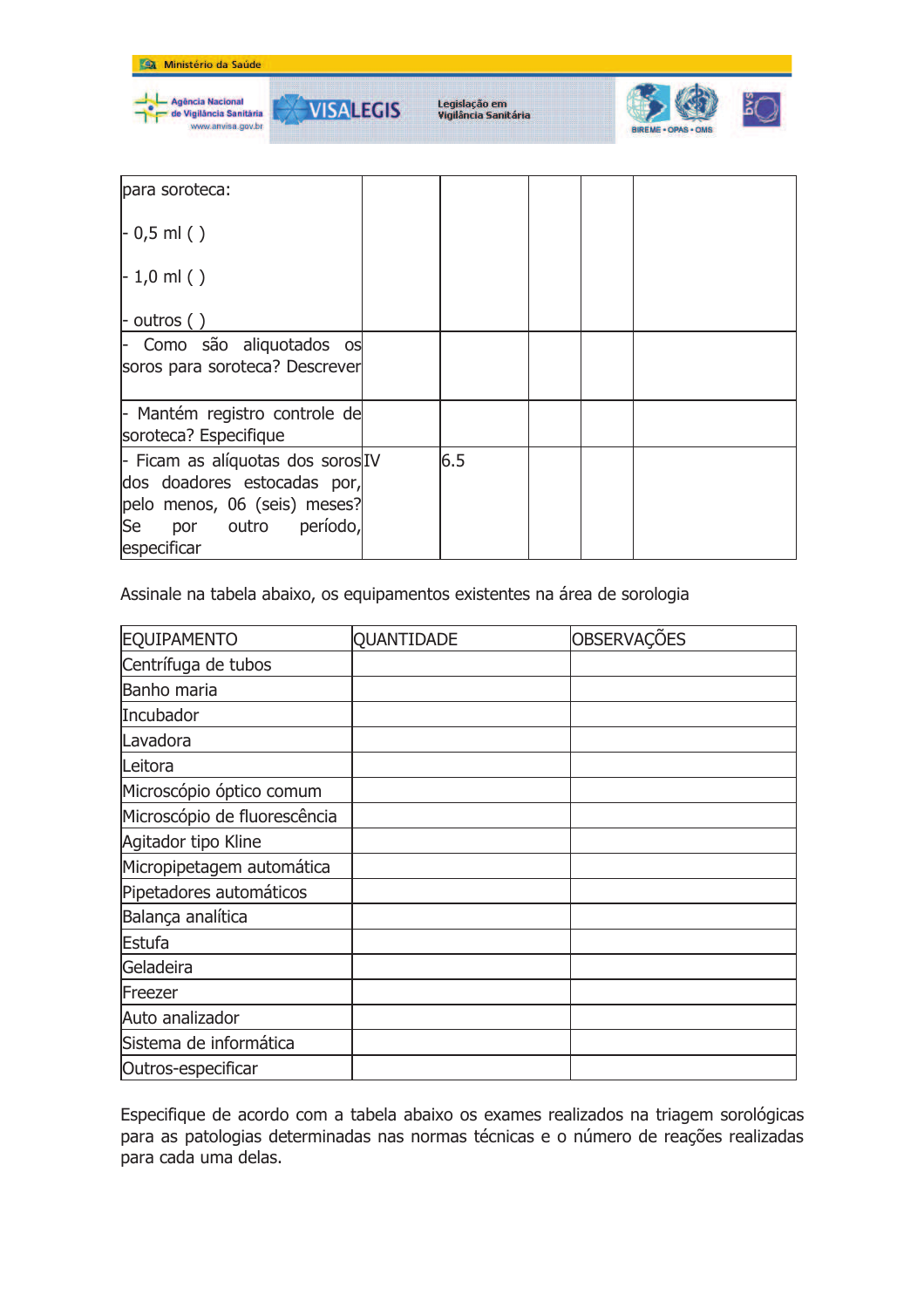

| para soroteca:                                                                                                                                 |     |  |  |
|------------------------------------------------------------------------------------------------------------------------------------------------|-----|--|--|
| $-0.5$ ml ()                                                                                                                                   |     |  |  |
| $-1,0$ ml ()                                                                                                                                   |     |  |  |
| $\vdash$ outros ()                                                                                                                             |     |  |  |
| Como são aliquotados os<br>soros para soroteca? Descrever                                                                                      |     |  |  |
| - Mantém registro controle de<br>soroteca? Especifique                                                                                         |     |  |  |
| - Ficam as alíquotas dos soros IV<br>dos doadores estocadas por,<br>pelo menos, 06 (seis) meses?<br>Se<br>período,<br>por outro<br>especificar | 6.5 |  |  |

Assinale na tabela abaixo, os equipamentos existentes na área de sorologia

| EQUIPAMENTO                  | QUANTIDADE | OBSERVAÇÕES |
|------------------------------|------------|-------------|
| Centrífuga de tubos          |            |             |
| Banho maria                  |            |             |
| Incubador                    |            |             |
| Lavadora                     |            |             |
| Leitora                      |            |             |
| Microscópio óptico comum     |            |             |
| Microscópio de fluorescência |            |             |
| Agitador tipo Kline          |            |             |
| Micropipetagem automática    |            |             |
| Pipetadores automáticos      |            |             |
| Balança analítica            |            |             |
| Estufa                       |            |             |
| Geladeira                    |            |             |
| Freezer                      |            |             |
| Auto analizador              |            |             |
| Sistema de informática       |            |             |
| Outros-especificar           |            |             |

Especifique de acordo com a tabela abaixo os exames realizados na triagem sorológicas para as patologias determinadas nas normas técnicas e o número de reações realizadas para cada uma delas.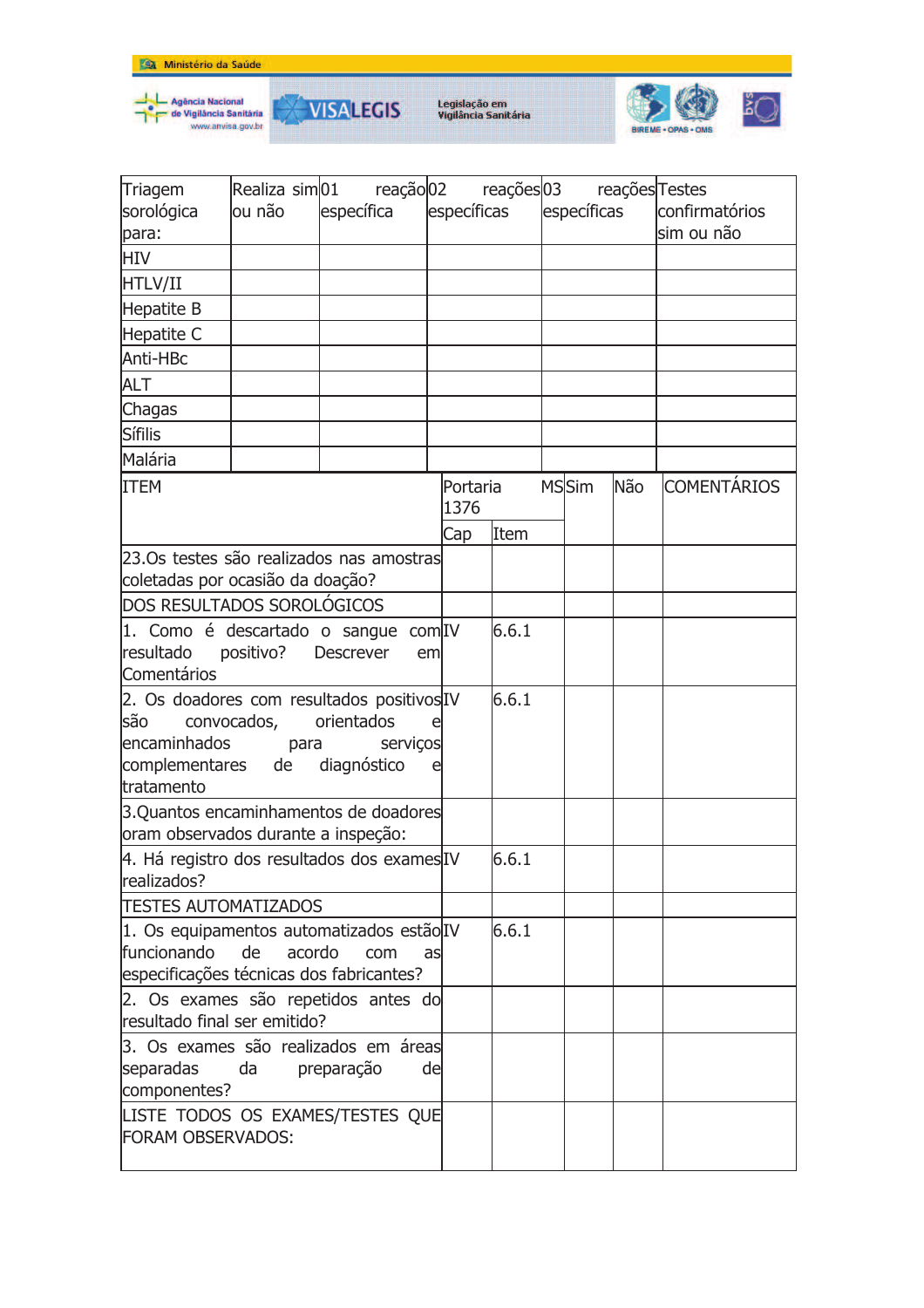



**VISALEGIS** 



| Triagem                                                      |              | Realiza sim 01 reação 02 reações 03 reações Testes |    |          |             |  |              |     |                    |
|--------------------------------------------------------------|--------------|----------------------------------------------------|----|----------|-------------|--|--------------|-----|--------------------|
| sorológica                                                   | lou não      | específica                                         |    |          | específicas |  | específicas  |     | confirmatórios     |
| para:                                                        |              |                                                    |    |          |             |  |              |     | sim ou não         |
| <b>HIV</b>                                                   |              |                                                    |    |          |             |  |              |     |                    |
| HTLV/II                                                      |              |                                                    |    |          |             |  |              |     |                    |
| Hepatite B                                                   |              |                                                    |    |          |             |  |              |     |                    |
| Hepatite C                                                   |              |                                                    |    |          |             |  |              |     |                    |
| Anti-HBc                                                     |              |                                                    |    |          |             |  |              |     |                    |
| <b>ALT</b>                                                   |              |                                                    |    |          |             |  |              |     |                    |
| Chagas                                                       |              |                                                    |    |          |             |  |              |     |                    |
| Sífilis                                                      |              |                                                    |    |          |             |  |              |     |                    |
| Malária                                                      |              |                                                    |    |          |             |  |              |     |                    |
| <b>ITEM</b>                                                  |              |                                                    |    | Portaria |             |  | <b>MSSim</b> | Não | <b>COMENTÁRIOS</b> |
|                                                              |              |                                                    |    | 1376     |             |  |              |     |                    |
|                                                              |              |                                                    |    | Cap      | Item        |  |              |     |                    |
| 23.Os testes são realizados nas amostras                     |              |                                                    |    |          |             |  |              |     |                    |
| coletadas por ocasião da doação?                             |              |                                                    |    |          |             |  |              |     |                    |
| DOS RESULTADOS SOROLÓGICOS                                   |              |                                                    |    |          |             |  |              |     |                    |
| 1. Como é descartado o sangue com IV                         |              |                                                    |    |          | 6.6.1       |  |              |     |                    |
| resultado                                                    | positivo?    | <b>Descrever</b>                                   | em |          |             |  |              |     |                    |
| Comentários                                                  |              |                                                    |    |          |             |  |              |     |                    |
| 2. Os doadores com resultados positivos IV                   |              |                                                    |    |          | 6.6.1       |  |              |     |                    |
| lsão<br>encaminhados                                         | convocados,  | orientados<br>serviços                             |    |          |             |  |              |     |                    |
| complementares de diagnóstico                                | para         |                                                    | e  |          |             |  |              |     |                    |
| tratamento                                                   |              |                                                    |    |          |             |  |              |     |                    |
| 3.Quantos encaminhamentos de doadores                        |              |                                                    |    |          |             |  |              |     |                    |
| oram observados durante a inspeção:                          |              |                                                    |    |          |             |  |              |     |                    |
| 4. Há registro dos resultados dos exames IV                  |              |                                                    |    |          | 6.6.1       |  |              |     |                    |
| realizados?                                                  |              |                                                    |    |          |             |  |              |     |                    |
| <b>TESTES AUTOMATIZADOS</b>                                  |              |                                                    |    |          |             |  |              |     |                    |
| 1. Os equipamentos automatizados estão IV                    |              |                                                    |    |          | 6.6.1       |  |              |     |                    |
| funcionando                                                  | de<br>acordo | com                                                | as |          |             |  |              |     |                    |
| especificações técnicas dos fabricantes?                     |              |                                                    |    |          |             |  |              |     |                    |
| 2. Os exames são repetidos antes do                          |              |                                                    |    |          |             |  |              |     |                    |
| resultado final ser emitido?                                 |              |                                                    |    |          |             |  |              |     |                    |
| 3. Os exames são realizados em áreas                         |              |                                                    |    |          |             |  |              |     |                    |
| separadas                                                    | da           | preparação                                         | de |          |             |  |              |     |                    |
| componentes?                                                 |              |                                                    |    |          |             |  |              |     |                    |
| LISTE TODOS OS EXAMES/TESTES QUE<br><b>FORAM OBSERVADOS:</b> |              |                                                    |    |          |             |  |              |     |                    |
|                                                              |              |                                                    |    |          |             |  |              |     |                    |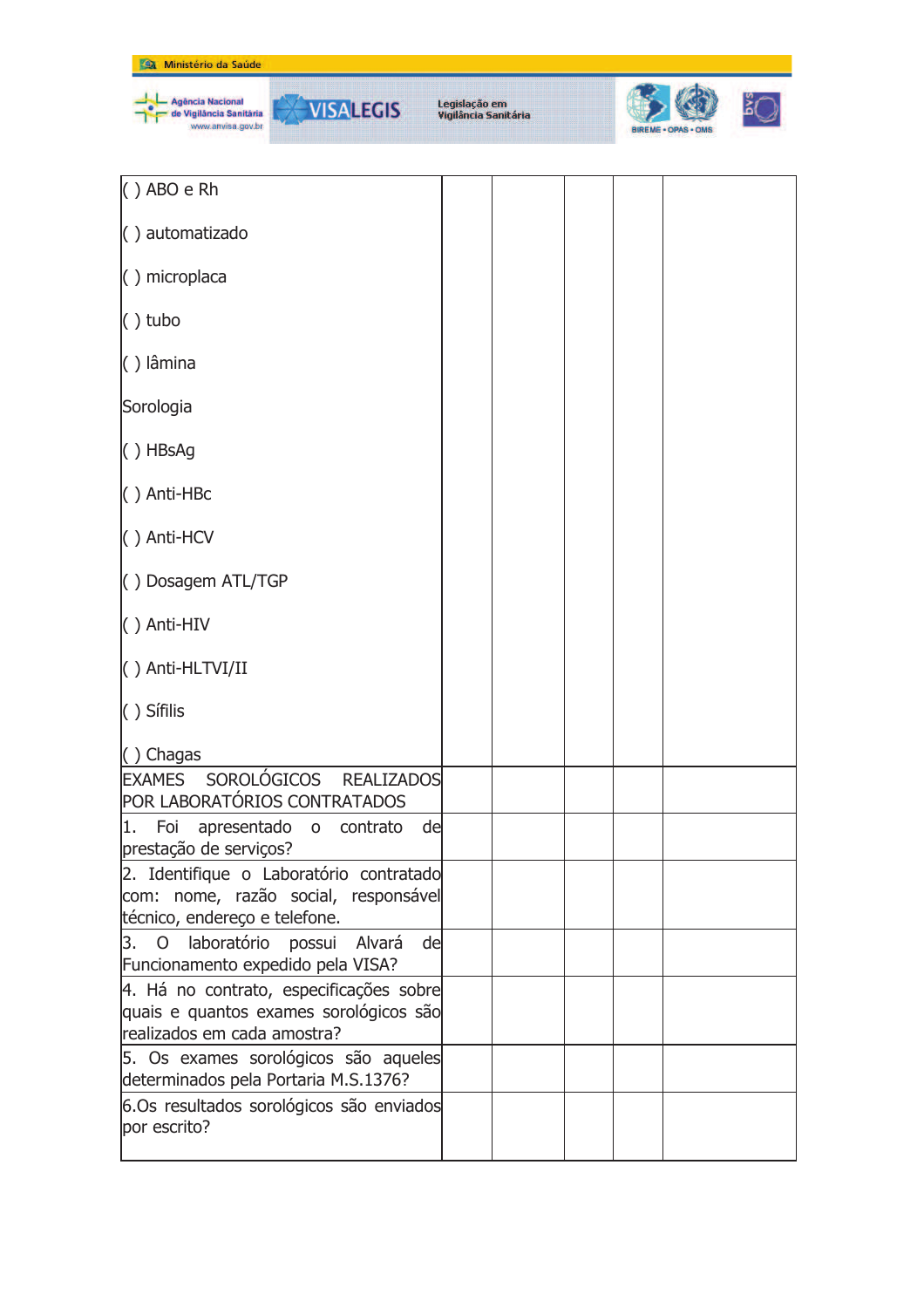| Ministério da Saúde                                                                                              |                                       |  |
|------------------------------------------------------------------------------------------------------------------|---------------------------------------|--|
| <b>Agência Nacional</b><br><b>VISALEGIS</b><br>de Vigilância Sanitária<br>www.anvisa.gov.br                      | Legislação em<br>Vigilância Sanitária |  |
| $()$ ABO e Rh                                                                                                    |                                       |  |
| () automatizado                                                                                                  |                                       |  |
| $( )$ microplaca                                                                                                 |                                       |  |
| $()$ tubo                                                                                                        |                                       |  |
| () lâmina                                                                                                        |                                       |  |
| Sorologia                                                                                                        |                                       |  |
| $( )$ HBsAg                                                                                                      |                                       |  |
| $( )$ Anti-HBc                                                                                                   |                                       |  |
| () Anti-HCV                                                                                                      |                                       |  |
| () Dosagem ATL/TGP                                                                                               |                                       |  |
| () Anti-HIV                                                                                                      |                                       |  |
| () Anti-HLTVI/II                                                                                                 |                                       |  |
| () Sífilis                                                                                                       |                                       |  |
| $( )$ Chagas                                                                                                     |                                       |  |
| EXAMES SOROLÓGICOS REALIZADOS<br>POR LABORATÓRIOS CONTRATADOS                                                    |                                       |  |
| 1. Foi<br>apresentado o contrato<br>de<br>prestação de serviços?                                                 |                                       |  |
| 2. Identifique o Laboratório contratado<br>com: nome, razão social, responsável<br>técnico, endereço e telefone. |                                       |  |
| 3. O laboratório possui Alvará<br>de<br>Funcionamento expedido pela VISA?                                        |                                       |  |
| 4. Há no contrato, especificações sobre<br>quais e quantos exames sorológicos são<br>realizados em cada amostra? |                                       |  |
| 5. Os exames sorológicos são aqueles<br>determinados pela Portaria M.S.1376?                                     |                                       |  |
| 6.Os resultados sorológicos são enviados<br>por escrito?                                                         |                                       |  |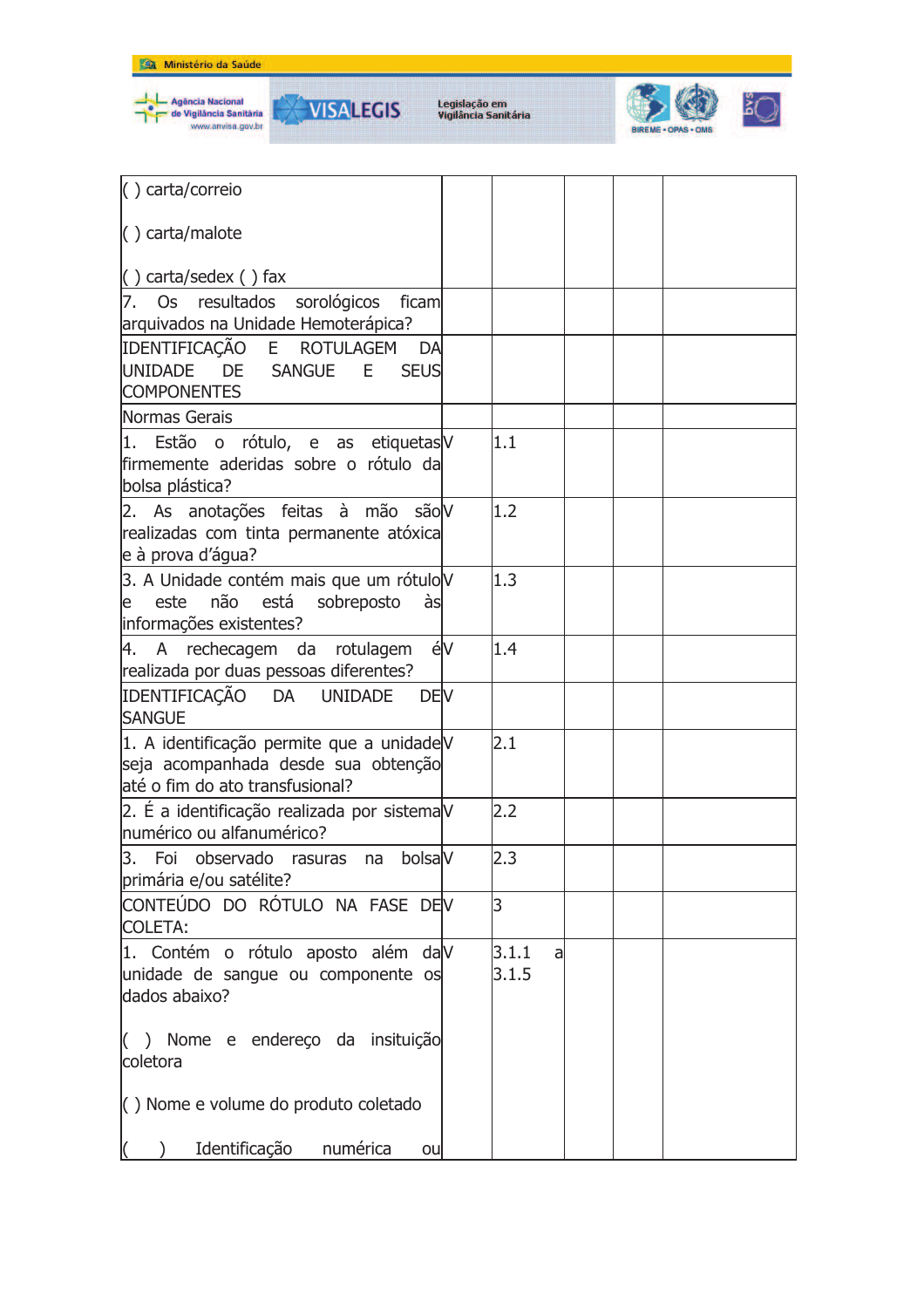



**VISALEGIS** 



| () carta/correio                                                                                                    |    |                      |  |  |
|---------------------------------------------------------------------------------------------------------------------|----|----------------------|--|--|
| $\langle$ ) carta/malote                                                                                            |    |                      |  |  |
| $( )$ carta/sedex $( )$ fax                                                                                         |    |                      |  |  |
| 7. Os resultados sorológicos<br>ficam                                                                               |    |                      |  |  |
| arquivados na Unidade Hemoterápica?                                                                                 |    |                      |  |  |
| IDENTIFICAÇÃO E ROTULAGEM<br>DA<br>UNIDADE DE SANGUE<br>E<br><b>SEUS</b><br><b>COMPONENTES</b>                      |    |                      |  |  |
| Normas Gerais                                                                                                       |    |                      |  |  |
| 1. Estão o rótulo, e as etiquetas V<br>firmemente aderidas sobre o rótulo da<br>bolsa plástica?                     |    | 1.1                  |  |  |
| 2. As anotações feitas à mão são V<br>realizadas com tinta permanente atóxica<br>e à prova d'água?                  |    | 1.2                  |  |  |
| 3. A Unidade contém mais que um rótulo V<br>este não está sobreposto<br>às<br>le<br>informações existentes?         |    | 1.3                  |  |  |
| 4. A rechecagem da rotulagem<br>realizada por duas pessoas diferentes?                                              | éV | 1.4                  |  |  |
| IDENTIFICAÇÃO DA UNIDADE<br><b>DEV</b><br><b>SANGUE</b>                                                             |    |                      |  |  |
| 1. A identificação permite que a unidadeV<br>seja acompanhada desde sua obtenção<br>até o fim do ato transfusional? |    | 2.1                  |  |  |
| 2. É a identificação realizada por sistemaV<br>Inumérico ou alfanumérico?                                           |    | 2.2                  |  |  |
| 3. Foi observado rasuras na bolsaV<br>primária e/ou satélite?                                                       |    | 2.3                  |  |  |
| CONTEÚDO DO RÓTULO NA FASE DEV<br><b>COLETA:</b>                                                                    |    | 3                    |  |  |
| 1. Contém o rótulo aposto além dalV<br>unidade de sangue ou componente os<br>dados abaixo?                          |    | 3.1.1<br>al<br>3.1.5 |  |  |
| () Nome e endereço da insituição<br>coletora                                                                        |    |                      |  |  |
| $\left( \right)$ Nome e volume do produto coletado                                                                  |    |                      |  |  |
| Identificação<br>numérica<br>ou                                                                                     |    |                      |  |  |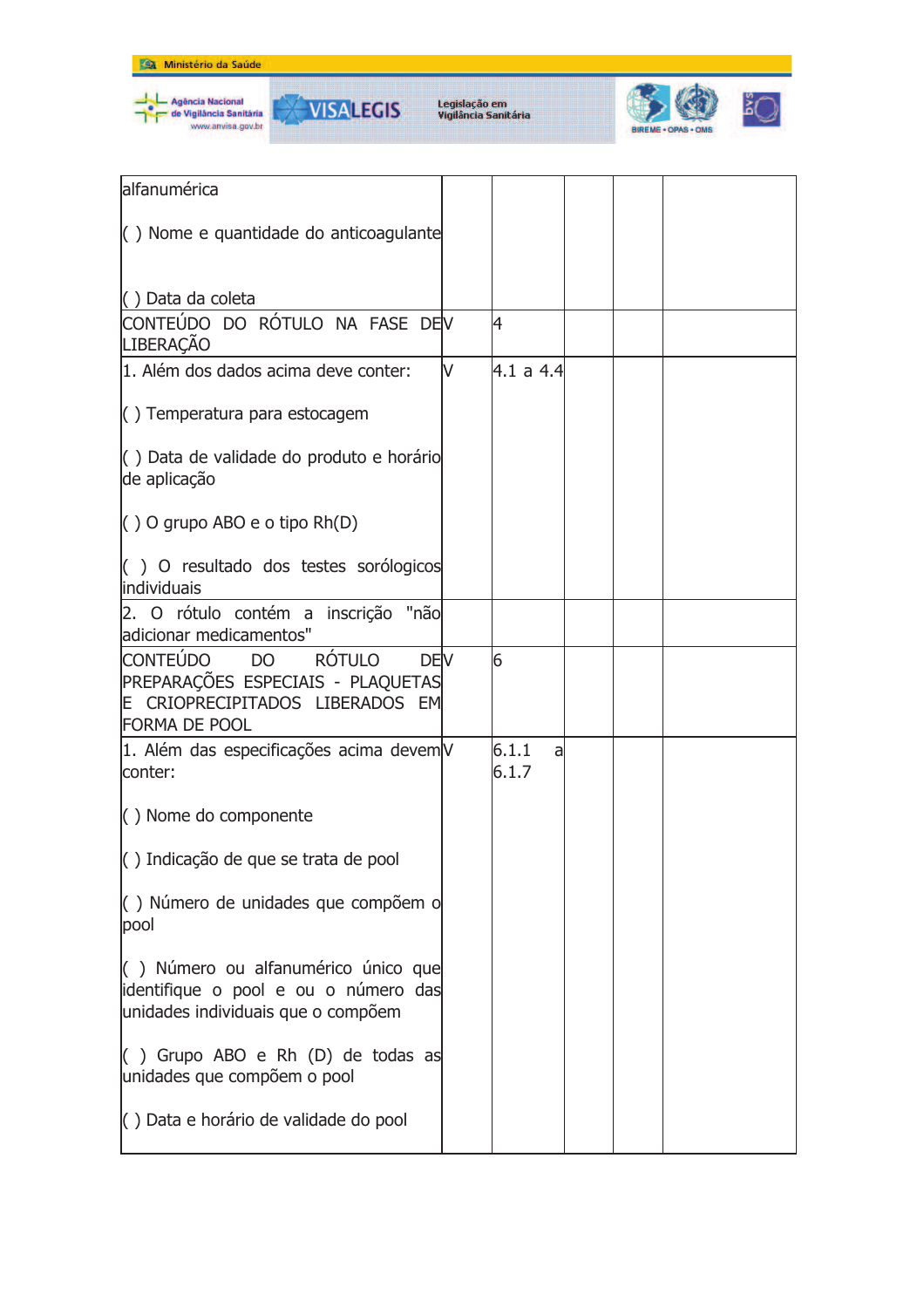



**VISALEGIS** 



| alfanumérica                                                                                                                                                     |   |                     |  |  |
|------------------------------------------------------------------------------------------------------------------------------------------------------------------|---|---------------------|--|--|
| $\left( \ \right)$ Nome e quantidade do anticoagulante                                                                                                           |   |                     |  |  |
| () Data da coleta<br>CONTEÚDO DO RÓTULO NA FASE DEV                                                                                                              |   | 4                   |  |  |
| <b>LIBERAÇÃO</b>                                                                                                                                                 |   |                     |  |  |
| 1. Além dos dados acima deve conter:                                                                                                                             | V | 4.1 a 4.4           |  |  |
| $\left( \ \right)$ Temperatura para estocagem                                                                                                                    |   |                     |  |  |
| () Data de validade do produto e horário<br>de aplicação                                                                                                         |   |                     |  |  |
| $( )$ O grupo ABO e o tipo Rh $( D )$                                                                                                                            |   |                     |  |  |
| () O resultado dos testes sorólogicos<br>individuais                                                                                                             |   |                     |  |  |
| 2. O rótulo contém a inscrição "não<br>adicionar medicamentos"                                                                                                   |   |                     |  |  |
| <b>DEV</b><br><b>RÓTULO</b><br><b>CONTEUDO</b><br>D <sub>O</sub><br>PREPARAÇÕES ESPECIAIS - PLAQUETAS<br>E CRIOPRECIPITADOS LIBERADOS EM<br><b>FORMA DE POOL</b> |   | 6                   |  |  |
| 1. Além das especificações acima devemV<br>conter:                                                                                                               |   | 6.1.1<br>a<br>6.1.7 |  |  |
| $( )$ Nome do componente                                                                                                                                         |   |                     |  |  |
| $\left( \right)$ Indicação de que se trata de pool                                                                                                               |   |                     |  |  |
| () Número de unidades que compõem o<br>pool                                                                                                                      |   |                     |  |  |
| () Número ou alfanumérico único que<br>identifique o pool e ou o número das<br>unidades individuais que o compõem                                                |   |                     |  |  |
| $($ ) Grupo ABO e Rh $(D)$ de todas as<br>unidades que compõem o pool                                                                                            |   |                     |  |  |
| $\vert$ ) Data e horário de validade do pool                                                                                                                     |   |                     |  |  |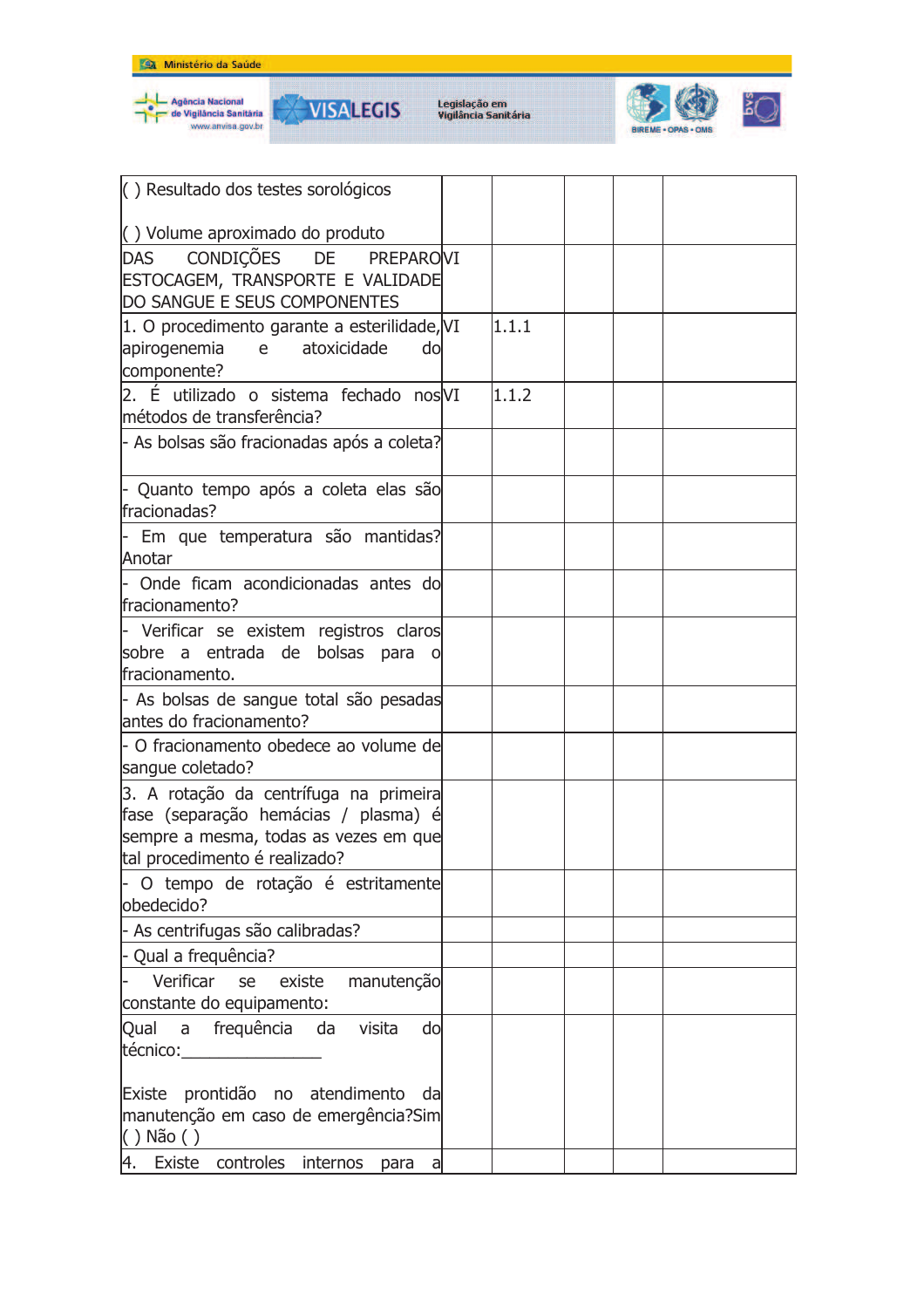







| () Resultado dos testes sorológicos                                                                                                                      |       |  |  |
|----------------------------------------------------------------------------------------------------------------------------------------------------------|-------|--|--|
| () Volume aproximado do produto                                                                                                                          |       |  |  |
| CONDIÇÕES DE PREPAROVI<br><b>DAS</b><br>ESTOCAGEM, TRANSPORTE E VALIDADE<br>DO SANGUE E SEUS COMPONENTES                                                 |       |  |  |
| 1. O procedimento garante a esterilidade, VI<br>apirogenemia<br>e —<br>atoxicidade<br>do<br>componente?                                                  | 1.1.1 |  |  |
| 2. É utilizado o sistema fechado nos VI<br>métodos de transferência?                                                                                     | 1.1.2 |  |  |
| - As bolsas são fracionadas após a coleta?                                                                                                               |       |  |  |
| - Quanto tempo após a coleta elas são<br>fracionadas?                                                                                                    |       |  |  |
| - Em que temperatura são mantidas?<br>Anotar                                                                                                             |       |  |  |
| - Onde ficam acondicionadas antes do<br>fracionamento?                                                                                                   |       |  |  |
| - Verificar se existem registros claros<br>sobre a entrada de bolsas para<br>O<br>fracionamento.                                                         |       |  |  |
| - As bolsas de sangue total são pesadas<br>antes do fracionamento?                                                                                       |       |  |  |
| - O fracionamento obedece ao volume de<br>sangue coletado?                                                                                               |       |  |  |
| 3. A rotação da centrífuga na primeira<br>fase (separação hemácias / plasma) é<br>sempre a mesma, todas as vezes em que<br>tal procedimento é realizado? |       |  |  |
| - O tempo de rotação é estritamente<br>obedecido?                                                                                                        |       |  |  |
| - As centrifugas são calibradas?                                                                                                                         |       |  |  |
| - Qual a frequência?                                                                                                                                     |       |  |  |
| Verificar<br>manutenção<br>se<br>existe<br>constante do equipamento:                                                                                     |       |  |  |
| Qual a frequência da visita<br>do<br>técnico:                                                                                                            |       |  |  |
| Existe prontidão no atendimento<br>dal<br>manutenção em caso de emergência?Sim<br>$( )$ Não $( )$                                                        |       |  |  |
| 4. Existe controles internos<br>para<br>a                                                                                                                |       |  |  |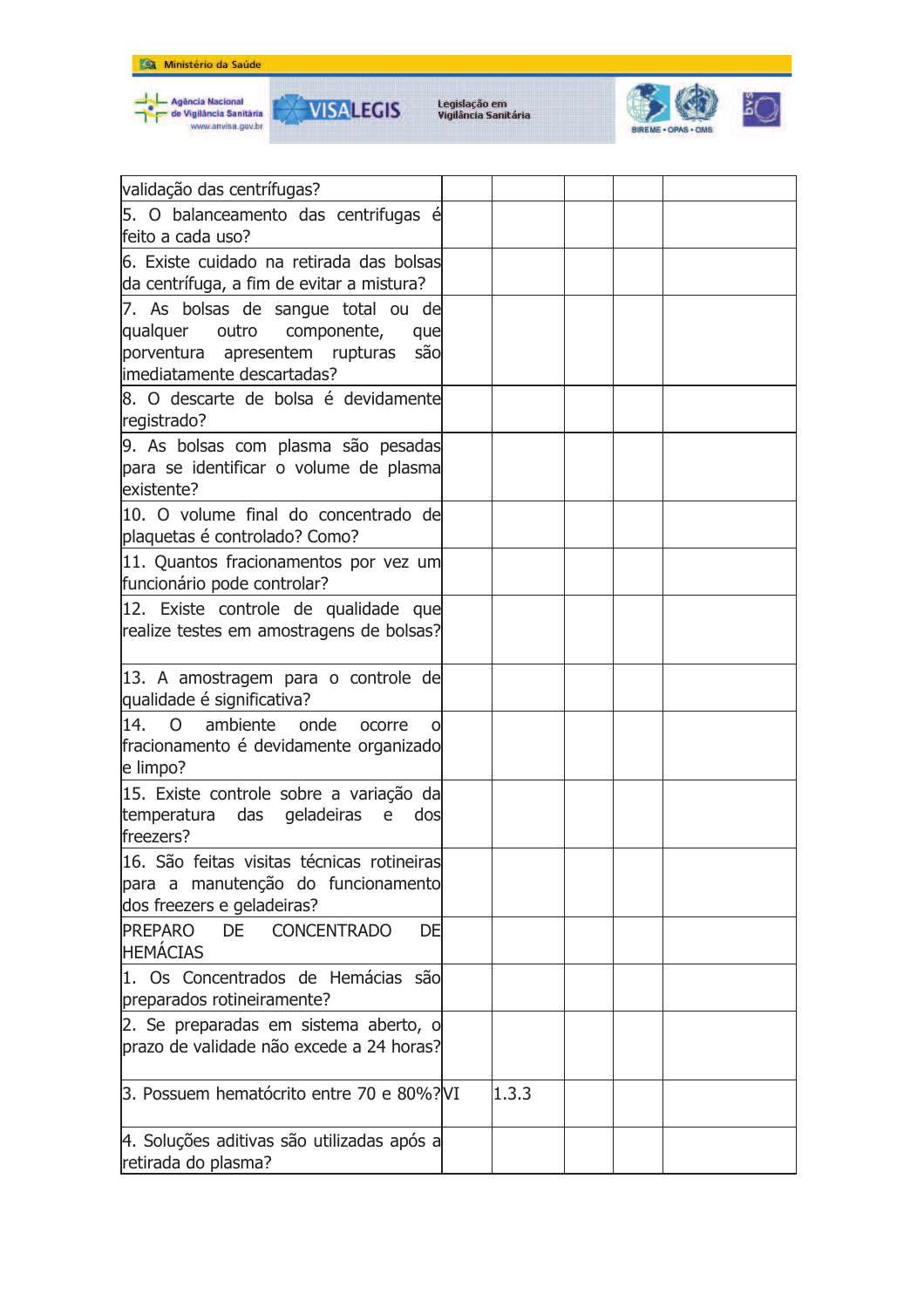









| validação das centrífugas?                              |       |  |  |
|---------------------------------------------------------|-------|--|--|
| 5. O balanceamento das centrifugas é                    |       |  |  |
| feito a cada uso?                                       |       |  |  |
| 6. Existe cuidado na retirada das bolsas                |       |  |  |
| da centrífuga, a fim de evitar a mistura?               |       |  |  |
| 7. As bolsas de sangue total ou de                      |       |  |  |
| qualquer<br>outro componente,<br>que                    |       |  |  |
| porventura apresentem rupturas<br>são                   |       |  |  |
| imediatamente descartadas?                              |       |  |  |
| 8. O descarte de bolsa é devidamente                    |       |  |  |
| registrado?                                             |       |  |  |
| 9. As bolsas com plasma são pesadas                     |       |  |  |
| para se identificar o volume de plasma                  |       |  |  |
| lexistente?                                             |       |  |  |
| 10. O volume final do concentrado de                    |       |  |  |
| plaquetas é controlado? Como?                           |       |  |  |
| 11. Quantos fracionamentos por vez um                   |       |  |  |
| funcionário pode controlar?                             |       |  |  |
| 12. Existe controle de qualidade que                    |       |  |  |
| realize testes em amostragens de bolsas?                |       |  |  |
|                                                         |       |  |  |
| 13. A amostragem para o controle de                     |       |  |  |
| qualidade é significativa?                              |       |  |  |
| 14. O<br>ambiente onde<br>ocorre<br>O                   |       |  |  |
| fracionamento é devidamente organizado                  |       |  |  |
| e limpo?                                                |       |  |  |
| 15. Existe controle sobre a variação da                 |       |  |  |
| temperatura das geladeiras<br>e<br>dos                  |       |  |  |
| freezers?                                               |       |  |  |
| 116. São feitas visitas técnicas rotineiras             |       |  |  |
| para a manutenção do funcionamento                      |       |  |  |
| dos freezers e geladeiras?                              |       |  |  |
| <b>PREPARO</b><br><b>DE</b><br><b>CONCENTRADO</b><br>DE |       |  |  |
| <b>HEMÁCIAS</b>                                         |       |  |  |
| 1. Os Concentrados de Hemácias são                      |       |  |  |
| preparados rotineiramente?                              |       |  |  |
| 2. Se preparadas em sistema aberto, o                   |       |  |  |
| prazo de validade não excede a 24 horas?                |       |  |  |
|                                                         |       |  |  |
| 3. Possuem hematócrito entre 70 e 80%? VI               | 1.3.3 |  |  |
|                                                         |       |  |  |
|                                                         |       |  |  |
| 4. Soluções aditivas são utilizadas após a              |       |  |  |
| retirada do plasma?                                     |       |  |  |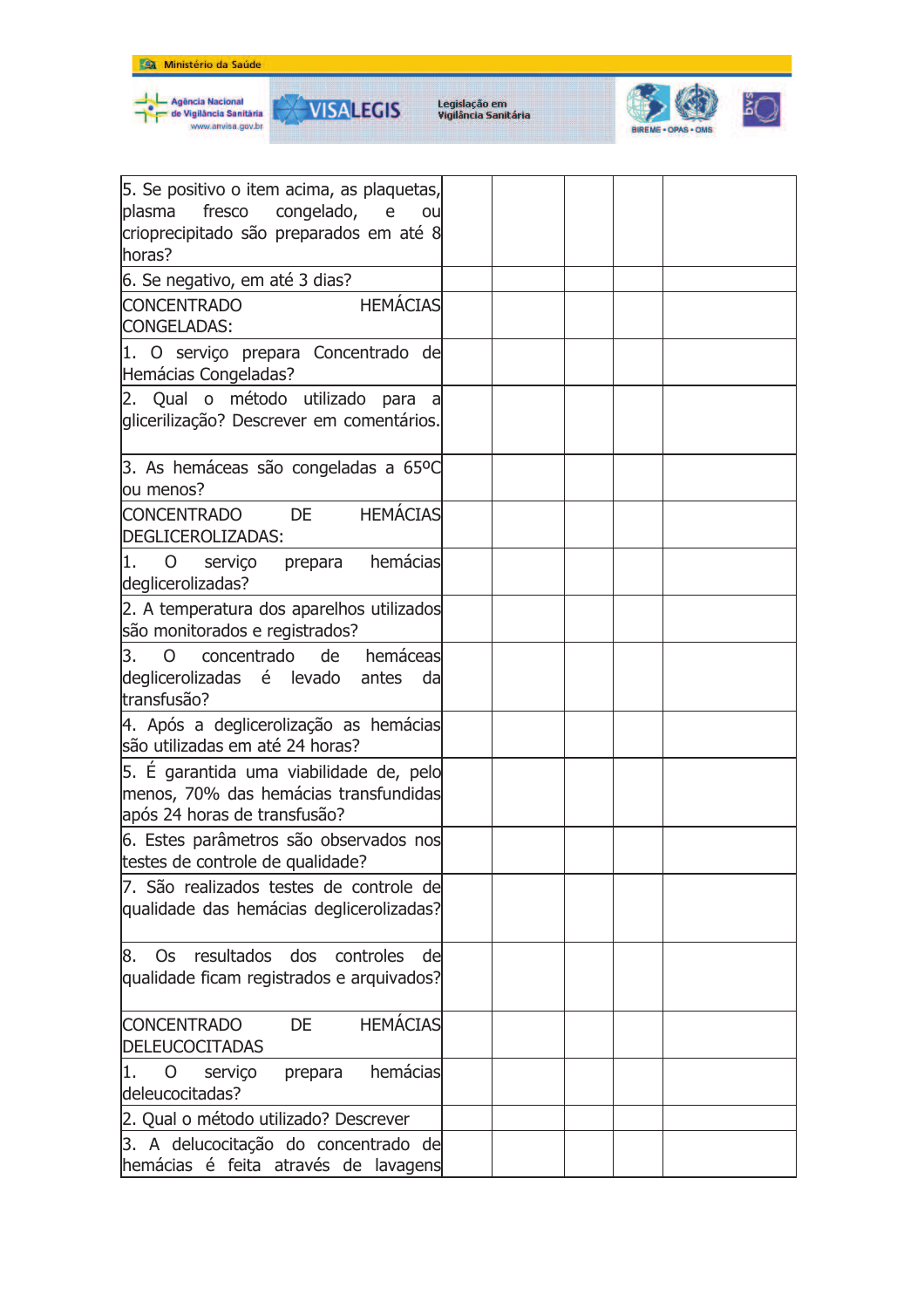







| 5. Se positivo o item acima, as plaquetas,<br>plasma<br>fresco congelado,<br>$\mathsf{e}% _{t}\left( t\right)$<br>ou<br>crioprecipitado são preparados em até 8<br>horas? |  |
|---------------------------------------------------------------------------------------------------------------------------------------------------------------------------|--|
| 6. Se negativo, em até 3 dias?                                                                                                                                            |  |
| <b>HEMÁCIAS</b><br><b>CONCENTRADO</b><br>CONGELADAS:                                                                                                                      |  |
| 1. O serviço prepara Concentrado de<br>Hemácias Congeladas?                                                                                                               |  |
| 2. Qual o método utilizado para<br>glicerilização? Descrever em comentários.                                                                                              |  |
| 3. As hemáceas são congeladas a 65ºC<br>ou menos?                                                                                                                         |  |
| <b>HEMÁCIAS</b><br><b>CONCENTRADO</b><br><b>DE</b><br>DEGLICEROLIZADAS:                                                                                                   |  |
| prepara hemácias<br>11.<br>0<br>serviço<br>deglicerolizadas?                                                                                                              |  |
| 2. A temperatura dos aparelhos utilizados<br>são monitorados e registrados?                                                                                               |  |
| 3.<br>concentrado de<br>hemáceas<br>$\overline{O}$<br>deglicerolizadas é levado<br>antes<br>da<br>transfusão?                                                             |  |
| 4. Após a deglicerolização as hemácias<br>são utilizadas em até 24 horas?                                                                                                 |  |
| 5. É garantida uma viabilidade de, pelo<br>menos, 70% das hemácias transfundidas<br>após 24 horas de transfusão?                                                          |  |
| 6. Estes parâmetros são observados nos<br>testes de controle de qualidade?                                                                                                |  |
| 7. São realizados testes de controle de<br>qualidade das hemácias deglicerolizadas?                                                                                       |  |
| 8. Os resultados dos controles de<br>qualidade ficam registrados e arquivados?                                                                                            |  |
| <b>HEMÁCIAS</b><br><b>CONCENTRADO</b><br><b>DE</b><br><b>DELEUCOCITADAS</b>                                                                                               |  |
| hemácias<br>O<br>11.<br>serviço<br>prepara<br>deleucocitadas?                                                                                                             |  |
| 2. Qual o método utilizado? Descrever                                                                                                                                     |  |
| 3. A delucocitação do concentrado de<br>hemácias é feita através de lavagens                                                                                              |  |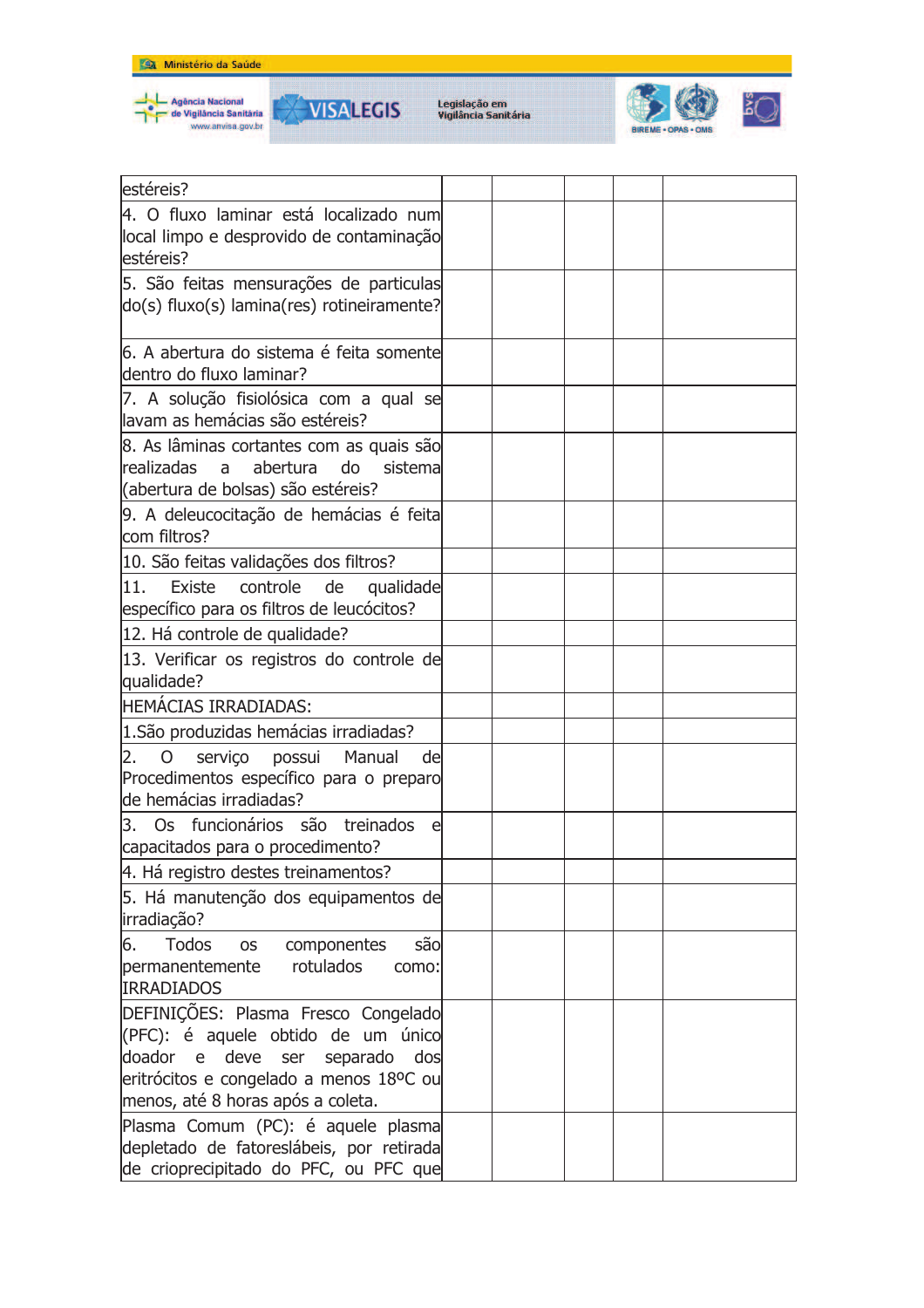



**VISALEGIS** 



| estéreis?                                             |  |
|-------------------------------------------------------|--|
| 4. O fluxo laminar está localizado num                |  |
| local limpo e desprovido de contaminação              |  |
| lestéreis?                                            |  |
| 5. São feitas mensurações de particulas               |  |
| do(s) fluxo(s) lamina(res) rotineiramente?            |  |
|                                                       |  |
| 6. A abertura do sistema é feita somente              |  |
| dentro do fluxo laminar?                              |  |
| 7. A solução fisiolósica com a qual se                |  |
| llavam as hemácias são estéreis?                      |  |
| 8. As lâminas cortantes com as quais são              |  |
| <b>realizadas</b><br>abertura<br>a<br>do<br>sistema   |  |
| (abertura de bolsas) são estéreis?                    |  |
| 9. A deleucocitação de hemácias é feita               |  |
| com filtros?                                          |  |
| 10. São feitas validações dos filtros?                |  |
| Existe<br>controle<br>de<br>11.<br>qualidade          |  |
| específico para os filtros de leucócitos?             |  |
| 12. Há controle de qualidade?                         |  |
| 13. Verificar os registros do controle de             |  |
| qualidade?                                            |  |
| <b>HEMÁCIAS IRRADIADAS:</b>                           |  |
| 1. São produzidas hemácias irradiadas?                |  |
| 2.<br>serviço possui Manual<br>$\mathsf{O}$<br>del    |  |
| Procedimentos específico para o preparo               |  |
| lde hemácias irradiadas?                              |  |
| 3. Os funcionários são treinados<br>e                 |  |
| capacitados para o procedimento?                      |  |
| 4. Há registro destes treinamentos?                   |  |
| 5. Há manutenção dos equipamentos de                  |  |
| irradiação?                                           |  |
| 6.<br><b>Todos</b><br>são<br>componentes<br><b>OS</b> |  |
| rotulados<br>permanentemente<br>como:                 |  |
| <b>IRRADIADOS</b>                                     |  |
| DEFINIÇÕES: Plasma Fresco Congelado                   |  |
| (PFC): é aquele obtido de um único                    |  |
| doador e deve ser separado dos                        |  |
| eritrócitos e congelado a menos 18ºC ou               |  |
| menos, até 8 horas após a coleta.                     |  |
| Plasma Comum (PC): é aquele plasma                    |  |
| depletado de fatoreslábeis, por retirada              |  |
| de crioprecipitado do PFC, ou PFC que                 |  |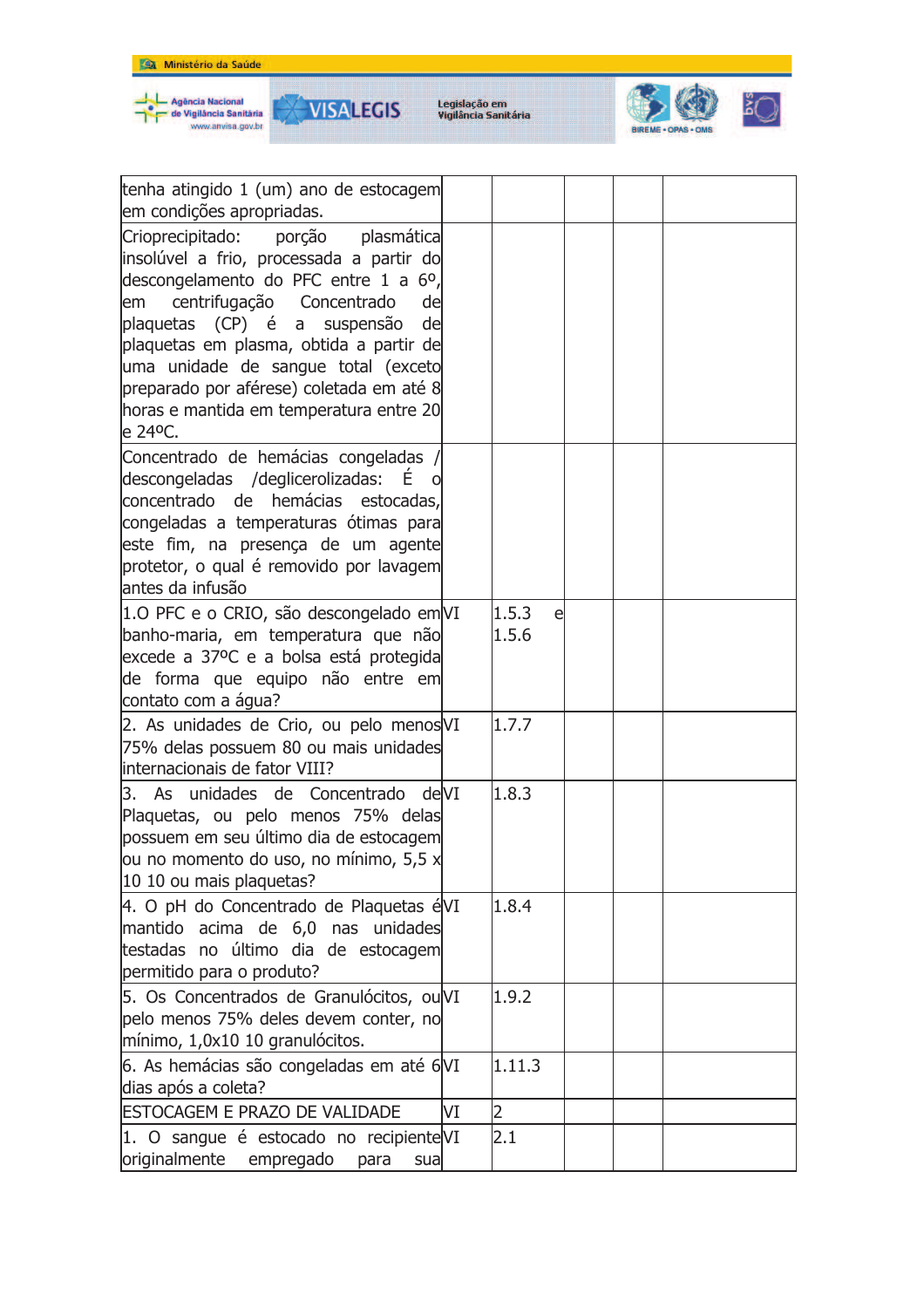

| tenha atingido 1 (um) ano de estocagem<br>em condições apropriadas.                                                                                                                                                                                                                                                                                                                                |    |                |   |  |
|----------------------------------------------------------------------------------------------------------------------------------------------------------------------------------------------------------------------------------------------------------------------------------------------------------------------------------------------------------------------------------------------------|----|----------------|---|--|
| Crioprecipitado:<br>porção<br>plasmática<br>insolúvel a frio, processada a partir do<br>descongelamento do PFC entre 1 a 6°,<br>centrifugação<br>Concentrado<br>de<br>em<br>plaquetas (CP) é a suspensão<br>de<br>plaquetas em plasma, obtida a partir de<br>uma unidade de sangue total (exceto<br>preparado por aférese) coletada em até 8<br>horas e mantida em temperatura entre 20<br>e 24°C. |    |                |   |  |
| Concentrado de hemácias congeladas /<br>descongeladas /deglicerolizadas:<br>$E_{\perp}$<br>concentrado de hemácias estocadas,<br>congeladas a temperaturas ótimas para<br>este fim, na presença de um agente<br>protetor, o qual é removido por lavagem<br>lantes da infusão                                                                                                                       |    |                |   |  |
| 1.0 PFC e o CRIO, são descongelado em VI<br>banho-maria, em temperatura que não<br>excede a 37ºC e a bolsa está protegida<br>de forma que equipo não entre em<br>contato com a água?                                                                                                                                                                                                               |    | 1.5.3<br>1.5.6 | e |  |
| 2. As unidades de Crio, ou pelo menosVI<br>75% delas possuem 80 ou mais unidades<br>internacionais de fator VIII?                                                                                                                                                                                                                                                                                  |    | 1.7.7          |   |  |
| 3. As unidades de Concentrado deVI<br>Plaquetas, ou pelo menos 75% delas<br>possuem em seu último dia de estocagem<br>lou no momento do uso, no mínimo, 5,5 x<br>10 10 ou mais plaquetas?                                                                                                                                                                                                          |    | 1.8.3          |   |  |
| 4. O pH do Concentrado de Plaquetas éVI<br>mantido acima de 6,0 nas unidades<br>testadas no último dia de estocagem<br>permitido para o produto?                                                                                                                                                                                                                                                   |    | 1.8.4          |   |  |
| 5. Os Concentrados de Granulócitos, ou VI<br>pelo menos 75% deles devem conter, no<br>mínimo, 1,0x10 10 granulócitos.                                                                                                                                                                                                                                                                              |    | 1.9.2          |   |  |
| 6. As hemácias são congeladas em até 6VI<br>dias após a coleta?                                                                                                                                                                                                                                                                                                                                    |    | 1.11.3         |   |  |
| <b>ESTOCAGEM E PRAZO DE VALIDADE</b>                                                                                                                                                                                                                                                                                                                                                               | VI | $\overline{2}$ |   |  |
| 1. O sangue é estocado no recipiente VI<br>originalmente empregado para<br>sual                                                                                                                                                                                                                                                                                                                    |    | 2.1            |   |  |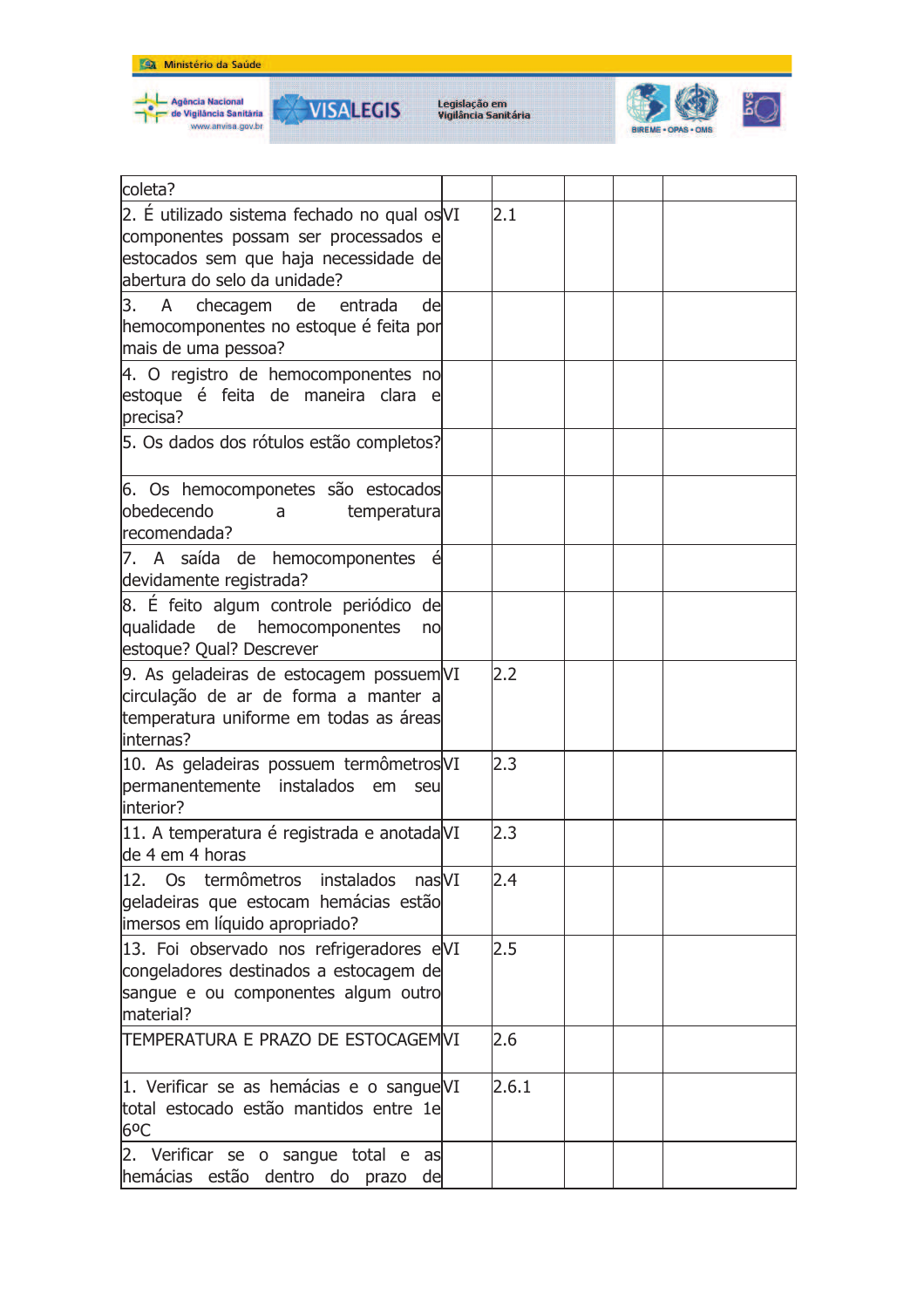







| coleta?                                     |       |  |  |
|---------------------------------------------|-------|--|--|
| 2. É utilizado sistema fechado no qual osVI | 2.1   |  |  |
| componentes possam ser processados e        |       |  |  |
| estocados sem que haja necessidade de       |       |  |  |
| abertura do selo da unidade?                |       |  |  |
| 3.<br>A checagem de entrada<br>de           |       |  |  |
| hemocomponentes no estoque é feita por      |       |  |  |
| mais de uma pessoa?                         |       |  |  |
|                                             |       |  |  |
| 4. O registro de hemocomponentes no         |       |  |  |
| estoque é feita de maneira clara e          |       |  |  |
| precisa?                                    |       |  |  |
| 5. Os dados dos rótulos estão completos?    |       |  |  |
| 6. Os hemocomponetes são estocados          |       |  |  |
| lobedecendo<br>temperatura                  |       |  |  |
| a<br>recomendada?                           |       |  |  |
|                                             |       |  |  |
| 7. A saída de hemocomponentes<br>é          |       |  |  |
| devidamente registrada?                     |       |  |  |
| 8. É feito algum controle periódico de      |       |  |  |
| qualidade de<br>hemocomponentes<br>no       |       |  |  |
| estoque? Qual? Descrever                    |       |  |  |
| 9. As geladeiras de estocagem possuem VI    | 2.2   |  |  |
| circulação de ar de forma a manter a        |       |  |  |
| temperatura uniforme em todas as áreas      |       |  |  |
| internas?                                   |       |  |  |
| 10. As geladeiras possuem termômetros VI    | 2.3   |  |  |
|                                             |       |  |  |
| permanentemente instalados<br>em<br>seu     |       |  |  |
| linterior?                                  |       |  |  |
| 11. A temperatura é registrada e anotada VI | 2.3   |  |  |
| de 4 em 4 horas                             |       |  |  |
| 12. Os termômetros instalados nasVI         | 2.4   |  |  |
| geladeiras que estocam hemácias estão       |       |  |  |
| imersos em líquido apropriado?              |       |  |  |
| 13. Foi observado nos refrigeradores eVI    | 2.5   |  |  |
| congeladores destinados a estocagem de      |       |  |  |
| sangue e ou componentes algum outro         |       |  |  |
| material?                                   |       |  |  |
|                                             |       |  |  |
| TEMPERATURA E PRAZO DE ESTOCAGEMIVI         | 2.6   |  |  |
| 1. Verificar se as hemácias e o sangue VI   | 2.6.1 |  |  |
| total estocado estão mantidos entre 1e      |       |  |  |
| 6 <sup>o</sup> C                            |       |  |  |
| 2. Verificar se o sangue total e as         |       |  |  |
| hemácias estão dentro do prazo              |       |  |  |
| de                                          |       |  |  |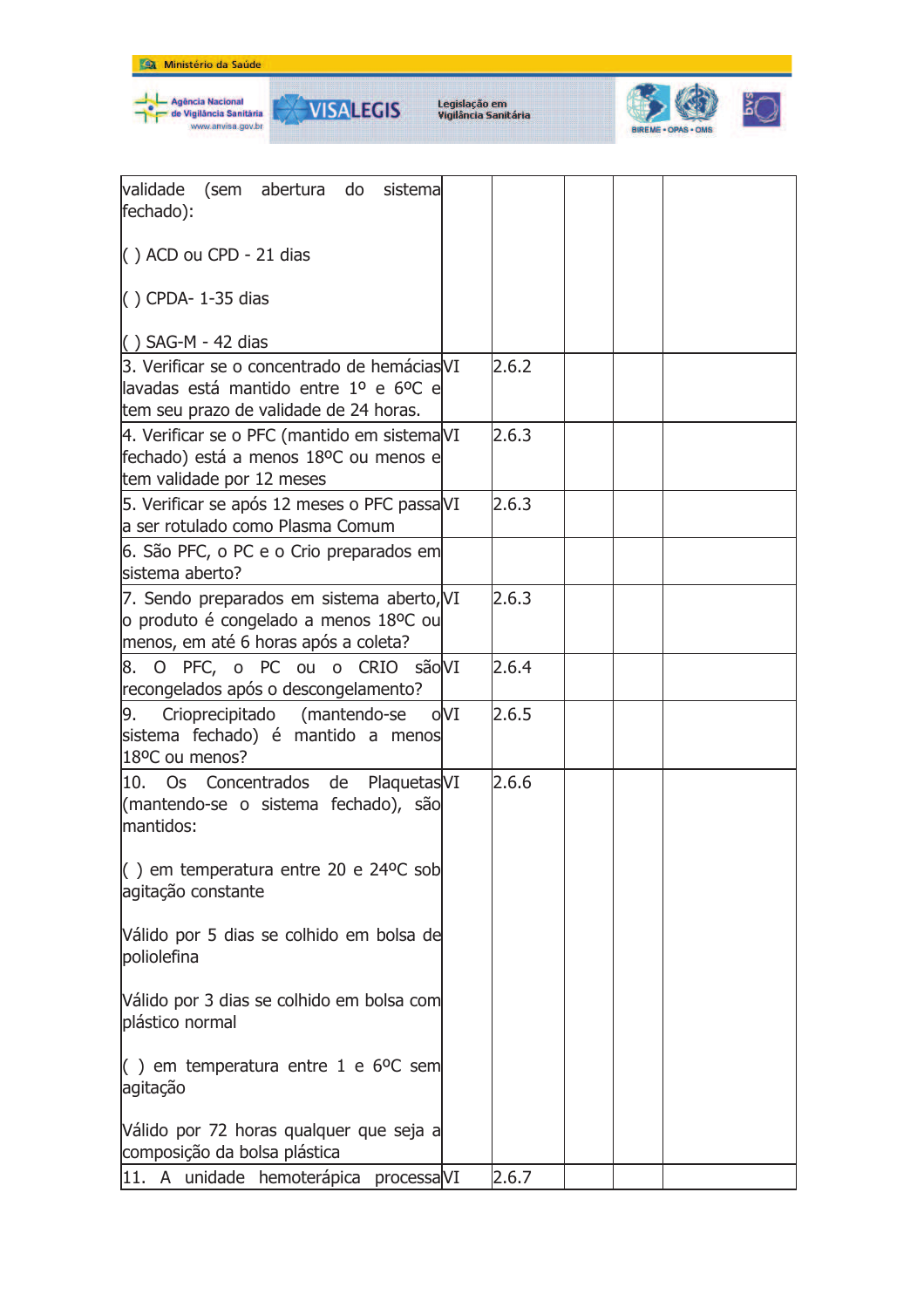

Agência Nacional<br>de Vigilância Sanităria<br>www.anvisa.gov.br

Legislação em<br>Vigilância Sanitária

**VISALEGIS** 

₩



| validade<br>(sem abertura do<br>sistemal<br>fechado):                                                                            |       |  |  |
|----------------------------------------------------------------------------------------------------------------------------------|-------|--|--|
| $( )$ ACD ou CPD - 21 dias                                                                                                       |       |  |  |
| $( )$ CPDA-1-35 dias                                                                                                             |       |  |  |
| $( )$ SAG-M - 42 dias                                                                                                            |       |  |  |
| 3. Verificar se o concentrado de hemácias VI<br>llavadas está mantido entre 1º e 6ºC e<br>tem seu prazo de validade de 24 horas. | 2.6.2 |  |  |
| 4. Verificar se o PFC (mantido em sistemaVI<br>fechado) está a menos 18ºC ou menos e<br>tem validade por 12 meses                | 2.6.3 |  |  |
| 5. Verificar se após 12 meses o PFC passaVI<br>a ser rotulado como Plasma Comum                                                  | 2.6.3 |  |  |
| 6. São PFC, o PC e o Crio preparados em<br>sistema aberto?                                                                       |       |  |  |
| 7. Sendo preparados em sistema aberto, VI<br>o produto é congelado a menos 18ºC ou<br>menos, em até 6 horas após a coleta?       | 2.6.3 |  |  |
| 8. O PFC, o PC ou o CRIO são VI<br>recongelados após o descongelamento?                                                          | 2.6.4 |  |  |
| Crioprecipitado (mantendo-se oVI<br>9.<br>sistema fechado) é mantido a menos<br>18°C ou menos?                                   | 2.6.5 |  |  |
| Plaquetas <sub>VI</sub><br>10.<br>Os<br>Concentrados<br>de<br>(mantendo-se o sistema fechado), são<br>mantidos:                  | 2.6.6 |  |  |
| $\vert$ $\vert$ ) em temperatura entre 20 e 24 °C sob<br>agitação constante                                                      |       |  |  |
| Válido por 5 dias se colhido em bolsa de<br>poliolefina                                                                          |       |  |  |
| Válido por 3 dias se colhido em bolsa com<br>plástico normal                                                                     |       |  |  |
| $($ ) em temperatura entre 1 e 6 <sup>o</sup> C sem<br>agitação                                                                  |       |  |  |
| Válido por 72 horas qualquer que seja a<br>composição da bolsa plástica                                                          |       |  |  |
| 11. A unidade hemoterápica processa VI                                                                                           | 2.6.7 |  |  |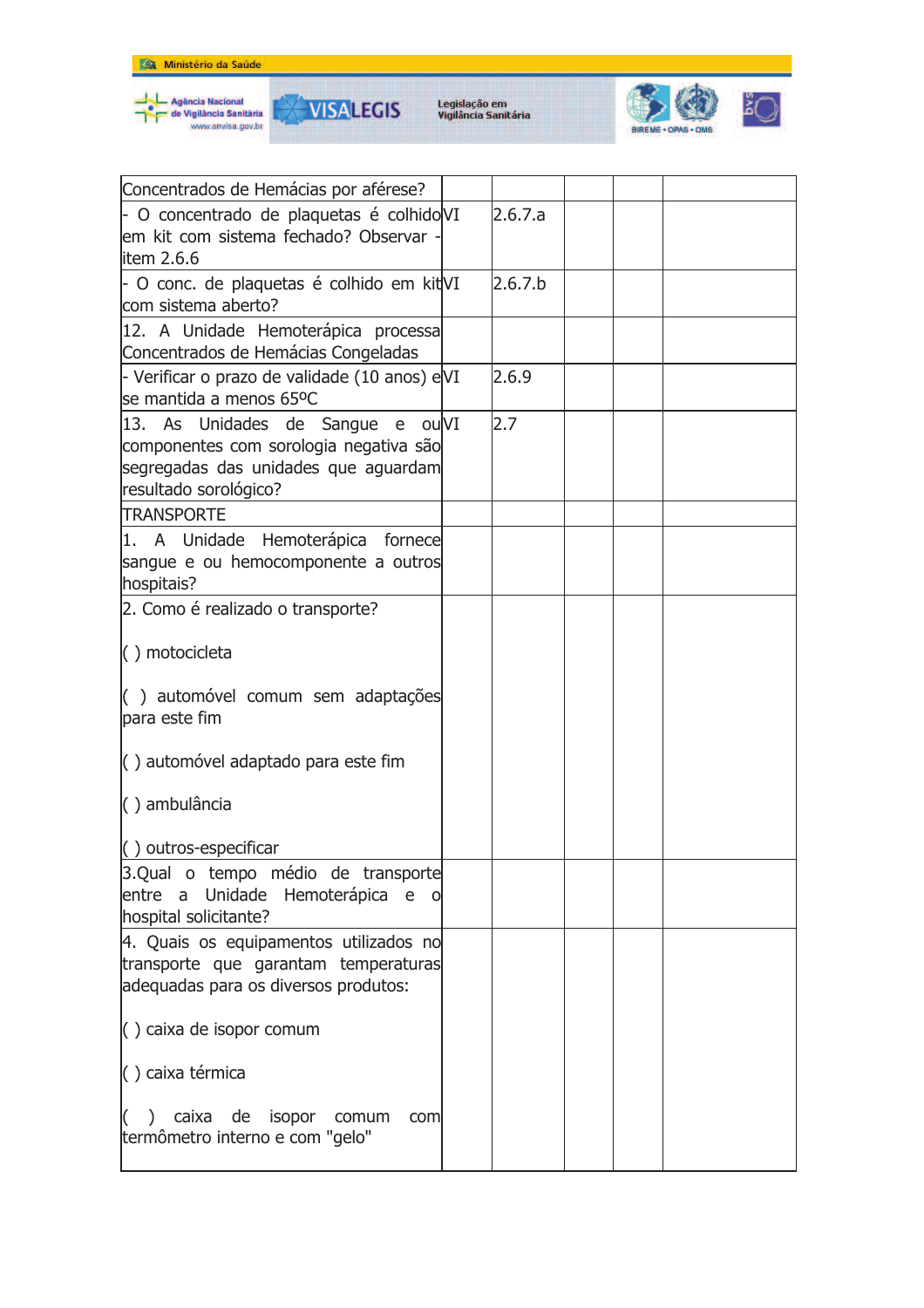





| Concentrados de Hemácias por aférese?         |         |  |  |
|-----------------------------------------------|---------|--|--|
| - O concentrado de plaquetas é colhido VI     | 2.6.7.a |  |  |
| lem kit com sistema fechado? Observar -       |         |  |  |
| litem 2.6.6                                   |         |  |  |
| - O conc. de plaquetas é colhido em kit VI    | 2.6.7.b |  |  |
| com sistema aberto?                           |         |  |  |
| 12. A Unidade Hemoterápica processa           |         |  |  |
| Concentrados de Hemácias Congeladas           |         |  |  |
| - Verificar o prazo de validade (10 anos) eVI | 2.6.9   |  |  |
| se mantida a menos 65ºC                       |         |  |  |
| 13. As Unidades de Sangue e ouVI              | 2.7     |  |  |
| componentes com sorologia negativa são        |         |  |  |
| segregadas das unidades que aguardam          |         |  |  |
| resultado sorológico?                         |         |  |  |
| <b>TRANSPORTE</b>                             |         |  |  |
| 1. A Unidade Hemoterápica fornece             |         |  |  |
| sangue e ou hemocomponente a outros           |         |  |  |
| hospitais?                                    |         |  |  |
| 2. Como é realizado o transporte?             |         |  |  |
|                                               |         |  |  |
| $( )$ motocicleta                             |         |  |  |
|                                               |         |  |  |
| () automóvel comum sem adaptações             |         |  |  |
| para este fim                                 |         |  |  |
|                                               |         |  |  |
| $\vert$ automóvel adaptado para este fim      |         |  |  |
|                                               |         |  |  |
| () ambulância                                 |         |  |  |
|                                               |         |  |  |
| $( )$ outros-especificar                      |         |  |  |
| 3.Qual o tempo médio de transporte            |         |  |  |
| Unidade Hemoterápica e<br>entre a             |         |  |  |
| hospital solicitante?                         |         |  |  |
| 4. Quais os equipamentos utilizados no        |         |  |  |
| transporte que garantam temperaturas          |         |  |  |
| adequadas para os diversos produtos:          |         |  |  |
| $\langle$ ) caixa de isopor comum             |         |  |  |
|                                               |         |  |  |
| () caixa térmica                              |         |  |  |
|                                               |         |  |  |
| ) caixa de isopor comum<br>com                |         |  |  |
| termômetro interno e com "gelo"               |         |  |  |
|                                               |         |  |  |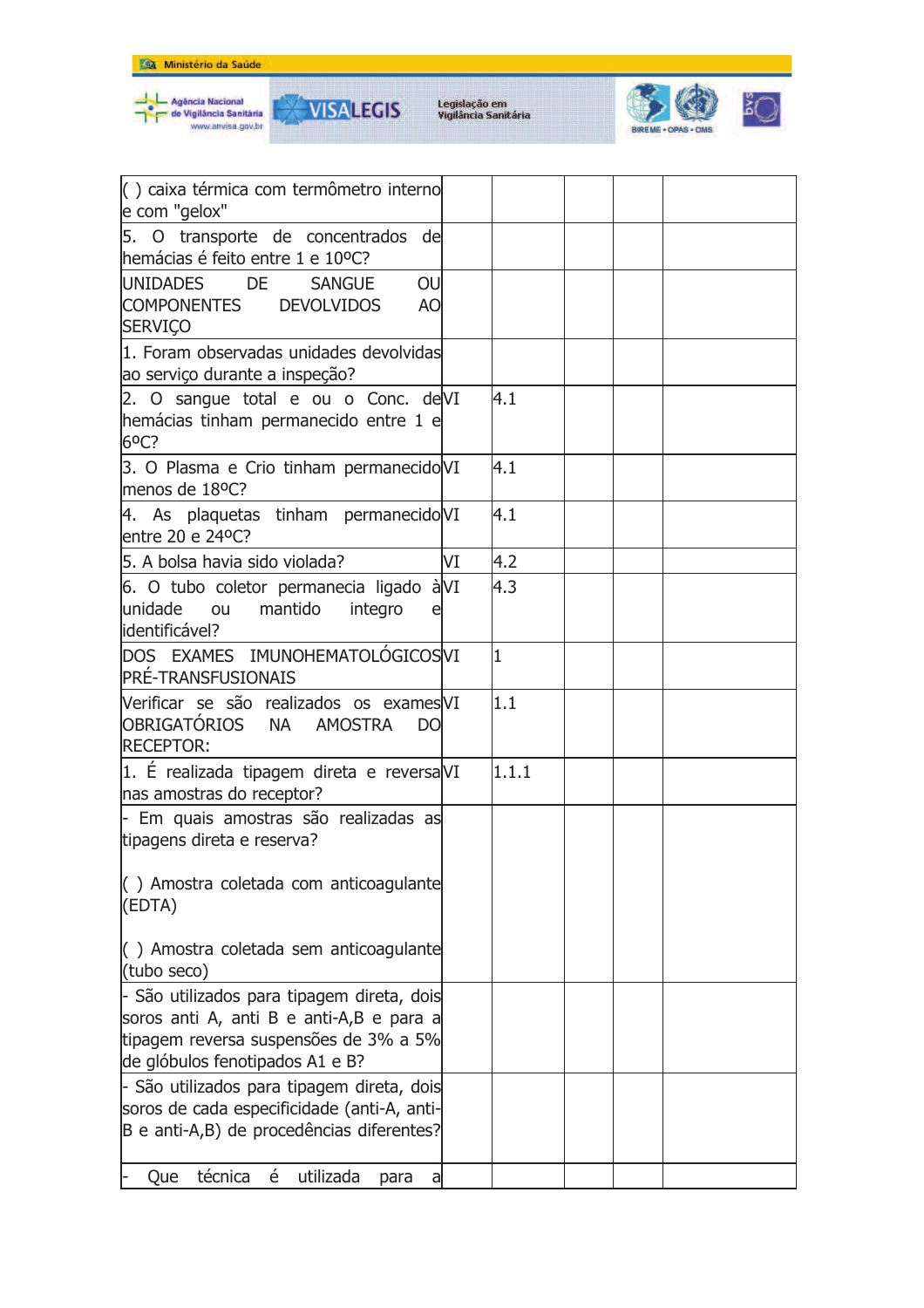







| () caixa térmica com termômetro interno<br>e com "gelox"                                                                                                           |    |       |  |  |
|--------------------------------------------------------------------------------------------------------------------------------------------------------------------|----|-------|--|--|
| 5. O transporte de concentrados de<br>hemácias é feito entre 1 e 10°C?                                                                                             |    |       |  |  |
| UNIDADES DE<br>OU<br><b>SANGUE</b><br><b>COMPONENTES</b><br><b>DEVOLVIDOS</b><br>A <sub>O</sub><br><b>SERVIÇO</b>                                                  |    |       |  |  |
| 1. Foram observadas unidades devolvidas<br>ao serviço durante a inspeção?                                                                                          |    |       |  |  |
| 2. O sangue total e ou o Conc. deVI<br>hemácias tinham permanecido entre 1 e<br>6 <sup>o</sup> C?                                                                  |    | 4.1   |  |  |
| 3. O Plasma e Crio tinham permanecido VI<br>menos de 18°C?                                                                                                         |    | 4.1   |  |  |
| 4. As plaquetas tinham permanecido VI<br>entre 20 e 24ºC?                                                                                                          |    | 4.1   |  |  |
| 5. A bolsa havia sido violada?                                                                                                                                     | VI | 4.2   |  |  |
| 6. O tubo coletor permanecia ligado à VI<br>unidade<br>mantido<br><b>OU</b><br>integro<br>identificável?                                                           |    | 4.3   |  |  |
| DOS EXAMES IMUNOHEMATOLÓGICOSVI<br><b>PRÉ-TRANSFUSIONAIS</b>                                                                                                       |    | I1    |  |  |
| Verificar se são realizados os exames VI<br>OBRIGATÓRIOS NA AMOSTRA<br>DO<br><b>RECEPTOR:</b>                                                                      |    | 1.1   |  |  |
| 1. È realizada tipagem direta e reversa VI<br>nas amostras do receptor?                                                                                            |    | 1.1.1 |  |  |
| - Em quais amostras são realizadas as<br>tipagens direta e reserva?                                                                                                |    |       |  |  |
| () Amostra coletada com anticoagulante<br>(EDTA)                                                                                                                   |    |       |  |  |
| () Amostra coletada sem anticoagulante<br>(tubo seco)                                                                                                              |    |       |  |  |
| - São utilizados para tipagem direta, dois<br>soros anti A, anti B e anti-A,B e para a<br>tipagem reversa suspensões de 3% a 5%<br>de glóbulos fenotipados A1 e B? |    |       |  |  |
| - São utilizados para tipagem direta, dois<br>soros de cada especificidade (anti-A, anti-<br>B e anti-A,B) de procedências diferentes?                             |    |       |  |  |
| técnica<br>é<br>utilizada<br>Que<br>para<br>a                                                                                                                      |    |       |  |  |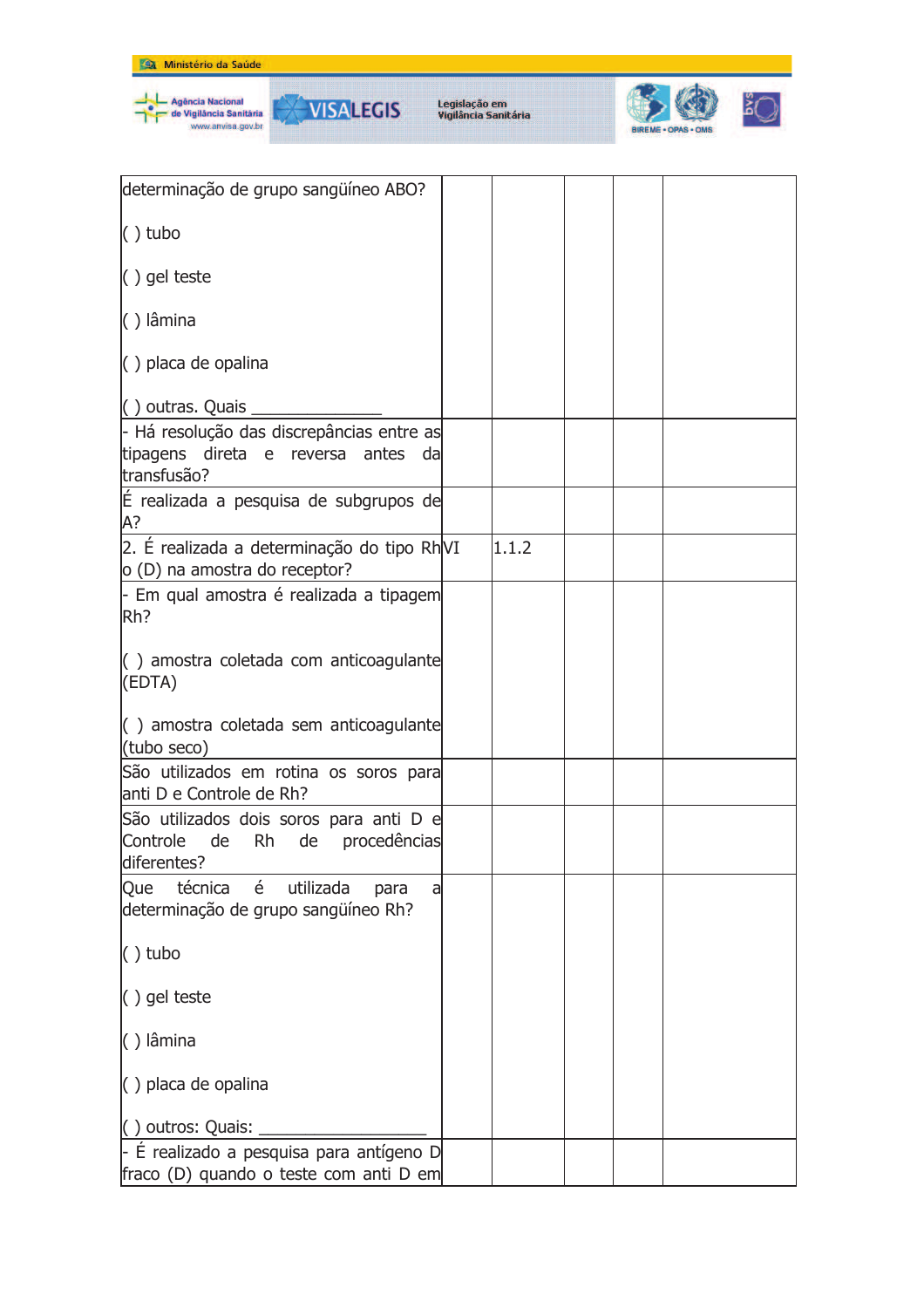

| determinação de grupo sangüíneo ABO?                                                                        |       |  |  |
|-------------------------------------------------------------------------------------------------------------|-------|--|--|
| $()$ tubo                                                                                                   |       |  |  |
| $()$ gel teste                                                                                              |       |  |  |
| $( )$ lâmina                                                                                                |       |  |  |
| () placa de opalina                                                                                         |       |  |  |
| $( )$ outras. Quais                                                                                         |       |  |  |
| - Há resolução das discrepâncias entre as<br>tipagens direta e reversa antes da<br>transfusão?              |       |  |  |
| É realizada a pesquisa de subgrupos de<br>А?                                                                |       |  |  |
| 2. É realizada a determinação do tipo RhVI<br>o (D) na amostra do receptor?                                 | 1.1.2 |  |  |
| - Em qual amostra é realizada a tipagem<br>Rh?                                                              |       |  |  |
| () amostra coletada com anticoagulante<br>(EDTA)                                                            |       |  |  |
| $\left( \begin{array}{c} \end{array} \right)$ amostra coletada sem anticoagulante<br>(tubo seco)            |       |  |  |
| São utilizados em rotina os soros para<br>anti D e Controle de Rh?                                          |       |  |  |
| São utilizados dois soros para anti D e<br>Controle<br>de<br><b>Rh</b><br>de<br>procedências<br>diferentes? |       |  |  |
| técnica é utilizada<br>Que<br>para<br>a<br>determinação de grupo sangüíneo Rh?                              |       |  |  |
| $()$ tubo                                                                                                   |       |  |  |
| () gel teste                                                                                                |       |  |  |
| () lâmina                                                                                                   |       |  |  |
| () placa de opalina                                                                                         |       |  |  |
| () outros: Quais:                                                                                           |       |  |  |
| $-$ É realizado a pesquisa para antígeno D<br>fraco (D) quando o teste com anti D em                        |       |  |  |
|                                                                                                             |       |  |  |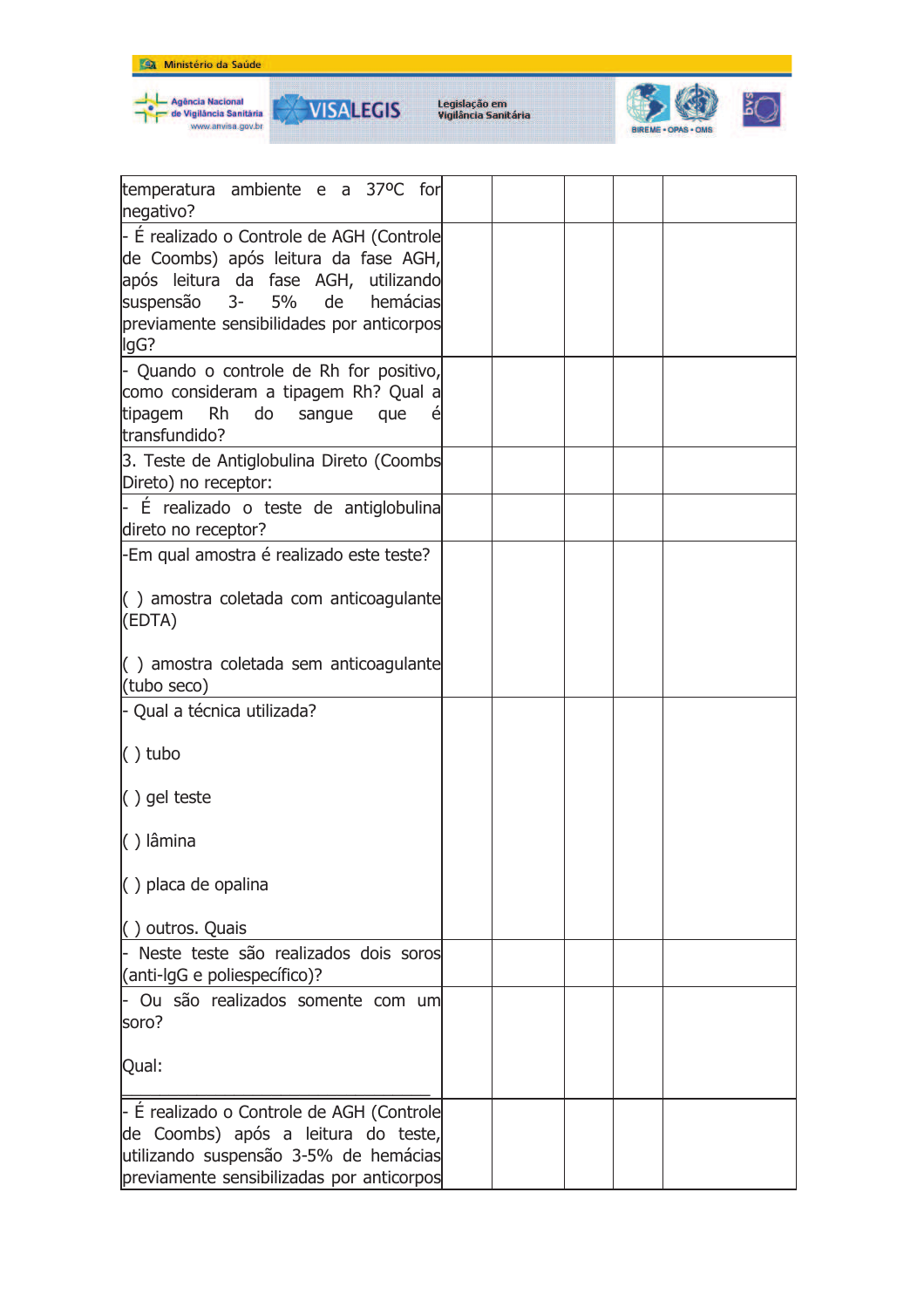



**VISALEGIS** 

₩



| temperatura ambiente e a 37°C for<br>negativo?                                                                                                                                                                         |  |  |  |
|------------------------------------------------------------------------------------------------------------------------------------------------------------------------------------------------------------------------|--|--|--|
| - É realizado o Controle de AGH (Controle<br>de Coombs) após leitura da fase AGH,<br>após leitura da fase AGH, utilizando<br>suspensão 3-<br>5%<br>hemácias<br>de<br>previamente sensibilidades por anticorpos<br>lgG? |  |  |  |
| - Quando o controle de Rh for positivo,<br>como consideram a tipagem Rh? Qual a<br>tipagem<br>Rh<br>do<br>sangue<br>que<br>é<br>transfundido?                                                                          |  |  |  |
| 3. Teste de Antiglobulina Direto (Coombs<br>Direto) no receptor:                                                                                                                                                       |  |  |  |
| - É realizado o teste de antiglobulina<br>direto no receptor?                                                                                                                                                          |  |  |  |
| -Em qual amostra é realizado este teste?                                                                                                                                                                               |  |  |  |
| $\left( \ \right)$ amostra coletada com anticoagulante<br>(EDTA)                                                                                                                                                       |  |  |  |
| $\left( \begin{array}{c} \end{array} \right)$ amostra coletada sem anticoagulante<br>(tubo seco)                                                                                                                       |  |  |  |
| - Qual a técnica utilizada?                                                                                                                                                                                            |  |  |  |
| $( )$ tubo                                                                                                                                                                                                             |  |  |  |
| $( )$ gel teste                                                                                                                                                                                                        |  |  |  |
| () lâmina                                                                                                                                                                                                              |  |  |  |
| $( )$ placa de opalina                                                                                                                                                                                                 |  |  |  |
| () outros. Quais                                                                                                                                                                                                       |  |  |  |
| - Neste teste são realizados dois soros<br>(anti-lgG e poliespecífico)?                                                                                                                                                |  |  |  |
| Ou são realizados somente com um<br>soro?                                                                                                                                                                              |  |  |  |
| Qual:                                                                                                                                                                                                                  |  |  |  |
| - É realizado o Controle de AGH (Controle<br>de Coombs) após a leitura do teste,<br>utilizando suspensão 3-5% de hemácias<br>previamente sensibilizadas por anticorpos                                                 |  |  |  |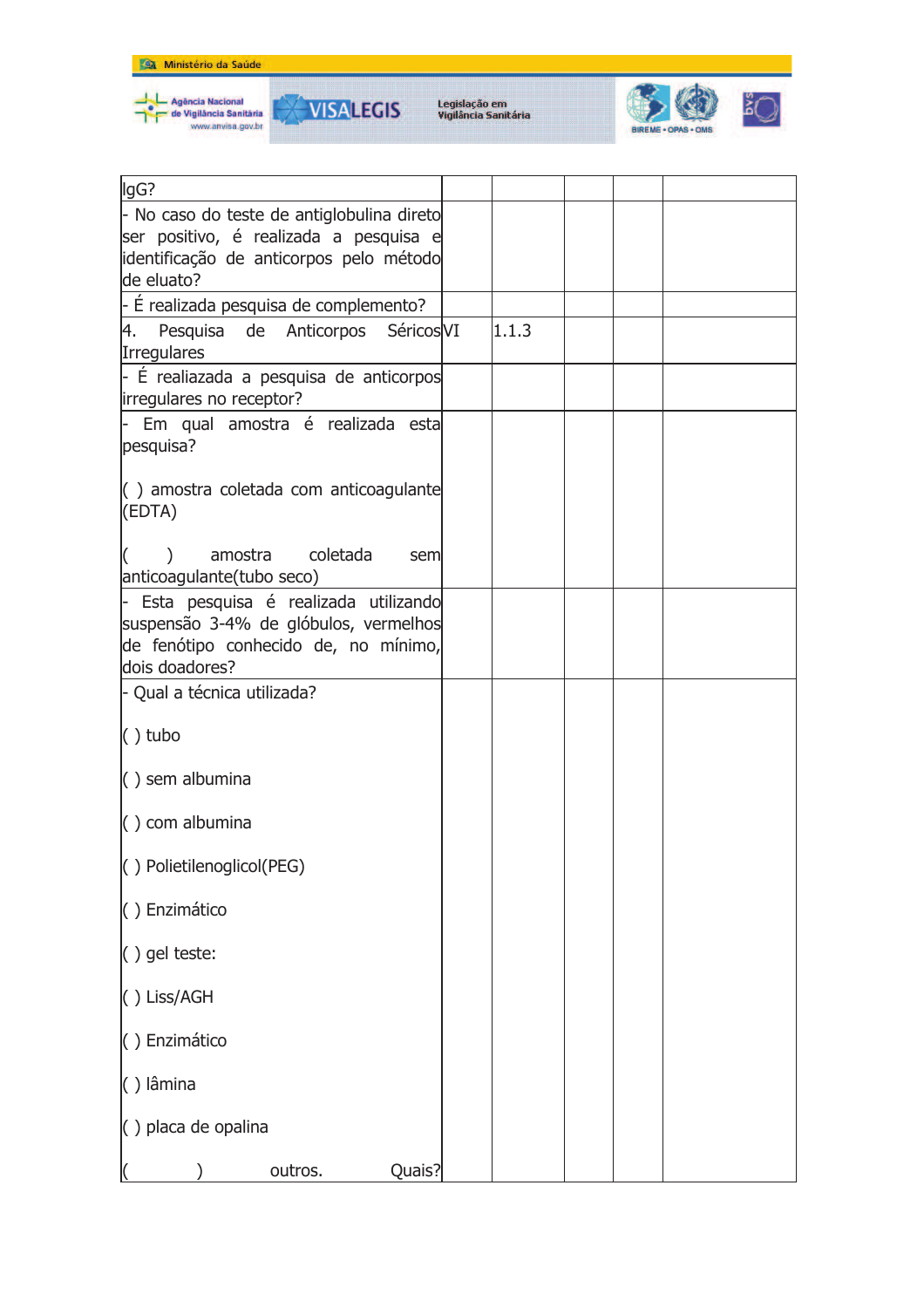





| lgG?                                                                                                                                    |       |  |  |
|-----------------------------------------------------------------------------------------------------------------------------------------|-------|--|--|
| - No caso do teste de antiglobulina direto<br>ser positivo, é realizada a pesquisa e                                                    |       |  |  |
| identificação de anticorpos pelo método<br>de eluato?                                                                                   |       |  |  |
| - É realizada pesquisa de complemento?                                                                                                  |       |  |  |
| 4. Pesquisa de Anticorpos SéricosVI<br>Irregulares                                                                                      | 1.1.3 |  |  |
| - É realiazada a pesquisa de anticorpos<br>irregulares no receptor?                                                                     |       |  |  |
| - Em qual amostra é realizada esta<br>pesquisa?                                                                                         |       |  |  |
| $\left( \ \right)$ amostra coletada com anticoagulante<br>(EDTA)                                                                        |       |  |  |
| amostra coletada<br>sem<br>anticoagulante(tubo seco)                                                                                    |       |  |  |
| Esta pesquisa é realizada utilizando<br>suspensão 3-4% de glóbulos, vermelhos<br>de fenótipo conhecido de, no mínimo,<br>dois doadores? |       |  |  |
| - Qual a técnica utilizada?                                                                                                             |       |  |  |
| $( )$ tubo                                                                                                                              |       |  |  |
| $( )$ sem albumina                                                                                                                      |       |  |  |
| $\langle$ ) com albumina                                                                                                                |       |  |  |
| () Polietilenoglicol(PEG)                                                                                                               |       |  |  |
| () Enzimático                                                                                                                           |       |  |  |
| $( )$ gel teste:                                                                                                                        |       |  |  |
| () Liss/AGH                                                                                                                             |       |  |  |
| () Enzimático                                                                                                                           |       |  |  |
| $( )$ lâmina                                                                                                                            |       |  |  |
| () placa de opalina                                                                                                                     |       |  |  |
| Quais?<br>outros.                                                                                                                       |       |  |  |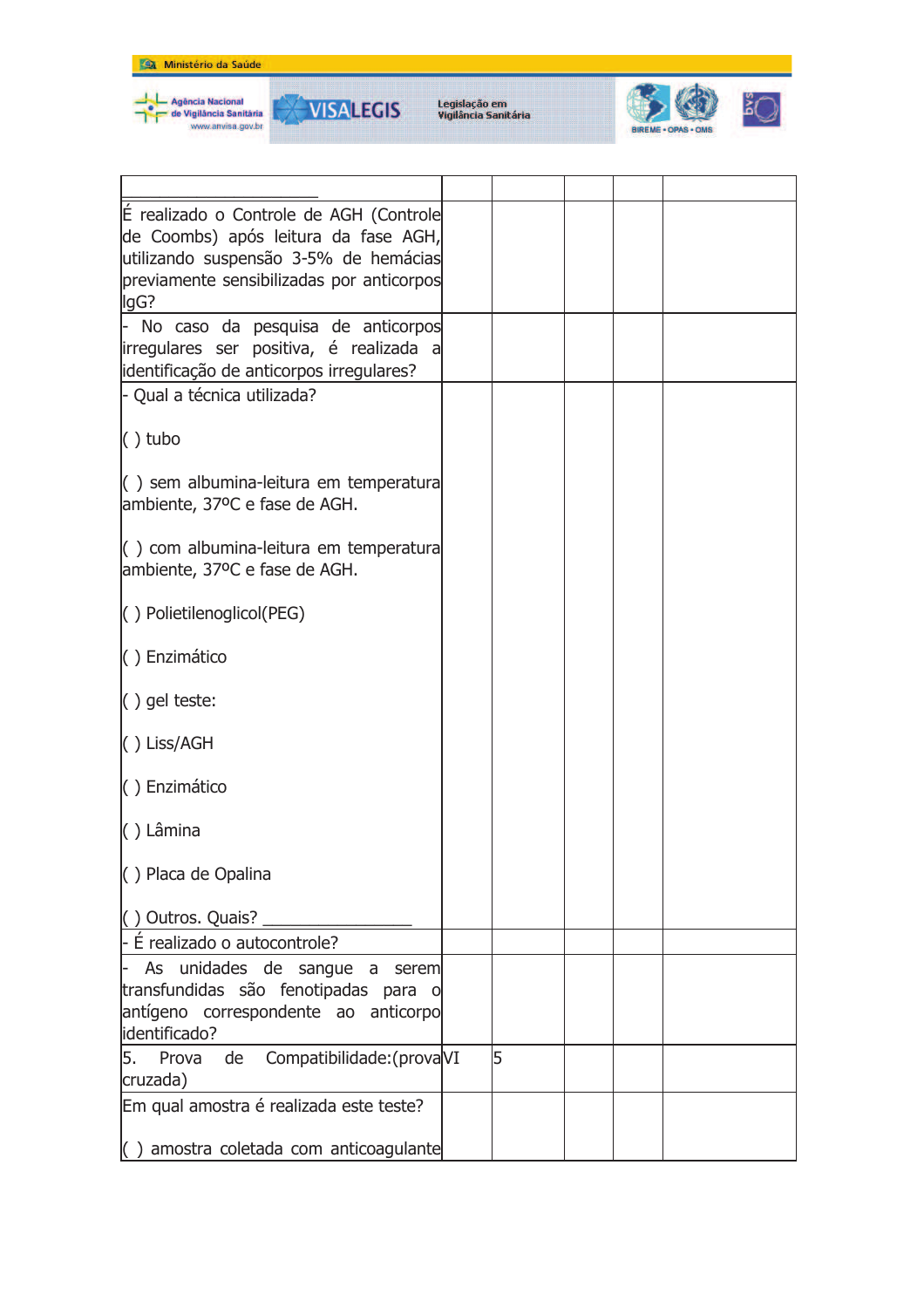





| É realizado o Controle de AGH (Controle                                                 |   |  |  |
|-----------------------------------------------------------------------------------------|---|--|--|
| de Coombs) após leitura da fase AGH,                                                    |   |  |  |
| utilizando suspensão 3-5% de hemácias<br>previamente sensibilizadas por anticorpos      |   |  |  |
| lgG?                                                                                    |   |  |  |
| - No caso da pesquisa de anticorpos                                                     |   |  |  |
| irregulares ser positiva, é realizada a                                                 |   |  |  |
| identificação de anticorpos irregulares?                                                |   |  |  |
| - Qual a técnica utilizada?                                                             |   |  |  |
| $()$ tubo                                                                               |   |  |  |
| $\left( \ \right)$ sem albumina-leitura em temperatura                                  |   |  |  |
| ambiente, 37ºC e fase de AGH.                                                           |   |  |  |
|                                                                                         |   |  |  |
| $\left( \ \right)$ com albumina-leitura em temperatura<br>ambiente, 37ºC e fase de AGH. |   |  |  |
|                                                                                         |   |  |  |
| () Polietilenoglicol(PEG)                                                               |   |  |  |
| () Enzimático                                                                           |   |  |  |
|                                                                                         |   |  |  |
| $()$ gel teste:                                                                         |   |  |  |
| $\vert$ () Liss/AGH                                                                     |   |  |  |
| () Enzimático                                                                           |   |  |  |
| $( )$ Lâmina                                                                            |   |  |  |
| () Placa de Opalina                                                                     |   |  |  |
| () Outros. Quais?                                                                       |   |  |  |
| $-$ É realizado o autocontrole?                                                         |   |  |  |
| As unidades de sangue a<br>l- I<br>serem                                                |   |  |  |
| transfundidas são fenotipadas para o                                                    |   |  |  |
| antígeno correspondente ao anticorpo                                                    |   |  |  |
| identificado?                                                                           |   |  |  |
| 5. Prova de<br>Compatibilidade: (provaVI<br>cruzada)                                    | 5 |  |  |
| Em qual amostra é realizada este teste?                                                 |   |  |  |
|                                                                                         |   |  |  |
| $\vert$ amostra coletada com anticoagulante                                             |   |  |  |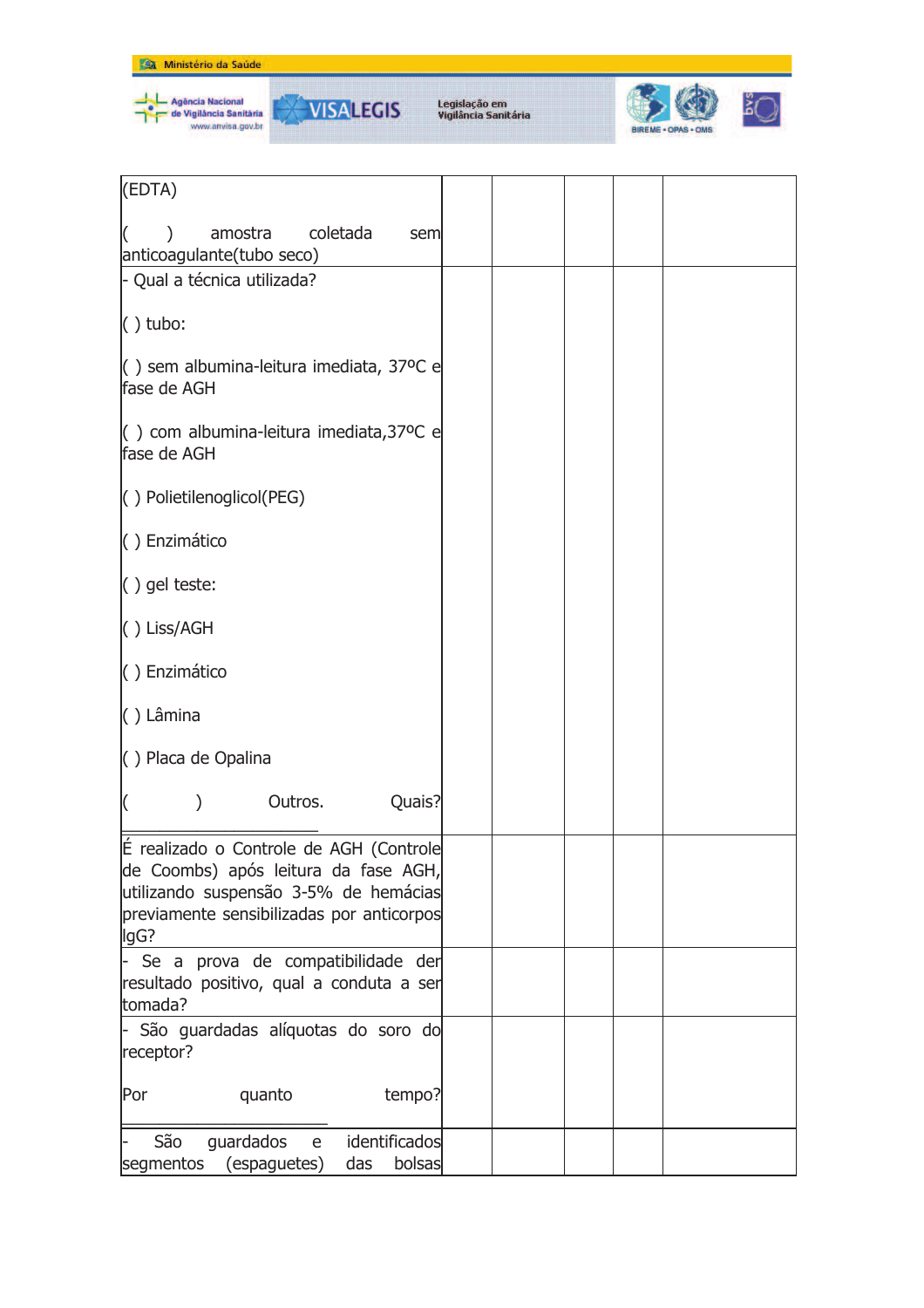





| (EDTA)                                                                                                                                                                        |  |  |  |
|-------------------------------------------------------------------------------------------------------------------------------------------------------------------------------|--|--|--|
| coletada<br>amostra<br>sem<br>anticoagulante(tubo seco)                                                                                                                       |  |  |  |
| - Qual a técnica utilizada?                                                                                                                                                   |  |  |  |
| $( )$ tubo:                                                                                                                                                                   |  |  |  |
| $\vert$ () sem albumina-leitura imediata, 37°C e<br>fase de AGH                                                                                                               |  |  |  |
| $\left( \ \right)$ com albumina-leitura imediata, 37°C e<br>fase de AGH                                                                                                       |  |  |  |
| $( )$ Polietilenoglicol(PEG)                                                                                                                                                  |  |  |  |
| () Enzimático                                                                                                                                                                 |  |  |  |
| () gel teste:                                                                                                                                                                 |  |  |  |
| $( )$ Liss/AGH                                                                                                                                                                |  |  |  |
| () Enzimático                                                                                                                                                                 |  |  |  |
| () Lâmina                                                                                                                                                                     |  |  |  |
| () Placa de Opalina                                                                                                                                                           |  |  |  |
| Quais?<br>Outros.                                                                                                                                                             |  |  |  |
| É realizado o Controle de AGH (Controle<br>de Coombs) após leitura da fase AGH,<br>utilizando suspensão 3-5% de hemácias<br>previamente sensibilizadas por anticorpos<br>lgG? |  |  |  |
| Se a prova de compatibilidade der<br>resultado positivo, qual a conduta a ser<br>tomada?                                                                                      |  |  |  |
| São guardadas alíquotas do soro do<br>receptor?                                                                                                                               |  |  |  |
| quanto<br>tempo?<br>Por                                                                                                                                                       |  |  |  |
| São<br>identificados<br>guardados<br>e<br>(espaguetes)<br>bolsas<br>segmentos<br>das                                                                                          |  |  |  |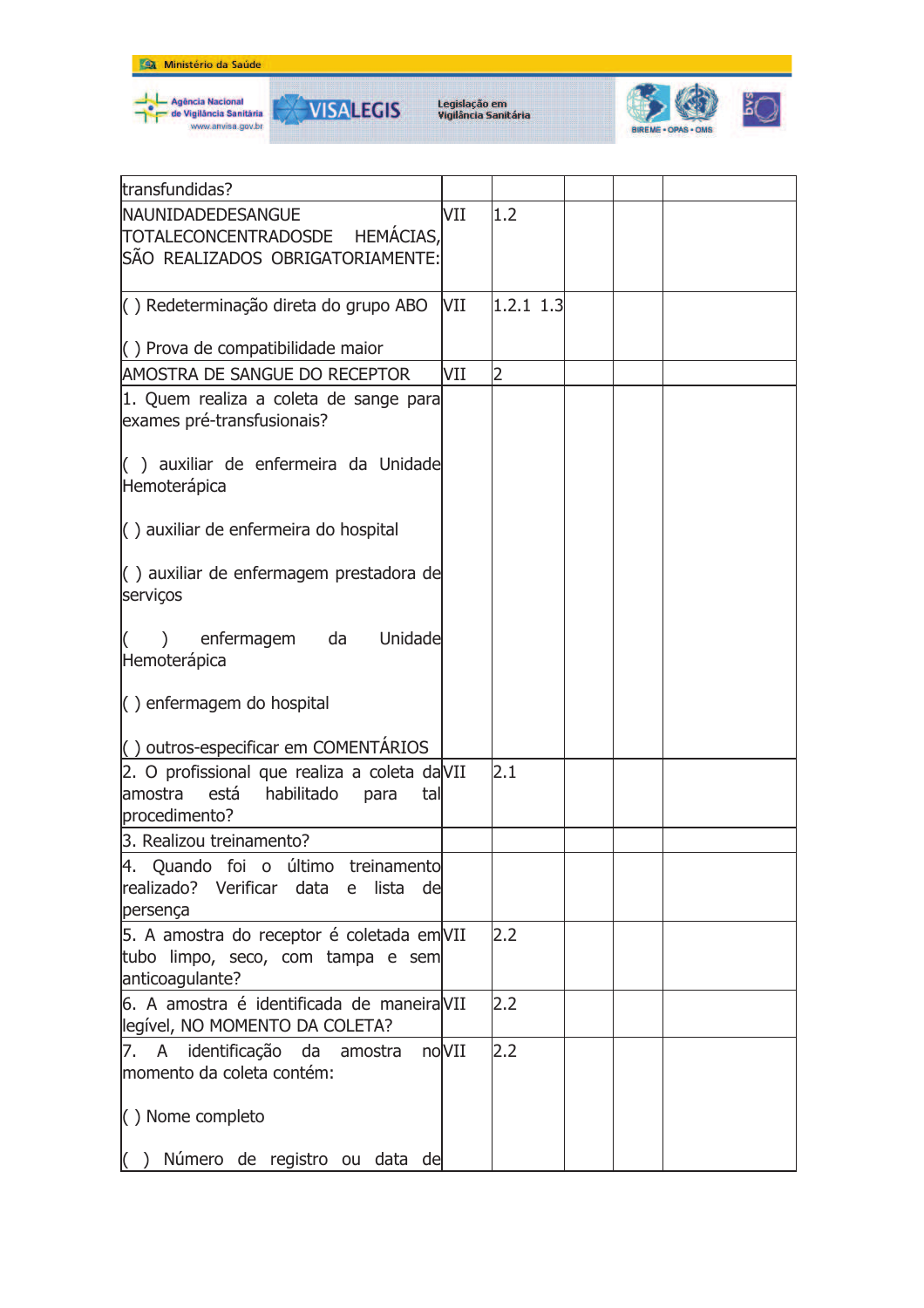





| transfundidas?                                                                                                |       |             |  |  |
|---------------------------------------------------------------------------------------------------------------|-------|-------------|--|--|
| NAUNIDADEDESANGUE                                                                                             | VII   | 1.2         |  |  |
| TOTALECONCENTRADOSDE HEMÁCIAS,                                                                                |       |             |  |  |
| ISÃO REALIZADOS OBRIGATORIAMENTE:                                                                             |       |             |  |  |
|                                                                                                               |       |             |  |  |
| () Redeterminação direta do grupo ABO                                                                         | VII   | $1.2.1$ 1.3 |  |  |
|                                                                                                               |       |             |  |  |
| $\left( \ \right)$ Prova de compatibilidade maior                                                             |       |             |  |  |
| AMOSTRA DE SANGUE DO RECEPTOR                                                                                 | VII   | 2           |  |  |
| 1. Quem realiza a coleta de sange para<br>exames pré-transfusionais?                                          |       |             |  |  |
| () auxiliar de enfermeira da Unidade<br>Hemoterápica                                                          |       |             |  |  |
| $\langle$ ) auxiliar de enfermeira do hospital                                                                |       |             |  |  |
| () auxiliar de enfermagem prestadora de<br>serviços                                                           |       |             |  |  |
| enfermagem da<br>Unidade<br>Hemoterápica                                                                      |       |             |  |  |
| $\langle$ ) enfermagem do hospital                                                                            |       |             |  |  |
| () outros-especificar em COMENTÁRIOS                                                                          |       |             |  |  |
| 2. O profissional que realiza a coleta daVII<br>amostra<br>está<br>habilitado<br>para<br>tal<br>procedimento? |       | 2.1         |  |  |
| 3. Realizou treinamento?                                                                                      |       |             |  |  |
| 14. Ouando foi o último treinamentol<br>realizado? Verificar data e lista de<br>persença                      |       |             |  |  |
| 5. A amostra do receptor é coletada em VII<br>tubo limpo, seco, com tampa e sem<br>anticoagulante?            |       | 2.2         |  |  |
| 6. A amostra é identificada de maneiraVII<br>legível, NO MOMENTO DA COLETA?                                   |       | 2.2         |  |  |
| 7. A identificação da amostra<br>momento da coleta contém:                                                    | noVII | 2.2         |  |  |
| () Nome completo                                                                                              |       |             |  |  |
| Número de registro ou data de<br>( )                                                                          |       |             |  |  |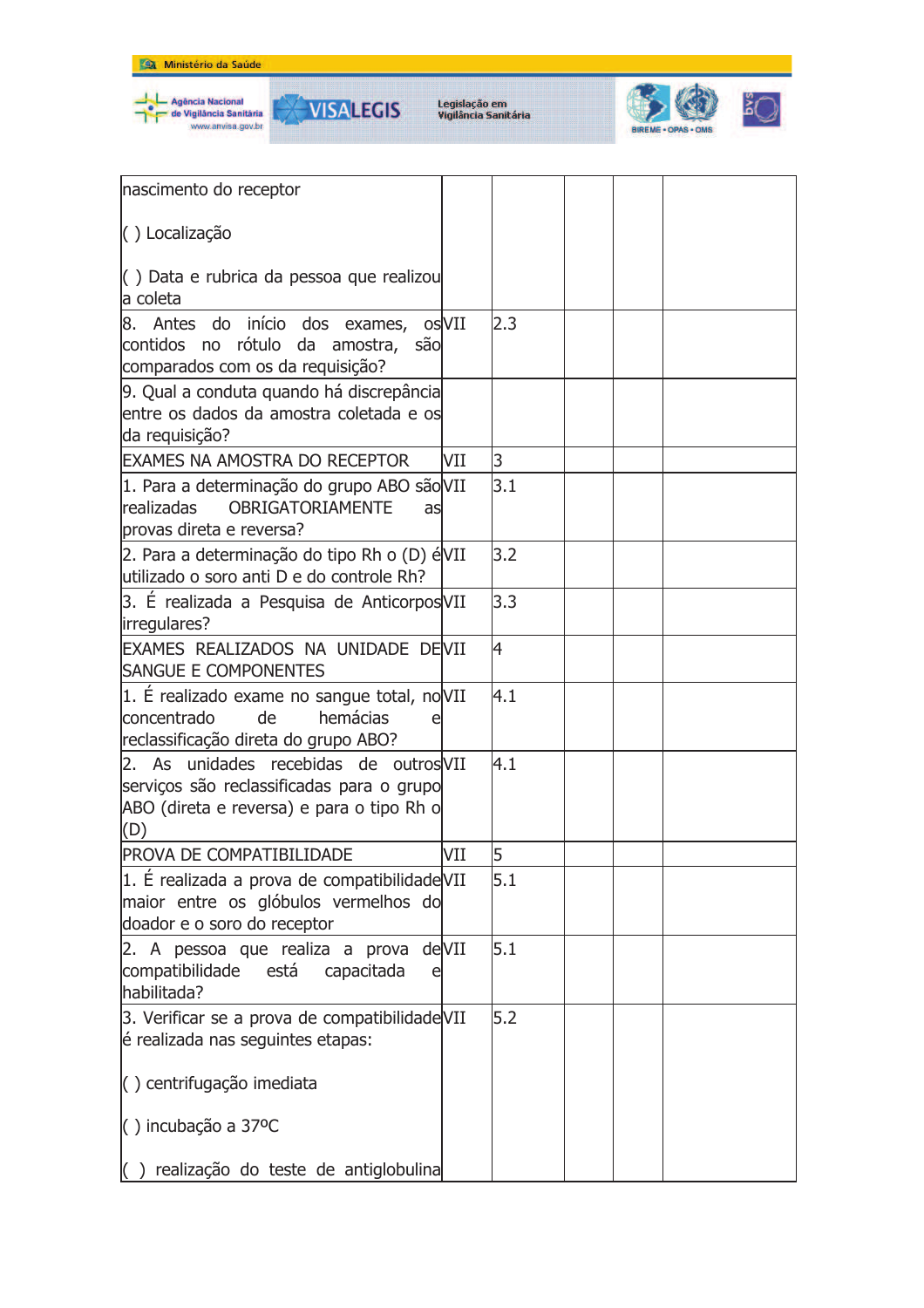



**VISALEGIS** 



| nascimento do receptor                                                                                                                  |     |                |  |  |
|-----------------------------------------------------------------------------------------------------------------------------------------|-----|----------------|--|--|
| () Localização                                                                                                                          |     |                |  |  |
|                                                                                                                                         |     |                |  |  |
| () Data e rubrica da pessoa que realizou<br>a coleta                                                                                    |     |                |  |  |
| 8. Antes do início dos exames, os VII<br>contidos no rótulo da amostra, são<br>comparados com os da requisição?                         |     | 2.3            |  |  |
| 9. Qual a conduta quando há discrepância<br>entre os dados da amostra coletada e os<br>da requisição?                                   |     |                |  |  |
| <b>EXAMES NA AMOSTRA DO RECEPTOR</b>                                                                                                    | VII | 3              |  |  |
| 1. Para a determinação do grupo ABO são VII<br><b>OBRIGATORIAMENTE</b><br>realizadas<br>ası<br>provas direta e reversa?                 |     | 3.1            |  |  |
| 2. Para a determinação do tipo Rh o (D) éVII<br>utilizado o soro anti D e do controle Rh?                                               |     | 3.2            |  |  |
| 3. É realizada a Pesquisa de Anticorpos VII<br>irregulares?                                                                             |     | 3.3            |  |  |
| EXAMES REALIZADOS NA UNIDADE DEVII<br><b>SANGUE E COMPONENTES</b>                                                                       |     | $\overline{4}$ |  |  |
| 1. É realizado exame no sangue total, noVII<br>hemácias<br>concentrado<br>de<br>reclassificação direta do grupo ABO?                    |     | 4.1            |  |  |
| 2. As unidades recebidas de outros VII<br>serviços são reclassificadas para o grupo<br>ABO (direta e reversa) e para o tipo Rh o<br>(D) |     | 4.1            |  |  |
| PROVA DE COMPATIBILIDADE                                                                                                                | VII | 5              |  |  |
| 1. É realizada a prova de compatibilidade VII<br>maior entre os glóbulos vermelhos do<br>doador e o soro do receptor                    |     | 5.1            |  |  |
| 2. A pessoa que realiza a prova deVII<br>compatibilidade está<br>capacitada<br>e<br>habilitada?                                         |     | 5.1            |  |  |
| 3. Verificar se a prova de compatibilidade VII<br>é realizada nas seguintes etapas:                                                     |     | 5.2            |  |  |
| () centrifugação imediata                                                                                                               |     |                |  |  |
| $( )$ incubação a 37°C                                                                                                                  |     |                |  |  |
| realização do teste de antiglobulina                                                                                                    |     |                |  |  |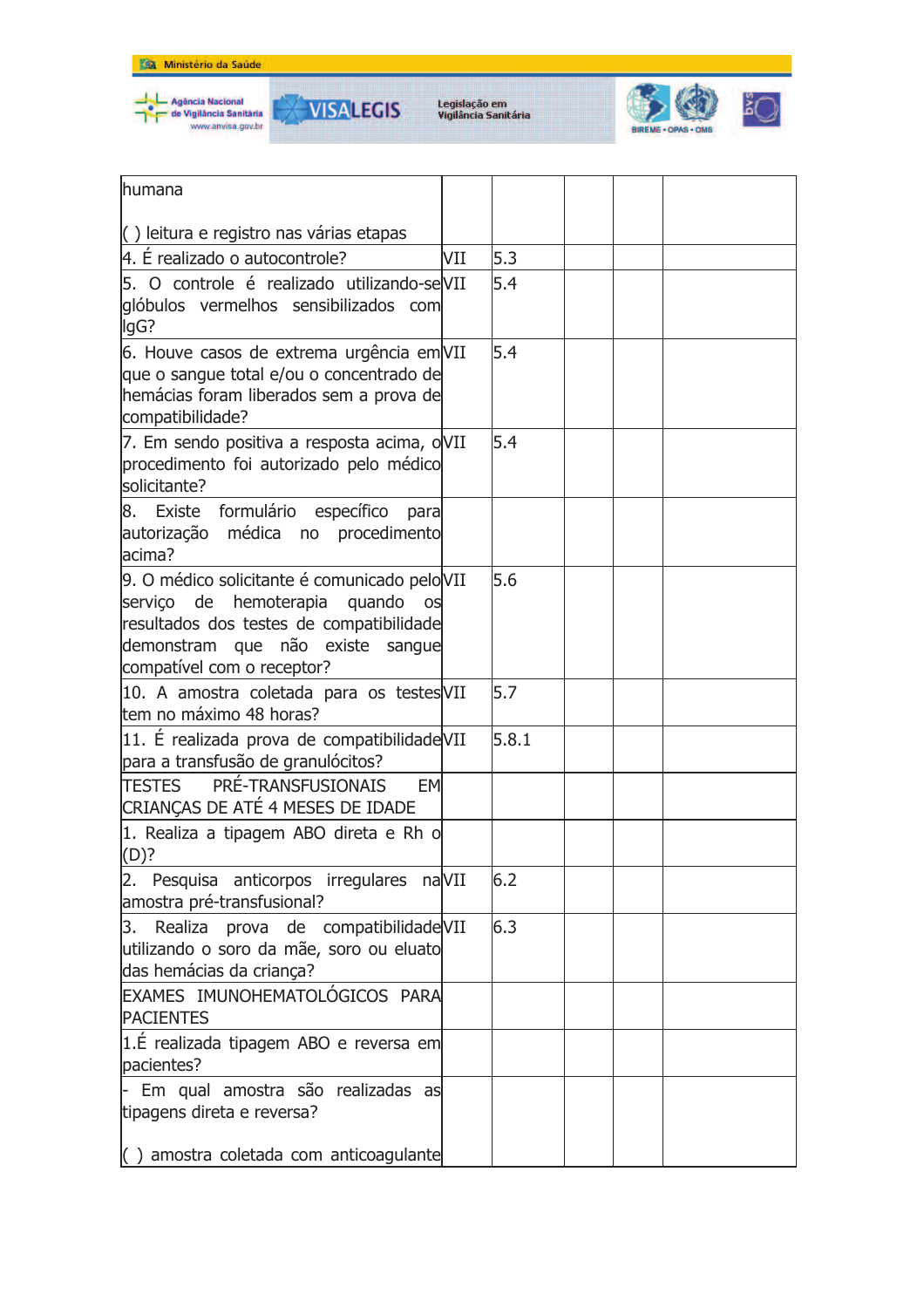







| lhumana                                                                                                                                                                                                        |     |       |  |  |
|----------------------------------------------------------------------------------------------------------------------------------------------------------------------------------------------------------------|-----|-------|--|--|
| $\left( \right)$ leitura e registro nas várias etapas                                                                                                                                                          |     |       |  |  |
| 4. É realizado o autocontrole?                                                                                                                                                                                 | VII | 5.3   |  |  |
| 5. O controle é realizado utilizando-seVII<br>glóbulos vermelhos sensibilizados com<br>lgG?                                                                                                                    |     | 5.4   |  |  |
| 6. Houve casos de extrema urgência em VII<br>que o sangue total e/ou o concentrado de<br>hemácias foram liberados sem a prova de<br>compatibilidade?                                                           |     | 5.4   |  |  |
| 7. Em sendo positiva a resposta acima, oVII<br>procedimento foi autorizado pelo médico<br>solicitante?                                                                                                         |     | 5.4   |  |  |
| Existe formulário específico<br>8.<br>para<br>autorização médica no procedimento<br>lacima?                                                                                                                    |     |       |  |  |
| 9. O médico solicitante é comunicado peloVII<br>serviço de<br>hemoterapia<br>quando<br><b>OS</b><br>resultados dos testes de compatibilidade<br>demonstram que não existe sangue<br>compatível com o receptor? |     | 5.6   |  |  |
| 10. A amostra coletada para os testes VII<br>tem no máximo 48 horas?                                                                                                                                           |     | 5.7   |  |  |
| 11. È realizada prova de compatibilidade VII<br>para a transfusão de granulócitos?                                                                                                                             |     | 5.8.1 |  |  |
| TESTES PRÉ-TRANSFUSIONAIS<br><b>EM</b><br>CRIANÇAS DE ATÉ 4 MESES DE IDADE                                                                                                                                     |     |       |  |  |
| 1. Realiza a tipagem ABO direta e Rh o<br>(D)?                                                                                                                                                                 |     |       |  |  |
| 2. Pesquisa anticorpos irregulares naVII<br>amostra pré-transfusional?                                                                                                                                         |     | 6.2   |  |  |
| Realiza prova de compatibilidade VII<br>3.<br>utilizando o soro da mãe, soro ou eluato<br>das hemácias da criança?                                                                                             |     | 6.3   |  |  |
| EXAMES IMUNOHEMATOLÓGICOS PARA<br><b>PACIENTES</b>                                                                                                                                                             |     |       |  |  |
| 1.É realizada tipagem ABO e reversa em<br>pacientes?                                                                                                                                                           |     |       |  |  |
| Em qual amostra são realizadas as<br>tipagens direta e reversa?                                                                                                                                                |     |       |  |  |
| $\left( \ \right)$ amostra coletada com anticoagulante                                                                                                                                                         |     |       |  |  |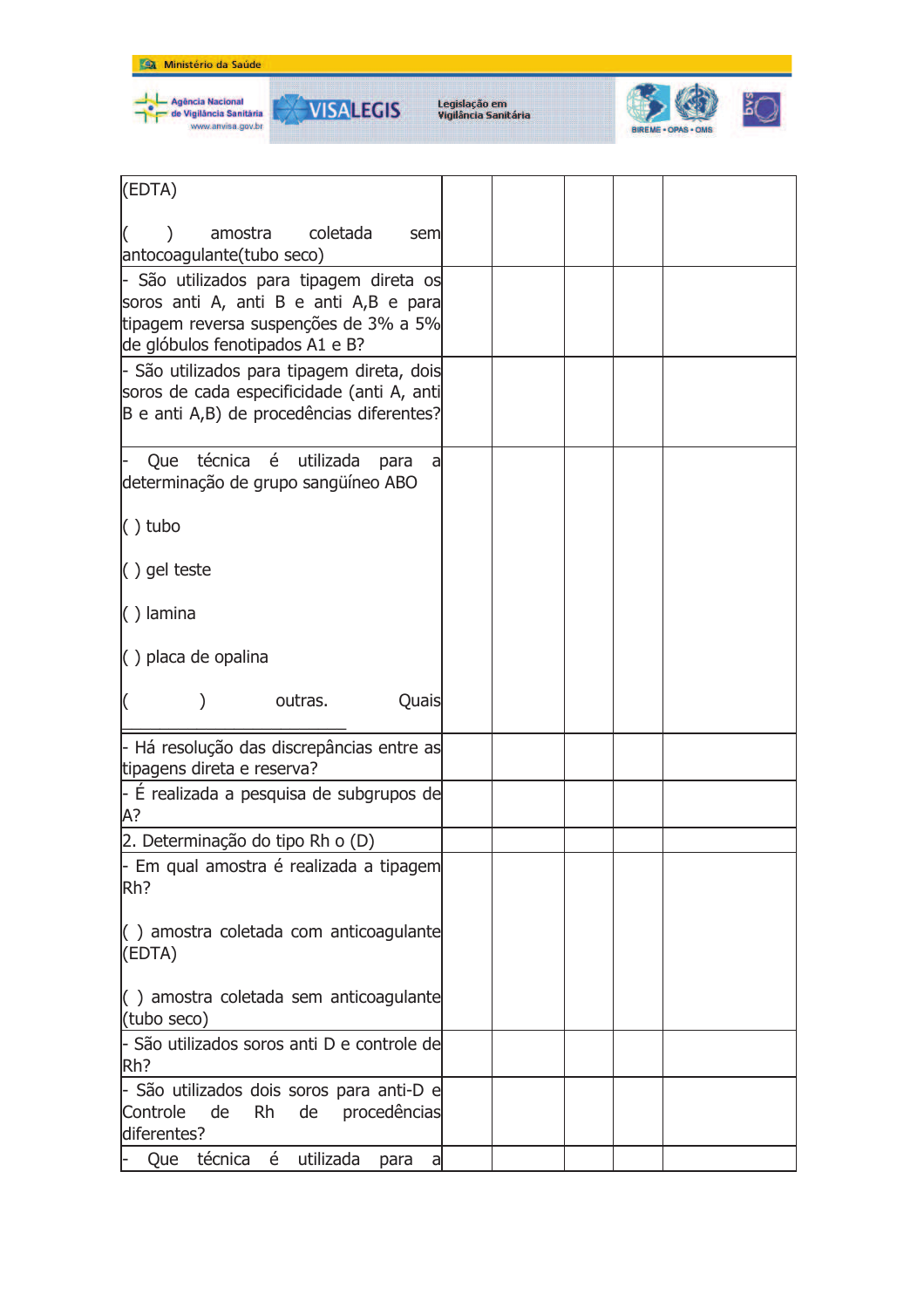



**VISALEGIS** 



| (EDTA)                                                                                                                                                                   |  |
|--------------------------------------------------------------------------------------------------------------------------------------------------------------------------|--|
| coletada<br>amostra<br>sem<br>antocoagulante(tubo seco)                                                                                                                  |  |
| - São utilizados para tipagem direta os<br>soros anti A, anti B e anti A,B e para<br>tipagem reversa suspenções de 3% a 5%                                               |  |
| de glóbulos fenotipados A1 e B?<br>- São utilizados para tipagem direta, dois<br>soros de cada especificidade (anti A, anti<br>B e anti A,B) de procedências diferentes? |  |
| técnica é utilizada<br>Que<br>para<br>a<br>determinação de grupo sangüíneo ABO                                                                                           |  |
| $( )$ tubo                                                                                                                                                               |  |
| $( )$ gel teste                                                                                                                                                          |  |
| $( )$ lamina                                                                                                                                                             |  |
| $\langle$ ) placa de opalina                                                                                                                                             |  |
| outras.<br>Quais                                                                                                                                                         |  |
| - Há resolução das discrepâncias entre as<br>tipagens direta e reserva?                                                                                                  |  |
| - É realizada a pesquisa de subgrupos de<br>А?                                                                                                                           |  |
| 2. Determinação do tipo Rh o (D)                                                                                                                                         |  |
| - Em qual amostra é realizada a tipagem<br>Rh?                                                                                                                           |  |
| $\langle$ ) amostra coletada com anticoagulante<br>(EDTA)                                                                                                                |  |
| () amostra coletada sem anticoagulante<br>(tubo seco)                                                                                                                    |  |
| - São utilizados soros anti D e controle de<br>Rh?                                                                                                                       |  |
| - São utilizados dois soros para anti-D e<br>Controle<br><b>Rh</b><br>de<br>de<br>procedências<br>diferentes?                                                            |  |
| Que técnica é utilizada<br>para<br>a                                                                                                                                     |  |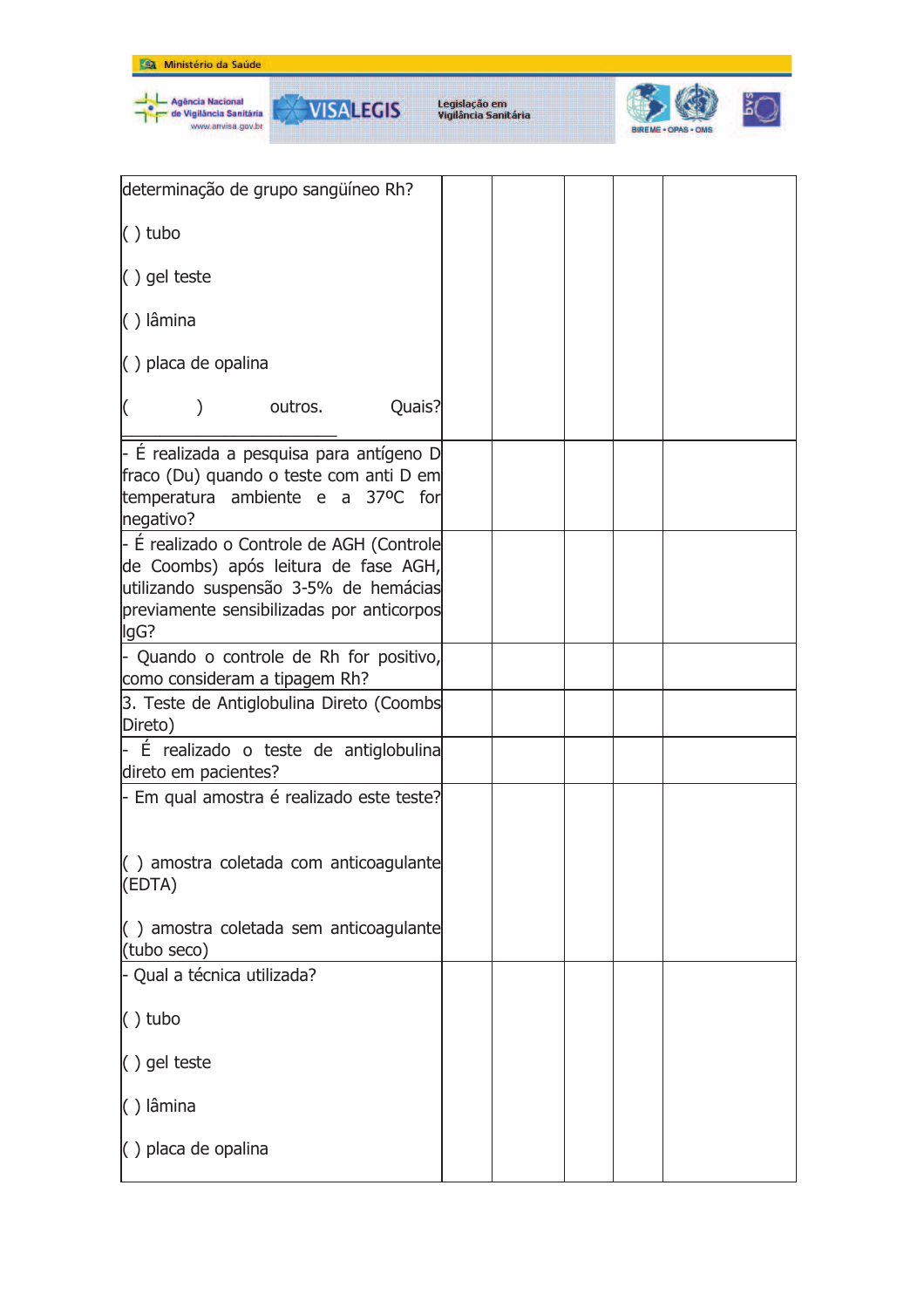

| determinação de grupo sangüíneo Rh?                                                                                                                                             |  |  |  |
|---------------------------------------------------------------------------------------------------------------------------------------------------------------------------------|--|--|--|
| $()$ tubo                                                                                                                                                                       |  |  |  |
| () gel teste                                                                                                                                                                    |  |  |  |
| $( )$ lâmina                                                                                                                                                                    |  |  |  |
| $( )$ placa de opalina                                                                                                                                                          |  |  |  |
| Quais?<br>outros.<br>$\mathcal{E}$                                                                                                                                              |  |  |  |
| - É realizada a pesquisa para antígeno D<br>fraco (Du) quando o teste com anti D em<br>temperatura ambiente e a 37ºC for<br>negativo?                                           |  |  |  |
| - É realizado o Controle de AGH (Controle<br>de Coombs) após leitura de fase AGH,<br>utilizando suspensão 3-5% de hemácias<br>previamente sensibilizadas por anticorpos<br>lgG? |  |  |  |
| - Quando o controle de Rh for positivo,<br>como consideram a tipagem Rh?                                                                                                        |  |  |  |
| 3. Teste de Antiglobulina Direto (Coombs<br>Direto)                                                                                                                             |  |  |  |
| É realizado o teste de antiglobulina<br>direto em pacientes?                                                                                                                    |  |  |  |
| - Em qual amostra é realizado este teste?                                                                                                                                       |  |  |  |
| () amostra coletada com anticoagulante<br>(EDTA)                                                                                                                                |  |  |  |
| () amostra coletada sem anticoagulante<br>(tubo seco)                                                                                                                           |  |  |  |
| - Qual a técnica utilizada?                                                                                                                                                     |  |  |  |
| $()$ tubo                                                                                                                                                                       |  |  |  |
| () gel teste                                                                                                                                                                    |  |  |  |
| () lâmina                                                                                                                                                                       |  |  |  |
| $\langle$ ) placa de opalina                                                                                                                                                    |  |  |  |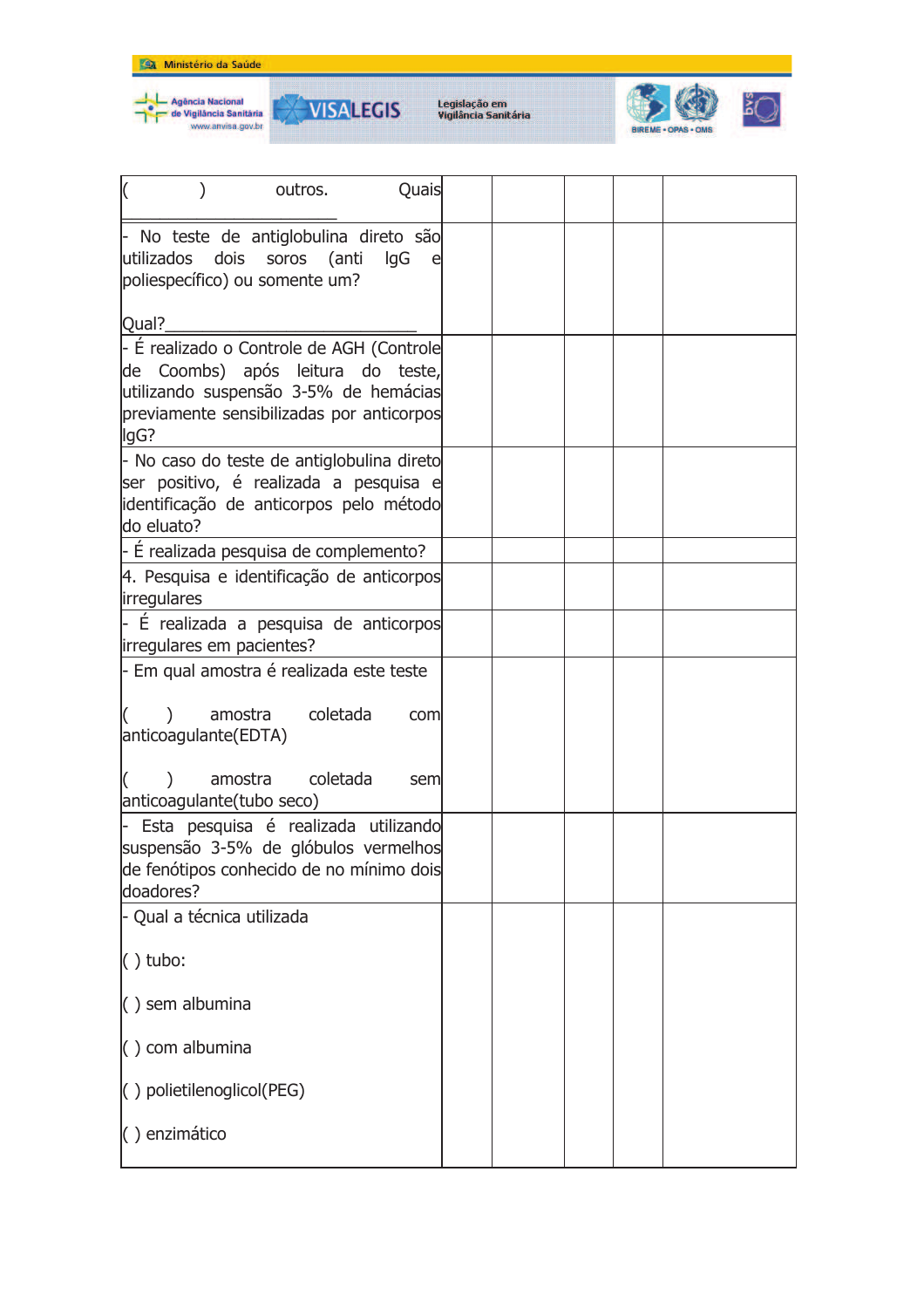



**VISALEGIS** 



| I)<br>outros.<br>Quais                                                                                                                                                       |  |
|------------------------------------------------------------------------------------------------------------------------------------------------------------------------------|--|
| - No teste de antiglobulina direto são<br>dois<br>utilizados<br>(anti<br>soros<br>lgG<br>poliespecífico) ou somente um?                                                      |  |
| Qual?                                                                                                                                                                        |  |
| - É realizado o Controle de AGH (Controle<br>de Coombs) após leitura do teste,<br>utilizando suspensão 3-5% de hemácias<br>previamente sensibilizadas por anticorpos<br>lgG? |  |
| - No caso do teste de antiglobulina direto<br>ser positivo, é realizada a pesquisa e<br>identificação de anticorpos pelo método<br>do eluato?                                |  |
| - É realizada pesquisa de complemento?                                                                                                                                       |  |
| 4. Pesquisa e identificação de anticorpos<br>irregulares                                                                                                                     |  |
| - È realizada a pesquisa de anticorpos<br>irregulares em pacientes?                                                                                                          |  |
| - Em qual amostra é realizada este teste                                                                                                                                     |  |
| coletada<br>amostra<br>com<br>anticoagulante(EDTA)                                                                                                                           |  |
| coletada<br>amostra<br>sem<br>anticoagulante(tubo seco)                                                                                                                      |  |
| - Esta pesquisa é realizada utilizando<br>suspensão 3-5% de glóbulos vermelhos<br>de fenótipos conhecido de no mínimo dois<br>doadores?                                      |  |
| - Qual a técnica utilizada                                                                                                                                                   |  |
| $( )$ tubo:                                                                                                                                                                  |  |
| $( )$ sem albumina                                                                                                                                                           |  |
| $( )$ com albumina                                                                                                                                                           |  |
| () polietilenoglicol(PEG)                                                                                                                                                    |  |
| () enzimático                                                                                                                                                                |  |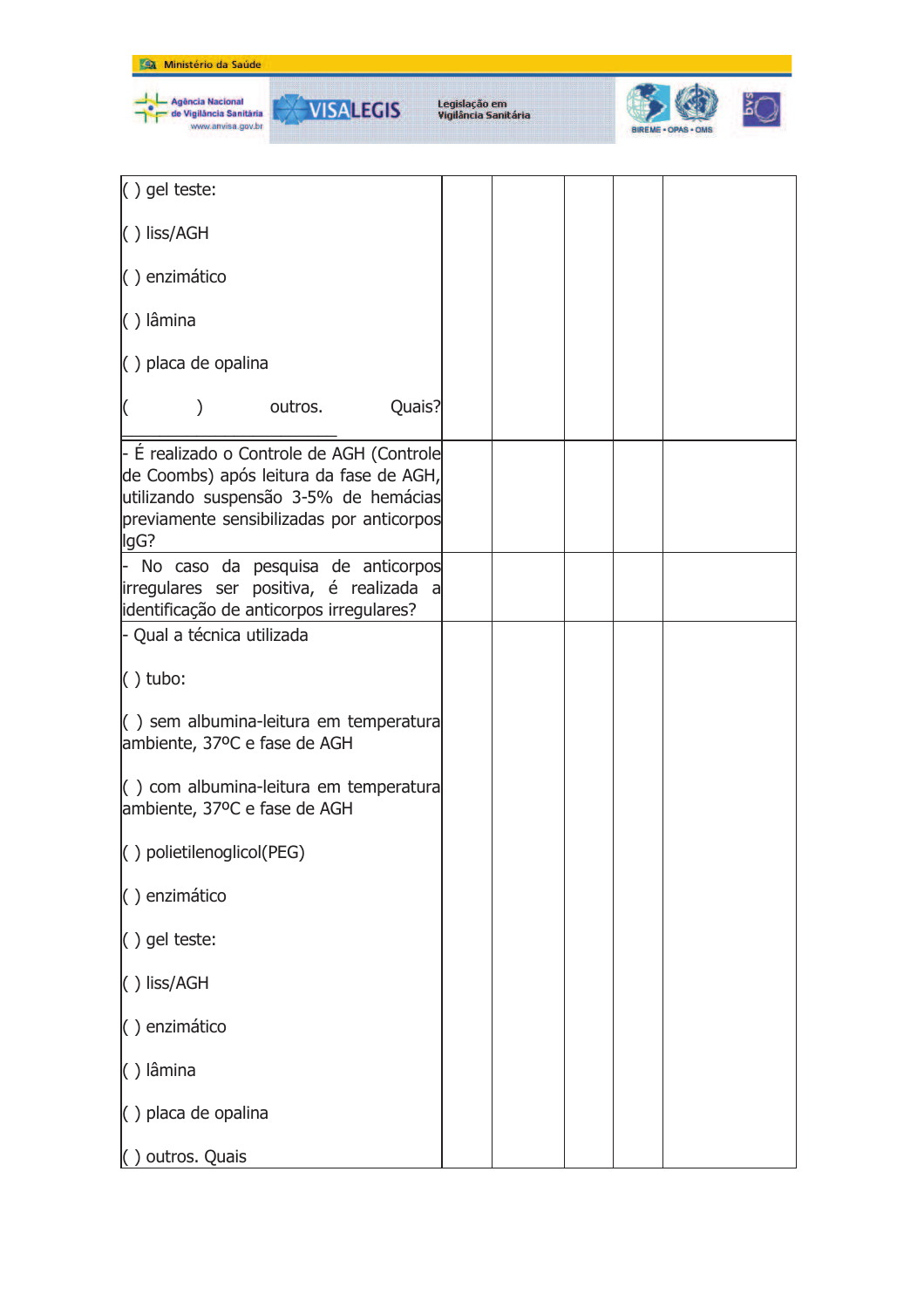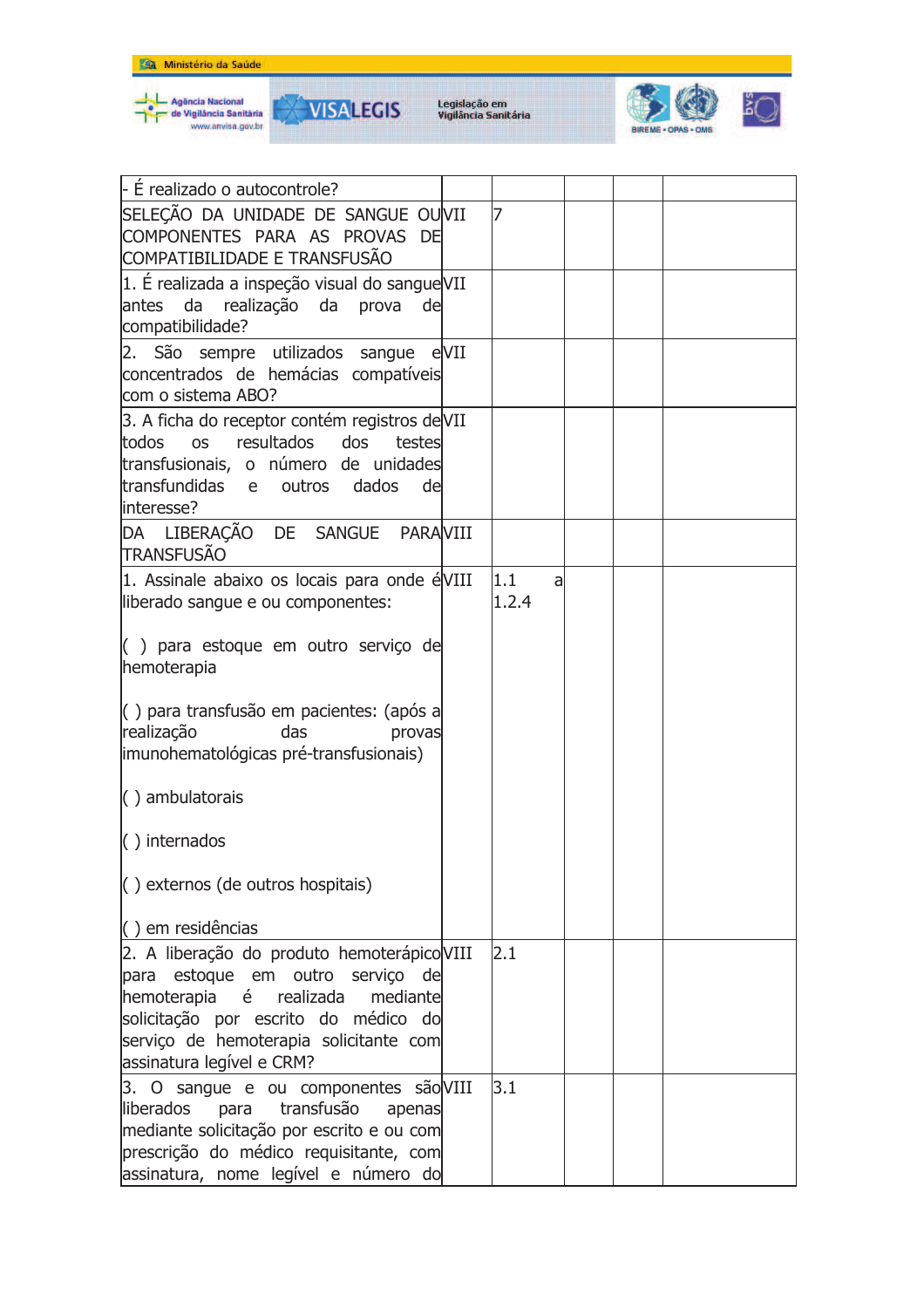



**VISALEGIS** 



| - É realizado o autocontrole?                                                                                                                                                                                                      |              |   |  |
|------------------------------------------------------------------------------------------------------------------------------------------------------------------------------------------------------------------------------------|--------------|---|--|
| SELECÃO DA UNIDADE DE SANGUE OUVII<br>COMPONENTES PARA AS PROVAS DE<br>COMPATIBILIDADE E TRANSFUSÃO                                                                                                                                | 17           |   |  |
| 1. É realizada a inspeção visual do sangue VII<br>antes da realização da prova de<br>compatibilidade?                                                                                                                              |              |   |  |
| 2. São sempre utilizados sangue eVII<br>concentrados de hemácias compatíveis<br>com o sistema ABO?                                                                                                                                 |              |   |  |
| 3. A ficha do receptor contém registros de VII<br>resultados<br><b>OS</b><br>dos<br>todos<br>testes<br>transfusionais, o número de unidades<br>transfundidas e<br>outros<br>dados<br>de<br>interesse?                              |              |   |  |
| DA LIBERAÇÃO DE SANGUE PARAVIII<br><b>TRANSFUSÃO</b>                                                                                                                                                                               |              |   |  |
| 1. Assinale abaixo os locais para onde éVIII<br>liberado sangue e ou componentes:                                                                                                                                                  | 1.1<br>1.2.4 | a |  |
| $($ ) para estoque em outro serviço de<br>hemoterapia                                                                                                                                                                              |              |   |  |
| () para transfusão em pacientes: (após a<br>realização<br>das<br>provas<br>imunohematológicas pré-transfusionais)                                                                                                                  |              |   |  |
| $\langle$ ) ambulatorais                                                                                                                                                                                                           |              |   |  |
| $\langle$ ) internados                                                                                                                                                                                                             |              |   |  |
| () externos (de outros hospitais)                                                                                                                                                                                                  |              |   |  |
| $( )$ em residências                                                                                                                                                                                                               |              |   |  |
| 2. A liberação do produto hemoterápico VIII<br>para estoque em outro servico de<br>hemoterapia é realizada mediante<br>solicitação por escrito do médico do<br>serviço de hemoterapia solicitante com<br>assinatura legível e CRM? | 2.1          |   |  |
| 3. O sangue e ou componentes são VIII<br>liberados<br>para transfusão<br>apenas<br>mediante solicitação por escrito e ou com<br>prescrição do médico requisitante, com<br>assinatura, nome legível e número do                     | 3.1          |   |  |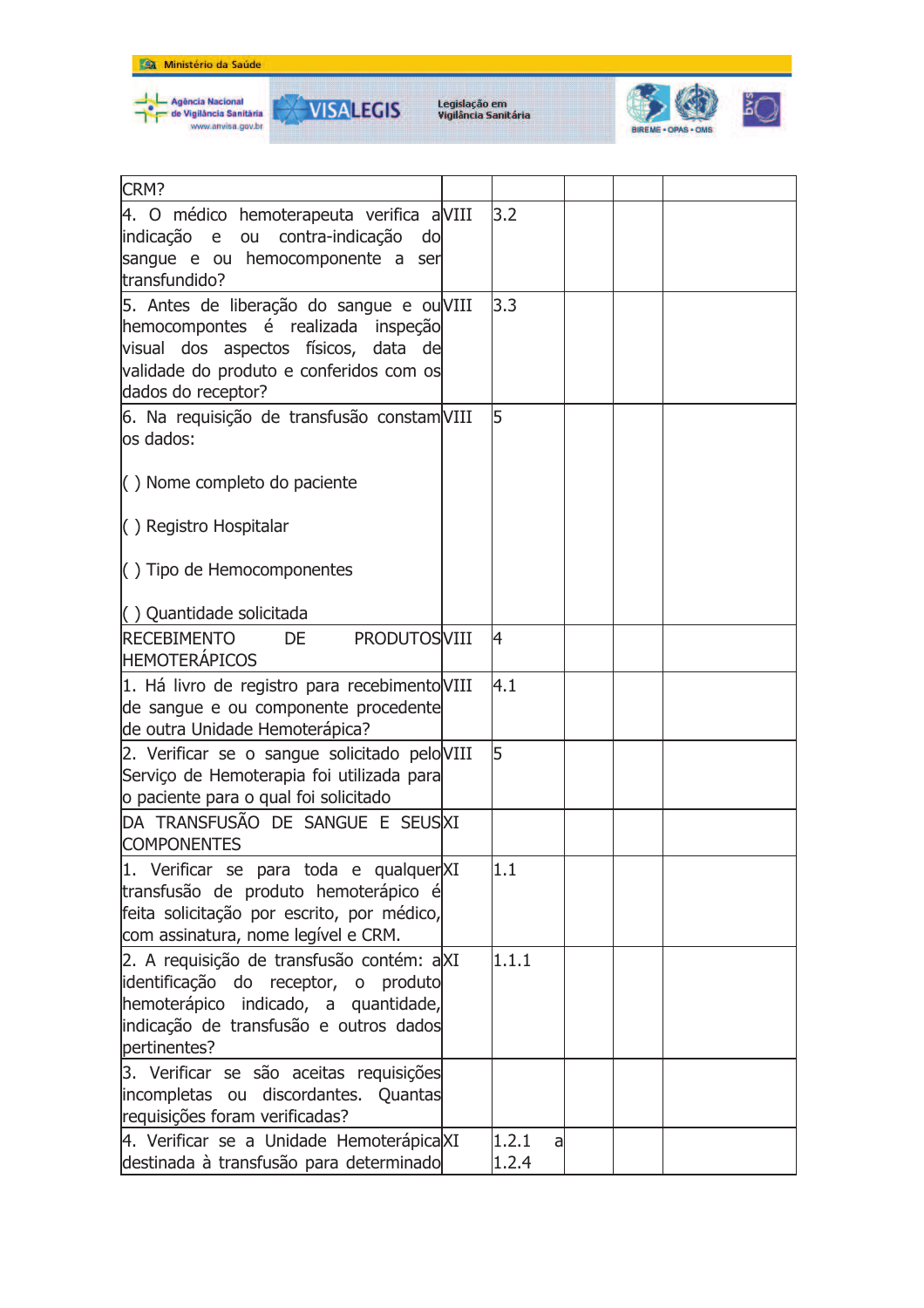



**VISALEGIS** 



| CRM?                                                                                                                                                                                     |                     |  |  |
|------------------------------------------------------------------------------------------------------------------------------------------------------------------------------------------|---------------------|--|--|
| 4. O médico hemoterapeuta verifica aVIII<br>indicação e ou contra-indicação do<br>sangue e ou hemocomponente a ser<br>transfundido?                                                      | 3.2                 |  |  |
| 5. Antes de liberação do sangue e ou VIII<br>hemocompontes é realizada inspeção<br>visual dos aspectos físicos, data de<br>validade do produto e conferidos com os<br>dados do receptor? | 3.3                 |  |  |
| 6. Na requisição de transfusão constam VIII<br>los dados:                                                                                                                                | 5                   |  |  |
| $\langle$ ) Nome completo do paciente                                                                                                                                                    |                     |  |  |
| () Registro Hospitalar                                                                                                                                                                   |                     |  |  |
| $\langle$ ) Tipo de Hemocomponentes                                                                                                                                                      |                     |  |  |
| () Quantidade solicitada                                                                                                                                                                 |                     |  |  |
| <b>RECEBIMENTO</b><br><b>PRODUTOSVIII</b><br><b>DE</b><br><b>HEMOTERÁPICOS</b>                                                                                                           | 4                   |  |  |
| 1. Há livro de registro para recebimento VIII<br>de sangue e ou componente procedente<br>de outra Unidade Hemoterápica?                                                                  | 4.1                 |  |  |
| 2. Verificar se o sangue solicitado pelo VIII<br>Serviço de Hemoterapia foi utilizada para<br>o paciente para o qual foi solicitado                                                      | 5                   |  |  |
| DA TRANSFUSÃO DE SANGUE E SEUSXI<br><b>COMPONENTES</b>                                                                                                                                   |                     |  |  |
| 1. Verificar se para toda e qualquerXI<br>transfusão de produto hemoterápico é<br>feita solicitação por escrito, por médico,<br>com assinatura, nome legível e CRM.                      | 11.1                |  |  |
| 2. A requisição de transfusão contém: aXI<br>identificação do receptor, o produto<br>hemoterápico indicado, a quantidade,<br>indicação de transfusão e outros dados<br>pertinentes?      | 1.1.1               |  |  |
| 3. Verificar se são aceitas requisições<br>incompletas ou discordantes. Quantas<br>requisições foram verificadas?                                                                        |                     |  |  |
| 4. Verificar se a Unidade Hemoterápica XI<br>destinada à transfusão para determinado                                                                                                     | 1.2.1<br>a<br>1.2.4 |  |  |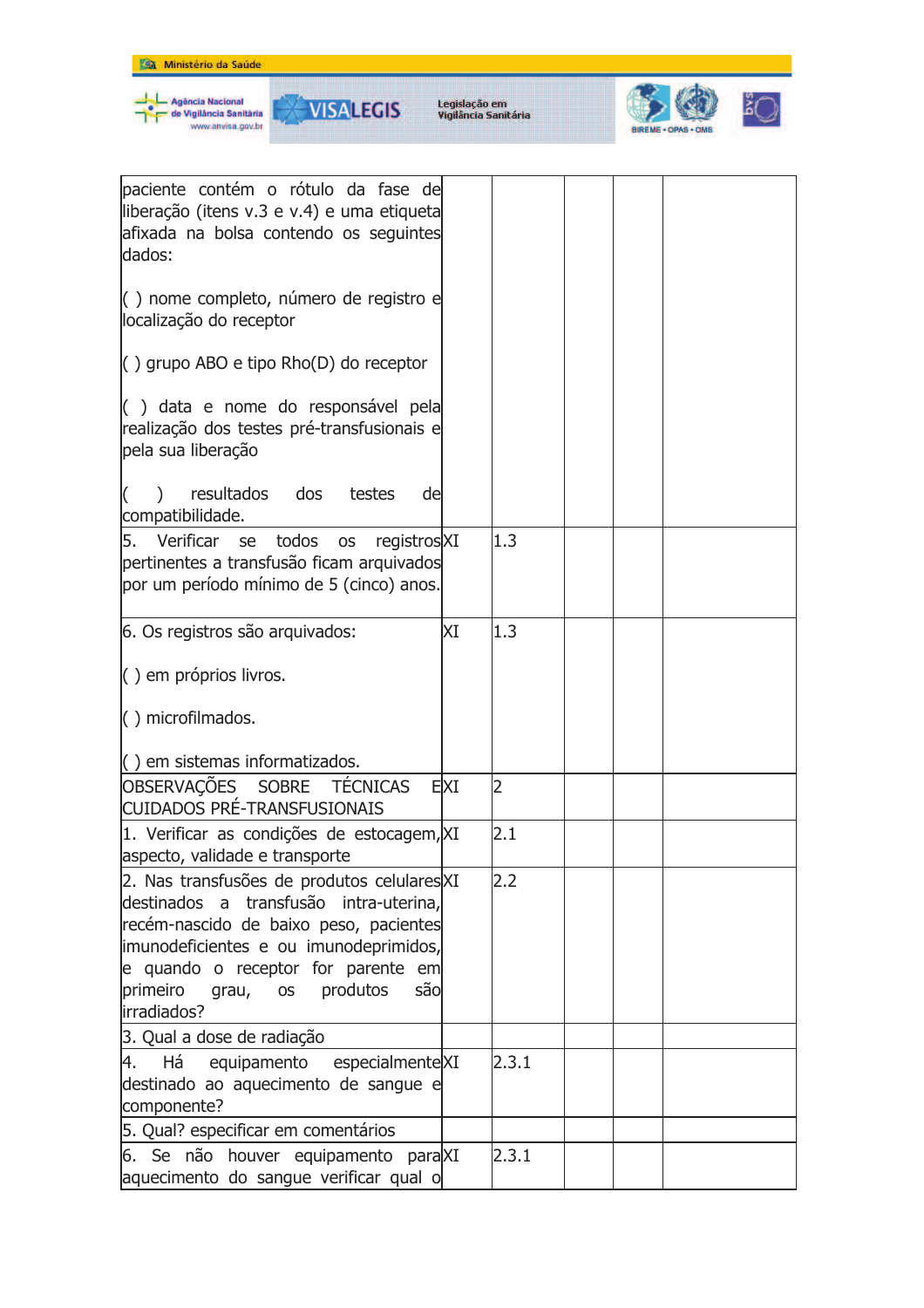

| paciente contém o rótulo da fase de<br>liberação (itens v.3 e v.4) e uma etiqueta<br>afixada na bolsa contendo os seguintes<br>dados:                                                                                                                                               |     |       |  |  |
|-------------------------------------------------------------------------------------------------------------------------------------------------------------------------------------------------------------------------------------------------------------------------------------|-----|-------|--|--|
| () nome completo, número de registro e<br>localização do receptor                                                                                                                                                                                                                   |     |       |  |  |
| () grupo ABO e tipo Rho(D) do receptor                                                                                                                                                                                                                                              |     |       |  |  |
| () data e nome do responsável pela<br>realização dos testes pré-transfusionais e<br>pela sua liberação                                                                                                                                                                              |     |       |  |  |
| dos<br>resultados<br>testes<br>de<br>compatibilidade.                                                                                                                                                                                                                               |     |       |  |  |
| 5. Verificar<br>todos<br>registrosXI<br>se<br><b>OS</b><br>pertinentes a transfusão ficam arquivados<br>por um período mínimo de 5 (cinco) anos.                                                                                                                                    |     | 1.3   |  |  |
| 6. Os registros são arquivados:                                                                                                                                                                                                                                                     | ΧI  | 1.3   |  |  |
| $( )$ em próprios livros.                                                                                                                                                                                                                                                           |     |       |  |  |
| $( )$ microfilmados.                                                                                                                                                                                                                                                                |     |       |  |  |
| $\left( \ \right)$ em sistemas informatizados.                                                                                                                                                                                                                                      |     |       |  |  |
| OBSERVAÇÕES SOBRE TÉCNICAS<br><b>CUIDADOS PRÉ-TRANSFUSIONAIS</b>                                                                                                                                                                                                                    | EXI | 2     |  |  |
| 1. Verificar as condições de estocagem, XI<br>aspecto, validade e transporte                                                                                                                                                                                                        |     | 2.1   |  |  |
| 2. Nas transfusões de produtos celulares XI<br>destinados a transfusão intra-uterina,<br>recém-nascido de baixo peso, pacientes<br>imunodeficientes e ou imunodeprimidos,<br>e quando o receptor for parente em<br>primeiro<br>produtos<br>são<br>grau,<br><b>OS</b><br>irradiados? |     | 2.2   |  |  |
| 3. Qual a dose de radiação                                                                                                                                                                                                                                                          |     |       |  |  |
| 4.<br>Há<br>equipamento especialmenteXI<br>destinado ao aquecimento de sangue e<br>componente?                                                                                                                                                                                      |     | 2.3.1 |  |  |
| 5. Qual? especificar em comentários                                                                                                                                                                                                                                                 |     |       |  |  |
| 6. Se não houver equipamento paraXI<br>aquecimento do sangue verificar qual o                                                                                                                                                                                                       |     | 2.3.1 |  |  |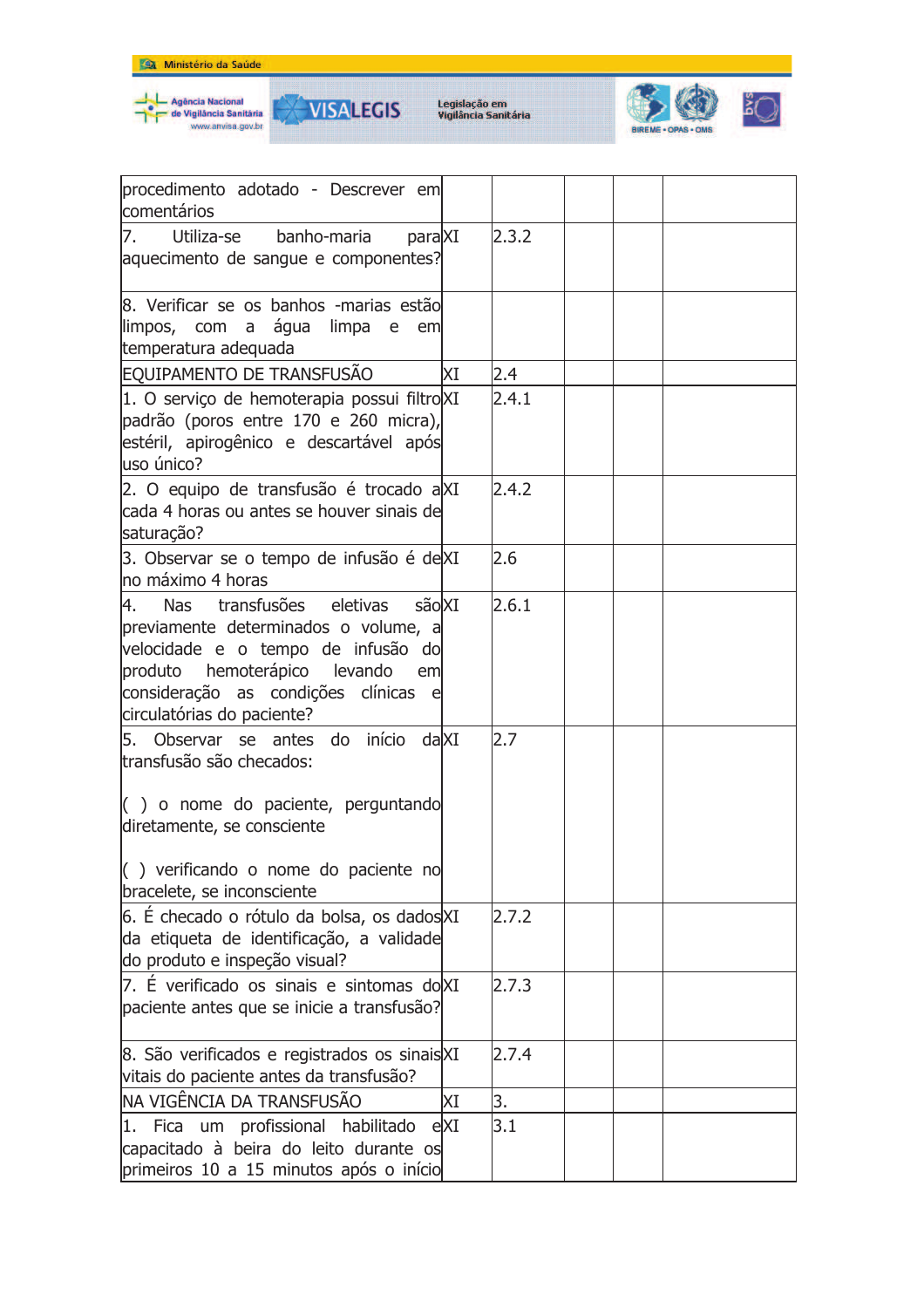



**VISALEGIS** 

₩



| procedimento adotado - Descrever em<br>comentários                                                                                                                                                                                                    |     |       |  |
|-------------------------------------------------------------------------------------------------------------------------------------------------------------------------------------------------------------------------------------------------------|-----|-------|--|
| Utiliza-se banho-maria<br>paraXI<br>7.<br>aquecimento de sangue e componentes?                                                                                                                                                                        |     | 2.3.2 |  |
| 8. Verificar se os banhos -marias estão<br>llimpos, com a água limpa e<br>em<br>temperatura adequada                                                                                                                                                  |     |       |  |
| EQUIPAMENTO DE TRANSFUSÃO                                                                                                                                                                                                                             | ΧI  | 2.4   |  |
| 1. O serviço de hemoterapia possui filtro XI<br>padrão (poros entre 170 e 260 micra),<br>estéril, apirogênico e descartável após<br>luso único?                                                                                                       |     | 2.4.1 |  |
| 2. O equipo de transfusão é trocado aXI<br>cada 4 horas ou antes se houver sinais de<br>saturação?                                                                                                                                                    |     | 2.4.2 |  |
| 3. Observar se o tempo de infusão é de XI<br>lno máximo 4 horas                                                                                                                                                                                       |     | 2.6   |  |
| Nas transfusões eletivas sãolXI<br>4.<br>previamente determinados o volume, a<br>velocidade e o tempo de infusão do<br>produto hemoterápico levando<br>eml<br>consideração as condições clínicas e<br>circulatórias do paciente?                      |     | 2.6.1 |  |
| 5. Observar se antes do início dalXI<br>transfusão são checados:<br>$\left( \begin{array}{c} \end{array} \right)$ o nome do paciente, perguntando<br>diretamente, se consciente<br>() verificando o nome do paciente no<br>bracelete, se inconsciente |     | 2.7   |  |
| 6. É checado o rótulo da bolsa, os dadosXI<br>da etiqueta de identificação, a validade<br>do produto e inspeção visual?                                                                                                                               |     | 2.7.2 |  |
| 7. É verificado os sinais e sintomas dolXI<br>paciente antes que se inicie a transfusão?                                                                                                                                                              |     | 2.7.3 |  |
| 8. São verificados e registrados os sinais XI<br>vitais do paciente antes da transfusão?                                                                                                                                                              |     | 2.7.4 |  |
| INA VIGÊNCIA DA TRANSFUSÃO                                                                                                                                                                                                                            | ΧI  | 3.    |  |
| 1. Fica um profissional habilitado<br>capacitado à beira do leito durante os<br>primeiros 10 a 15 minutos após o início                                                                                                                               | eXI | 3.1   |  |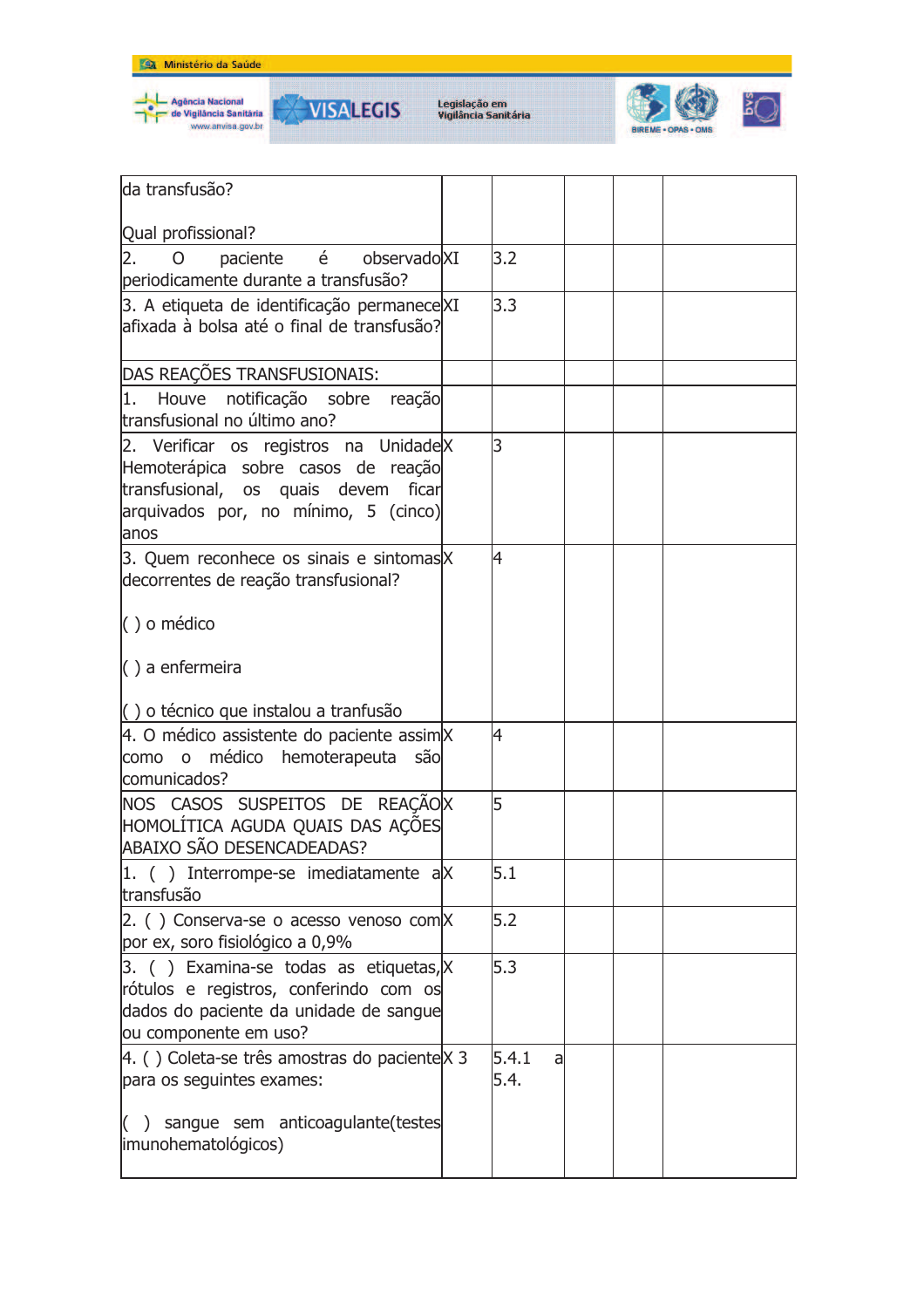



**VISALEGIS** 





| lda transfusão?                                                                                                                                                       |                    |  |  |
|-----------------------------------------------------------------------------------------------------------------------------------------------------------------------|--------------------|--|--|
|                                                                                                                                                                       |                    |  |  |
| Qual profissional?                                                                                                                                                    |                    |  |  |
| paciente é observado XI<br>2.<br>O<br>periodicamente durante a transfusão?                                                                                            | 3.2                |  |  |
| 3. A etiqueta de identificação permanece XI                                                                                                                           | 3.3                |  |  |
| afixada à bolsa até o final de transfusão?                                                                                                                            |                    |  |  |
| DAS REAÇÕES TRANSFUSIONAIS:                                                                                                                                           |                    |  |  |
| 1.<br>Houve notificação sobre<br>reação<br>transfusional no último ano?                                                                                               |                    |  |  |
| 2. Verificar os registros na UnidadeX<br>Hemoterápica sobre casos de reação<br>transfusional, os quais devem ficar<br>arquivados por, no mínimo, 5 (cinco)<br>lanos   | l3                 |  |  |
| 3. Quem reconhece os sinais e sintomas X<br>decorrentes de reação transfusional?                                                                                      | 4                  |  |  |
| $( )$ o médico                                                                                                                                                        |                    |  |  |
| $\langle$ ) a enfermeira                                                                                                                                              |                    |  |  |
| $\vert$ $\vert$ ) o técnico que instalou a tranfusão                                                                                                                  |                    |  |  |
| 4. O médico assistente do paciente assim X<br>médico hemoterapeuta são<br>$\circ$<br>como<br>comunicados?                                                             | 4                  |  |  |
| NOS CASOS SUSPEITOS DE REAÇÃOX<br>HOMOLÍTICA AGUDA QUAIS DAS AÇÕES<br>ABAIXO SÃO DESENCADEADAS?                                                                       | 5                  |  |  |
| $ 1.$ ( ) Interrompe-se imediatamente a $ X $<br>transfusão                                                                                                           | 5.1                |  |  |
| $\vert$ 2. () Conserva-se o acesso venoso com $\vert$ X<br>por ex, soro fisiológico a 0,9%                                                                            | 5.2                |  |  |
| $\beta$ . () Examina-se todas as etiquetas, $\mathsf{X}$<br>rótulos e registros, conferindo com os<br>dados do paciente da unidade de sangue<br>ou componente em uso? | 5.3                |  |  |
| 4. () Coleta-se três amostras do paciente $X$ 3<br>para os seguintes exames:                                                                                          | 5.4.1<br>a<br>5.4. |  |  |
| $($ ) sangue sem anticoagulante(testes<br>imunohematológicos)                                                                                                         |                    |  |  |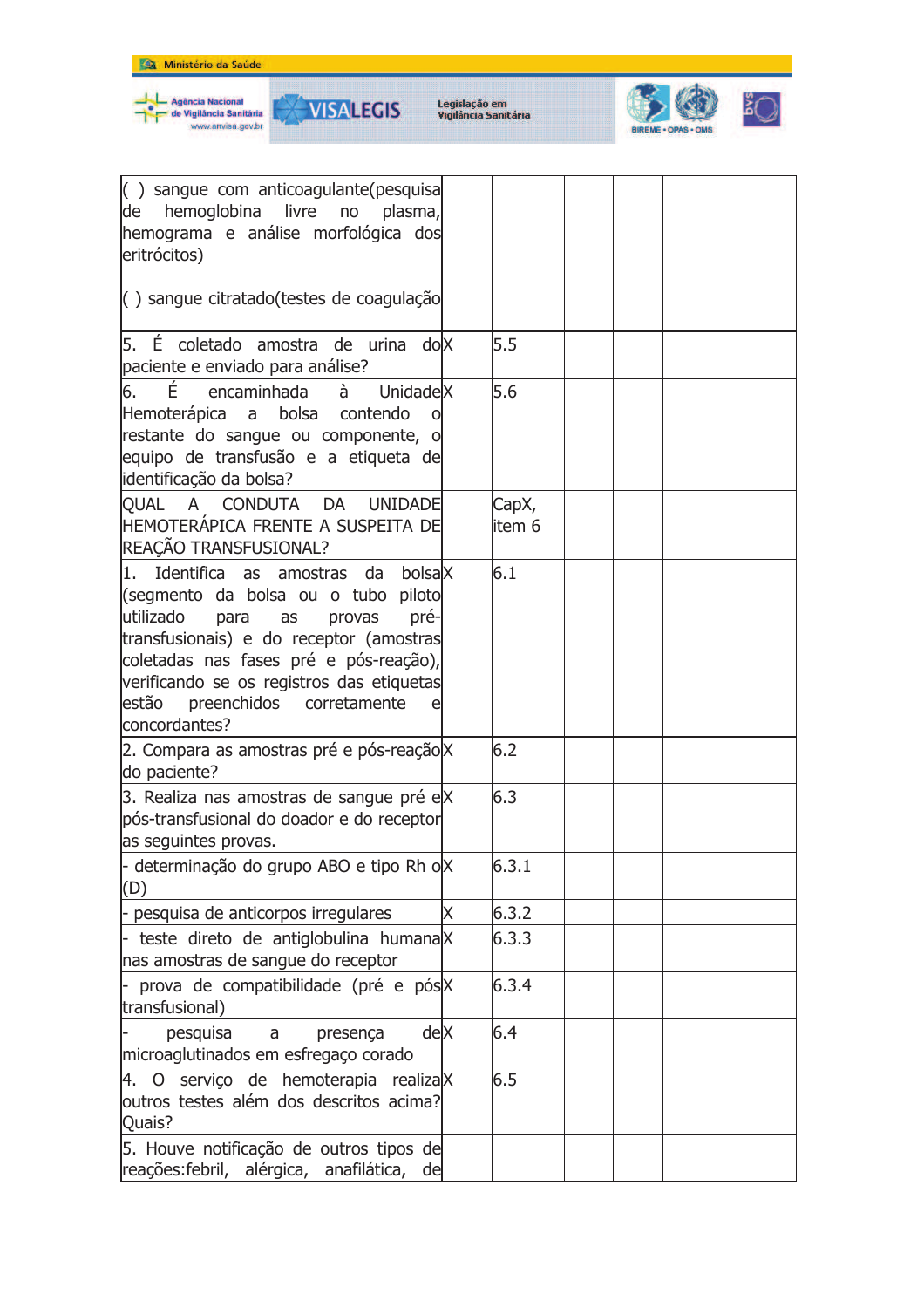

Agência Nacional<br>de Vigilância Sanităria<br>www.anvisa.gov.br

₩

**VISALEGIS** 



| $\left( \begin{array}{c} \end{array} \right)$ sangue com anticoagulante (pesquisa<br>de hemoglobina livre<br>no plasma,<br>hemograma e análise morfológica dos<br>eritrócitos)                                                                                                                                                 |   |                 |  |  |
|--------------------------------------------------------------------------------------------------------------------------------------------------------------------------------------------------------------------------------------------------------------------------------------------------------------------------------|---|-----------------|--|--|
| () sangue citratado (testes de coagulação                                                                                                                                                                                                                                                                                      |   |                 |  |  |
| 5. É coletado amostra de urina do X<br>paciente e enviado para análise?                                                                                                                                                                                                                                                        |   | 5.5             |  |  |
| É<br>6.<br>encaminhada<br>à<br>UnidadeX<br>Hemoterápica a<br>bolsa<br>contendo<br>restante do sangue ou componente, o<br>equipo de transfusão e a etiqueta de<br>identificação da bolsa?                                                                                                                                       |   | 5.6             |  |  |
| QUAL A CONDUTA DA<br><b>UNIDADE</b><br>HEMOTERÁPICA FRENTE A SUSPEITA DE<br>REAÇÃO TRANSFUSIONAL?                                                                                                                                                                                                                              |   | CapX,<br>item 6 |  |  |
| 1. Identifica as amostras<br>bolsalX<br>da<br>(segmento da bolsa ou o tubo piloto<br>utilizado<br>pré-<br>para<br>as<br>provas<br>transfusionais) e do receptor (amostras<br>coletadas nas fases pré e pós-reação),<br>verificando se os registros das etiquetas<br>estão<br>preenchidos<br>corretamente<br>e<br>concordantes? |   | 6.1             |  |  |
| 2. Compara as amostras pré e pós-reação X<br>do paciente?                                                                                                                                                                                                                                                                      |   | 6.2             |  |  |
| 3. Realiza nas amostras de sangue pré e X<br>pós-transfusional do doador e do receptor<br>as seguintes provas.                                                                                                                                                                                                                 |   | 6.3             |  |  |
| - determinação do grupo ABO e tipo Rh oX<br>(D)                                                                                                                                                                                                                                                                                |   | 6.3.1           |  |  |
| - pesquisa de anticorpos irregulares                                                                                                                                                                                                                                                                                           | Χ | 6.3.2           |  |  |
| $\vert$ - teste direto de antiglobulina humana $\vert$ X<br>nas amostras de sangue do receptor                                                                                                                                                                                                                                 |   | 6.3.3           |  |  |
| - prova de compatibilidade (pré e pós X<br>transfusional)                                                                                                                                                                                                                                                                      |   | 6.3.4           |  |  |
| deX<br>pesquisa<br>presença<br>a<br>microaglutinados em esfregaço corado                                                                                                                                                                                                                                                       |   | 6.4             |  |  |
| 4. O serviço de hemoterapia realiza X<br>outros testes além dos descritos acima?<br>Quais?                                                                                                                                                                                                                                     |   | 6.5             |  |  |
| 5. Houve notificação de outros tipos de<br>reações:febril, alérgica, anafilática,<br>de                                                                                                                                                                                                                                        |   |                 |  |  |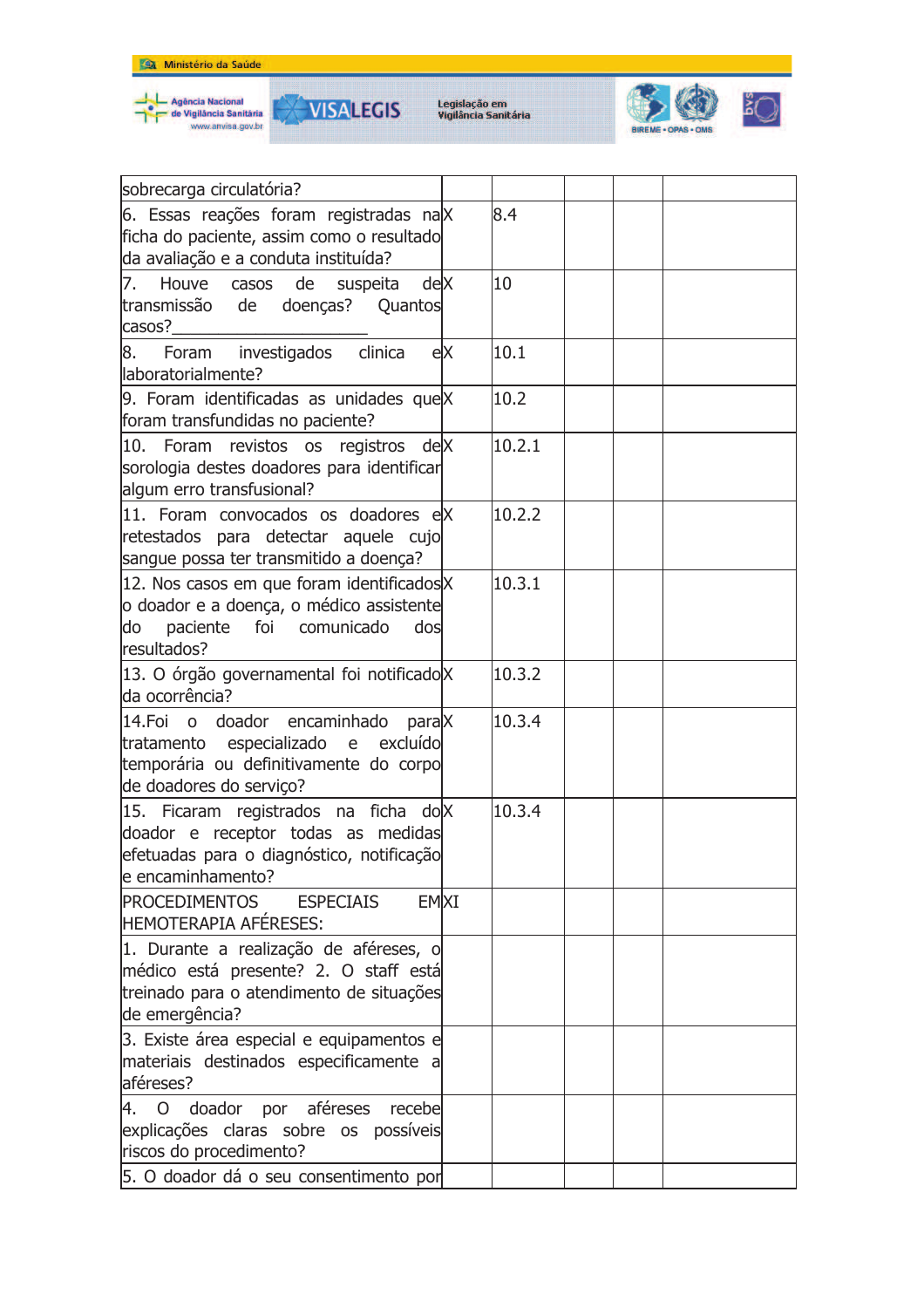



**VISALEGIS** 



| sobrecarga circulatória?                                                                                                                            |    |        |  |  |
|-----------------------------------------------------------------------------------------------------------------------------------------------------|----|--------|--|--|
| 6. Essas reações foram registradas na X<br>ficha do paciente, assim como o resultado<br>da avaliação e a conduta instituída?                        |    | 8.4    |  |  |
| Houve casos<br>deX<br>7.<br>de<br>suspeita<br>transmissão de<br>doenças? Quantos<br>casos?                                                          |    | 10     |  |  |
| 8.<br>Foram investigados<br>clinica<br>llaboratorialmente?                                                                                          | eX | 10.1   |  |  |
| 9. Foram identificadas as unidades que X<br>foram transfundidas no paciente?                                                                        |    | 10.2   |  |  |
| 10. Foram revistos os registros deX<br>sorologia destes doadores para identificar<br>algum erro transfusional?                                      |    | 10.2.1 |  |  |
| 11. Foram convocados os doadores eX<br>retestados para detectar aquele cujo<br>sangue possa ter transmitido a doença?                               |    | 10.2.2 |  |  |
| 12. Nos casos em que foram identificados X<br>o doador e a doença, o médico assistente<br>paciente<br>foi<br>comunicado<br>do<br>dos<br>resultados? |    | 10.3.1 |  |  |
| 13. O órgão governamental foi notificado X<br>da ocorrência?                                                                                        |    | 10.3.2 |  |  |
| doador encaminhado<br>14.Foi o<br>paraX<br>tratamento especializado e excluído<br>temporária ou definitivamente do corpo<br>de doadores do serviço? |    | 10.3.4 |  |  |
| 15. Ficaram registrados na ficha do X<br>doador e receptor todas as medidas<br>efetuadas para o diagnóstico, notificação<br>le encaminhamento?      |    | 10.3.4 |  |  |
| <b>PROCEDIMENTOS</b><br><b>EMXI</b><br><b>ESPECIAIS</b><br><b>HEMOTERAPIA AFÉRESES:</b>                                                             |    |        |  |  |
| 1. Durante a realização de aféreses, o<br>médico está presente? 2. O staff está<br>treinado para o atendimento de situações<br>de emergência?       |    |        |  |  |
| 3. Existe área especial e equipamentos e<br>materiais destinados especificamente a<br>aféreses?                                                     |    |        |  |  |
| 4. O doador por aféreses<br>recebe<br>explicações claras sobre os possíveis<br>riscos do procedimento?                                              |    |        |  |  |
| 5. O doador dá o seu consentimento por                                                                                                              |    |        |  |  |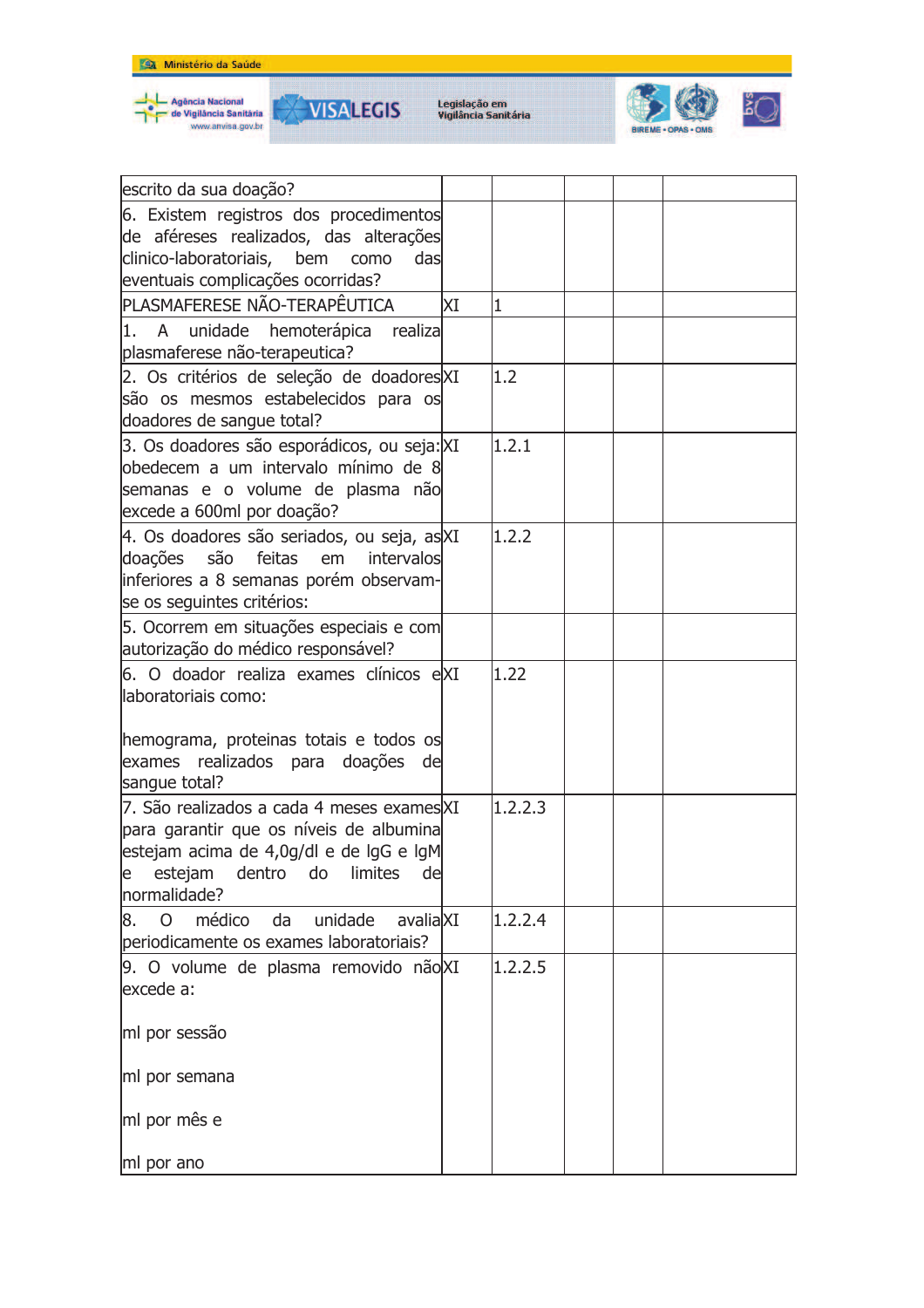

Agência Nacional<br>de Vigilância Sanităria<br>www.anvisa.gov.br





| escrito da sua doação?                                                                      |     |         |  |  |
|---------------------------------------------------------------------------------------------|-----|---------|--|--|
| 6. Existem registros dos procedimentos                                                      |     |         |  |  |
| de aféreses realizados, das alterações                                                      |     |         |  |  |
| clinico-laboratoriais, bem<br>das<br>como                                                   |     |         |  |  |
| eventuais complicações ocorridas?                                                           |     |         |  |  |
| PLASMAFERESE NÃO-TERAPÊUTICA                                                                | lΧI | 1       |  |  |
| 1. A unidade hemoterápica realiza                                                           |     |         |  |  |
| plasmaferese não-terapeutica?                                                               |     |         |  |  |
| 2. Os critérios de seleção de doadoresXI                                                    |     | 1.2     |  |  |
| são os mesmos estabelecidos para os                                                         |     |         |  |  |
| doadores de sangue total?                                                                   |     |         |  |  |
| 3. Os doadores são esporádicos, ou seja: XI                                                 |     | 1, 2, 1 |  |  |
| obedecem a um intervalo mínimo de 8                                                         |     |         |  |  |
| semanas e o volume de plasma não                                                            |     |         |  |  |
| excede a 600ml por doação?                                                                  |     |         |  |  |
| 4. Os doadores são seriados, ou seja, as XI<br>doações<br>são<br>feitas<br>em<br>intervalos |     | 1.2.2   |  |  |
| inferiores a 8 semanas porém observam-                                                      |     |         |  |  |
| se os seguintes critérios:                                                                  |     |         |  |  |
| 5. Ocorrem em situações especiais e com                                                     |     |         |  |  |
| autorização do médico responsável?                                                          |     |         |  |  |
| 6. O doador realiza exames clínicos eXI                                                     |     | 1.22    |  |  |
| llaboratoriais como:                                                                        |     |         |  |  |
|                                                                                             |     |         |  |  |
| hemograma, proteinas totais e todos os                                                      |     |         |  |  |
| realizados para doações de<br>exames                                                        |     |         |  |  |
| sangue total?                                                                               |     |         |  |  |
| 7. São realizados a cada 4 meses exames XI                                                  |     | 1.2.2.3 |  |  |
| para garantir que os níveis de albumina                                                     |     |         |  |  |
| estejam acima de 4,0g/dl e de lgG e lgM                                                     |     |         |  |  |
| estejam<br>dentro<br>do<br>limites<br>de<br>e                                               |     |         |  |  |
| normalidade?                                                                                |     |         |  |  |
| médico<br>avaliaXI<br>$\overline{O}$<br>da<br>unidade<br>8.                                 |     | 1.2.2.4 |  |  |
| periodicamente os exames laboratoriais?                                                     |     |         |  |  |
| 9. O volume de plasma removido não XI                                                       |     | 1.2.2.5 |  |  |
| excede a:                                                                                   |     |         |  |  |
|                                                                                             |     |         |  |  |
| ml por sessão                                                                               |     |         |  |  |
| ml por semana                                                                               |     |         |  |  |
|                                                                                             |     |         |  |  |
| ml por mês e                                                                                |     |         |  |  |
|                                                                                             |     |         |  |  |
| ml por ano                                                                                  |     |         |  |  |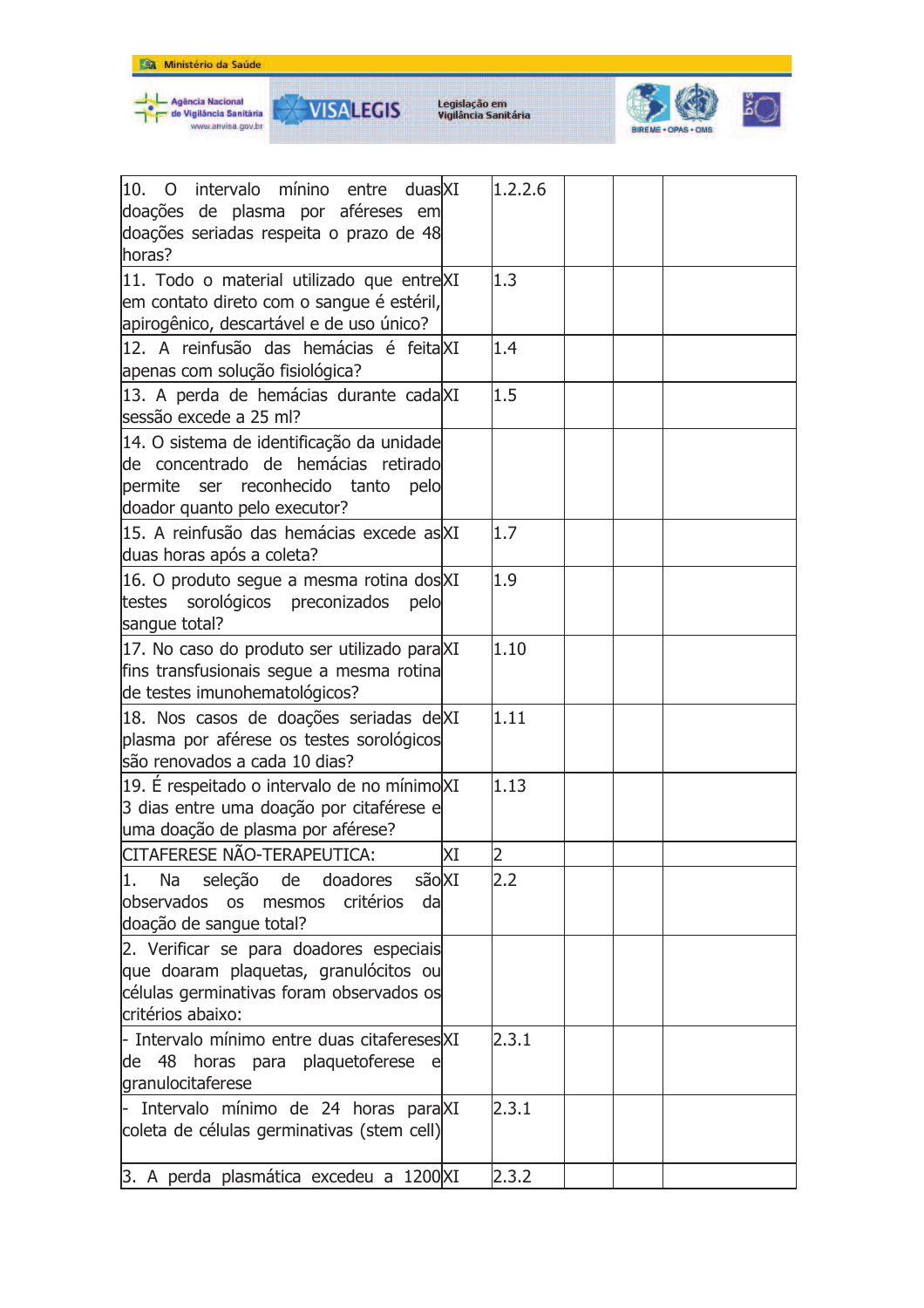







| 10.<br>intervalo mínino entre<br>duasXI<br>$\overline{O}$<br>doações de plasma por aféreses em<br>doações seriadas respeita o prazo de 48<br>horas?           |    | 1.2.2.6 |  |
|---------------------------------------------------------------------------------------------------------------------------------------------------------------|----|---------|--|
| 11. Todo o material utilizado que entreXI<br>em contato direto com o sangue é estéril,<br>apirogênico, descartável e de uso único?                            |    | 1.3     |  |
| 12. A reinfusão das hemácias é feitalXI<br>apenas com solução fisiológica?                                                                                    |    | 1.4     |  |
| 13. A perda de hemácias durante cada XI<br>sessão excede a 25 ml?                                                                                             |    | 1.5     |  |
| 14. O sistema de identificação da unidade<br>lde concentrado de hemácias retirado<br>ser reconhecido tanto<br>permite<br>pelo<br>doador quanto pelo executor? |    |         |  |
| 15. A reinfusão das hemácias excede as XI<br>duas horas após a coleta?                                                                                        |    | 1.7     |  |
| 16. O produto segue a mesma rotina dos XI<br>testes sorológicos preconizados<br>pelo<br>sangue total?                                                         |    | 1.9     |  |
| 17. No caso do produto ser utilizado para XI<br>fins transfusionais segue a mesma rotina<br>de testes imunohematológicos?                                     |    | 1.10    |  |
| 18. Nos casos de doações seriadas deXI<br>plasma por aférese os testes sorológicos<br>são renovados a cada 10 dias?                                           |    | 1.11    |  |
| 19. É respeitado o intervalo de no mínimo XI<br>3 dias entre uma doação por citaférese e<br>uma doação de plasma por aférese?                                 |    | 1.13    |  |
| CITAFERESE NÃO-TERAPEUTICA:                                                                                                                                   | ΧI | 2       |  |
| 1.<br>sãoXI<br>Na seleção de doadores<br>critérios<br>lobservados os mesmos<br>da<br>doação de sangue total?                                                  |    | 2.2     |  |
| 2. Verificar se para doadores especiais<br>que doaram plaquetas, granulócitos ou<br>células germinativas foram observados os<br>critérios abaixo:             |    |         |  |
| - Intervalo mínimo entre duas citafereses\XI<br>de 48 horas para plaquetoferese e<br>granulocitaferese                                                        |    | 2.3.1   |  |
| Intervalo mínimo de 24 horas para XI<br>coleta de células germinativas (stem cell)                                                                            |    | 2.3.1   |  |
| 3. A perda plasmática excedeu a 1200 XI                                                                                                                       |    | 2.3.2   |  |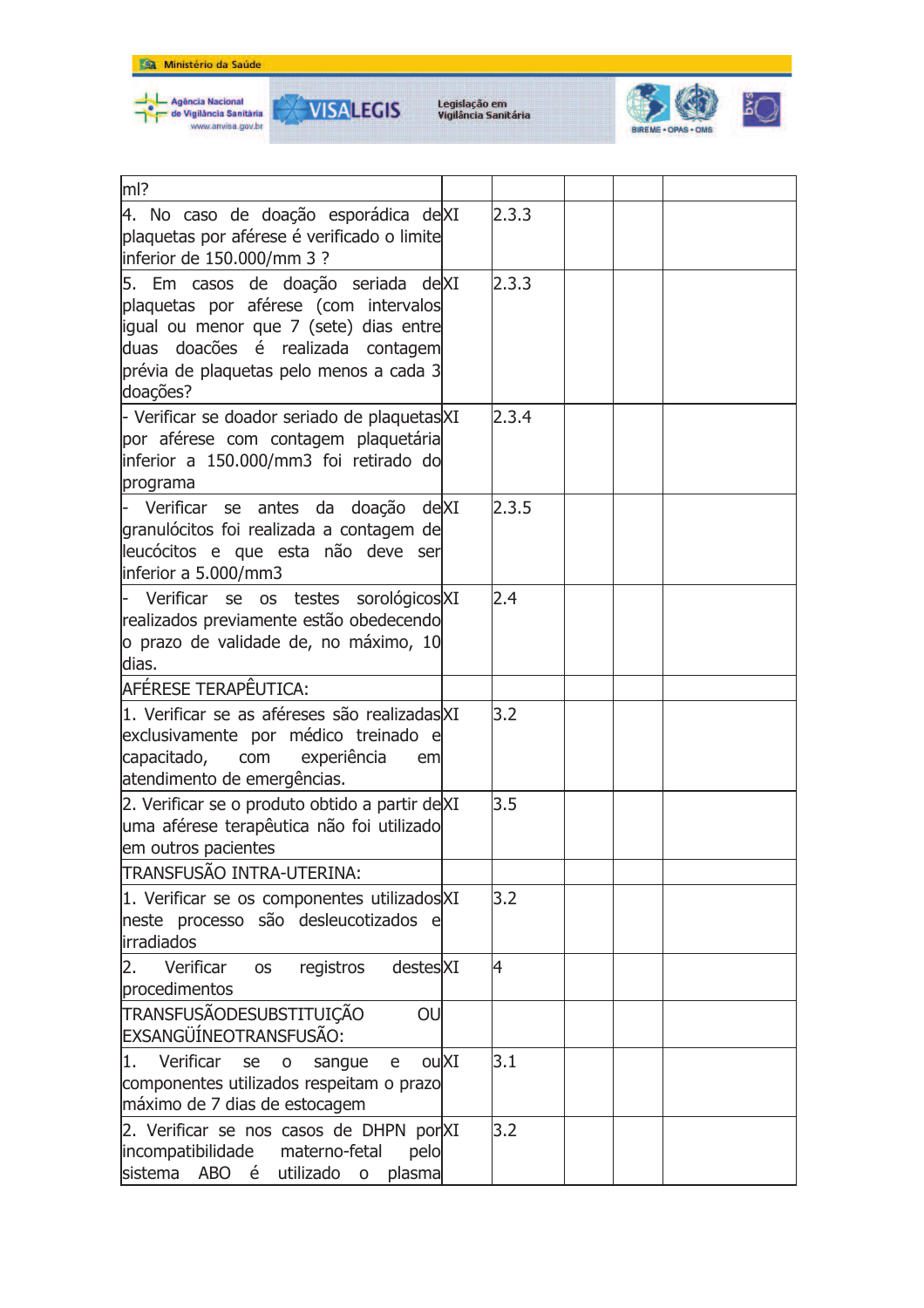



**VISALEGIS** 



| $m$ ?                                                                                                                                                                                                              |       |  |
|--------------------------------------------------------------------------------------------------------------------------------------------------------------------------------------------------------------------|-------|--|
| 4. No caso de doação esporádica de XI<br>plaquetas por aférese é verificado o limite<br>inferior de 150.000/mm 3 ?                                                                                                 | 2.3.3 |  |
| 5. Em casos de doação seriada de XI<br>plaquetas por aférese (com intervalos<br>igual ou menor que 7 (sete) dias entre<br>duas doacões é realizada contagem<br>prévia de plaquetas pelo menos a cada 3<br>doações? | 2.3.3 |  |
| - Verificar se doador seriado de plaquetas XI<br>por aférese com contagem plaquetária<br>inferior a 150.000/mm3 foi retirado do<br>programa                                                                        | 2.3.4 |  |
| Verificar se antes da doação de XI<br>granulócitos foi realizada a contagem de<br>leucócitos e que esta não deve ser<br>inferior a 5.000/mm3                                                                       | 2.3.5 |  |
| Verificar se os testes sorológicos XI<br>realizados previamente estão obedecendo<br>o prazo de validade de, no máximo, 10<br>dias.                                                                                 | 2.4   |  |
| AFÉRESE TERAPÊUTICA:                                                                                                                                                                                               |       |  |
| 1. Verificar se as aféreses são realizadas XI<br>exclusivamente por médico treinado e<br>capacitado,<br>com experiência<br>em<br>atendimento de emergências.                                                       | 3.2   |  |
| 2. Verificar se o produto obtido a partir deXI<br>uma aférese terapêutica não foi utilizado<br>em outros pacientes<br>TRANSFUSÃO INTRA-UTERINA:                                                                    | 3.5   |  |
| 1. Verificar se os componentes utilizados XI<br>neste processo são desleucotizados e<br>irradiados                                                                                                                 | 3.2   |  |
| Verificar<br>2.<br>destesXI<br>registros<br><b>OS</b><br>procedimentos                                                                                                                                             | 4     |  |
| TRANSFUSÃODESUBSTITUIÇÃO<br>OU<br>EXSANGÜÍNEOTRANSFUSÃO:                                                                                                                                                           |       |  |
| Verificar<br>ouXI<br>se<br>1.<br>$\mathsf O$<br>sangue<br>e<br>componentes utilizados respeitam o prazo<br>máximo de 7 dias de estocagem                                                                           | 3.1   |  |
| 2. Verificar se nos casos de DHPN por XI<br>incompatibilidade materno-fetal<br>pelo<br>sistema ABO é<br>utilizado<br>plasma<br>$\mathsf{o}$                                                                        | 3.2   |  |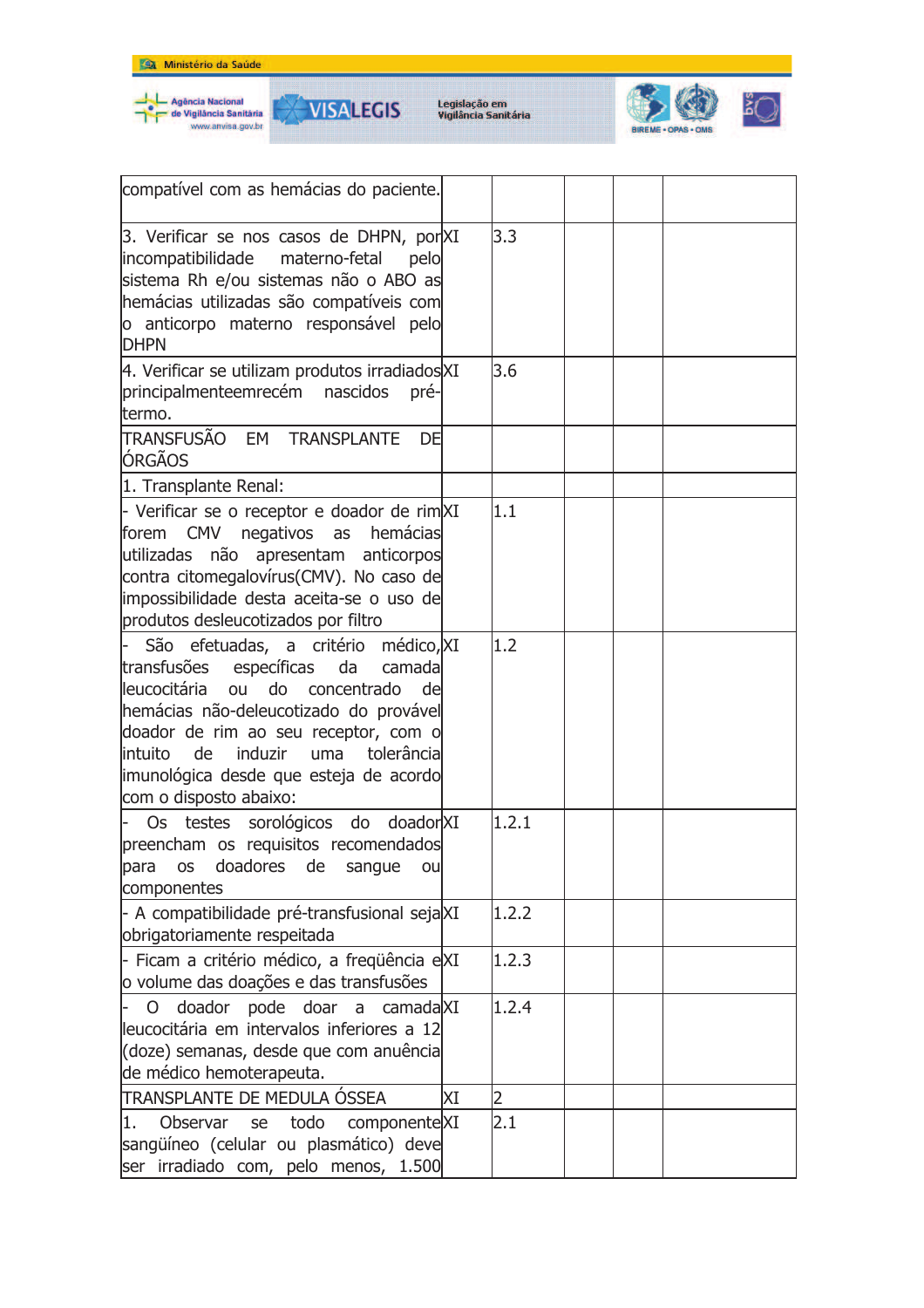





| compatível com as hemácias do paciente.                                                                                                                                                                                                                                                                                        |    |                |  |  |
|--------------------------------------------------------------------------------------------------------------------------------------------------------------------------------------------------------------------------------------------------------------------------------------------------------------------------------|----|----------------|--|--|
| 3. Verificar se nos casos de DHPN, por XI<br>incompatibilidade<br>materno-fetal<br>pelo<br>sistema Rh e/ou sistemas não o ABO as<br>hemácias utilizadas são compatíveis com<br>o anticorpo materno responsável pelo<br><b>DHPN</b>                                                                                             |    | 3.3            |  |  |
| 4. Verificar se utilizam produtos irradiados XI<br>principalmenteemrecém nascidos<br>pré-<br>termo.                                                                                                                                                                                                                            |    | 3.6            |  |  |
| TRANSFUSÃO EM TRANSPLANTE<br>DE<br><b>ÓRGÃOS</b>                                                                                                                                                                                                                                                                               |    |                |  |  |
| 1. Transplante Renal:                                                                                                                                                                                                                                                                                                          |    |                |  |  |
| - Verificar se o receptor e doador de rim XI<br>forem CMV negativos as<br>hemácias<br>utilizadas não apresentam anticorpos<br>contra citomegalovírus(CMV). No caso de<br>impossibilidade desta aceita-se o uso de<br>produtos desleucotizados por filtro                                                                       |    | 1.1            |  |  |
| São efetuadas, a critério médico, XI<br>transfusões específicas<br>da<br>camada<br>lleucocitária<br>do concentrado de<br>ou<br>hemácias não-deleucotizado do provável<br>doador de rim ao seu receptor, com o<br>induzir<br>uma tolerâncial<br>lintuito de<br>imunológica desde que esteja de acordo<br>com o disposto abaixo: |    | 1.2            |  |  |
| Os testes sorológicos do doador XI<br>preencham os requisitos recomendados<br>para os doadores de sangue ou<br>componentes                                                                                                                                                                                                     |    | 1.2.1          |  |  |
| - A compatibilidade pré-transfusional seja XI<br>obrigatoriamente respeitada                                                                                                                                                                                                                                                   |    | 1.2.2          |  |  |
| - Ficam a critério médico, a freqüência eXI<br>o volume das doações e das transfusões                                                                                                                                                                                                                                          |    | 1.2.3          |  |  |
| doador pode doar a camada XI<br>O.<br>leucocitária em intervalos inferiores a 12<br>(doze) semanas, desde que com anuência<br>de médico hemoterapeuta.                                                                                                                                                                         |    | 1.2.4          |  |  |
| TRANSPLANTE DE MEDULA ÓSSEA                                                                                                                                                                                                                                                                                                    | ΧI | $\overline{2}$ |  |  |
| componenteXI<br>11.<br>Observar<br>todo<br>se<br>sangüíneo (celular ou plasmático) deve<br>ser irradiado com, pelo menos, 1.500                                                                                                                                                                                                |    | 2.1            |  |  |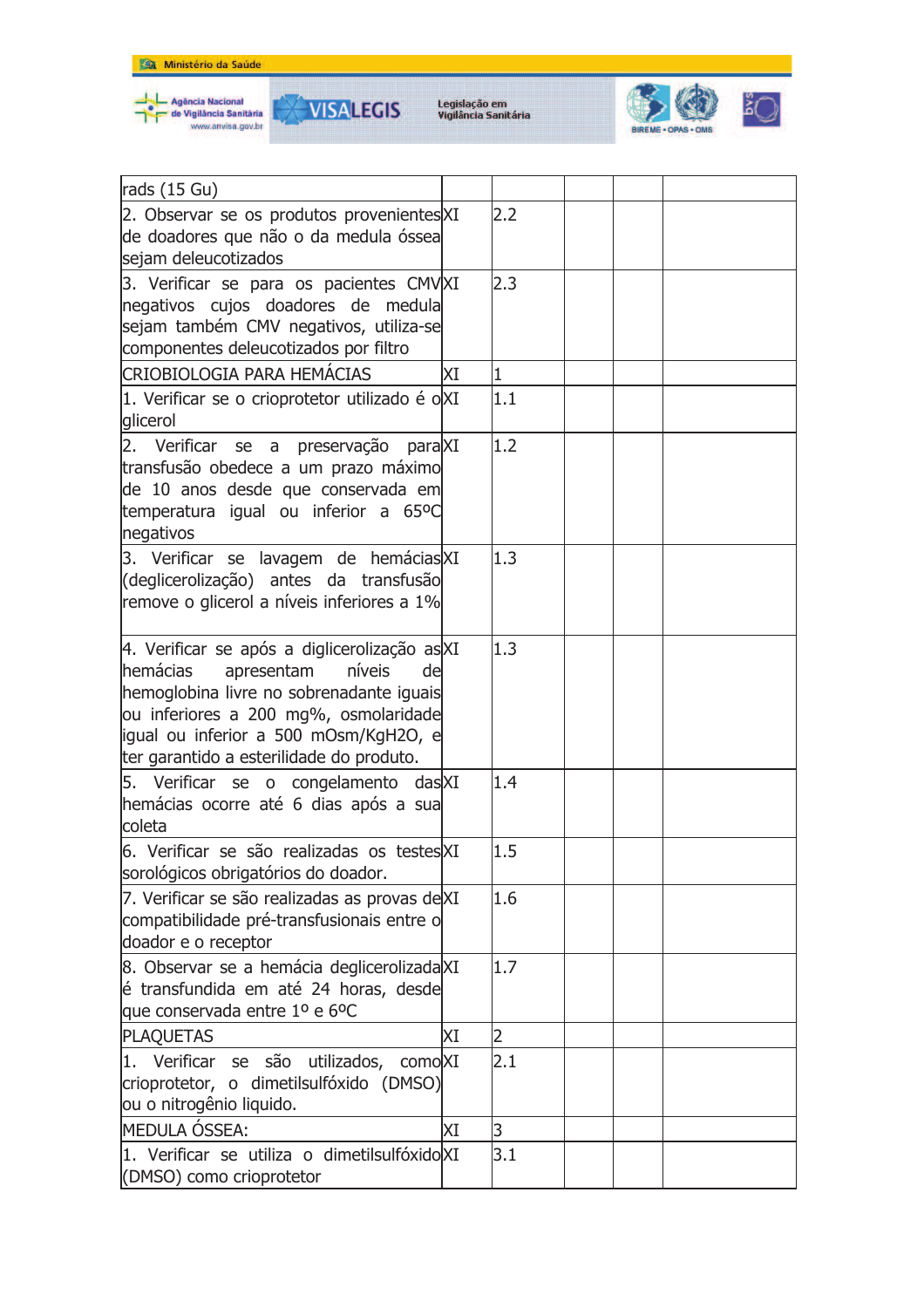



**VISALEGIS** 



| rads $(15 \text{ Gu})$                                        |    |     |  |  |
|---------------------------------------------------------------|----|-----|--|--|
| 2. Observar se os produtos provenientes XI                    |    | 2.2 |  |  |
| de doadores que não o da medula óssea<br>sejam deleucotizados |    |     |  |  |
|                                                               |    |     |  |  |
| 3. Verificar se para os pacientes CMV XI                      |    | 2.3 |  |  |
| negativos cujos doadores de medula                            |    |     |  |  |
| sejam também CMV negativos, utiliza-se                        |    |     |  |  |
| componentes deleucotizados por filtro                         |    |     |  |  |
| <b>CRIOBIOLOGIA PARA HEMÁCIAS</b>                             | ΧI | 1   |  |  |
| 1. Verificar se o crioprotetor utilizado é oXI                |    | 1.1 |  |  |
| glicerol                                                      |    |     |  |  |
| 2. Verificar se a preservação<br>para XI                      |    | 1.2 |  |  |
| transfusão obedece a um prazo máximo                          |    |     |  |  |
| de 10 anos desde que conservada em                            |    |     |  |  |
| temperatura igual ou inferior a 65ºC                          |    |     |  |  |
| negativos                                                     |    |     |  |  |
| 3. Verificar se lavagem de hemácias XI                        |    | 1.3 |  |  |
| (deglicerolização) antes da transfusão                        |    |     |  |  |
| remove o glicerol a níveis inferiores a 1%                    |    |     |  |  |
|                                                               |    |     |  |  |
| 4. Verificar se após a diglicerolização as XI                 |    | 1.3 |  |  |
| hemácias<br>níveis<br>apresentam<br>de                        |    |     |  |  |
| hemoglobina livre no sobrenadante iguais                      |    |     |  |  |
| ou inferiores a 200 mg%, osmolaridade                         |    |     |  |  |
| igual ou inferior a 500 mOsm/KgH2O, e                         |    |     |  |  |
| ter garantido a esterilidade do produto.                      |    |     |  |  |
| 5. Verificar se o congelamento das XI                         |    | 1.4 |  |  |
| hemácias ocorre até 6 dias após a sua                         |    |     |  |  |
| coleta                                                        |    |     |  |  |
| 6. Verificar se são realizadas os testes XI                   |    | 1.5 |  |  |
| sorológicos obrigatórios do doador.                           |    |     |  |  |
| 7. Verificar se são realizadas as provas deXI                 |    | 1.6 |  |  |
| compatibilidade pré-transfusionais entre o                    |    |     |  |  |
| doador e o receptor                                           |    |     |  |  |
| 8. Observar se a hemácia deglicerolizada XI                   |    | 1.7 |  |  |
| lé transfundida em até 24 horas, desde                        |    |     |  |  |
| que conservada entre 1º e 6ºC                                 |    |     |  |  |
| <b>PLAQUETAS</b>                                              | ΧI | 2   |  |  |
|                                                               |    |     |  |  |
| Verificar se são<br>comoXI<br>utilizados,<br>I1.              |    | 2.1 |  |  |
| crioprotetor, o dimetilsulfóxido (DMSO)                       |    |     |  |  |
| ou o nitrogênio liquido.                                      |    |     |  |  |
| <b>MEDULA ÓSSEA:</b>                                          | ΧI | 3   |  |  |
| 1. Verificar se utiliza o dimetilsulfóxido XI                 |    | 3.1 |  |  |
| (DMSO) como crioprotetor                                      |    |     |  |  |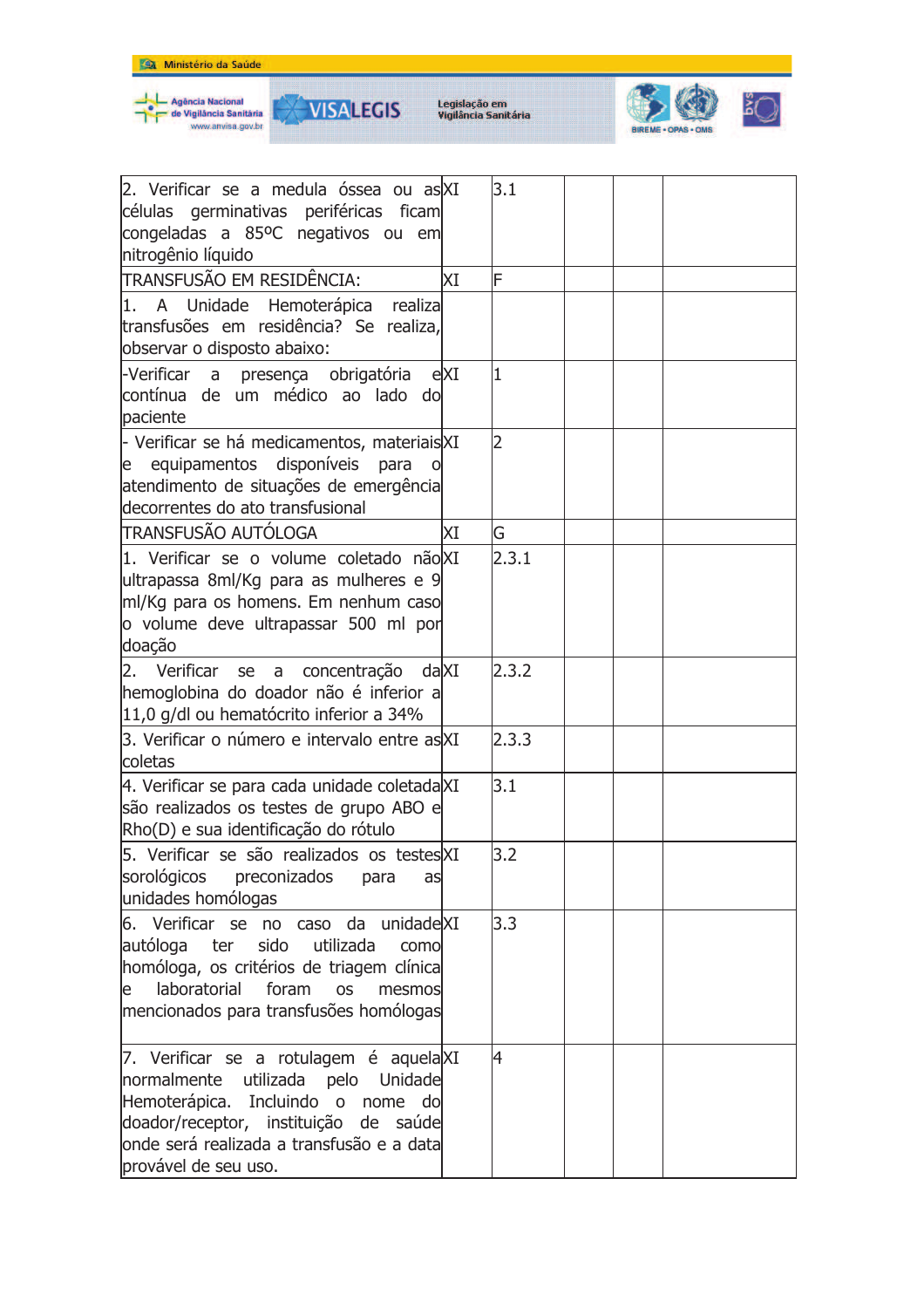



**VISALEGIS** 



| 2. Verificar se a medula óssea ou as XI<br>células germinativas periféricas ficam<br>congeladas a 85ºC negativos ou em<br>nitrogênio líquido                                                                                        |    | 3.1   |  |  |
|-------------------------------------------------------------------------------------------------------------------------------------------------------------------------------------------------------------------------------------|----|-------|--|--|
| <b>TRANSFUSÃO EM RESIDÊNCIA:</b>                                                                                                                                                                                                    | ΧI | F     |  |  |
| 1. A Unidade Hemoterápica realiza<br>transfusões em residência? Se realiza,<br>observar o disposto abaixo:                                                                                                                          |    |       |  |  |
| -Verificar a presença obrigatória eXI<br>contínua de um médico ao lado do<br>paciente                                                                                                                                               |    | I1    |  |  |
| - Verificar se há medicamentos, materiais XI<br>e equipamentos disponíveis<br>para<br>atendimento de situações de emergência<br>decorrentes do ato transfusional                                                                    |    | 2     |  |  |
| <b>TRANSFUSÃO AUTÓLOGA</b>                                                                                                                                                                                                          | ΧI | G     |  |  |
| 1. Verificar se o volume coletado não XI<br>ultrapassa 8ml/Kg para as mulheres e 9<br>ml/Kg para os homens. Em nenhum caso<br>o volume deve ultrapassar 500 ml por<br>doação                                                        |    | 2.3.1 |  |  |
| 2. Verificar se a concentração da XI<br>hemoglobina do doador não é inferior a<br>11,0 g/dl ou hematócrito inferior a 34%                                                                                                           |    | 2.3.2 |  |  |
| 3. Verificar o número e intervalo entre as XI<br>coletas                                                                                                                                                                            |    | 2.3.3 |  |  |
| 4. Verificar se para cada unidade coletadaXI<br>são realizados os testes de grupo ABO e<br>Rho(D) e sua identificação do rótulo                                                                                                     |    | 3.1   |  |  |
| 5. Verificar se são realizados os testesXI<br>sorológicos preconizados<br>para<br>as<br>unidades homólogas                                                                                                                          |    | 3.2   |  |  |
| 6. Verificar se no caso da unidadeXI<br>autóloga ter sido utilizada<br>como<br>homóloga, os critérios de triagem clínica<br>laboratorial<br>foram<br><b>OS</b><br>e<br>mesmos<br>mencionados para transfusões homólogas             |    | 3.3   |  |  |
| 7. Verificar se a rotulagem é aquela XI<br>normalmente<br>utilizada pelo Unidade<br>Hemoterápica. Incluindo o nome do<br>doador/receptor, instituição de saúde<br>onde será realizada a transfusão e a data<br>provável de seu uso. |    | 4     |  |  |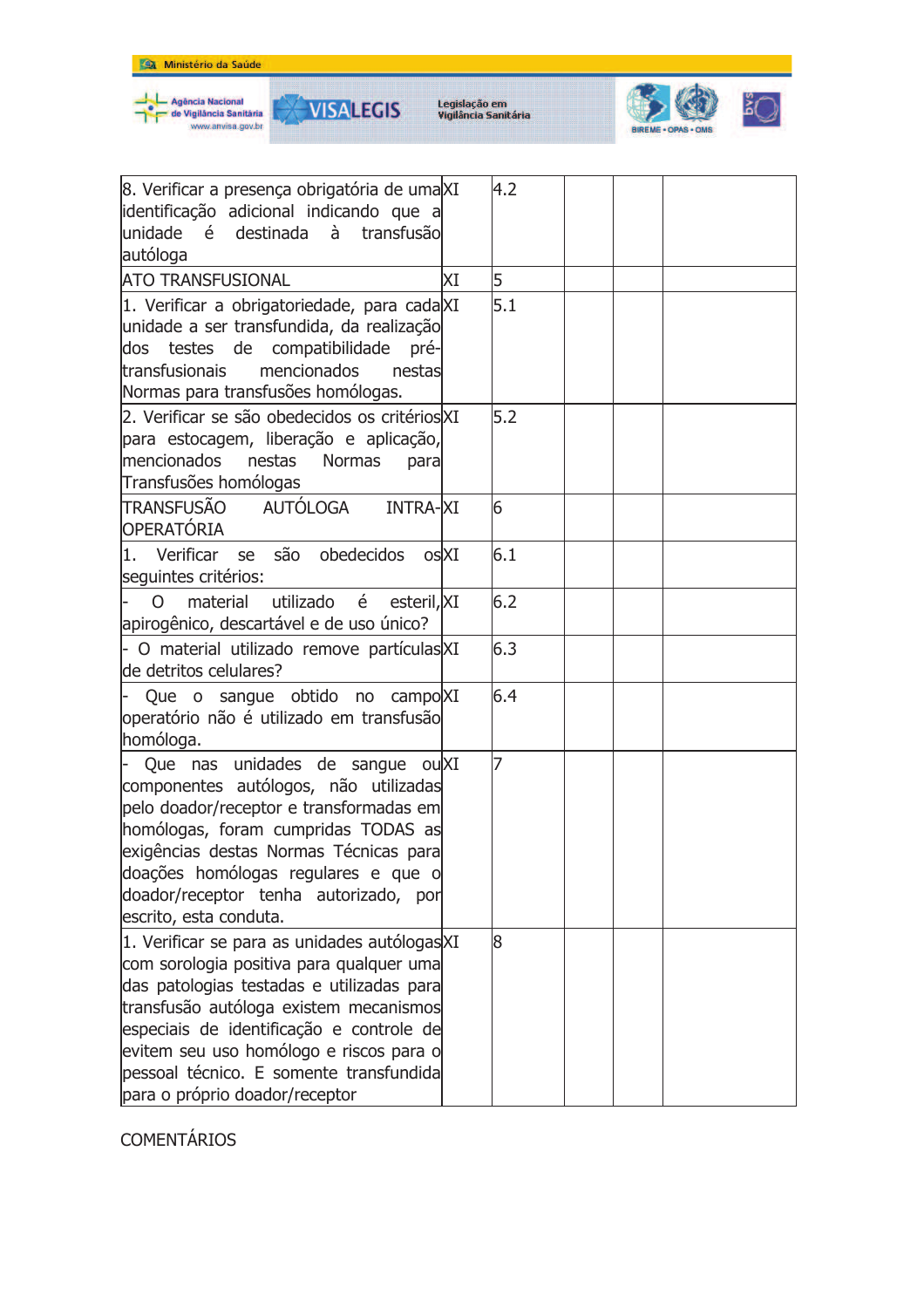

۲

VISALEGIS

Legislação em<br>Vigilância Sanitária



| 8. Verificar a presença obrigatória de uma XI<br>identificação adicional indicando que a<br>unidade é destinada à<br>transfusão<br>autóloga                                                                                                                                                                                                          |    | 4.2 |  |  |
|------------------------------------------------------------------------------------------------------------------------------------------------------------------------------------------------------------------------------------------------------------------------------------------------------------------------------------------------------|----|-----|--|--|
| <b>ATO TRANSFUSIONAL</b>                                                                                                                                                                                                                                                                                                                             | XΙ | 5   |  |  |
| 1. Verificar a obrigatoriedade, para cadaXI<br>unidade a ser transfundida, da realização<br>dos testes de compatibilidade<br>pré-<br>mencionados<br>transfusionais<br>nestas<br>Normas para transfusões homólogas.                                                                                                                                   |    | 5.1 |  |  |
| 2. Verificar se são obedecidos os critérios XI<br>para estocagem, liberação e aplicação,<br>mencionados<br>nestas<br><b>Normas</b><br>para<br>Transfusões homólogas                                                                                                                                                                                  |    | 5.2 |  |  |
| AUTÓLOGA<br>TRANSFUSÃO<br><b>INTRA-XI</b><br>OPERATÓRIA                                                                                                                                                                                                                                                                                              |    | 6   |  |  |
| 1. Verificar se são obedecidos os XI<br>seguintes critérios:                                                                                                                                                                                                                                                                                         |    | 6.1 |  |  |
| utilizado é<br>material<br>esteril, XI<br>$\Omega$<br>apirogênico, descartável e de uso único?                                                                                                                                                                                                                                                       |    | 6.2 |  |  |
| - O material utilizado remove partículas XI<br>de detritos celulares?                                                                                                                                                                                                                                                                                |    | 6.3 |  |  |
| Que o sangue obtido no campo XI<br>operatório não é utilizado em transfusão<br>homóloga.                                                                                                                                                                                                                                                             |    | 6.4 |  |  |
| Que nas unidades de sangue ou XI<br>componentes autólogos, não utilizadas<br>pelo doador/receptor e transformadas em<br>homólogas, foram cumpridas TODAS as<br>exigências destas Normas Técnicas para<br>doações homólogas regulares e que o<br>doador/receptor tenha autorizado, por<br>escrito, esta conduta.                                      |    | 7   |  |  |
| 1. Verificar se para as unidades autólogas XI<br>com sorologia positiva para qualquer uma<br>das patologias testadas e utilizadas para<br>transfusão autóloga existem mecanismos<br>especiais de identificação e controle de<br>evitem seu uso homólogo e riscos para o<br>pessoal técnico. E somente transfundida<br>para o próprio doador/receptor |    | 8   |  |  |

**COMENTÁRIOS**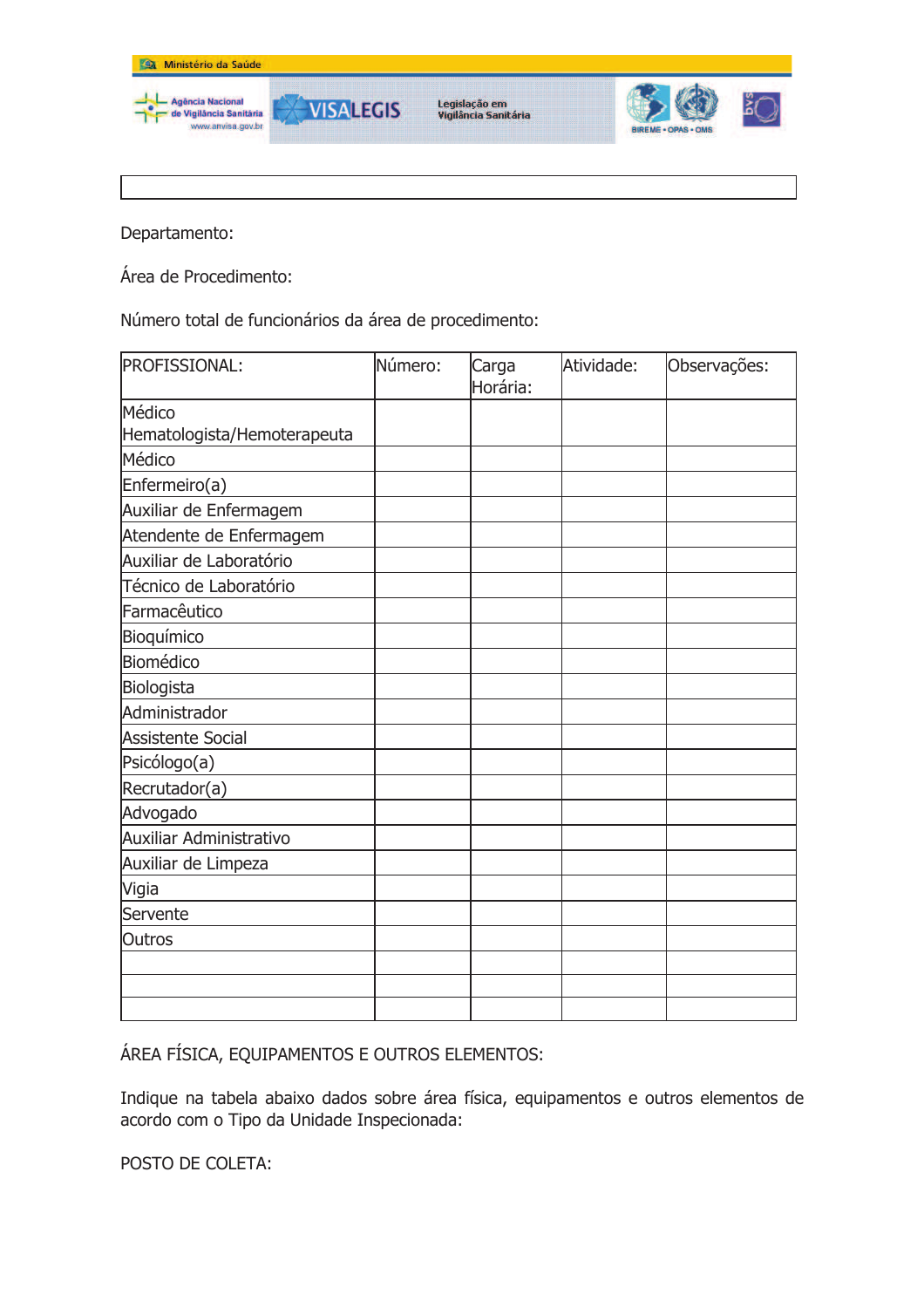

Departamento:

Área de Procedimento:

Número total de funcionários da área de procedimento:

| <b>PROFISSIONAL:</b>        | Número: | Carga<br>Horária: | Atividade: | Observações: |
|-----------------------------|---------|-------------------|------------|--------------|
| Médico                      |         |                   |            |              |
| Hematologista/Hemoterapeuta |         |                   |            |              |
| Médico                      |         |                   |            |              |
| Enfermeiro(a)               |         |                   |            |              |
| Auxiliar de Enfermagem      |         |                   |            |              |
| Atendente de Enfermagem     |         |                   |            |              |
| Auxiliar de Laboratório     |         |                   |            |              |
| Técnico de Laboratório      |         |                   |            |              |
| Farmacêutico                |         |                   |            |              |
| Bioquímico                  |         |                   |            |              |
| Biomédico                   |         |                   |            |              |
| Biologista                  |         |                   |            |              |
| Administrador               |         |                   |            |              |
| <b>Assistente Social</b>    |         |                   |            |              |
| Psicólogo(a)                |         |                   |            |              |
| Recrutador(a)               |         |                   |            |              |
| Advogado                    |         |                   |            |              |
| Auxiliar Administrativo     |         |                   |            |              |
| Auxiliar de Limpeza         |         |                   |            |              |
| Vigia                       |         |                   |            |              |
| Servente                    |         |                   |            |              |
| Outros                      |         |                   |            |              |
|                             |         |                   |            |              |
|                             |         |                   |            |              |
|                             |         |                   |            |              |

ÁREA FÍSICA, EQUIPAMENTOS E OUTROS ELEMENTOS:

Indique na tabela abaixo dados sobre área física, equipamentos e outros elementos de acordo com o Tipo da Unidade Inspecionada:

POSTO DE COLETA: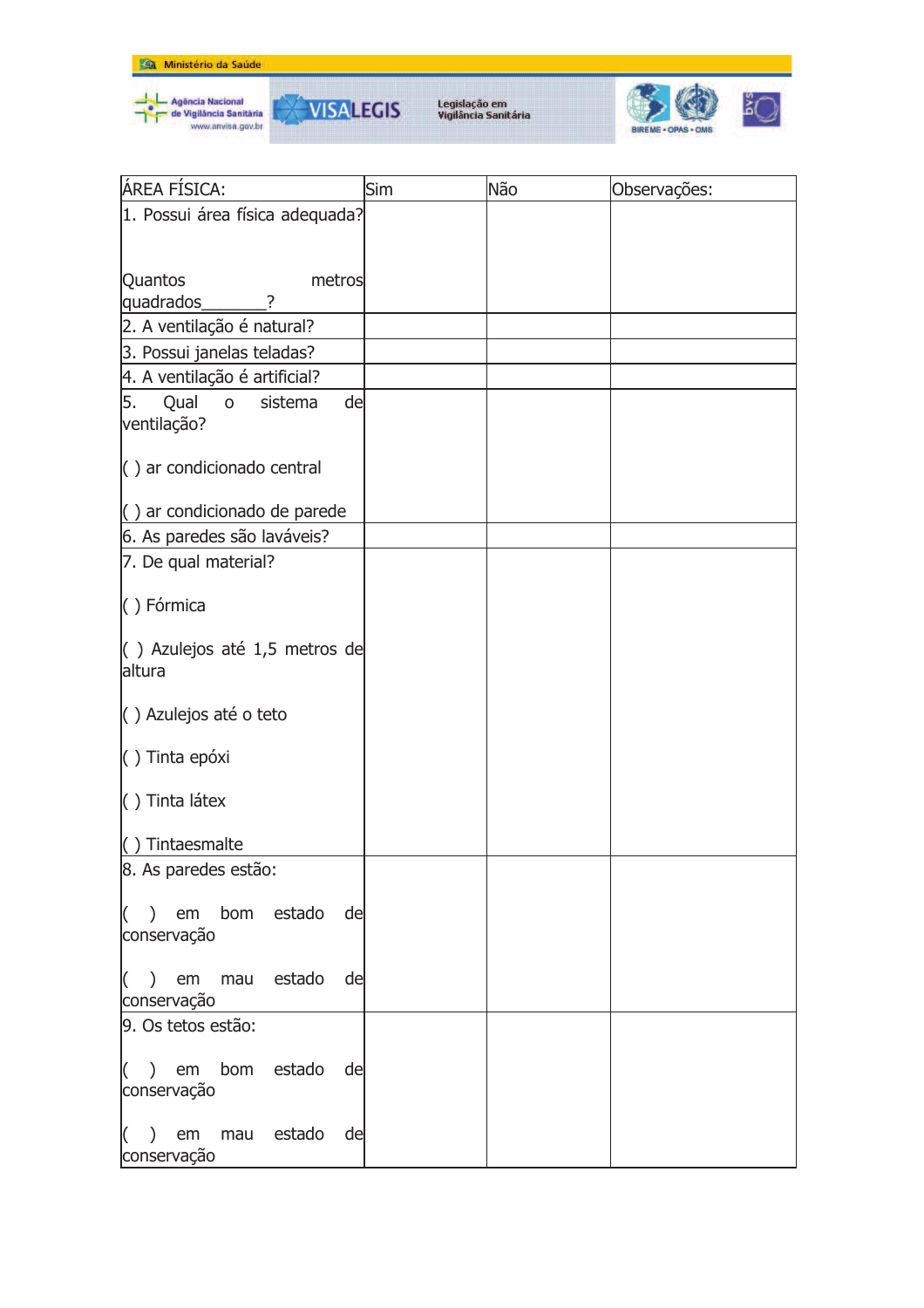







| ÁREA FÍSICA:                                                      | Sim | Não | Observações: |
|-------------------------------------------------------------------|-----|-----|--------------|
| 1. Possui área física adequada?                                   |     |     |              |
|                                                                   |     |     |              |
| Quantos<br>metros                                                 |     |     |              |
| quadrados<br>?                                                    |     |     |              |
| 2. A ventilação é natural?                                        |     |     |              |
| 3. Possui janelas teladas?                                        |     |     |              |
| 4. A ventilação é artificial?                                     |     |     |              |
| 5.<br>Qual<br>sistema<br>de<br>$\mathsf{o}\xspace$<br>ventilação? |     |     |              |
| $\left( \ \right)$ ar condicionado central                        |     |     |              |
| () ar condicionado de parede                                      |     |     |              |
| 6. As paredes são laváveis?                                       |     |     |              |
| 7. De qual material?                                              |     |     |              |
| () Fórmica                                                        |     |     |              |
| $\left( \right)$ Azulejos até 1,5 metros de                       |     |     |              |
| altura                                                            |     |     |              |
| () Azulejos até o teto                                            |     |     |              |
| $( )$ Tinta epóxi                                                 |     |     |              |
| $( )$ Tinta látex                                                 |     |     |              |
| $( )$ Tintaesmalte                                                |     |     |              |
| 8. As paredes estão:                                              |     |     |              |
| $( )$ em bom estado de                                            |     |     |              |
| conservação                                                       |     |     |              |
| $($ ) em mau estado de<br>conservação                             |     |     |              |
| 9. Os tetos estão:                                                |     |     |              |
|                                                                   |     |     |              |
| $($ ) em bom estado<br>de<br>conservação                          |     |     |              |
| () em mau estado<br>de<br>conservação                             |     |     |              |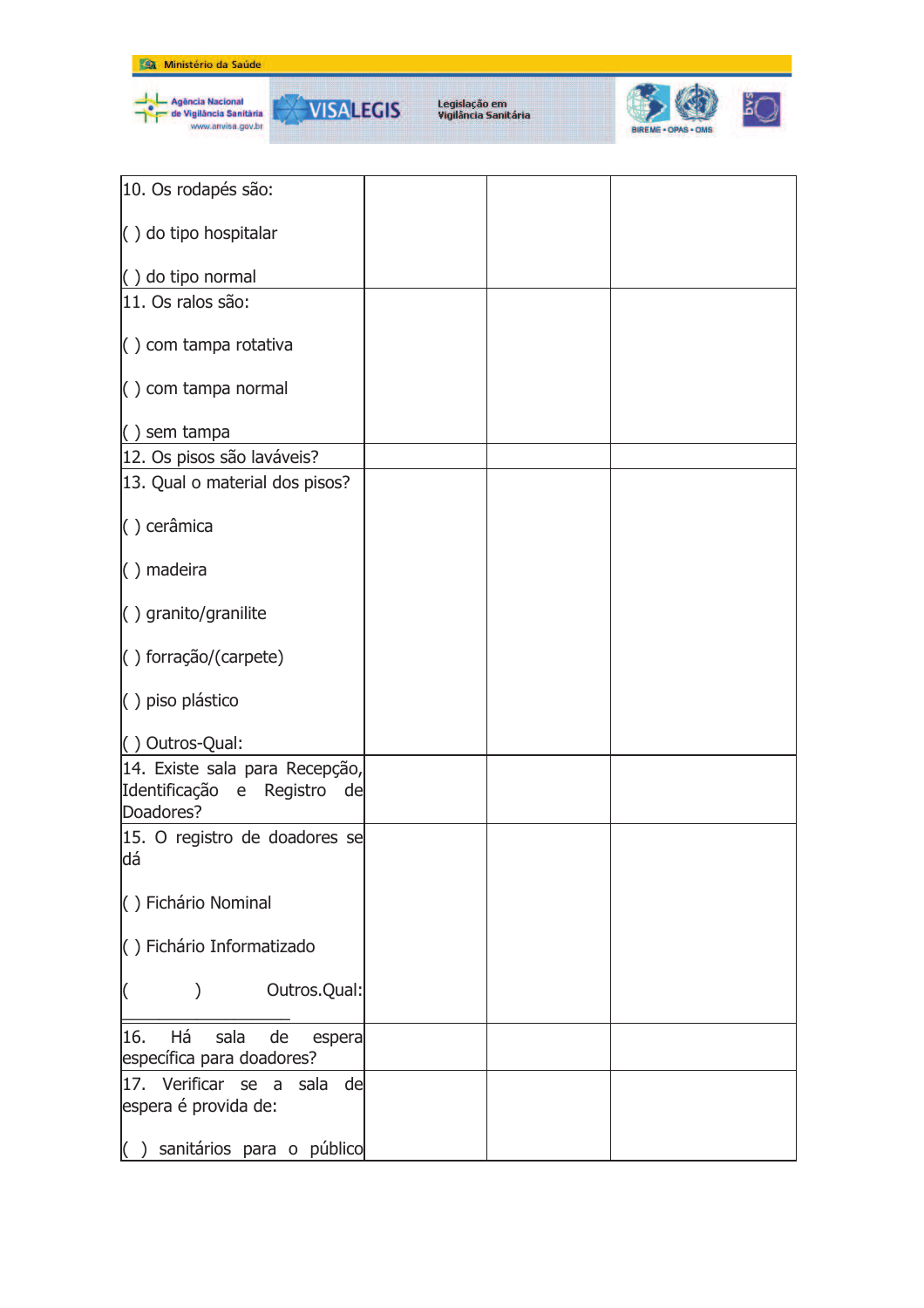

| 10. Os rodapés são:                                                        |  |  |
|----------------------------------------------------------------------------|--|--|
| $\langle$ ) do tipo hospitalar                                             |  |  |
| $( )$ do tipo normal                                                       |  |  |
| 11. Os ralos são:                                                          |  |  |
| $\langle$ ) com tampa rotativa                                             |  |  |
| $\left( \ \right)$ com tampa normal                                        |  |  |
| $( )$ sem tampa                                                            |  |  |
| 12. Os pisos são laváveis?                                                 |  |  |
| 13. Qual o material dos pisos?                                             |  |  |
| () cerâmica                                                                |  |  |
| () madeira                                                                 |  |  |
| $\langle$ ) granito/granilite                                              |  |  |
| () forração/(carpete)                                                      |  |  |
| () piso plástico                                                           |  |  |
| () Outros-Qual:                                                            |  |  |
| 14. Existe sala para Recepção,<br>Identificação e Registro de<br>Doadores? |  |  |
| 15. O registro de doadores se<br>dá                                        |  |  |
| () Fichário Nominal                                                        |  |  |
| () Fichário Informatizado                                                  |  |  |
| Outros.Qual:                                                               |  |  |
| Há<br>16.<br>sala<br>de<br>espera<br>específica para doadores?             |  |  |
| 17. Verificar se a sala de<br>espera é provida de:                         |  |  |
| sanitários para o público                                                  |  |  |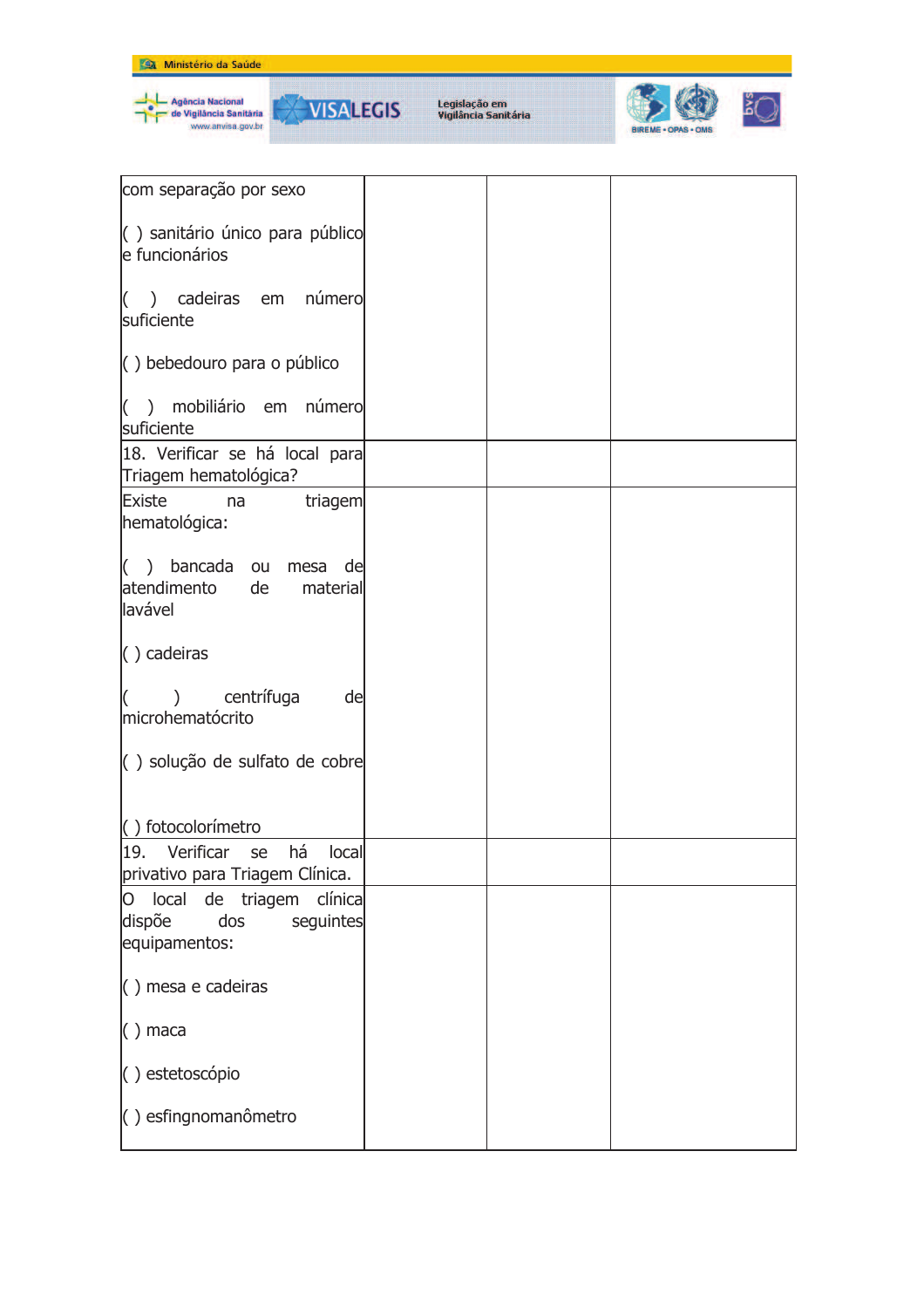

| com separação por sexo                                                             |  |  |
|------------------------------------------------------------------------------------|--|--|
| () sanitário único para público<br>e funcionários                                  |  |  |
| () cadeiras em número<br>suficiente                                                |  |  |
| $\langle$ ) bebedouro para o público                                               |  |  |
| () mobiliário em número<br>suficiente                                              |  |  |
| 18. Verificar se há local para<br>Triagem hematológica?                            |  |  |
| Existe<br>triagem<br>na<br>hematológica:                                           |  |  |
| $( )$ bancada ou<br>mesa de<br>atendimento de<br>material<br>lavável               |  |  |
| $( )$ cadeiras                                                                     |  |  |
| centrífuga<br>$\mathcal{L}$<br>de<br>microhematócrito                              |  |  |
| () solução de sulfato de cobre                                                     |  |  |
| () fotocolorímetro                                                                 |  |  |
| 19.<br>há<br>Verificar<br>local<br>se<br>privativo para Triagem Clínica.           |  |  |
| local<br>clínica<br>de triagem<br>O<br>dispõe<br>dos<br>seguintes<br>equipamentos: |  |  |
| $( )$ mesa e cadeiras                                                              |  |  |
| $( )$ maca                                                                         |  |  |
| () estetoscópio                                                                    |  |  |
| () esfingnomanômetro                                                               |  |  |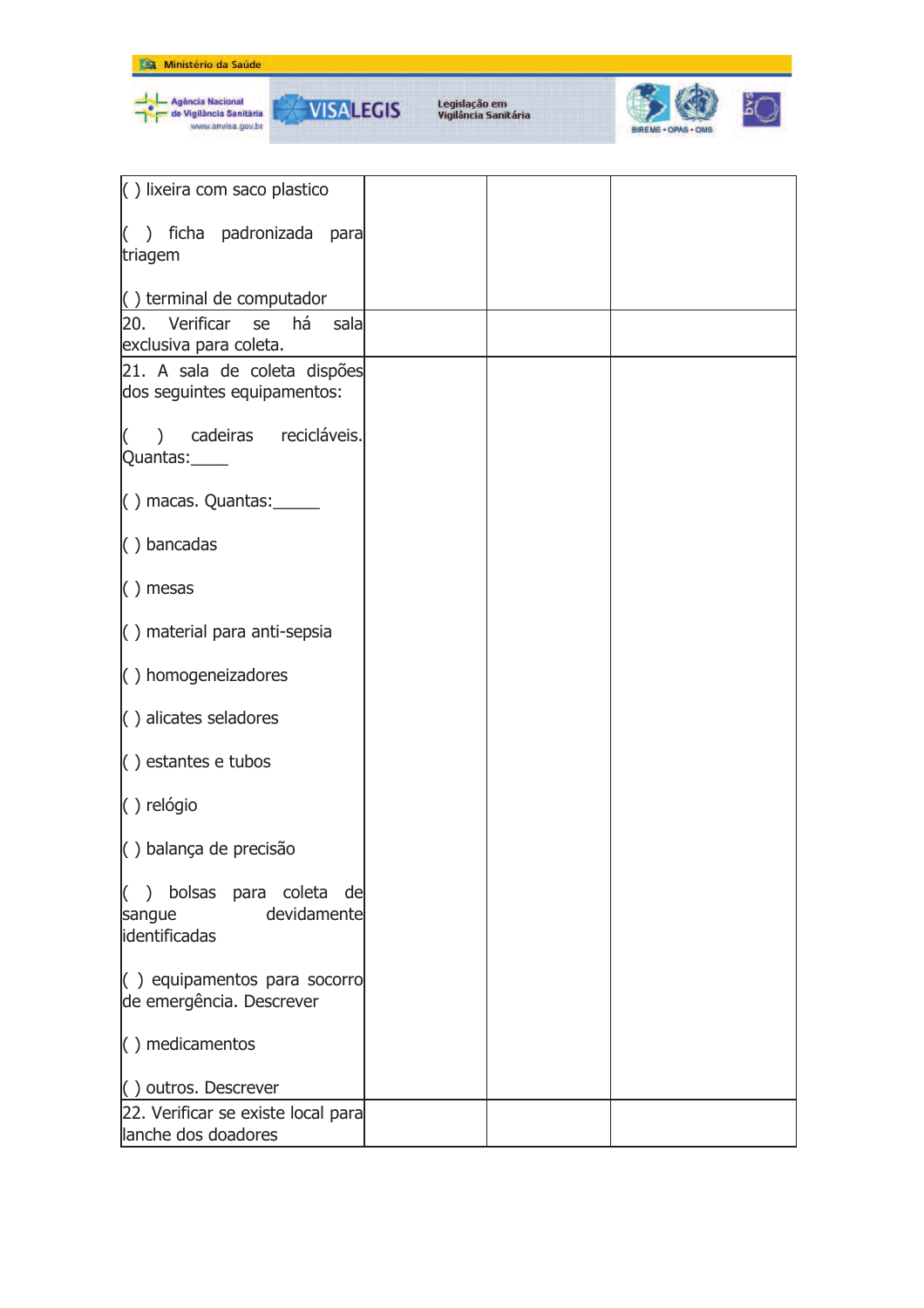



| $\left( \ \right)$ lixeira com saco plastico                             |  |  |
|--------------------------------------------------------------------------|--|--|
|                                                                          |  |  |
| () ficha padronizada para<br>triagem                                     |  |  |
|                                                                          |  |  |
| $\left( \ \right)$ terminal de computador<br>20. Verificar se há<br>sala |  |  |
| exclusiva para coleta.                                                   |  |  |
| 21. A sala de coleta dispões                                             |  |  |
| dos seguintes equipamentos:                                              |  |  |
| () cadeiras recicláveis.                                                 |  |  |
| Quantas:                                                                 |  |  |
| $( )$ macas. Quantas: $\frac{ )}{ )}$                                    |  |  |
| $( )$ bancadas                                                           |  |  |
|                                                                          |  |  |
| $( )$ mesas                                                              |  |  |
| $\left( \ \right)$ material para anti-sepsia                             |  |  |
| $\langle$ ) homogeneizadores                                             |  |  |
| $\langle$ ) alicates seladores                                           |  |  |
| $( )$ estantes e tubos                                                   |  |  |
| () relógio                                                               |  |  |
| () balança de precisão                                                   |  |  |
| ) bolsas para coleta de<br>IC.                                           |  |  |
| devidamente<br>sangue                                                    |  |  |
| identificadas                                                            |  |  |
| $\left( \begin{array}{c} \end{array} \right)$ equipamentos para socorro  |  |  |
| de emergência. Descrever                                                 |  |  |
| $( )$ medicamentos                                                       |  |  |
| () outros. Descrever                                                     |  |  |
| 22. Verificar se existe local para                                       |  |  |
| lanche dos doadores                                                      |  |  |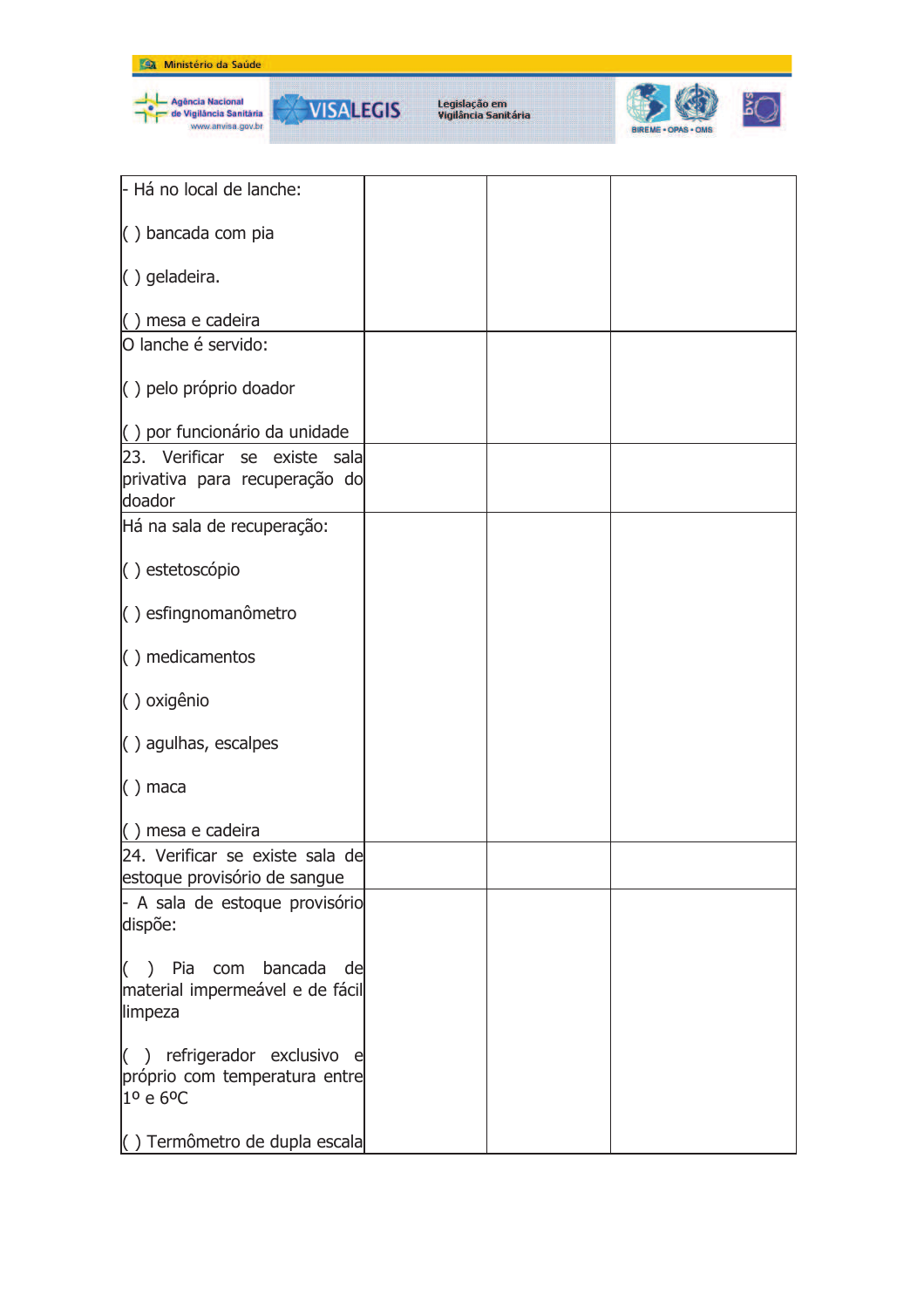

| - Há no local de lanche:                                        |  |  |
|-----------------------------------------------------------------|--|--|
| $( )$ bancada com pia                                           |  |  |
| () geladeira.                                                   |  |  |
| $( )$ mesa e cadeira                                            |  |  |
| O lanche é servido:                                             |  |  |
| () pelo próprio doador                                          |  |  |
| () por funcionário da unidade                                   |  |  |
| 23. Verificar se existe sala                                    |  |  |
| privativa para recuperação do                                   |  |  |
| doador                                                          |  |  |
| Há na sala de recuperação:                                      |  |  |
| () estetoscópio                                                 |  |  |
| () esfingnomanômetro                                            |  |  |
| $( )$ medicamentos                                              |  |  |
| () oxigênio                                                     |  |  |
| $\langle$ ) agulhas, escalpes                                   |  |  |
| $( )$ maca                                                      |  |  |
| () mesa e cadeira                                               |  |  |
| 24. Verificar se existe sala de<br>estoque provisório de sangue |  |  |
| - A sala de estoque provisório                                  |  |  |
| dispõe:                                                         |  |  |
| () Pia com bancada de                                           |  |  |
| material impermeável e de fácil                                 |  |  |
| limpeza                                                         |  |  |
| () refrigerador exclusivo e                                     |  |  |
| próprio com temperatura entre                                   |  |  |
| 1º e 6ºC                                                        |  |  |
| () Termômetro de dupla escala                                   |  |  |
|                                                                 |  |  |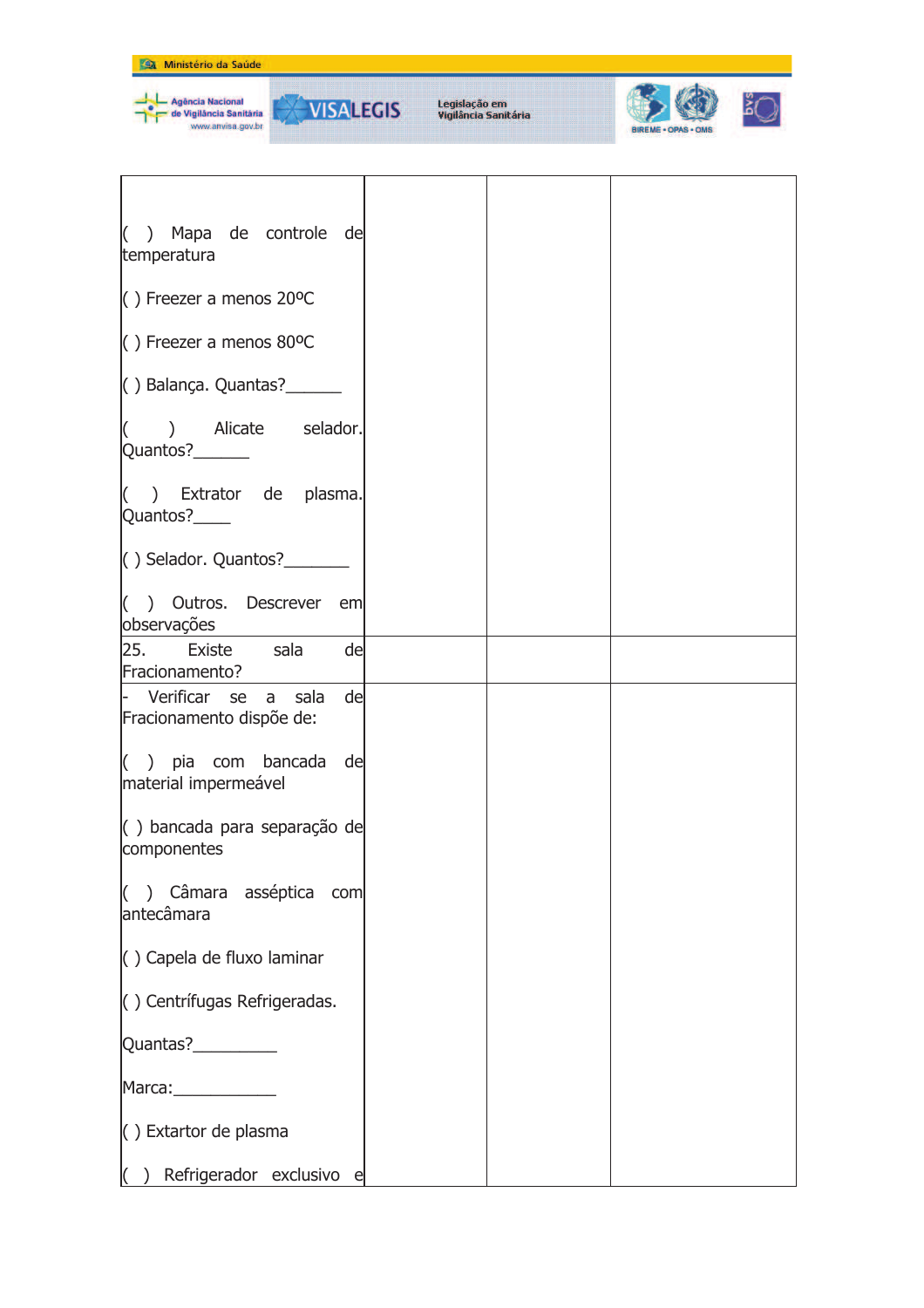

REME - OPAS - OMS

| $( )$ Mapa de controle de<br>temperatura                |  |  |
|---------------------------------------------------------|--|--|
| $( )$ Freezer a menos 20°C                              |  |  |
| $( )$ Freezer a menos 80°C                              |  |  |
| $( )$ Balança. Quantas? $\frac{1}{2}$                   |  |  |
| $( )$ Alicate selador.<br>Quantos?_______               |  |  |
| $($ ) Extrator de plasma.<br>Quantos?____               |  |  |
| $( )$ Selador. Quantos? $\overline{\phantom{a}}$        |  |  |
| $($ ) Outros. Descrever em<br>observações               |  |  |
| 25. Existe sala<br>de<br>Fracionamento?                 |  |  |
| - Verificar se a sala<br>de<br>Fracionamento dispõe de: |  |  |
| $($ ) pia com bancada de<br>material impermeável        |  |  |
| $\vert$ () bancada para separação de<br>componentes     |  |  |
| $($ ) Câmara asséptica com<br>antecâmara                |  |  |
| $\langle$ ) Capela de fluxo laminar                     |  |  |
| () Centrífugas Refrigeradas.                            |  |  |
| Quantas?__________                                      |  |  |
| Marca: Marca                                            |  |  |
| $( )$ Extartor de plasma                                |  |  |
| Refrigerador exclusivo e                                |  |  |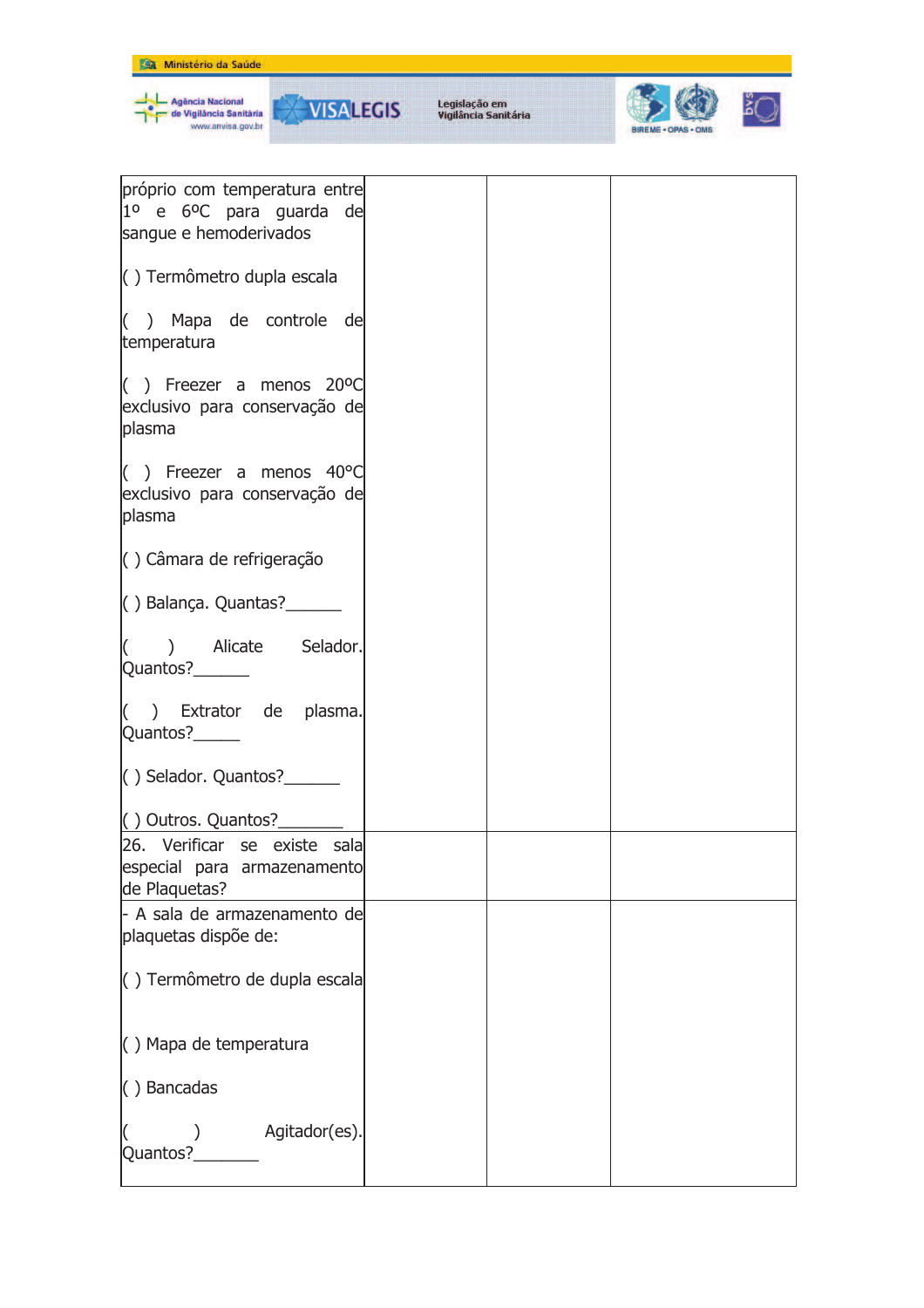| Ministério da Saúde                                                                    |                                       |  |  |
|----------------------------------------------------------------------------------------|---------------------------------------|--|--|
| - Agência Nacional<br><b>WISALEGIS</b><br>de Vigilância Sanităria<br>www.anvisa.gov.br | Legislação em<br>Vigilância Sanitária |  |  |
| próprio com temperatura entre<br>$1^{\circ}$ e 6 <sup>o</sup> C para guarda de         |                                       |  |  |
| sangue e hemoderivados                                                                 |                                       |  |  |
| $\langle$ ) Termômetro dupla escala                                                    |                                       |  |  |
| $($ ) Mapa de controle de<br>temperatura                                               |                                       |  |  |
| () Freezer a menos $20^{\circ}$ C<br>exclusivo para conservação de<br>plasma           |                                       |  |  |
| $($ ) Freezer a menos 40 $^{\circ}$ C<br>exclusivo para conservação de<br>plasma       |                                       |  |  |
| $\langle$ ) Câmara de refrigeração                                                     |                                       |  |  |
| $( )$ Balança. Quantas? $\frac{1}{2}$                                                  |                                       |  |  |
| ) Alicate Selador.<br>Quantos?_______                                                  |                                       |  |  |
| ) Extrator de plasma.<br>Quantos?______                                                |                                       |  |  |
|                                                                                        |                                       |  |  |
| () Outros. Quantos?_                                                                   |                                       |  |  |
| 26. Verificar se existe sala<br>especial para armazenamento<br>de Plaquetas?           |                                       |  |  |
| - A sala de armazenamento de<br>plaquetas dispõe de:                                   |                                       |  |  |
| () Termômetro de dupla escala                                                          |                                       |  |  |
| $( )$ Mapa de temperatura                                                              |                                       |  |  |
| $( )$ Bancadas                                                                         |                                       |  |  |
| ) Agitador(es).<br>Quantos?________                                                    |                                       |  |  |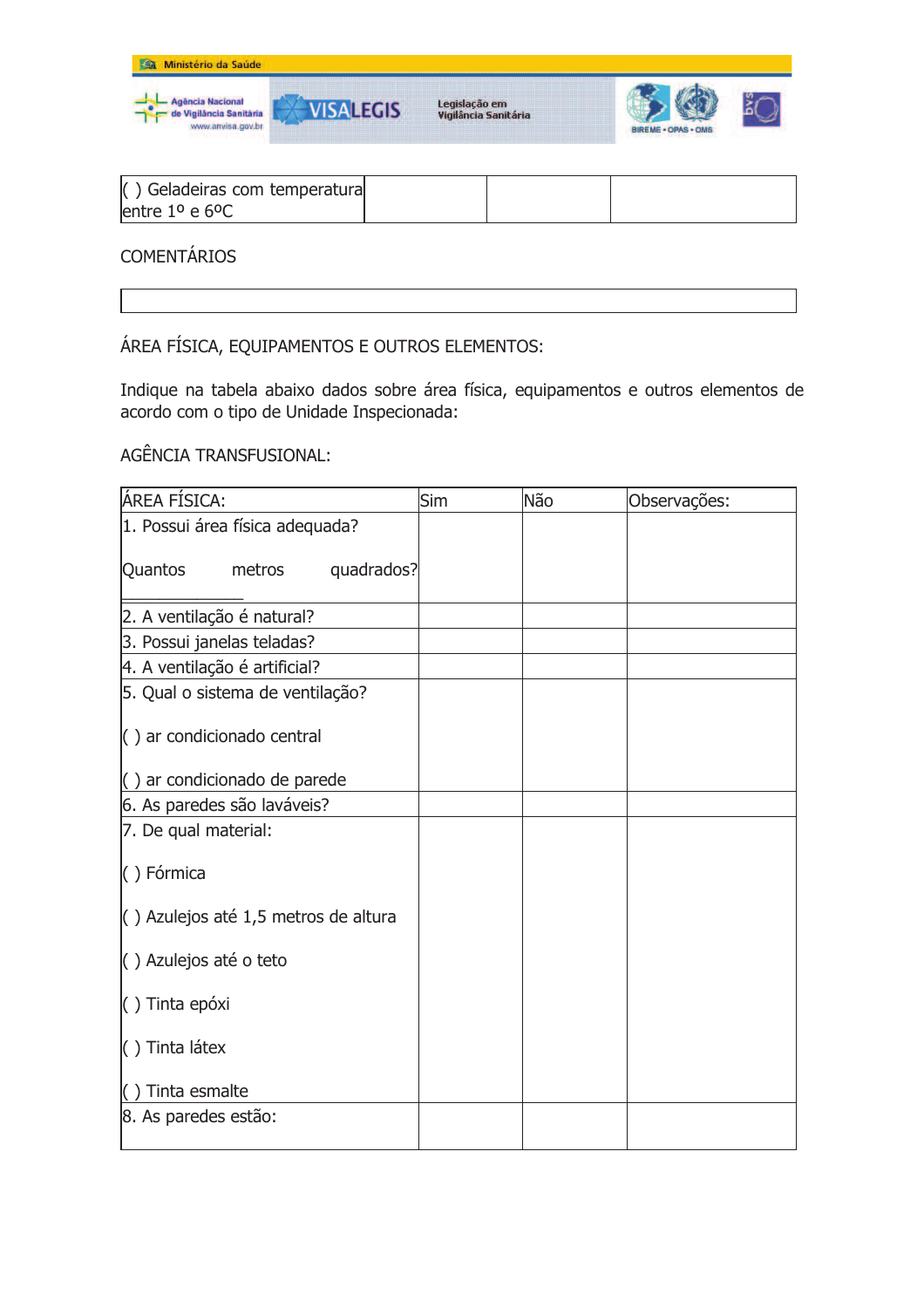

| $\langle$ ) Geladeiras com temperatura<br>lentre $1^{\circ}$ e $6^{\circ}$ C |  |
|------------------------------------------------------------------------------|--|
|------------------------------------------------------------------------------|--|

**COMENTÁRIOS** 

ÁREA FÍSICA, EQUIPAMENTOS E OUTROS ELEMENTOS:

Indique na tabela abaixo dados sobre área física, equipamentos e outros elementos de acordo com o tipo de Unidade Inspecionada:

AGÊNCIA TRANSFUSIONAL:

| ÁREA FÍSICA:                                       | Sim | Não | Observações: |
|----------------------------------------------------|-----|-----|--------------|
| 1. Possui área física adequada?                    |     |     |              |
| quadrados?<br>Quantos<br>metros                    |     |     |              |
| 2. A ventilação é natural?                         |     |     |              |
| 3. Possui janelas teladas?                         |     |     |              |
| 4. A ventilação é artificial?                      |     |     |              |
| 5. Qual o sistema de ventilação?                   |     |     |              |
| $\left( \ \right)$ ar condicionado central         |     |     |              |
| $\left( \ \right)$ ar condicionado de parede       |     |     |              |
| 6. As paredes são laváveis?                        |     |     |              |
| 7. De qual material:                               |     |     |              |
| () Fórmica                                         |     |     |              |
| $\left( \right)$ Azulejos até 1,5 metros de altura |     |     |              |
| () Azulejos até o teto                             |     |     |              |
| $( )$ Tinta epóxi                                  |     |     |              |
| $( )$ Tinta látex                                  |     |     |              |
| $( )$ Tinta esmalte                                |     |     |              |
| 8. As paredes estão:                               |     |     |              |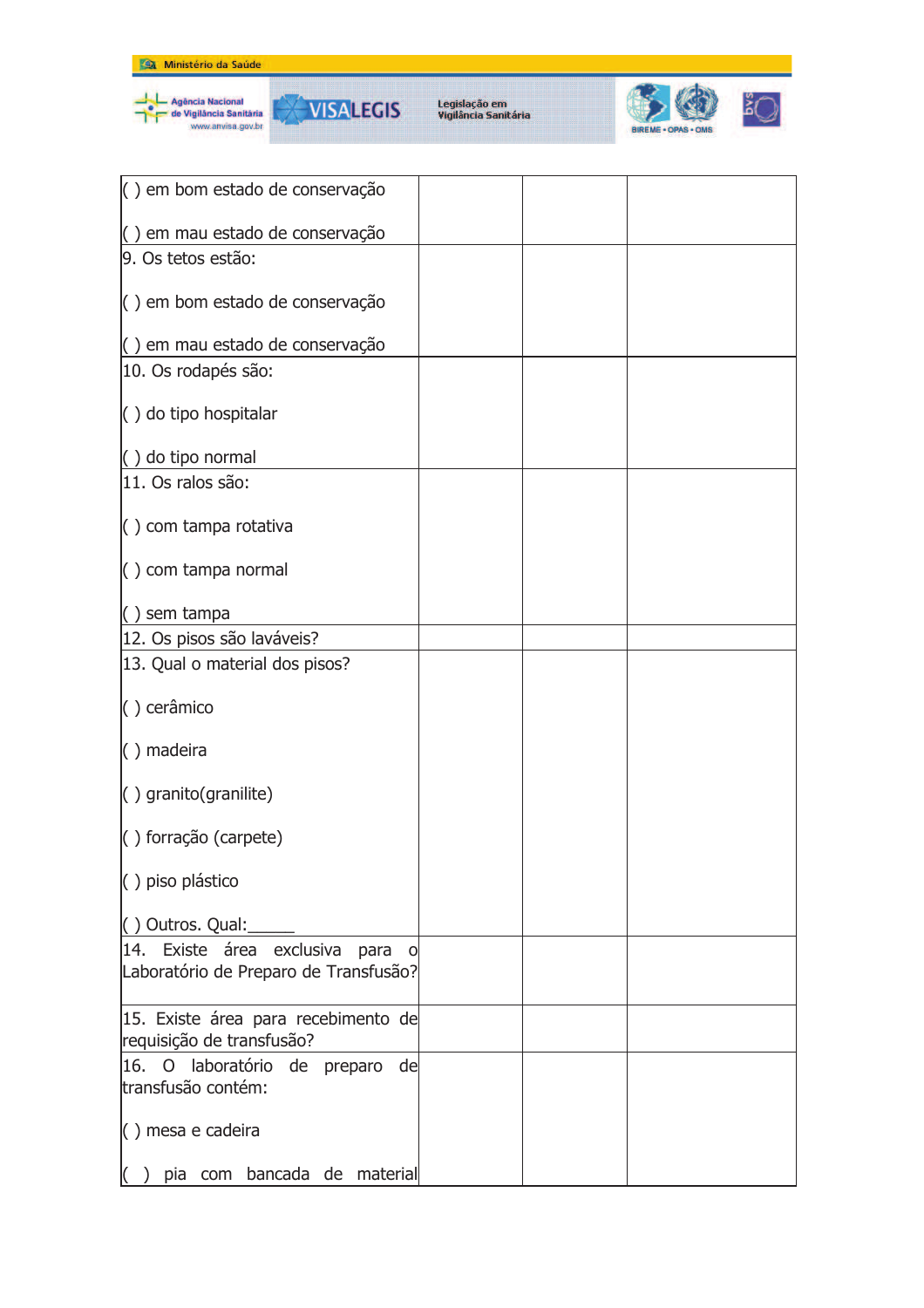







| () em bom estado de conservação                                                 |  |  |
|---------------------------------------------------------------------------------|--|--|
| () em mau estado de conservação                                                 |  |  |
| 9. Os tetos estão:                                                              |  |  |
| $\vert$ ) em bom estado de conservação                                          |  |  |
| () em mau estado de conservação                                                 |  |  |
| 10. Os rodapés são:                                                             |  |  |
| () do tipo hospitalar                                                           |  |  |
| () do tipo normal                                                               |  |  |
| 11. Os ralos são:                                                               |  |  |
| $\langle$ ) com tampa rotativa                                                  |  |  |
| $\left( \ \right)$ com tampa normal                                             |  |  |
| $( )$ sem tampa                                                                 |  |  |
| 12. Os pisos são laváveis?                                                      |  |  |
| 13. Qual o material dos pisos?                                                  |  |  |
| () cerâmico                                                                     |  |  |
| $( )$ madeira                                                                   |  |  |
| $( )$ granito(granilite)                                                        |  |  |
| $( )$ forração (carpete)                                                        |  |  |
| () piso plástico                                                                |  |  |
| () Outros. Qual:                                                                |  |  |
| 14. Existe área exclusiva<br>para<br>O<br>Laboratório de Preparo de Transfusão? |  |  |
| 15. Existe área para recebimento de<br>requisição de transfusão?                |  |  |
| 16. O laboratório de preparo<br>de<br>transfusão contém:                        |  |  |
| () mesa e cadeira                                                               |  |  |
| pia com bancada de material                                                     |  |  |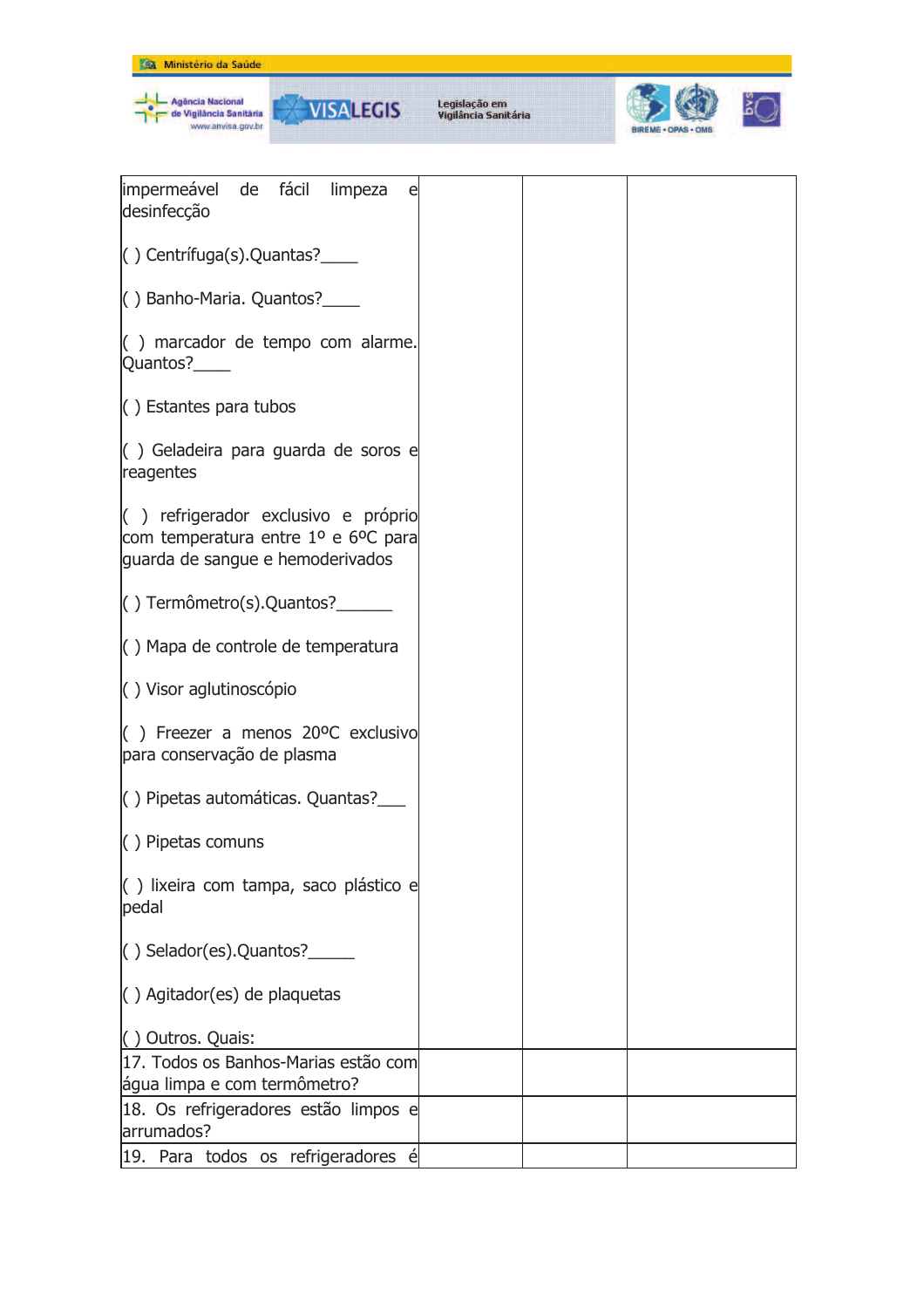



| impermeável de fácil limpeza<br>e<br>desinfecção                                                               |  |  |
|----------------------------------------------------------------------------------------------------------------|--|--|
| $( )$ Centrífuga(s). Quantas?                                                                                  |  |  |
| () Banho-Maria. Quantos?_____                                                                                  |  |  |
| $\left( \begin{array}{c} \end{array} \right)$ marcador de tempo com alarme.<br>Quantos?______                  |  |  |
| () Estantes para tubos                                                                                         |  |  |
| $\left( \right)$ Geladeira para guarda de soros e<br>reagentes                                                 |  |  |
| () refrigerador exclusivo e próprio<br>com temperatura entre 1º e 6ºC para<br>guarda de sangue e hemoderivados |  |  |
| $( )$ Termômetro(s). Quantos?                                                                                  |  |  |
| $\left( \ \right)$ Mapa de controle de temperatura                                                             |  |  |
| () Visor aglutinoscópio                                                                                        |  |  |
| $($ ) Freezer a menos 20°C exclusivo<br>para conservação de plasma                                             |  |  |
| $\vert$ ) Pipetas automáticas. Quantas? $\vert$                                                                |  |  |
| $\langle$ ) Pipetas comuns                                                                                     |  |  |
| $\left( \begin{array}{c} \end{array} \right)$ lixeira com tampa, saco plástico e<br>pedal                      |  |  |
| () Selador(es).Quantos?                                                                                        |  |  |
| () Agitador(es) de plaquetas                                                                                   |  |  |
| () Outros. Quais:                                                                                              |  |  |
| 17. Todos os Banhos-Marias estão com                                                                           |  |  |
| água limpa e com termômetro?                                                                                   |  |  |
| 18. Os refrigeradores estão limpos e                                                                           |  |  |
| arrumados?                                                                                                     |  |  |
| 19. Para todos os refrigeradores é                                                                             |  |  |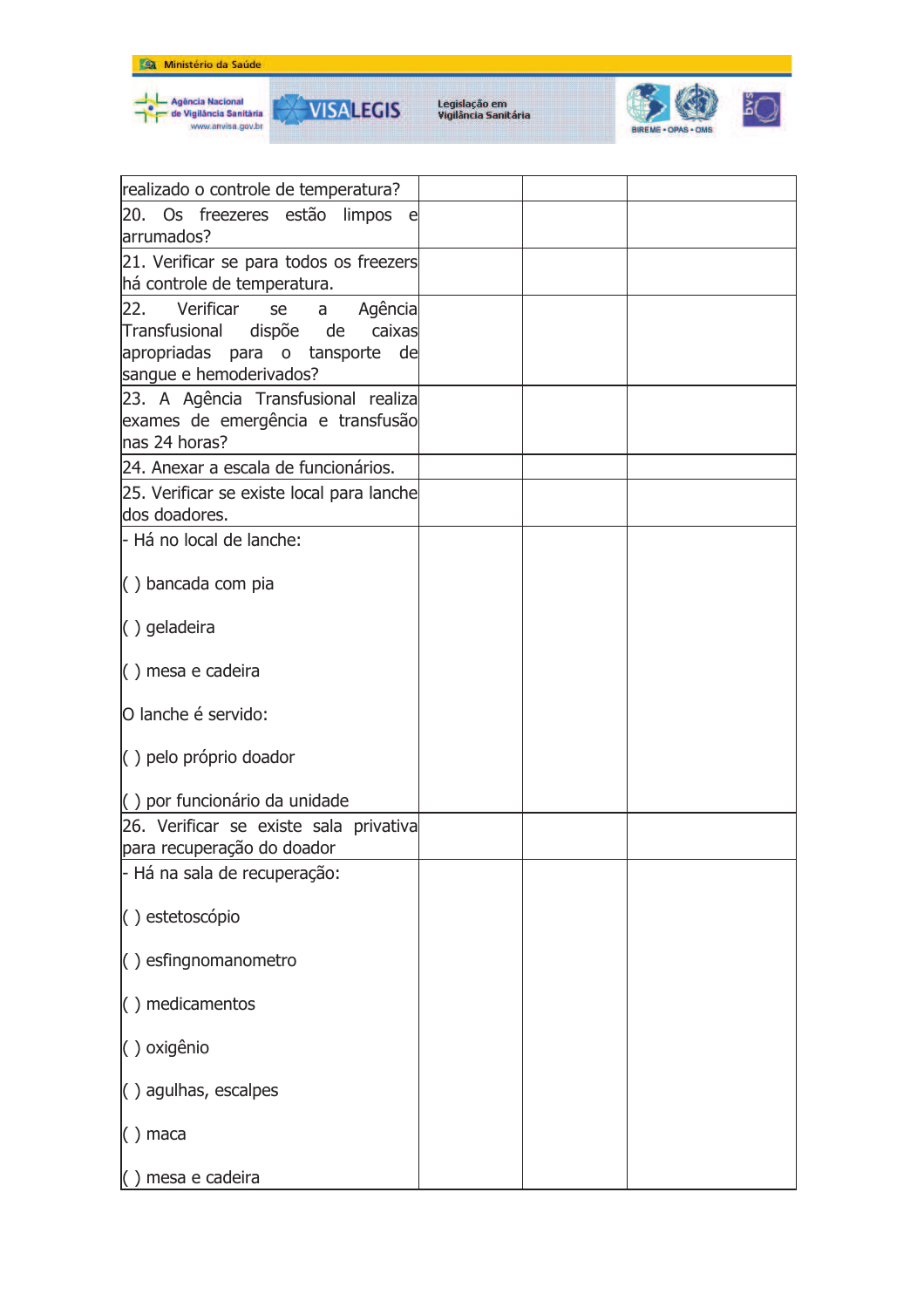





| realizado o controle de temperatura?                                 |  |  |
|----------------------------------------------------------------------|--|--|
| 20. Os freezeres estão limpos<br>el.                                 |  |  |
| arrumados?                                                           |  |  |
| 21. Verificar se para todos os freezers                              |  |  |
| há controle de temperatura.                                          |  |  |
| Verificar<br>22.<br>Agência<br>se<br>a                               |  |  |
| Transfusional dispõe de<br>caixas                                    |  |  |
| apropriadas para o tansporte de                                      |  |  |
| sangue e hemoderivados?                                              |  |  |
| 23. A Agência Transfusional realiza                                  |  |  |
| exames de emergência e transfusão                                    |  |  |
| nas 24 horas?                                                        |  |  |
| 24. Anexar a escala de funcionários.                                 |  |  |
| 25. Verificar se existe local para lanche                            |  |  |
| dos doadores.                                                        |  |  |
| - Há no local de lanche:                                             |  |  |
|                                                                      |  |  |
| $\langle$ ) bancada com pia                                          |  |  |
| $( )$ geladeira                                                      |  |  |
|                                                                      |  |  |
| $( )$ mesa e cadeira                                                 |  |  |
|                                                                      |  |  |
| O lanche é servido:                                                  |  |  |
|                                                                      |  |  |
| () pelo próprio doador                                               |  |  |
| () por funcionário da unidade                                        |  |  |
|                                                                      |  |  |
| 26. Verificar se existe sala privativa<br>para recuperação do doador |  |  |
| - Há na sala de recuperação:                                         |  |  |
|                                                                      |  |  |
| () estetoscópio                                                      |  |  |
|                                                                      |  |  |
| $\vert$ $\vert$ $\vert$ $\vert$ esfingnomanometro                    |  |  |
|                                                                      |  |  |
| $( )$ medicamentos                                                   |  |  |
|                                                                      |  |  |
| () oxigênio                                                          |  |  |
| $\langle$ ) agulhas, escalpes                                        |  |  |
|                                                                      |  |  |
| $( )$ maca                                                           |  |  |
|                                                                      |  |  |
| () mesa e cadeira                                                    |  |  |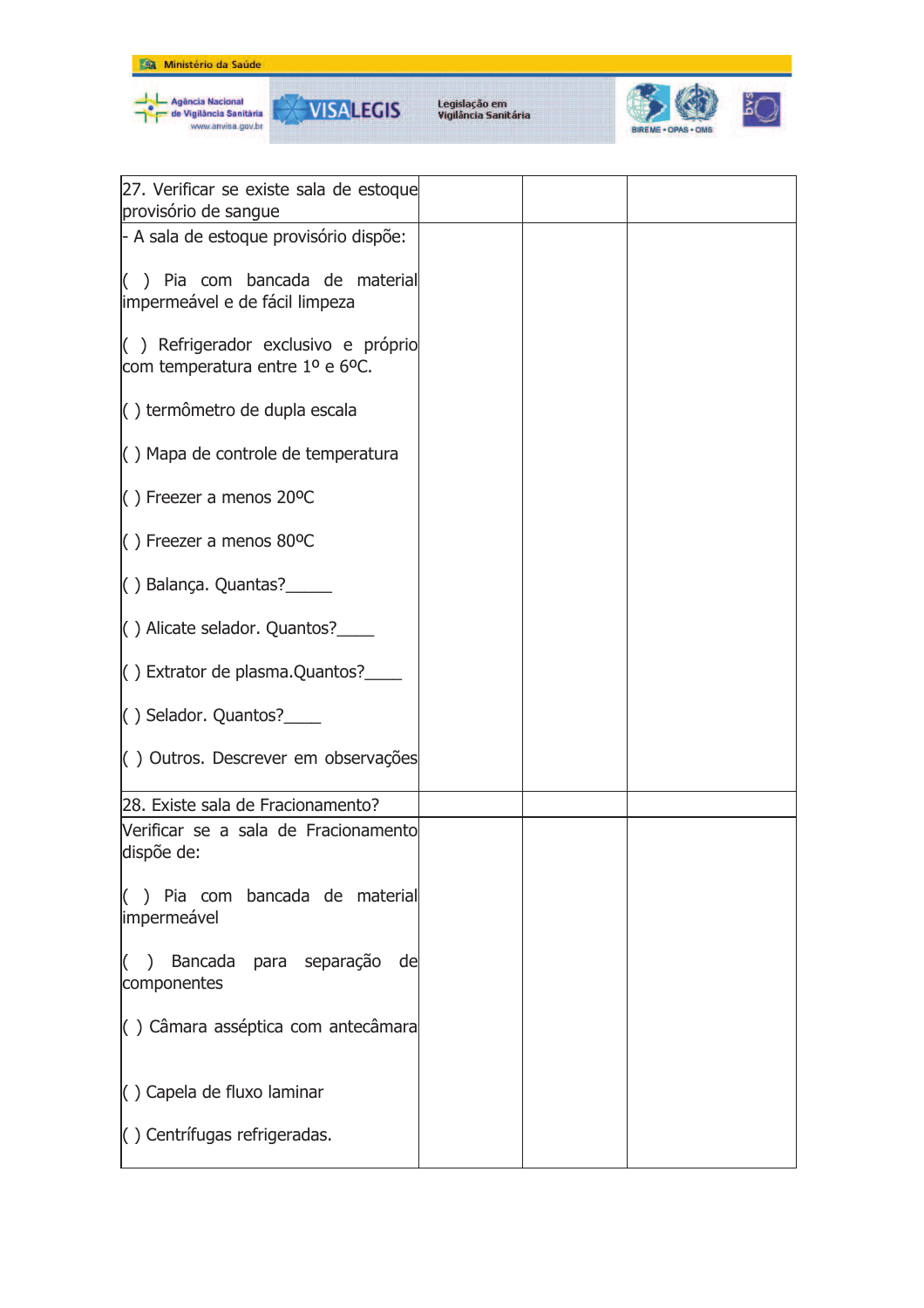



**VISALEGIS** 



| 27. Verificar se existe sala de estoque                                       |  |  |
|-------------------------------------------------------------------------------|--|--|
| provisório de sangue                                                          |  |  |
| - A sala de estoque provisório dispõe:                                        |  |  |
|                                                                               |  |  |
| $\vert$ $\vert$ ) Pia com bancada de material                                 |  |  |
| impermeável e de fácil limpeza                                                |  |  |
|                                                                               |  |  |
| $\vert$ ) Refrigerador exclusivo e próprio<br>com temperatura entre 1º e 6ºC. |  |  |
|                                                                               |  |  |
| () termômetro de dupla escala                                                 |  |  |
|                                                                               |  |  |
| $\left( \ \right)$ Mapa de controle de temperatura                            |  |  |
|                                                                               |  |  |
| $($ ) Freezer a menos 20°C                                                    |  |  |
| $( )$ Freezer a menos 80°C                                                    |  |  |
|                                                                               |  |  |
| $( )$ Balança. Quantas? $\frac{1}{2}$                                         |  |  |
|                                                                               |  |  |
| () Alicate selador. Quantos?_____                                             |  |  |
|                                                                               |  |  |
|                                                                               |  |  |
|                                                                               |  |  |
| $( )$ Selador. Quantos? $\frac{1}{2}$                                         |  |  |
| () Outros. Descrever em observações                                           |  |  |
|                                                                               |  |  |
| 28. Existe sala de Fracionamento?                                             |  |  |
| Verificar se a sala de Fracionamento                                          |  |  |
| dispõe de:                                                                    |  |  |
|                                                                               |  |  |
| $\vert$ $\vert$ ) Pia com bancada de material                                 |  |  |
| impermeável                                                                   |  |  |
|                                                                               |  |  |
| Bancada para separação<br>$\left($<br>de<br>$\lambda$<br>componentes          |  |  |
|                                                                               |  |  |
| () Câmara asséptica com antecâmara                                            |  |  |
|                                                                               |  |  |
|                                                                               |  |  |
| $\langle$ ) Capela de fluxo laminar                                           |  |  |
|                                                                               |  |  |
| () Centrífugas refrigeradas.                                                  |  |  |
|                                                                               |  |  |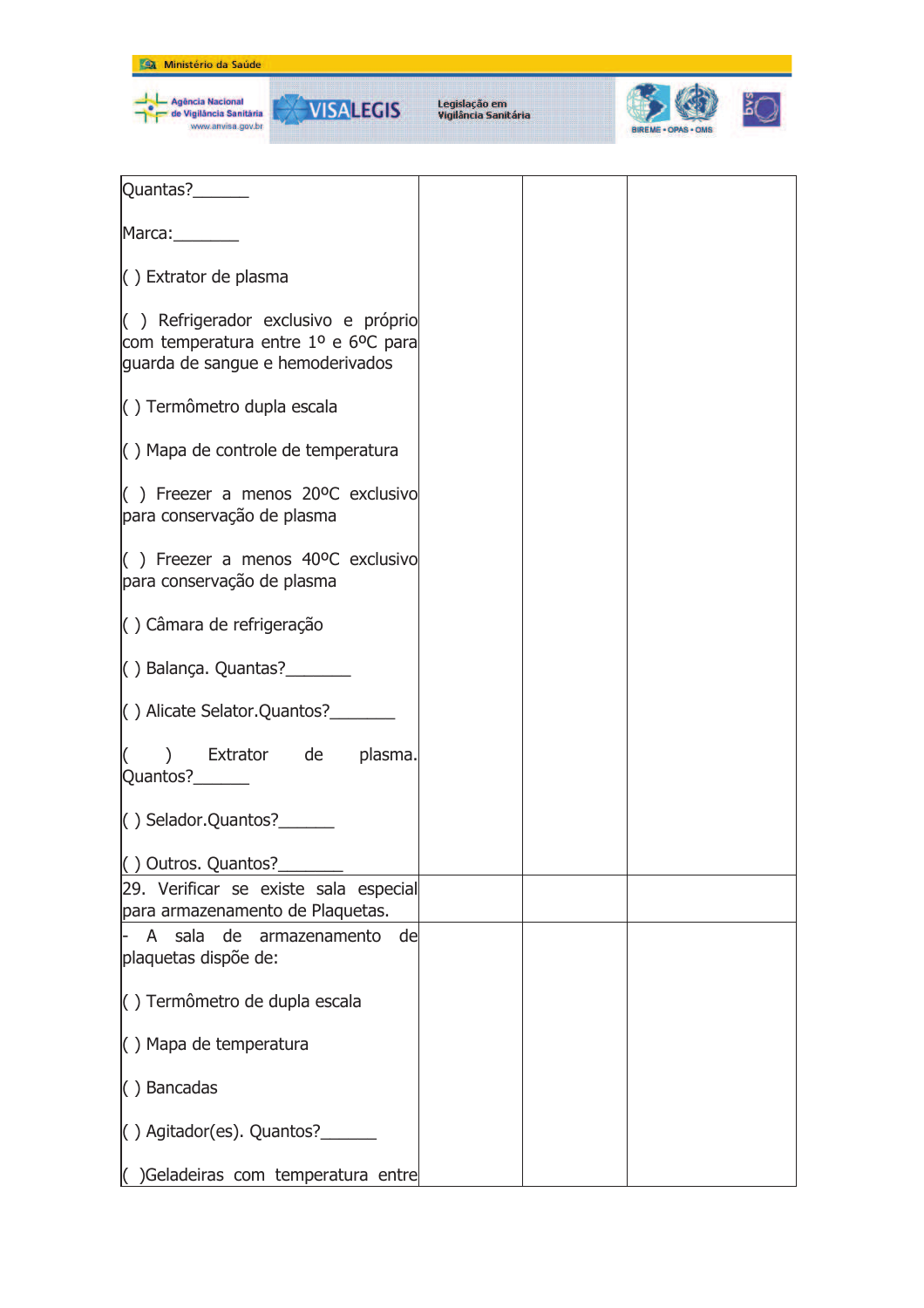| Ministério da Saúde<br>œ                          |                                       |                                                                 |  |
|---------------------------------------------------|---------------------------------------|-----------------------------------------------------------------|--|
| <b>Incia Nacional</b><br><b>iláncia Sanitária</b> | Legislação em<br>Vigilância Sanitária | <b>BIREME - OPAS - OMS</b><br>the property with the property of |  |

| Quantas?_______                                                                                                |  |  |
|----------------------------------------------------------------------------------------------------------------|--|--|
| Marca: 1988                                                                                                    |  |  |
| () Extrator de plasma                                                                                          |  |  |
| () Refrigerador exclusivo e próprio<br>com temperatura entre 1º e 6ºC para<br>guarda de sangue e hemoderivados |  |  |
| () Termômetro dupla escala                                                                                     |  |  |
| () Mapa de controle de temperatura                                                                             |  |  |
| $($ ) Freezer a menos 20°C exclusivo<br>para conservação de plasma                                             |  |  |
| $\vert$ ) Freezer a menos 40°C exclusivo<br>para conservação de plasma                                         |  |  |
| $\langle$ ) Câmara de refrigeração                                                                             |  |  |
| $( )$ Balança. Quantas? $\frac{1}{2}$                                                                          |  |  |
| () Alicate Selator. Quantos?________                                                                           |  |  |
| $($ ) Extrator de plasma.<br>Quantos?______                                                                    |  |  |
| $\vert$ () Selador. Quantos?                                                                                   |  |  |
| () Outros. Quantos?                                                                                            |  |  |
| [29. Verificar se existe sala especial<br>para armazenamento de Plaquetas.                                     |  |  |
| A sala de armazenamento<br>de<br>plaquetas dispõe de:                                                          |  |  |
| () Termômetro de dupla escala                                                                                  |  |  |
| () Mapa de temperatura                                                                                         |  |  |
| $( )$ Bancadas                                                                                                 |  |  |
| $( )$ Agitador(es). Quantos? $\_\_\_\_\_\_\_\_\_\_\_\_\$                                                       |  |  |
| () Geladeiras com temperatura entre                                                                            |  |  |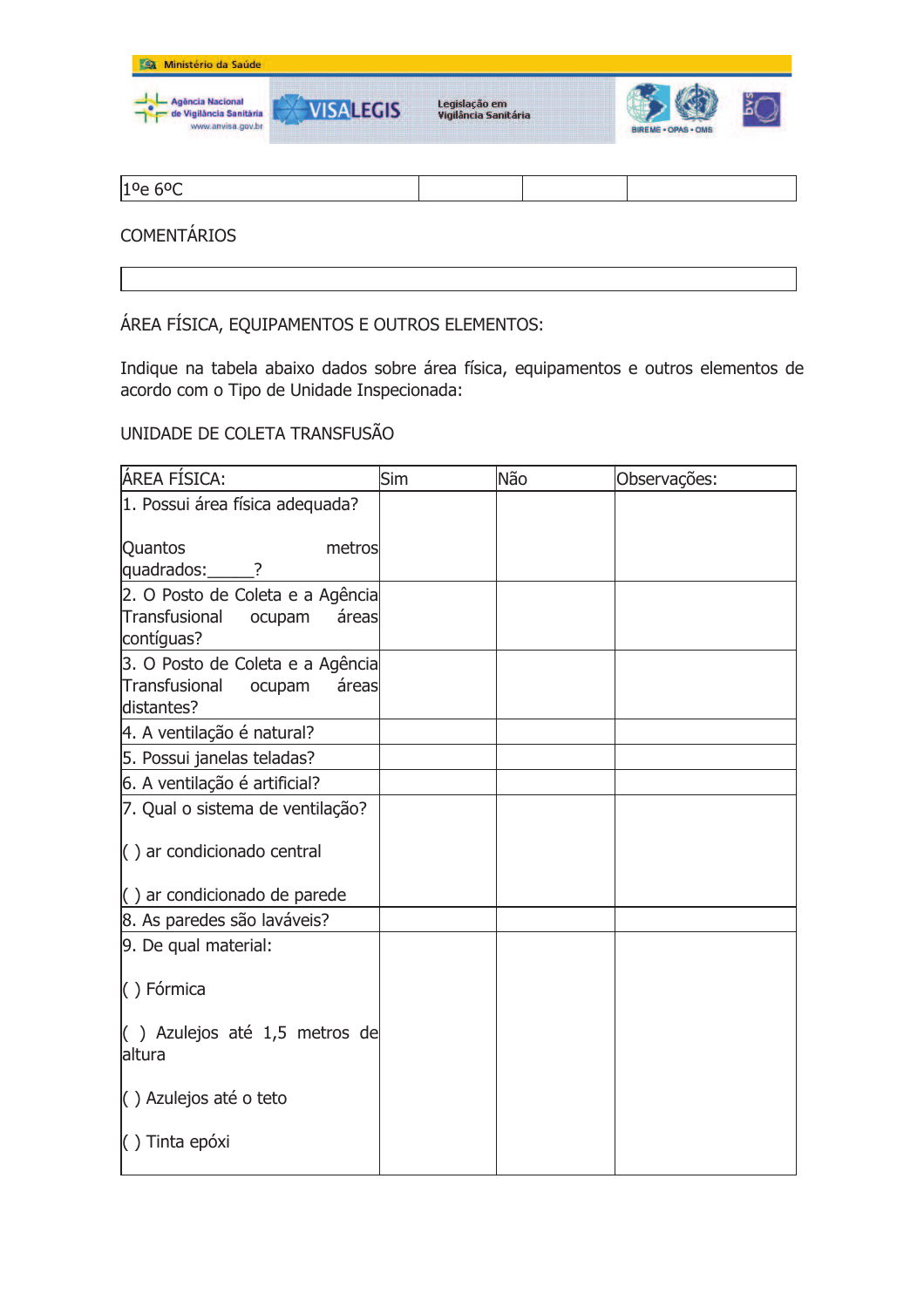

1<sup>o</sup>e 6<sup>o</sup>C

## **COMENTÁRIOS**

ÁREA FÍSICA, EQUIPAMENTOS E OUTROS ELEMENTOS:

Indique na tabela abaixo dados sobre área física, equipamentos e outros elementos de acordo com o Tipo de Unidade Inspecionada:

UNIDADE DE COLETA TRANSFUSÃO

| ÁREA FÍSICA:                                                                       | Sim | Não | Observações: |
|------------------------------------------------------------------------------------|-----|-----|--------------|
| 1. Possui área física adequada?                                                    |     |     |              |
| Quantos<br>metros<br>quadrados:<br>?                                               |     |     |              |
| 2. O Posto de Coleta e a Agência<br>Transfusional<br>ocupam<br>áreas<br>contíguas? |     |     |              |
| 3. O Posto de Coleta e a Agência<br>Transfusional<br>áreas<br>ocupam<br>distantes? |     |     |              |
| 4. A ventilação é natural?                                                         |     |     |              |
| 5. Possui janelas teladas?                                                         |     |     |              |
| 6. A ventilação é artificial?                                                      |     |     |              |
| 7. Qual o sistema de ventilação?                                                   |     |     |              |
| $\left( \ \right)$ ar condicionado central                                         |     |     |              |
| $\left( \ \right)$ ar condicionado de parede                                       |     |     |              |
| 8. As paredes são laváveis?                                                        |     |     |              |
| 9. De qual material:                                                               |     |     |              |
| () Fórmica                                                                         |     |     |              |
| $($ ) Azulejos até 1,5 metros de<br>altura                                         |     |     |              |
| () Azulejos até o teto                                                             |     |     |              |
| $( )$ Tinta epóxi                                                                  |     |     |              |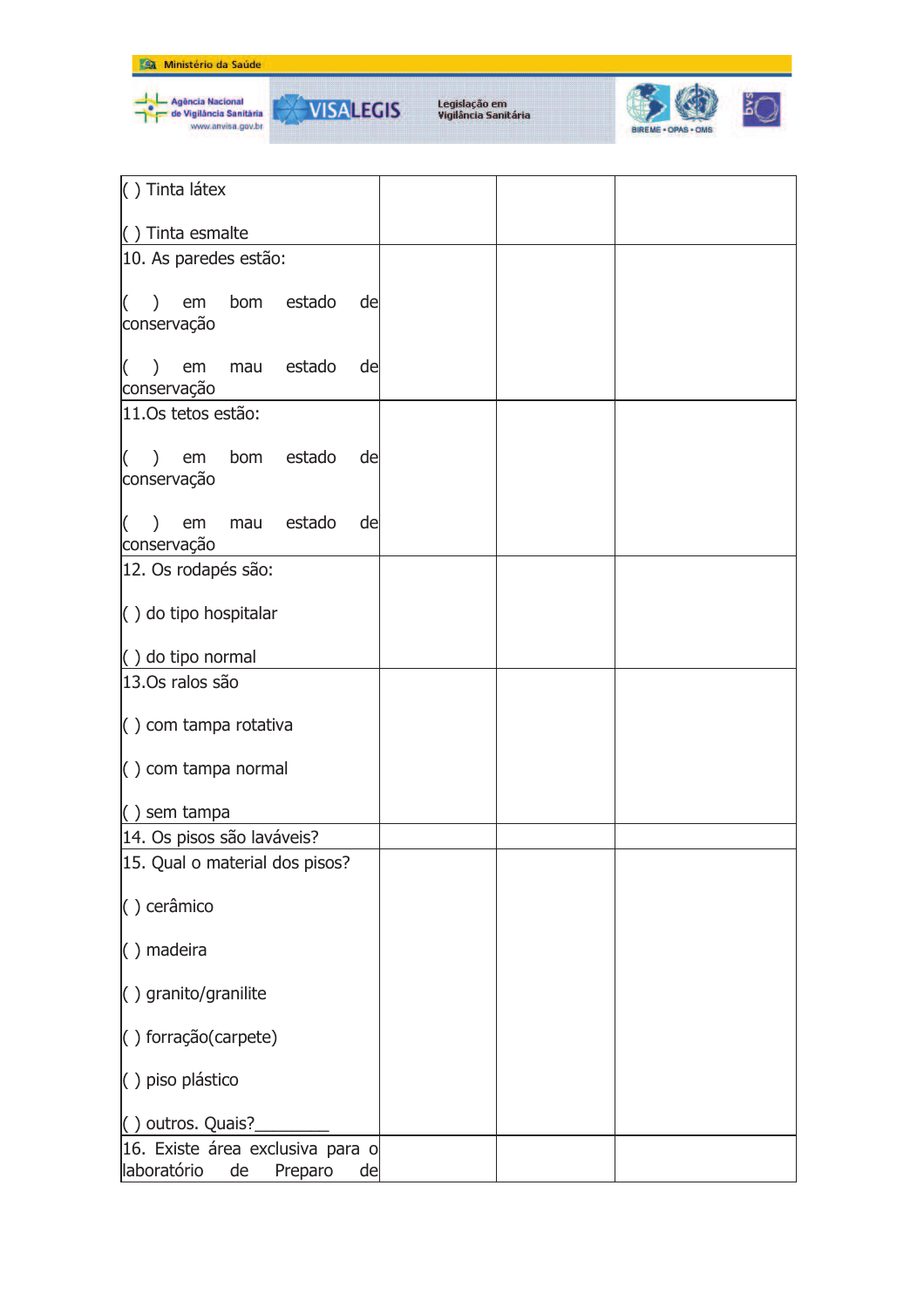

| () Tinta látex                                                         |  |  |
|------------------------------------------------------------------------|--|--|
| () Tinta esmalte                                                       |  |  |
| 10. As paredes estão:                                                  |  |  |
| bom estado<br>em<br>de<br>$\lambda$<br>conservação                     |  |  |
| mau estado<br>em<br>de<br>I(<br>conservação                            |  |  |
| 11.0s tetos estão:                                                     |  |  |
| ) em bom estado<br>$\overline{ }$<br>de<br>conservação                 |  |  |
| mau estado<br>em<br>de<br>$\lambda$<br>conservação                     |  |  |
| 12. Os rodapés são:                                                    |  |  |
| $( )$ do tipo hospitalar                                               |  |  |
| $( )$ do tipo normal                                                   |  |  |
| 13.0s ralos são                                                        |  |  |
| $\left( \ \right)$ com tampa rotativa                                  |  |  |
| $( )$ com tampa normal                                                 |  |  |
| $( )$ sem tampa                                                        |  |  |
| 14. Os pisos são laváveis?                                             |  |  |
| 15. Qual o material dos pisos?                                         |  |  |
| () cerâmico                                                            |  |  |
| $( )$ madeira                                                          |  |  |
| $( )$ granito/granilite                                                |  |  |
| () forração(carpete)                                                   |  |  |
| () piso plástico                                                       |  |  |
| () outros. Quais?                                                      |  |  |
| 16. Existe área exclusiva para o<br>laboratório<br>de<br>Preparo<br>de |  |  |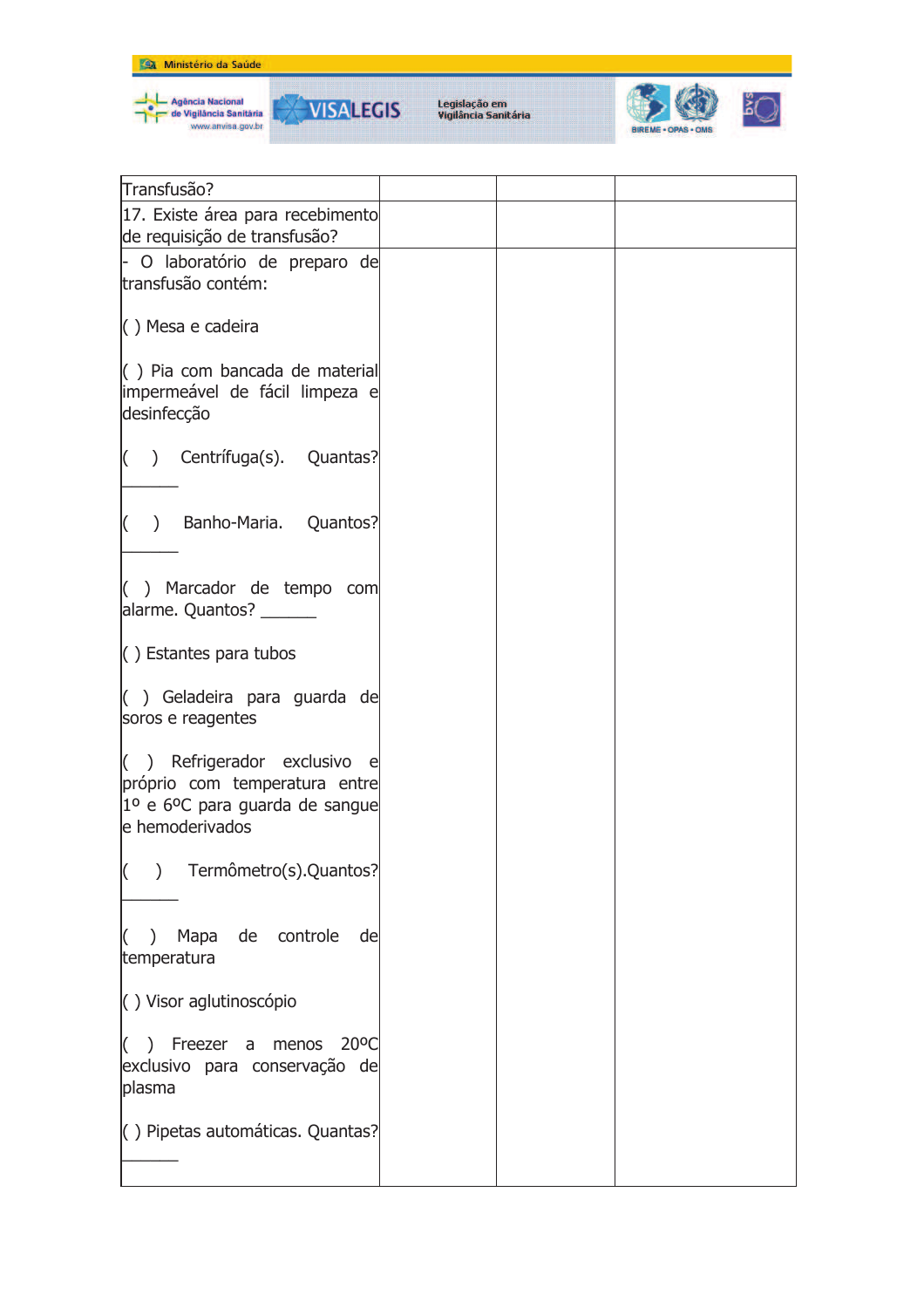



| Transfusão?                                                                                                                          |  |  |
|--------------------------------------------------------------------------------------------------------------------------------------|--|--|
|                                                                                                                                      |  |  |
| 17. Existe área para recebimento<br>de requisição de transfusão?                                                                     |  |  |
| - O laboratório de preparo de                                                                                                        |  |  |
| transfusão contém:                                                                                                                   |  |  |
|                                                                                                                                      |  |  |
| $( )$ Mesa e cadeira                                                                                                                 |  |  |
| $\left( \right)$ Pia com bancada de material<br>impermeável de fácil limpeza e                                                       |  |  |
| desinfecção                                                                                                                          |  |  |
| $($ ) Centrífuga(s). Quantas?                                                                                                        |  |  |
|                                                                                                                                      |  |  |
| () Banho-Maria. Quantos?                                                                                                             |  |  |
|                                                                                                                                      |  |  |
| $( )$ Marcador de tempo com<br>alarme. Quantos? ______                                                                               |  |  |
| $\langle$ ) Estantes para tubos                                                                                                      |  |  |
| $($ ) Geladeira para guarda de<br>soros e reagentes                                                                                  |  |  |
| $( )$ Refrigerador exclusivo e<br>próprio com temperatura entre<br>$10$ e 6 <sup>o</sup> C para guarda de sangue<br>le hemoderivados |  |  |
| $\left( \right)$<br>Termômetro(s).Quantos?                                                                                           |  |  |
| de controle<br>Mapa<br>de<br>$\lambda$<br>temperatura                                                                                |  |  |
| () Visor aglutinoscópio                                                                                                              |  |  |
| $20^{\circ}$ C<br>$( )$ Freezer a menos<br>exclusivo para conservação de<br>plasma                                                   |  |  |
| () Pipetas automáticas. Quantas?                                                                                                     |  |  |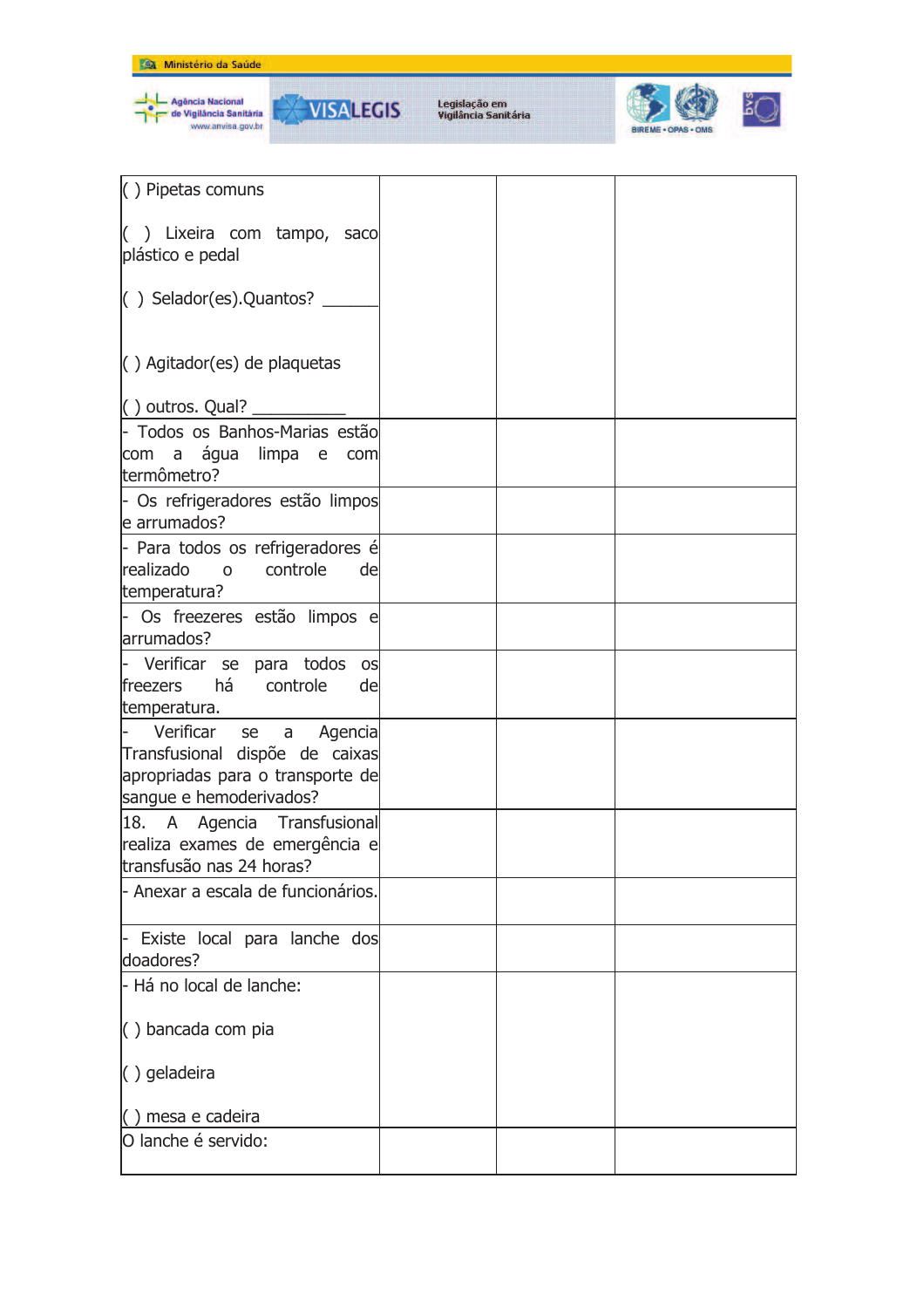

Agência Nacional<br>de Vigilância Sanităria<br>www.anvisa.gov.br

**VISALEGIS** 

۳



| $( )$ Pipetas comuns                                                                                                       |  |  |
|----------------------------------------------------------------------------------------------------------------------------|--|--|
| () Lixeira com tampo, saco<br>plástico e pedal                                                                             |  |  |
| $\vert$ () Selador(es). Quantos? _                                                                                         |  |  |
| $\left( \ \right)$ Agitador(es) de plaquetas                                                                               |  |  |
| $($ ) outros. Qual?                                                                                                        |  |  |
| - Todos os Banhos-Marias estão<br>com a água limpa<br>e -<br>com<br>termômetro?                                            |  |  |
| - Os refrigeradores estão limpos<br>e arrumados?                                                                           |  |  |
| - Para todos os refrigeradores é<br>realizado o<br>controle<br>de<br>temperatura?                                          |  |  |
| Os freezeres estão limpos e<br>arrumados?                                                                                  |  |  |
| Verificar se para todos os<br>há<br>freezers<br>controle<br>de<br>temperatura.                                             |  |  |
| Verificar<br>se a Agencia<br>Transfusional dispõe de caixas<br>apropriadas para o transporte de<br>sangue e hemoderivados? |  |  |
| 18. A Agencia Transfusional<br>realiza exames de emergência e<br>transfusão nas 24 horas?                                  |  |  |
| - Anexar a escala de funcionários.                                                                                         |  |  |
| Existe local para lanche dos<br>doadores?                                                                                  |  |  |
| - Há no local de lanche:                                                                                                   |  |  |
| () bancada com pia                                                                                                         |  |  |
| $( )$ geladeira                                                                                                            |  |  |
| () mesa e cadeira                                                                                                          |  |  |
| O lanche é servido:                                                                                                        |  |  |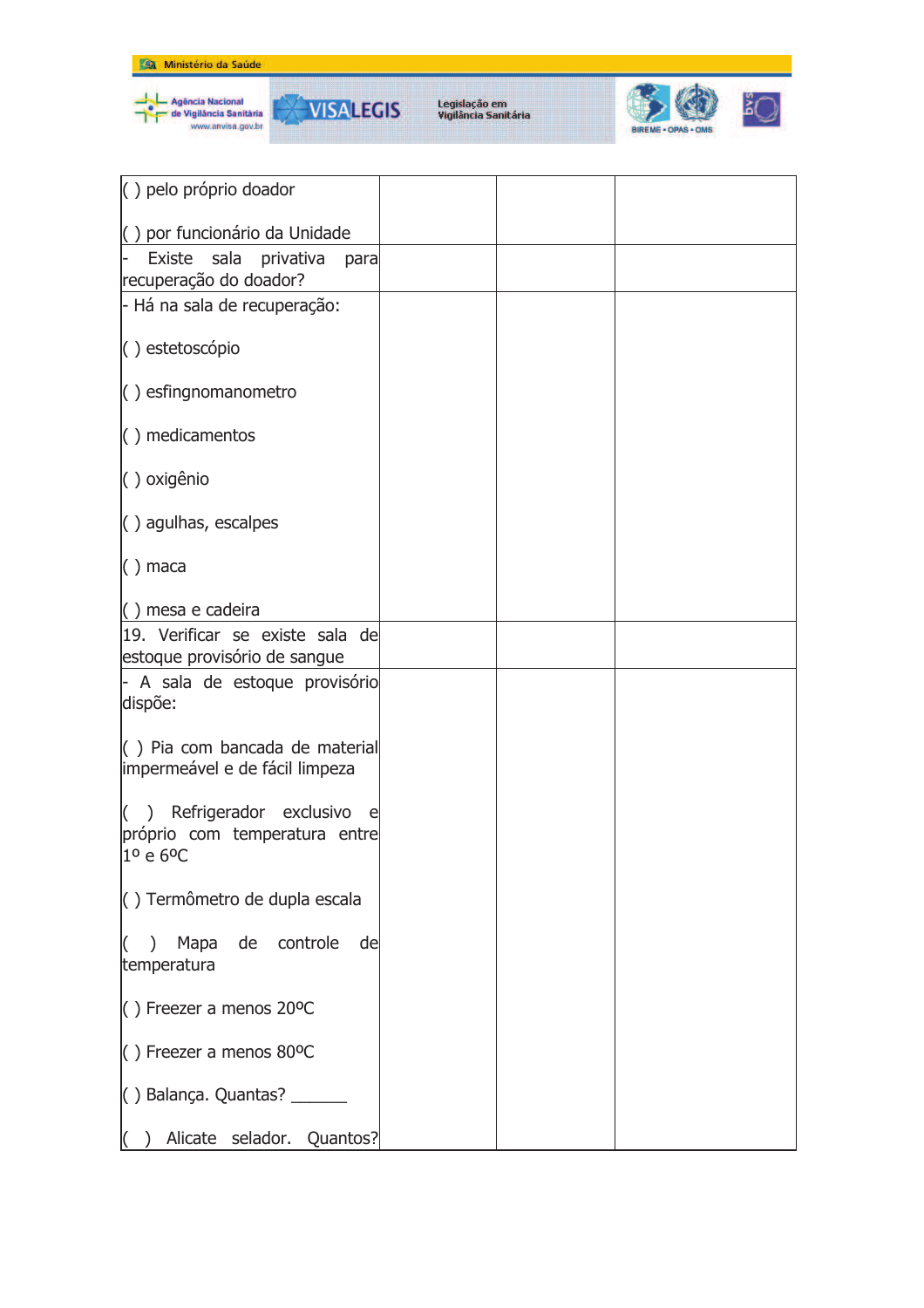



**VISALEGIS** 

₩



| () pelo próprio doador                                                    |  |  |
|---------------------------------------------------------------------------|--|--|
| () por funcionário da Unidade                                             |  |  |
| Existe sala privativa<br>para                                             |  |  |
| recuperação do doador?                                                    |  |  |
| - Há na sala de recuperação:                                              |  |  |
|                                                                           |  |  |
| () estetoscópio                                                           |  |  |
| $\left( \ \right)$ esfingnomanometro                                      |  |  |
|                                                                           |  |  |
| $( )$ medicamentos                                                        |  |  |
|                                                                           |  |  |
| () oxigênio                                                               |  |  |
| $( )$ agulhas, escalpes                                                   |  |  |
|                                                                           |  |  |
| $( )$ maca                                                                |  |  |
|                                                                           |  |  |
| () mesa e cadeira                                                         |  |  |
| 19. Verificar se existe sala de<br>estoque provisório de sangue           |  |  |
| - A sala de estoque provisório                                            |  |  |
| dispõe:                                                                   |  |  |
|                                                                           |  |  |
| $\left( \begin{array}{c} \end{array} \right)$ Pia com bancada de material |  |  |
| impermeável e de fácil limpeza                                            |  |  |
| Refrigerador exclusivo<br>e                                               |  |  |
| próprio com temperatura entre                                             |  |  |
| 1º e 6°C                                                                  |  |  |
|                                                                           |  |  |
| () Termômetro de dupla escala                                             |  |  |
| Mapa<br>de<br>controle<br>de                                              |  |  |
| temperatura                                                               |  |  |
|                                                                           |  |  |
| $( )$ Freezer a menos 20°C                                                |  |  |
| $( )$ Freezer a menos 80°C                                                |  |  |
|                                                                           |  |  |
| () Balança. Quantas? _____                                                |  |  |
|                                                                           |  |  |
| Alicate selador. Quantos?                                                 |  |  |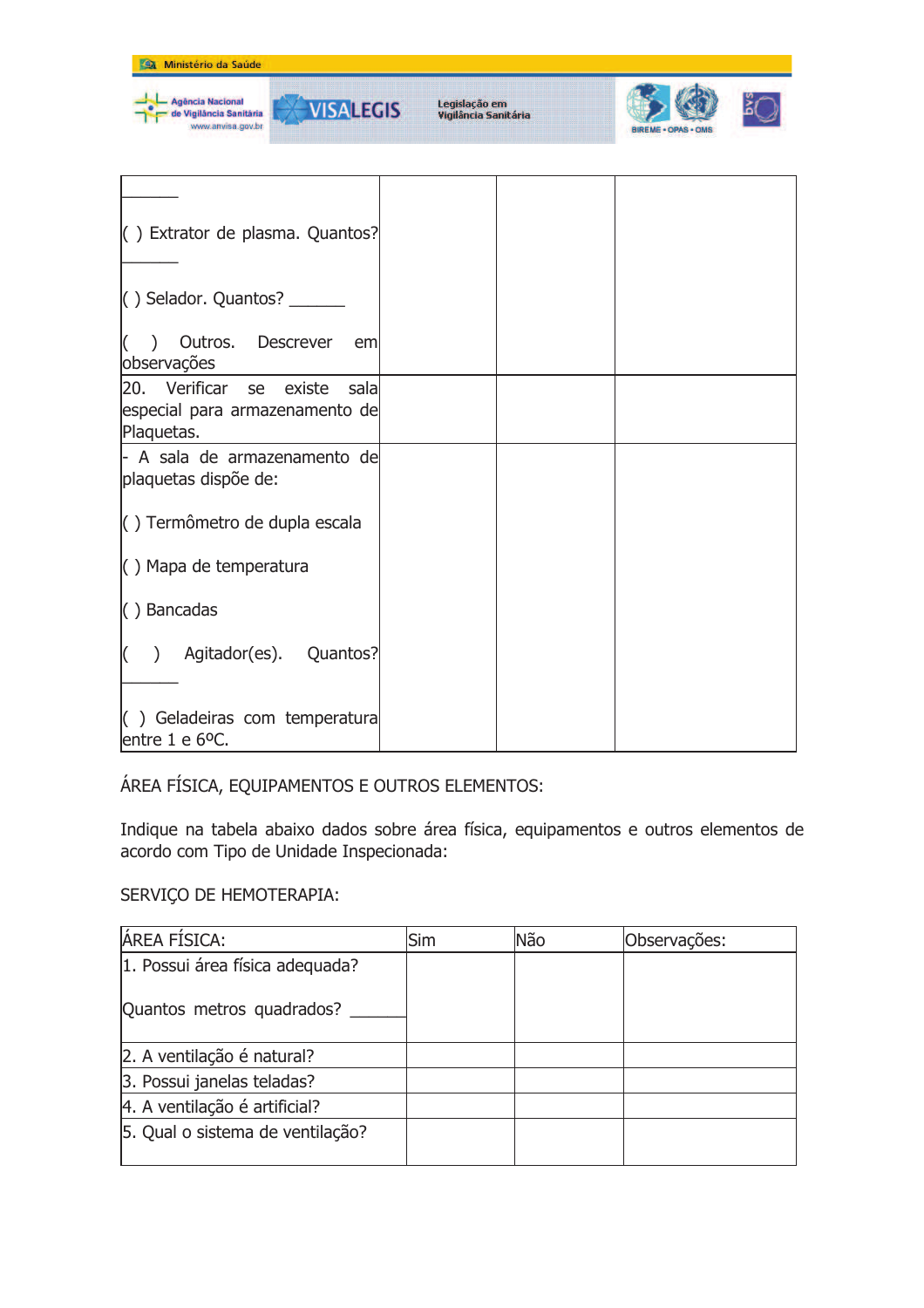

() Geladeiras com temperatura entre 1 e 6°C.

## ÁREA FÍSICA, EQUIPAMENTOS E OUTROS ELEMENTOS:

Indique na tabela abaixo dados sobre área física, equipamentos e outros elementos de acordo com Tipo de Unidade Inspecionada:

## SERVIÇO DE HEMOTERAPIA:

| <b>ÁREA FÍSICA:</b>              | Sim | Não | Observações: |
|----------------------------------|-----|-----|--------------|
| 1. Possui área física adequada?  |     |     |              |
| Quantos metros quadrados?        |     |     |              |
| 2. A ventilação é natural?       |     |     |              |
| 3. Possui janelas teladas?       |     |     |              |
| 4. A ventilação é artificial?    |     |     |              |
| 5. Qual o sistema de ventilação? |     |     |              |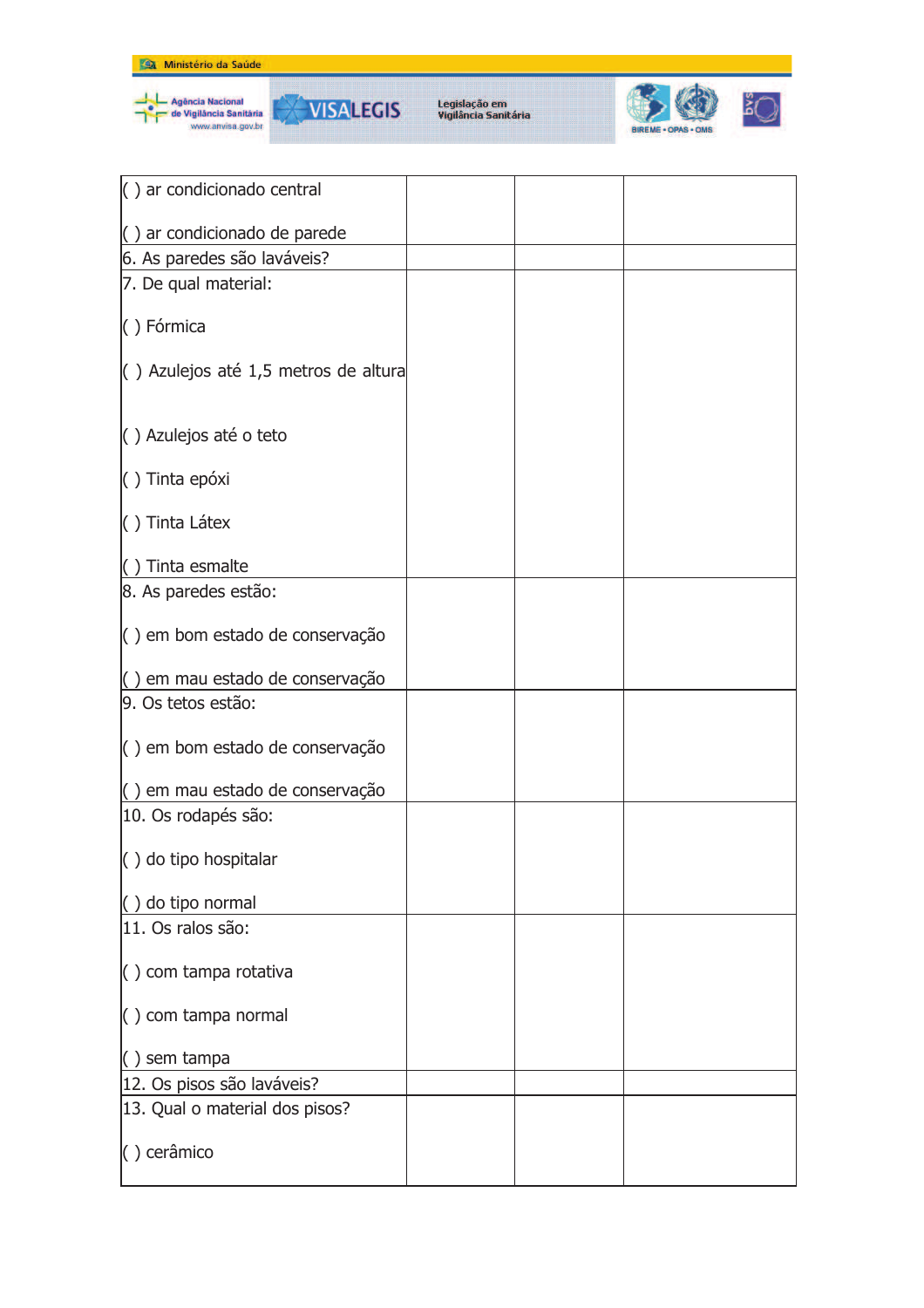



| $( )$ ar condicionado central                |  |  |
|----------------------------------------------|--|--|
| $\left( \ \right)$ ar condicionado de parede |  |  |
| 6. As paredes são laváveis?                  |  |  |
|                                              |  |  |
| 7. De qual material:                         |  |  |
| () Fórmica                                   |  |  |
|                                              |  |  |
| $\left($ ) Azulejos até 1,5 metros de altura |  |  |
|                                              |  |  |
|                                              |  |  |
| () Azulejos até o teto                       |  |  |
|                                              |  |  |
| () Tinta epóxi                               |  |  |
|                                              |  |  |
| () Tinta Látex                               |  |  |
| $( )$ Tinta esmalte                          |  |  |
|                                              |  |  |
| 8. As paredes estão:                         |  |  |
| $\vert$ ) em bom estado de conservação       |  |  |
|                                              |  |  |
| () em mau estado de conservação              |  |  |
| 9. Os tetos estão:                           |  |  |
|                                              |  |  |
| $\vert$ () em bom estado de conservação      |  |  |
|                                              |  |  |
| () em mau estado de conservação              |  |  |
| 10. Os rodapés são:                          |  |  |
|                                              |  |  |
| $\left( \ \right)$ do tipo hospitalar        |  |  |
|                                              |  |  |
| () do tipo normal<br>11. Os ralos são:       |  |  |
|                                              |  |  |
| $\left( \ \right)$ com tampa rotativa        |  |  |
|                                              |  |  |
| () com tampa normal                          |  |  |
|                                              |  |  |
| $( )$ sem tampa                              |  |  |
| 12. Os pisos são laváveis?                   |  |  |
| 13. Qual o material dos pisos?               |  |  |
|                                              |  |  |
| () cerâmico                                  |  |  |
|                                              |  |  |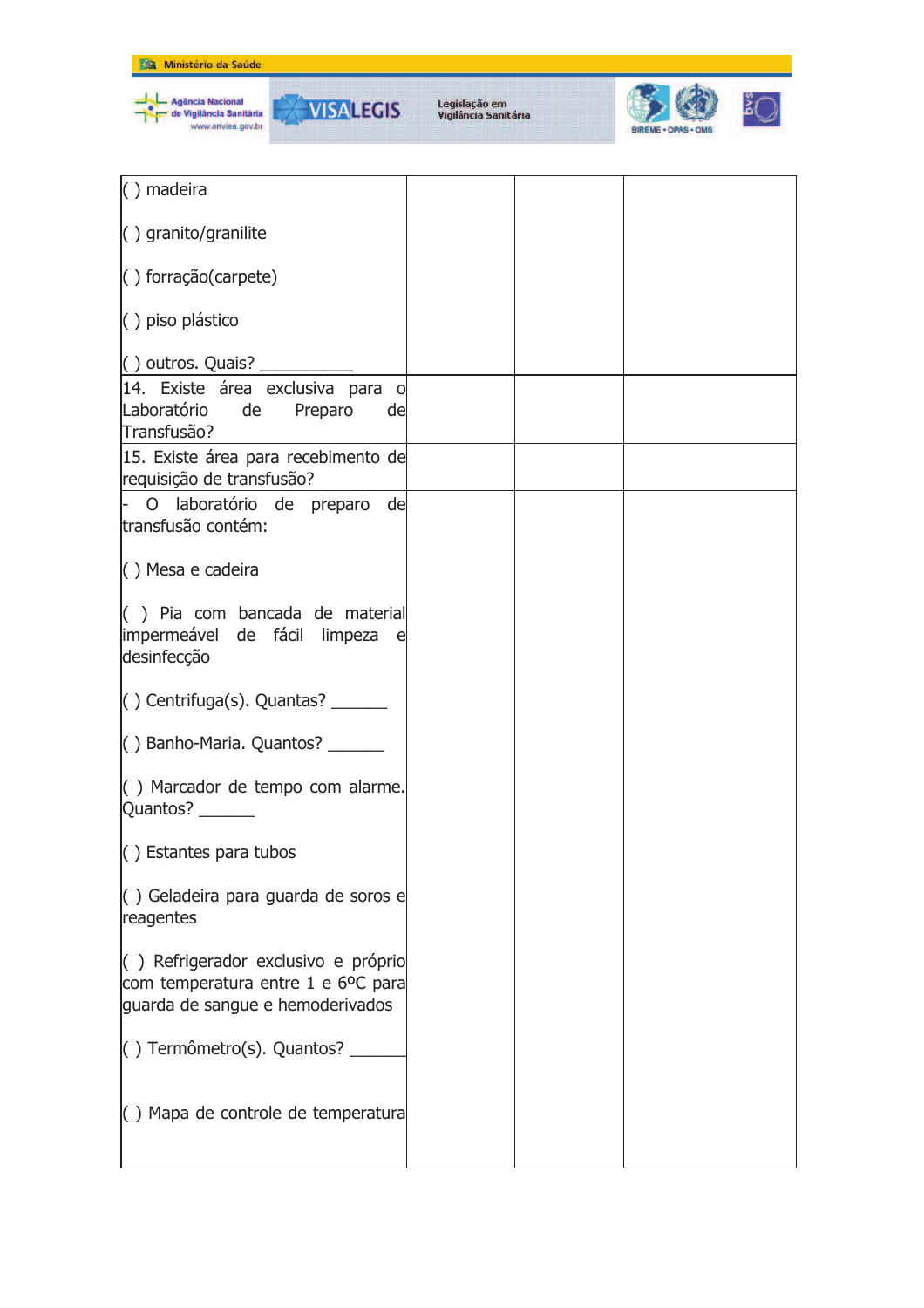



| $( )$ madeira                                                                                                        |  |  |
|----------------------------------------------------------------------------------------------------------------------|--|--|
| () granito/granilite                                                                                                 |  |  |
| $( )$ forração(carpete)                                                                                              |  |  |
| () piso plástico                                                                                                     |  |  |
| $\vert$ () outros. Quais? ______                                                                                     |  |  |
| 14. Existe área exclusiva para o<br>Laboratório de Preparo<br>de<br>Transfusão?                                      |  |  |
| 15. Existe área para recebimento de<br>requisição de transfusão?                                                     |  |  |
| O laboratório de preparo de<br>transfusão contém:                                                                    |  |  |
| $( )$ Mesa e cadeira                                                                                                 |  |  |
| $($ ) Pia com bancada de material<br>impermeável de fácil limpeza e<br>desinfecção                                   |  |  |
| $\vert$ () Centrifuga(s). Quantas? _______                                                                           |  |  |
| $\vert$ () Banho-Maria. Quantos? _______                                                                             |  |  |
| () Marcador de tempo com alarme.<br>Quantos? _______                                                                 |  |  |
| $\vert$ ) Estantes para tubos                                                                                        |  |  |
| () Geladeira para guarda de soros e<br>reagentes                                                                     |  |  |
| $\vert$ ) Refrigerador exclusivo e próprio<br>com temperatura entre 1 e 6°C para<br>guarda de sangue e hemoderivados |  |  |
| $( )$ Termômetro(s). Quantos?                                                                                        |  |  |
| $($ ) Mapa de controle de temperatura                                                                                |  |  |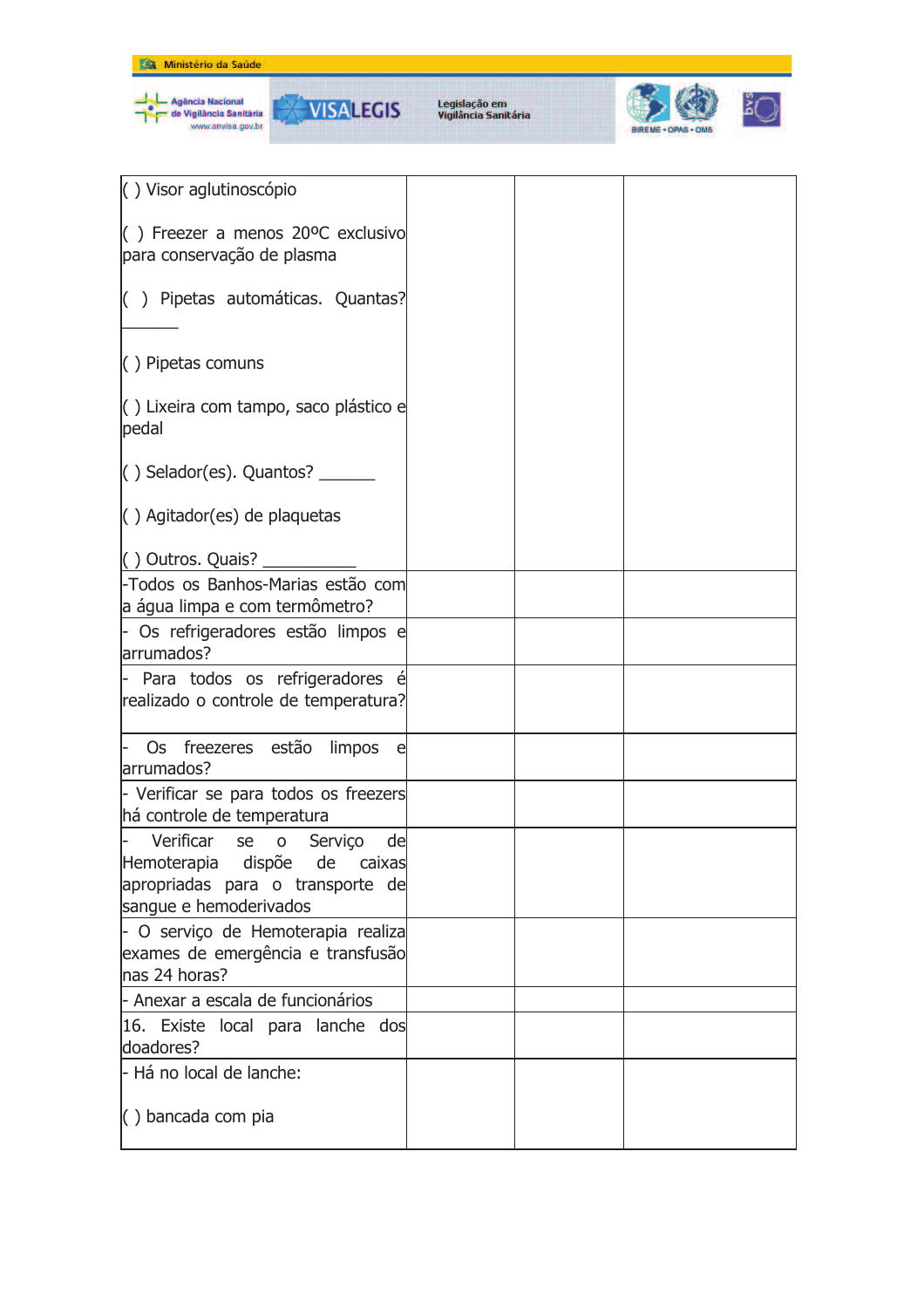

| () Visor aglutinoscópio                                                                                                    |  |  |
|----------------------------------------------------------------------------------------------------------------------------|--|--|
| $($ ) Freezer a menos 20°C exclusivo<br>para conservação de plasma                                                         |  |  |
| () Pipetas automáticas. Quantas?                                                                                           |  |  |
| $( )$ Pipetas comuns                                                                                                       |  |  |
| () Lixeira com tampo, saco plástico e<br>pedal                                                                             |  |  |
| $( )$ Selador(es). Quantos?                                                                                                |  |  |
| $\left( \ \right)$ Agitador(es) de plaquetas                                                                               |  |  |
| $( )$ Outros. Quais?                                                                                                       |  |  |
| -Todos os Banhos-Marias estão com<br>a água limpa e com termômetro?                                                        |  |  |
| - Os refrigeradores estão limpos e<br>arrumados?                                                                           |  |  |
| - Para todos os refrigeradores é<br>realizado o controle de temperatura?                                                   |  |  |
| Os freezeres estão limpos<br>e,<br>arrumados?                                                                              |  |  |
| - Verificar se para todos os freezers<br>há controle de temperatura                                                        |  |  |
| Verificar se o Serviço<br>de<br>Hemoterapia dispõe de caixas<br>apropriadas para o transporte de<br>sangue e hemoderivados |  |  |
| - O serviço de Hemoterapia realiza<br>exames de emergência e transfusão<br>nas 24 horas?                                   |  |  |
| - Anexar a escala de funcionários                                                                                          |  |  |
| 16. Existe local para lanche dos<br>doadores?                                                                              |  |  |
| l- Há no local de lanche:                                                                                                  |  |  |
| () bancada com pia                                                                                                         |  |  |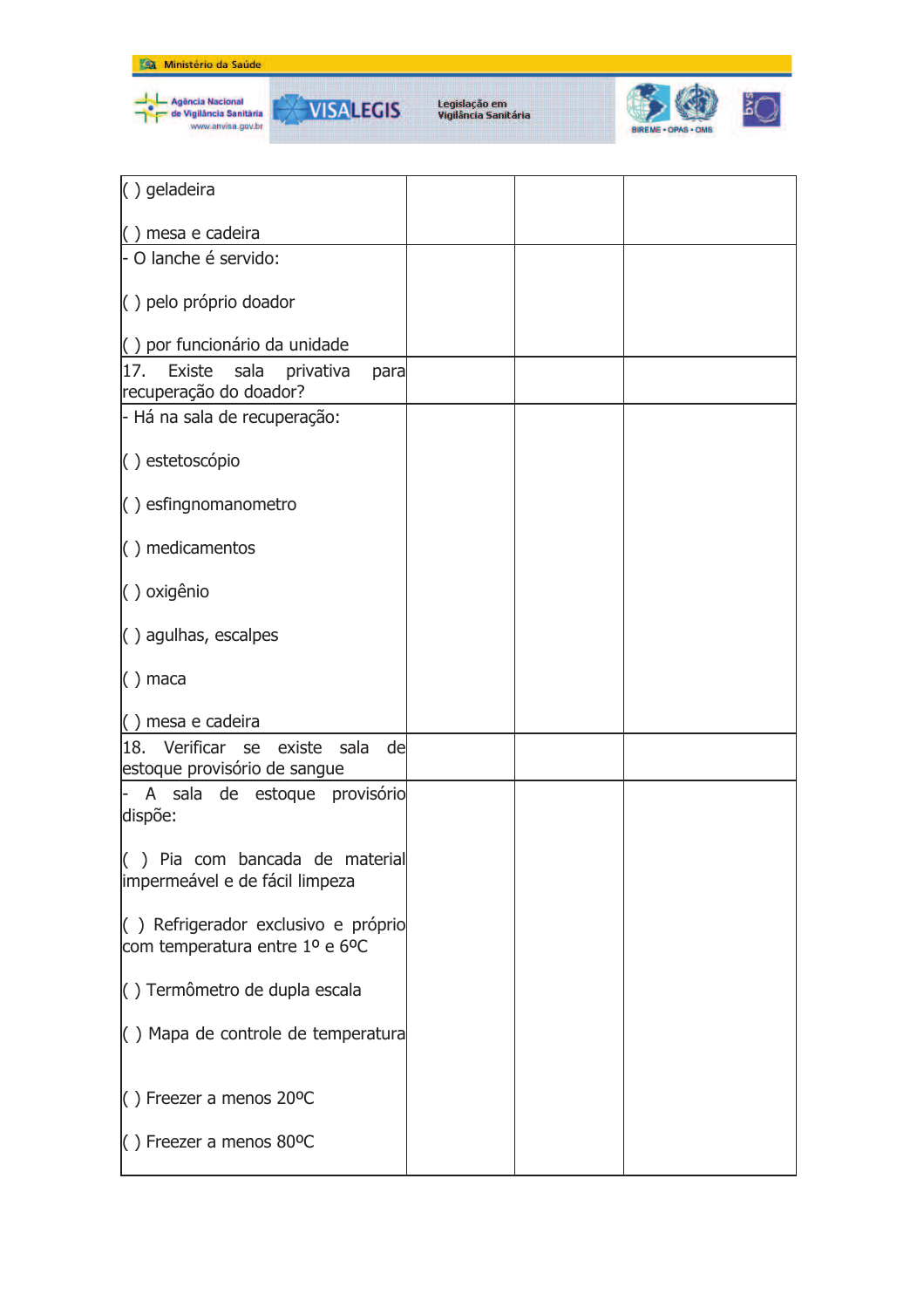



| $( )$ geladeira                       |  |  |
|---------------------------------------|--|--|
| $( )$ mesa e cadeira                  |  |  |
| - O lanche é servido:                 |  |  |
|                                       |  |  |
| () pelo próprio doador                |  |  |
|                                       |  |  |
| () por funcionário da unidade         |  |  |
| 17. Existe<br>sala privativa<br>para  |  |  |
| recuperação do doador?                |  |  |
| - Há na sala de recuperação:          |  |  |
| () estetoscópio                       |  |  |
|                                       |  |  |
| $\langle$ ) esfingnomanometro         |  |  |
| $( )$ medicamentos                    |  |  |
|                                       |  |  |
| () oxigênio                           |  |  |
| $\langle$ ) agulhas, escalpes         |  |  |
|                                       |  |  |
| $( )$ maca                            |  |  |
| $( )$ mesa e cadeira                  |  |  |
| 18. Verificar se existe sala<br>de    |  |  |
| estoque provisório de sangue          |  |  |
| - A sala de estoque provisório        |  |  |
| dispõe:                               |  |  |
|                                       |  |  |
| () Pia com bancada de material        |  |  |
| impermeável e de fácil limpeza        |  |  |
|                                       |  |  |
| () Refrigerador exclusivo e próprio   |  |  |
| com temperatura entre 1º e 6ºC        |  |  |
| () Termômetro de dupla escala         |  |  |
|                                       |  |  |
| $( )$ Mapa de controle de temperatura |  |  |
|                                       |  |  |
|                                       |  |  |
| $( )$ Freezer a menos 20°C            |  |  |
| $( )$ Freezer a menos 80°C            |  |  |
|                                       |  |  |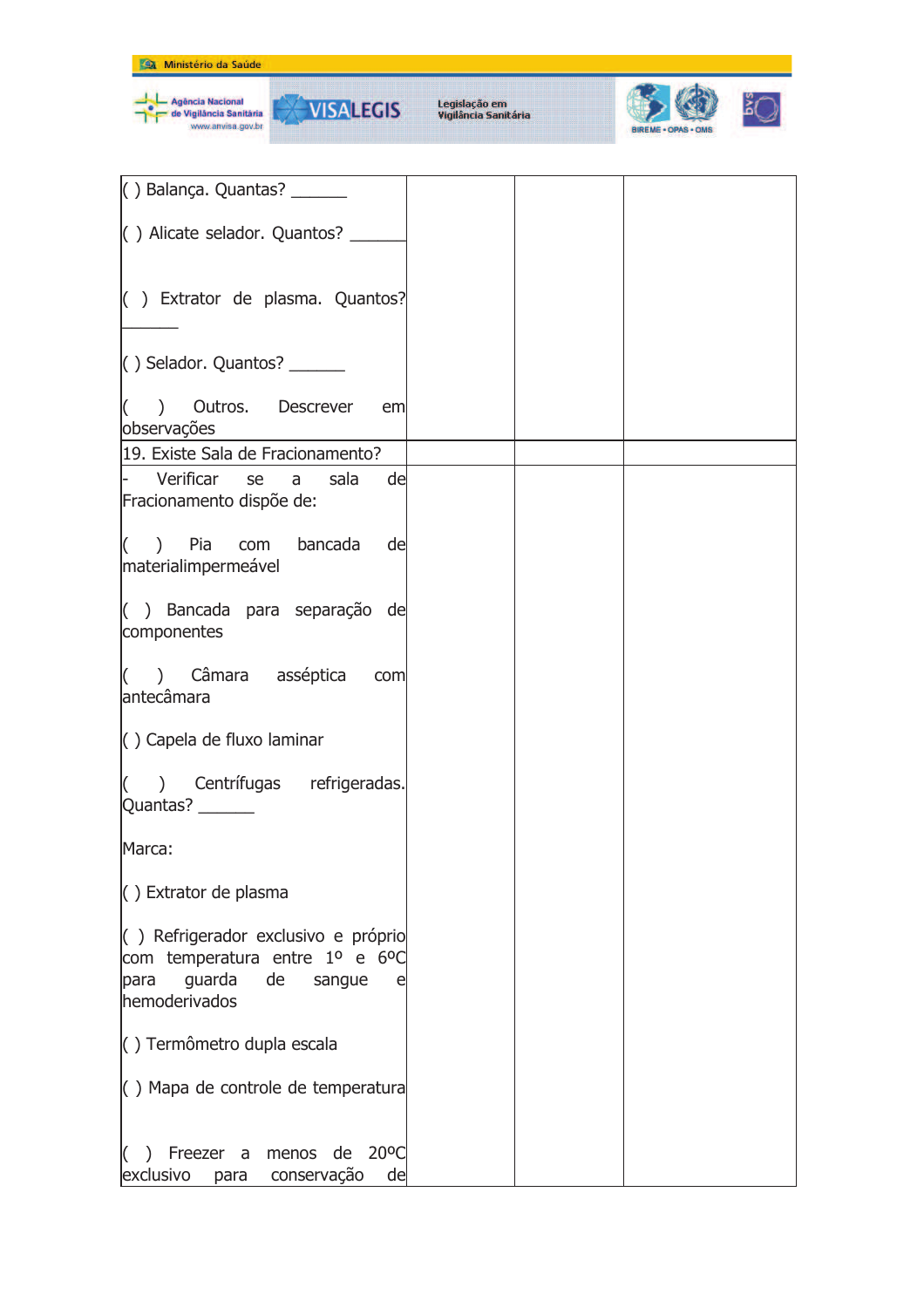

Agência Nacional<br>de Vigilância Sanităria<br>www.anvisa.gov.br

**VISALEGIS** 

₩



| () Balança. Quantas? _______                                           |  |  |
|------------------------------------------------------------------------|--|--|
|                                                                        |  |  |
| () Alicate selador. Quantos? ____                                      |  |  |
|                                                                        |  |  |
|                                                                        |  |  |
| $\vert$ ) Extrator de plasma. Quantos?                                 |  |  |
|                                                                        |  |  |
| $\vert$ () Selador. Quantos? _______                                   |  |  |
|                                                                        |  |  |
| $($ ) Outros. Descrever<br>em<br>observações                           |  |  |
| 19. Existe Sala de Fracionamento?                                      |  |  |
| - Verificar se a<br>sala<br>de                                         |  |  |
| Fracionamento dispõe de:                                               |  |  |
|                                                                        |  |  |
| $($ ) Pia com bancada de                                               |  |  |
| materialimpermeável                                                    |  |  |
| () Bancada para separação de                                           |  |  |
| componentes                                                            |  |  |
|                                                                        |  |  |
| () Câmara asséptica com<br>antecâmara                                  |  |  |
|                                                                        |  |  |
| () Capela de fluxo laminar                                             |  |  |
|                                                                        |  |  |
| $($ ) Centrífugas refrigeradas.                                        |  |  |
| Quantas? _______                                                       |  |  |
| Marca:                                                                 |  |  |
|                                                                        |  |  |
| $\left( \ \right)$ Extrator de plasma                                  |  |  |
| () Refrigerador exclusivo e próprio                                    |  |  |
| com temperatura entre 1º e 6ºC                                         |  |  |
| guarda<br>de<br>para<br>sangue<br>e                                    |  |  |
| hemoderivados                                                          |  |  |
| () Termômetro dupla escala                                             |  |  |
|                                                                        |  |  |
| $\left( \ \right)$ Mapa de controle de temperatura                     |  |  |
|                                                                        |  |  |
| Freezer a menos de<br>$20^{\circ}$ C<br>$\mathcal{L}$<br>$\mathcal{L}$ |  |  |
| exclusivo<br>para conservação<br>de                                    |  |  |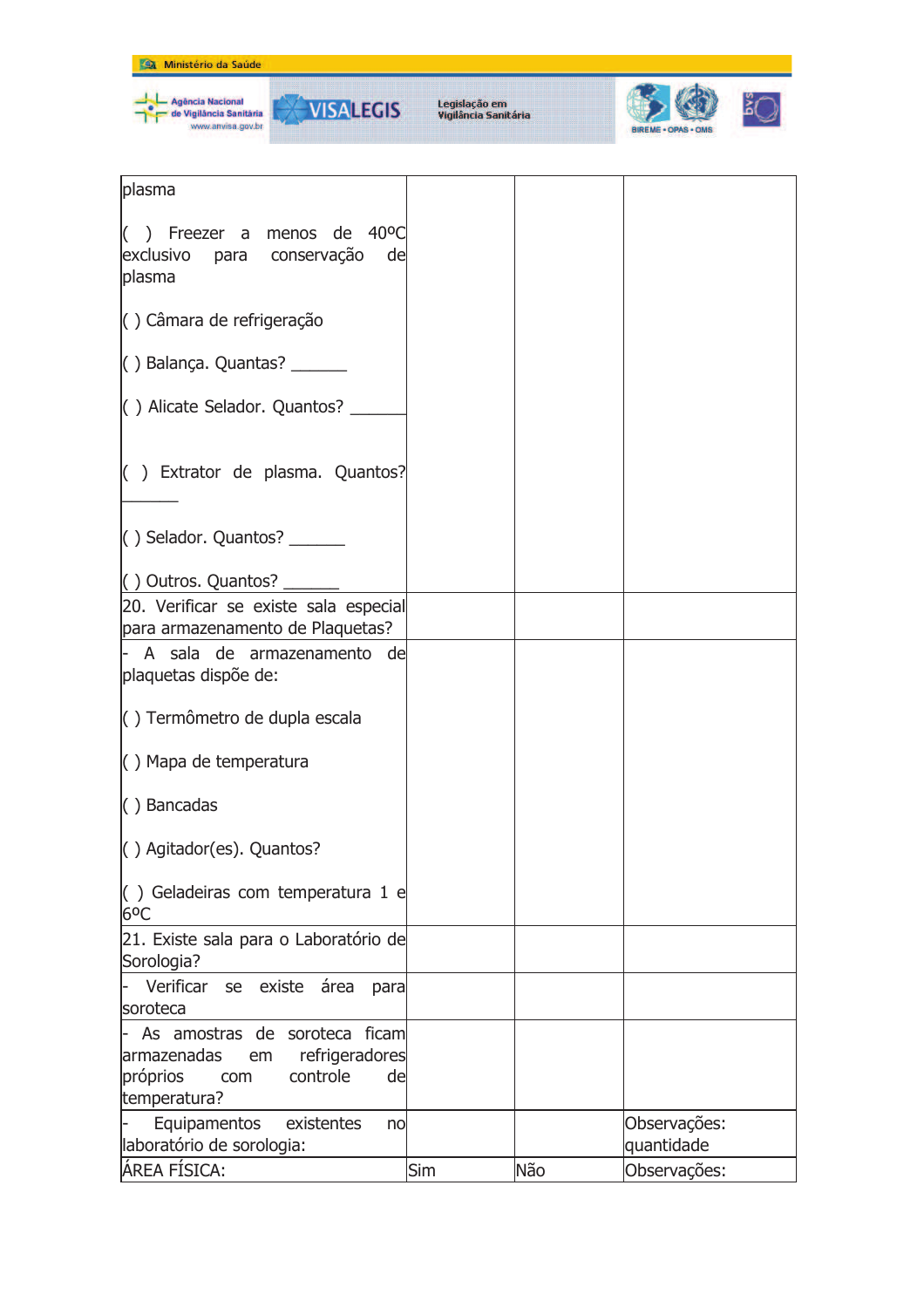

| plasma                                                                          |            |     |              |
|---------------------------------------------------------------------------------|------------|-----|--------------|
| () Freezer a menos de $40^{\circ}$ C<br>exclusivo para conservação de<br>plasma |            |     |              |
| () Câmara de refrigeração                                                       |            |     |              |
| $( )$ Balança. Quantas? $\frac{ )}{ \ }$                                        |            |     |              |
| () Alicate Selador. Quantos? __                                                 |            |     |              |
| () Extrator de plasma. Quantos?                                                 |            |     |              |
| $\vert$ () Selador. Quantos? ________                                           |            |     |              |
| $\vert$ () Outros. Quantos?                                                     |            |     |              |
| 20. Verificar se existe sala especial                                           |            |     |              |
| para armazenamento de Plaquetas?                                                |            |     |              |
| - A sala de armazenamento de                                                    |            |     |              |
| plaquetas dispõe de:                                                            |            |     |              |
| () Termômetro de dupla escala                                                   |            |     |              |
| $\langle$ ) Mapa de temperatura                                                 |            |     |              |
| $( )$ Bancadas                                                                  |            |     |              |
| () Agitador(es). Quantos?                                                       |            |     |              |
| $($ ) Geladeiras com temperatura 1 e<br>6 <sup>o</sup> C                        |            |     |              |
| 21. Existe sala para o Laboratório de<br>Sorologia?                             |            |     |              |
| Verificar se existe área<br>para                                                |            |     |              |
| soroteca                                                                        |            |     |              |
| - As amostras de soroteca ficam                                                 |            |     |              |
| refrigeradores<br>armazenadas<br>em                                             |            |     |              |
| próprios<br>controle<br>de<br>com                                               |            |     |              |
| temperatura?                                                                    |            |     |              |
| Equipamentos<br>existentes<br>no                                                |            |     | Observações: |
| laboratório de sorologia:                                                       |            |     | quantidade   |
| ÁREA FÍSICA:                                                                    | <b>Sim</b> | Não | Observações: |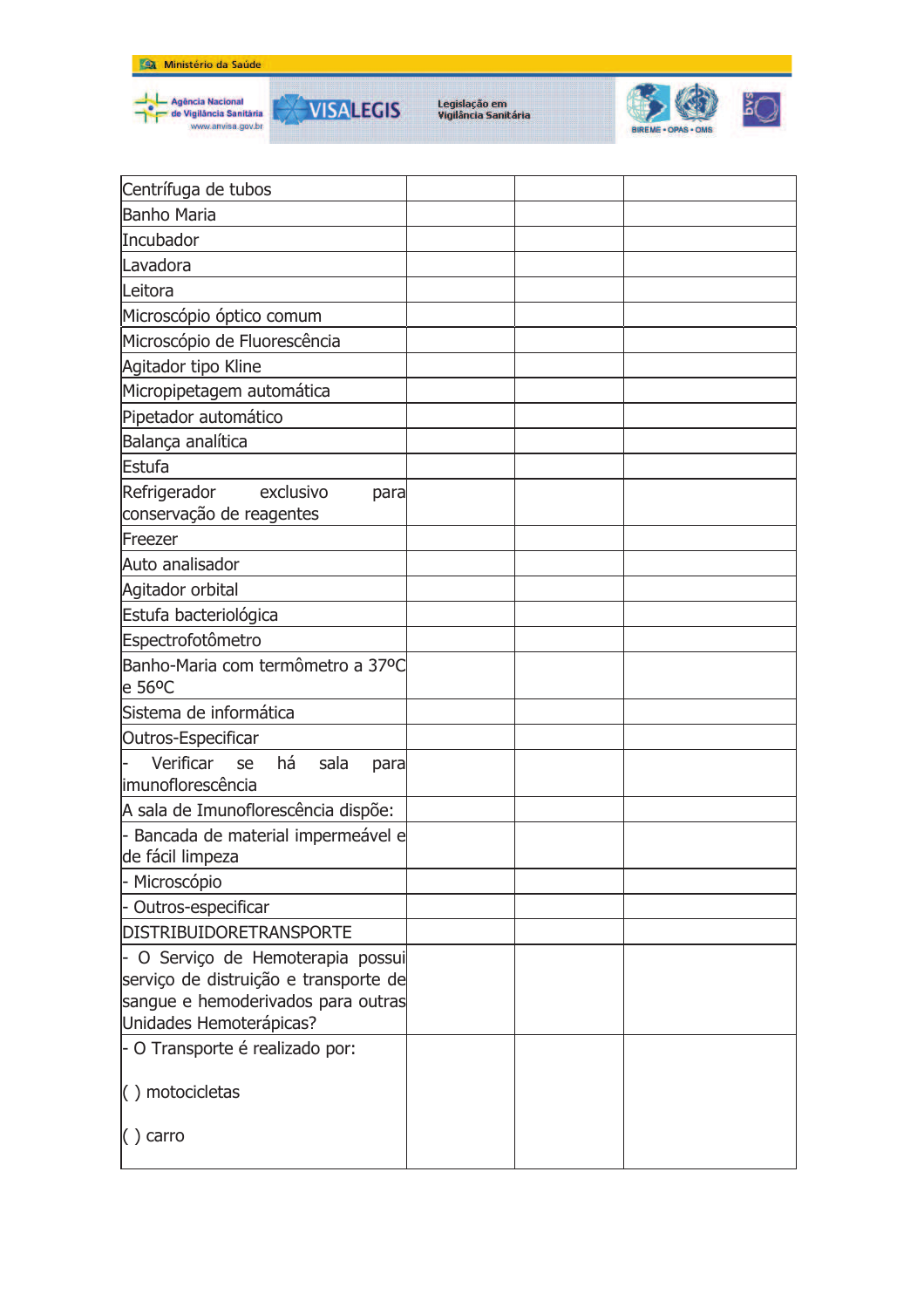

Agência Nacional<br>de Vigilância Sanitária<br>www.anvisa.gov.br



Legislação em<br>Vigilância Sanitária



| Centrífuga de tubos                                                                                              |  |  |
|------------------------------------------------------------------------------------------------------------------|--|--|
| <b>Banho Maria</b>                                                                                               |  |  |
| Incubador                                                                                                        |  |  |
| Lavadora                                                                                                         |  |  |
| Leitora                                                                                                          |  |  |
| Microscópio óptico comum                                                                                         |  |  |
| Microscópio de Fluorescência                                                                                     |  |  |
| Agitador tipo Kline                                                                                              |  |  |
| Micropipetagem automática                                                                                        |  |  |
| Pipetador automático                                                                                             |  |  |
| Balança analítica                                                                                                |  |  |
| Estufa                                                                                                           |  |  |
| Refrigerador<br>exclusivo<br>para                                                                                |  |  |
| conservação de reagentes                                                                                         |  |  |
| Freezer                                                                                                          |  |  |
| Auto analisador                                                                                                  |  |  |
| Agitador orbital                                                                                                 |  |  |
| Estufa bacteriológica                                                                                            |  |  |
| Espectrofotômetro                                                                                                |  |  |
| Banho-Maria com termômetro a 37ºC<br>e 56°C                                                                      |  |  |
| Sistema de informática                                                                                           |  |  |
| Outros-Especificar                                                                                               |  |  |
| Verificar se<br>há<br>sala<br>para<br>limunoflorescência                                                         |  |  |
| A sala de Imunoflorescência dispõe:                                                                              |  |  |
| - Bancada de material impermeável e<br>de fácil limpeza                                                          |  |  |
| - Microscópio                                                                                                    |  |  |
| - Outros-especificar                                                                                             |  |  |
| DISTRIBUIDORETRANSPORTE                                                                                          |  |  |
| - O Serviço de Hemoterapia possui<br>serviço de distruição e transporte de<br>sangue e hemoderivados para outras |  |  |
| Unidades Hemoterápicas?                                                                                          |  |  |
| - O Transporte é realizado por:                                                                                  |  |  |
| () motocicletas                                                                                                  |  |  |
| $( )$ carro                                                                                                      |  |  |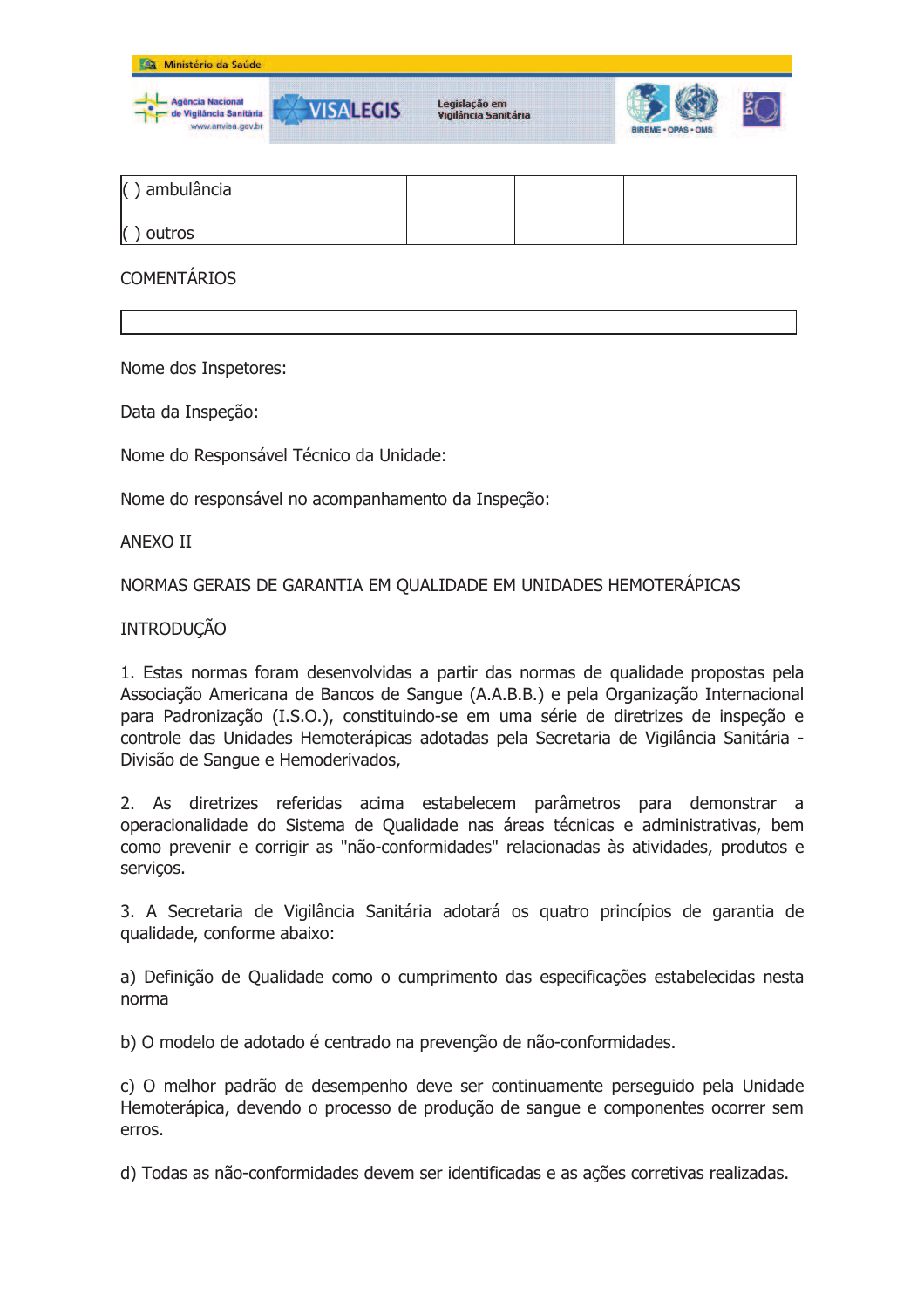

| $( )$ ambulância |  |  |
|------------------|--|--|
| $()$ outros      |  |  |

**COMENTÁRIOS** 

Nome dos Inspetores:

Data da Inspeção:

Nome do Responsável Técnico da Unidade:

Nome do responsável no acompanhamento da Inspeção:

**ANFXO II** 

NORMAS GERAIS DE GARANTIA EM QUALIDADE EM UNIDADES HEMOTERÁPICAS

### **INTRODUÇÃO**

1. Estas normas foram desenvolvidas a partir das normas de qualidade propostas pela Associação Americana de Bancos de Sangue (A.A.B.B.) e pela Organização Internacional para Padronização (I.S.O.), constituindo-se em uma série de diretrizes de inspeção e controle das Unidades Hemoterápicas adotadas pela Secretaria de Vigilância Sanitária -Divisão de Sangue e Hemoderivados,

2. As diretrizes referidas acima estabelecem parâmetros para demonstrar a operacionalidade do Sistema de Qualidade nas áreas técnicas e administrativas, bem como prevenir e corrigir as "não-conformidades" relacionadas às atividades, produtos e serviços.

3. A Secretaria de Vigilância Sanitária adotará os quatro princípios de garantia de qualidade, conforme abaixo:

a) Definição de Oualidade como o cumprimento das especificações estabelecidas nesta norma

b) O modelo de adotado é centrado na prevenção de não-conformidades.

c) O melhor padrão de desempenho deve ser continuamente perseguido pela Unidade Hemoterápica, devendo o processo de produção de sangue e componentes ocorrer sem erros.

d) Todas as não-conformidades devem ser identificadas e as ações corretivas realizadas.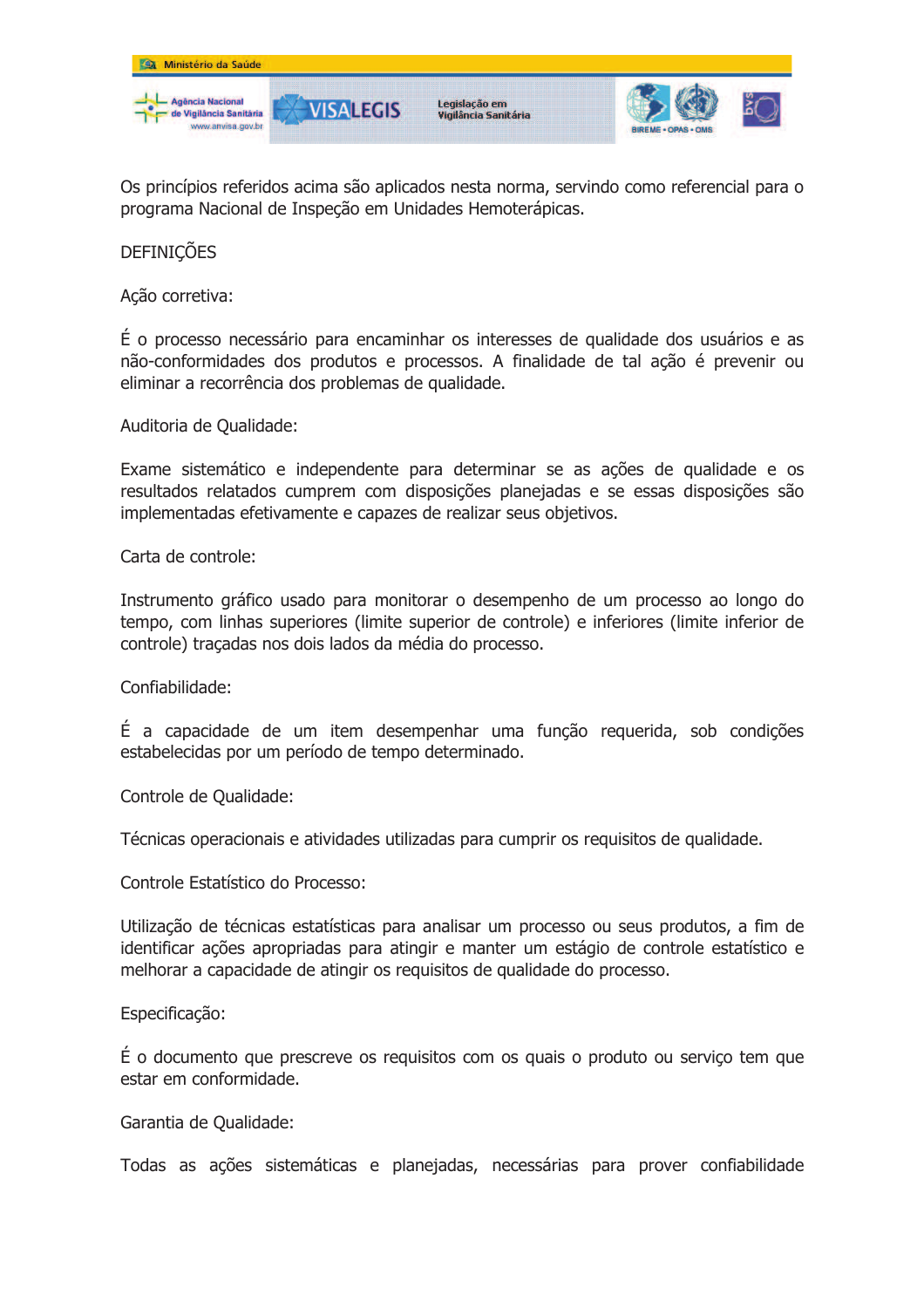

Os princípios referidos acima são aplicados nesta norma, servindo como referencial para o programa Nacional de Inspeção em Unidades Hemoterápicas.

## **DEFINICÕES**

Ação corretiva:

É o processo necessário para encaminhar os interesses de qualidade dos usuários e as não-conformidades dos produtos e processos. A finalidade de tal ação é prevenir ou eliminar a recorrência dos problemas de qualidade.

Auditoria de Oualidade:

Exame sistemático e independente para determinar se as ações de qualidade e os resultados relatados cumprem com disposições planejadas e se essas disposições são implementadas efetivamente e capazes de realizar seus objetivos.

Carta de controle:

Instrumento gráfico usado para monitorar o desempenho de um processo ao longo do tempo, com linhas superiores (limite superior de controle) e inferiores (limite inferior de controle) tracadas nos dois lados da média do processo.

Confiabilidade:

É a capacidade de um item desempenhar uma função requerida, sob condições estabelecidas por um período de tempo determinado.

Controle de Oualidade:

Técnicas operacionais e atividades utilizadas para cumprir os requisitos de qualidade.

Controle Estatístico do Processo:

Utilização de técnicas estatísticas para analisar um processo ou seus produtos, a fim de identificar ações apropriadas para atingir e manter um estágio de controle estatístico e melhorar a capacidade de atingir os requisitos de qualidade do processo.

Especificação:

É o documento que prescreve os requisitos com os quais o produto ou serviço tem que estar em conformidade.

Garantia de Oualidade:

Todas as ações sistemáticas e planejadas, necessárias para prover confiabilidade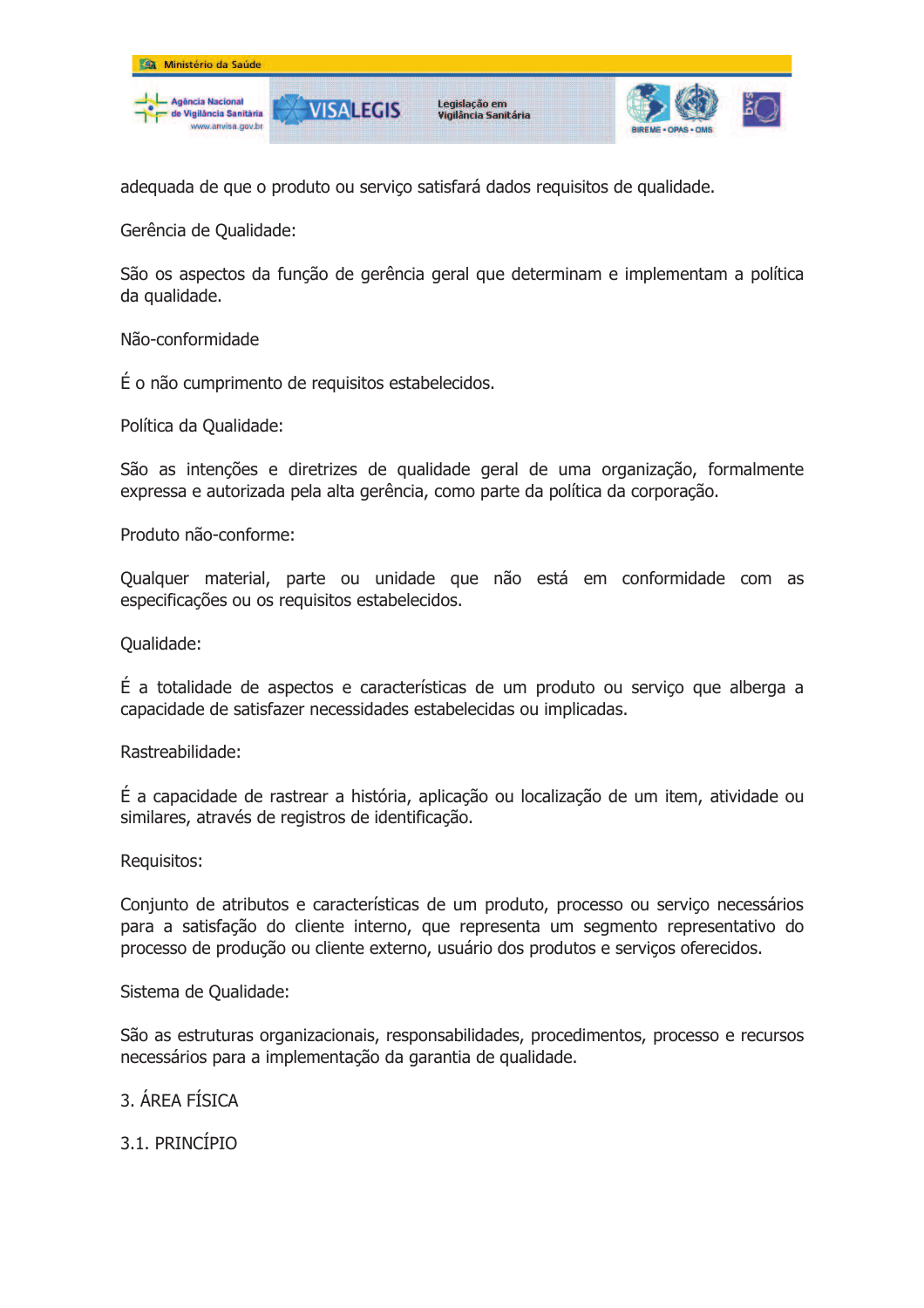

adequada de que o produto ou serviço satisfará dados requisitos de qualidade.

Gerência de Qualidade:

São os aspectos da função de gerência geral que determinam e implementam a política da qualidade.

Não-conformidade

É o não cumprimento de requisitos estabelecidos.

Política da Oualidade:

São as intenções e diretrizes de qualidade geral de uma organização, formalmente expressa e autorizada pela alta gerência, como parte da política da corporação.

Produto não-conforme:

Qualquer material, parte ou unidade que não está em conformidade com as especificações ou os requisitos estabelecidos.

Oualidade:

É a totalidade de aspectos e características de um produto ou serviço que alberga a capacidade de satisfazer necessidades estabelecidas ou implicadas.

Rastreabilidade:

É a capacidade de rastrear a história, aplicação ou localização de um item, atividade ou similares, através de registros de identificação.

Requisitos:

Conjunto de atributos e características de um produto, processo ou serviço necessários para a satisfação do cliente interno, que representa um segmento representativo do processo de produção ou cliente externo, usuário dos produtos e serviços oferecidos.

Sistema de Qualidade:

São as estruturas organizacionais, responsabilidades, procedimentos, processo e recursos necessários para a implementação da garantia de qualidade.

## 3 ÁRFA FÍSICA

3.1. PRINCÍPIO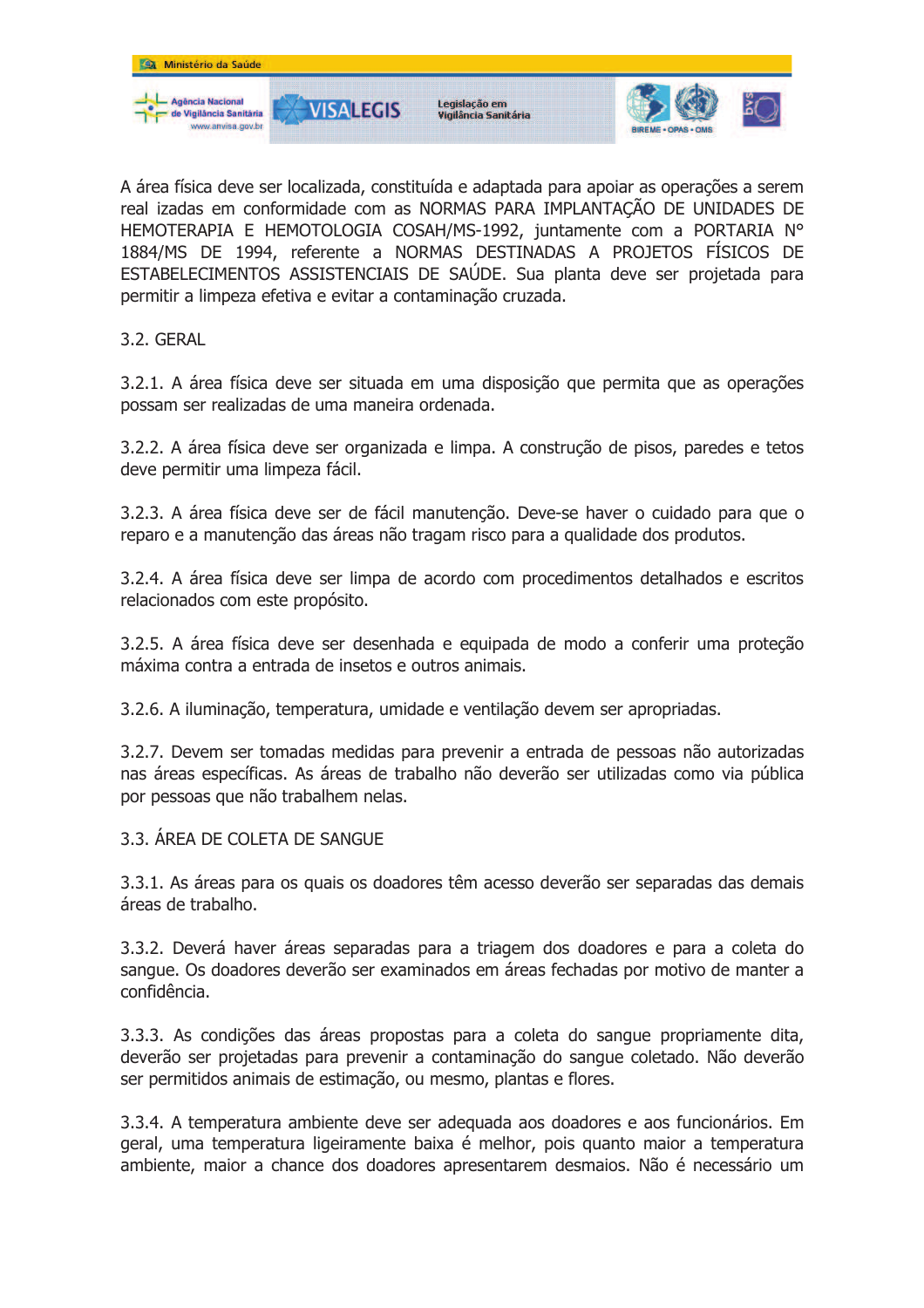

A área física deve ser localizada, constituída e adaptada para apoiar as operações a serem real izadas em conformidade com as NORMAS PARA IMPLANTAÇÃO DE UNIDADES DE HEMOTERAPIA E HEMOTOLOGIA COSAH/MS-1992, juntamente com a PORTARIA N° 1884/MS DE 1994, referente a NORMAS DESTINADAS A PROJETOS FÍSICOS DE ESTABELECIMENTOS ASSISTENCIAIS DE SAÚDE. Sua planta deve ser projetada para permitir a limpeza efetiva e evitar a contaminação cruzada.

3.2. GERAL

3.2.1. A área física deve ser situada em uma disposição que permita que as operações possam ser realizadas de uma maneira ordenada.

3.2.2. A área física deve ser organizada e limpa. A construção de pisos, paredes e tetos deve permitir uma limpeza fácil.

3.2.3. A área física deve ser de fácil manutenção. Deve-se haver o cuidado para que o reparo e a manutenção das áreas não tragam risco para a qualidade dos produtos.

3.2.4. A área física deve ser limpa de acordo com procedimentos detalhados e escritos relacionados com este propósito.

3.2.5. A área física deve ser desenhada e equipada de modo a conferir uma protecão máxima contra a entrada de insetos e outros animais.

3.2.6. A iluminação, temperatura, umidade e ventilação devem ser apropriadas.

3.2.7. Devem ser tomadas medidas para prevenir a entrada de pessoas não autorizadas nas áreas específicas. As áreas de trabalho não deverão ser utilizadas como via pública por pessoas que não trabalhem nelas.

3.3. ÁREA DE COLETA DE SANGUE

3.3.1. As áreas para os quais os doadores têm acesso deverão ser separadas das demais áreas de trabalho.

3.3.2. Deverá haver áreas separadas para a triagem dos doadores e para a coleta do sangue. Os doadores deverão ser examinados em áreas fechadas por motivo de manter a confidência.

3.3.3. As condições das áreas propostas para a coleta do sangue propriamente dita, deverão ser projetadas para prevenir a contaminação do sangue coletado. Não deverão ser permitidos animais de estimação, ou mesmo, plantas e flores.

3.3.4. A temperatura ambiente deve ser adequada aos doadores e aos funcionários. Em geral, uma temperatura ligeiramente baixa é melhor, pois quanto maior a temperatura ambiente, maior a chance dos doadores apresentarem desmaios. Não é necessário um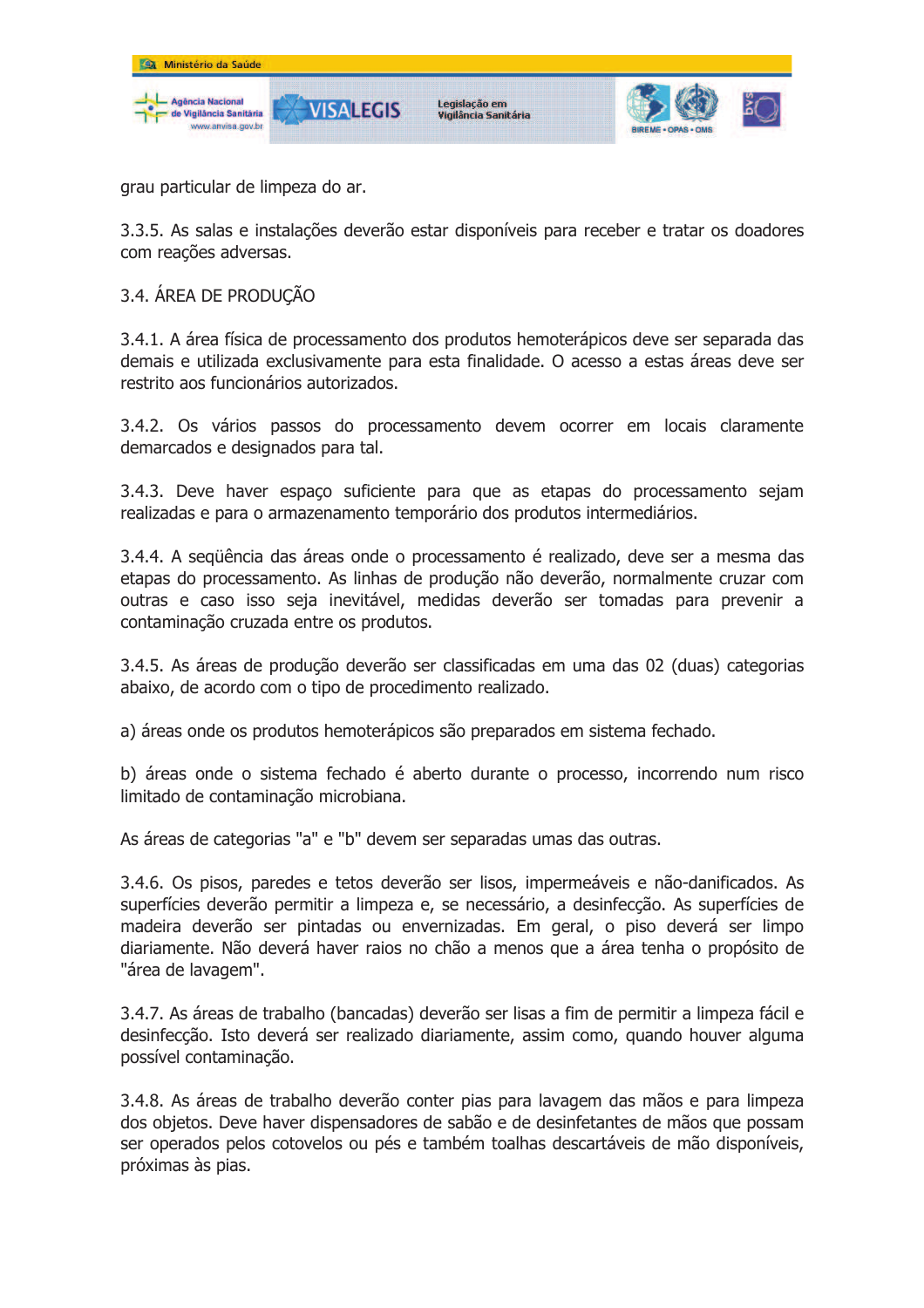

grau particular de limpeza do ar.

3.3.5. As salas e instalações deverão estar disponíveis para receber e tratar os doadores com reações adversas.

### 3.4. ÁREA DE PRODUÇÃO

3.4.1. A área física de processamento dos produtos hemoterápicos deve ser separada das demais e utilizada exclusivamente para esta finalidade. O acesso a estas áreas deve ser restrito aos funcionários autorizados.

3.4.2. Os vários passos do processamento devem ocorrer em locais claramente demarcados e designados para tal.

3.4.3. Deve haver espaco suficiente para que as etapas do processamento sejam realizadas e para o armazenamento temporário dos produtos intermediários.

3.4.4. A següência das áreas onde o processamento é realizado, deve ser a mesma das etapas do processamento. As linhas de produção não deverão, normalmente cruzar com outras e caso isso seja inevitável, medidas deverão ser tomadas para prevenir a contaminação cruzada entre os produtos.

3.4.5. As áreas de produção deverão ser classificadas em uma das 02 (duas) categorias abaixo, de acordo com o tipo de procedimento realizado.

a) áreas onde os produtos hemoterápicos são preparados em sistema fechado.

b) áreas onde o sistema fechado é aberto durante o processo, incorrendo num risco limitado de contaminação microbiana.

As áreas de categorias "a" e "b" devem ser separadas umas das outras.

3.4.6. Os pisos, paredes e tetos deverão ser lisos, impermeáveis e não-danificados. As superfícies deverão permitir a limpeza e, se necessário, a desinfecção. As superfícies de madeira deverão ser pintadas ou envernizadas. Em geral, o piso deverá ser limpo diariamente. Não deverá haver raios no chão a menos que a área tenha o propósito de "área de lavagem".

3.4.7. As áreas de trabalho (bancadas) deverão ser lisas a fim de permitir a limpeza fácil e desinfecção. Isto deverá ser realizado diariamente, assim como, quando houver alguma possível contaminação.

3.4.8. As áreas de trabalho deverão conter pias para lavagem das mãos e para limpeza dos objetos. Deve haver dispensadores de sabão e de desinfetantes de mãos que possam ser operados pelos cotovelos ou pés e também toalhas descartáveis de mão disponíveis, próximas às pias.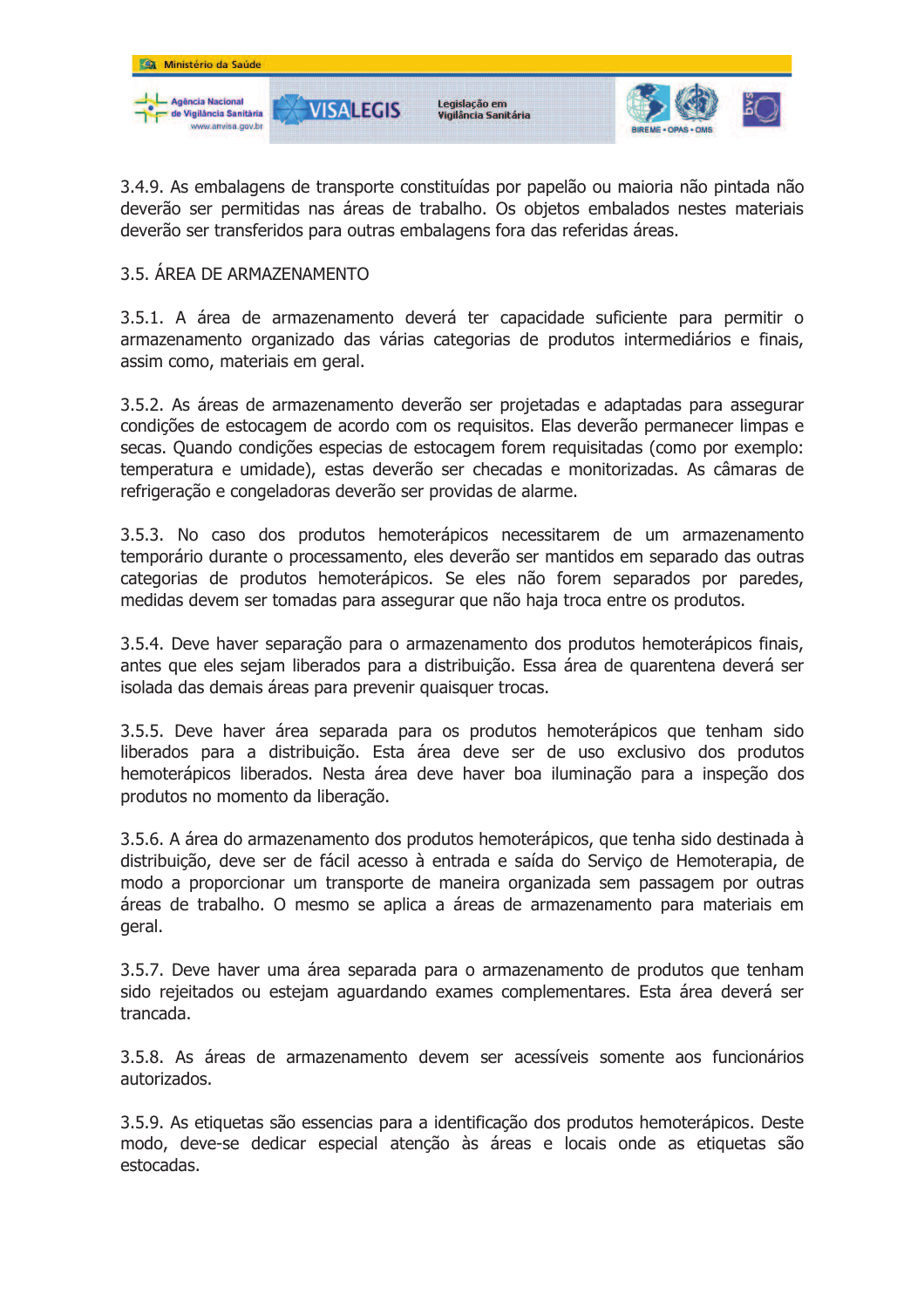

3.4.9. As embalagens de transporte constituídas por papelão ou maioria não pintada não deverão ser permitidas nas áreas de trabalho. Os objetos embalados nestes materiais deverão ser transferidos para outras embalagens fora das referidas áreas.

### 3.5. ÁREA DE ARMAZENAMENTO

3.5.1. A área de armazenamento deverá ter capacidade suficiente para permitir o armazenamento organizado das várias categorias de produtos intermediários e finais, assim como, materiais em geral.

3.5.2. As áreas de armazenamento deverão ser projetadas e adaptadas para assegurar condições de estocagem de acordo com os requisitos. Elas deverão permanecer limpas e secas. Quando condições especias de estocagem forem requisitadas (como por exemplo: temperatura e umidade), estas deverão ser checadas e monitorizadas. As câmaras de refrigeração e congeladoras deverão ser providas de alarme.

3.5.3. No caso dos produtos hemoterápicos necessitarem de um armazenamento temporário durante o processamento, eles deverão ser mantidos em separado das outras categorias de produtos hemoterápicos. Se eles não forem separados por paredes, medidas devem ser tomadas para assegurar que não haja troca entre os produtos.

3.5.4. Deve haver separação para o armazenamento dos produtos hemoterápicos finais, antes que eles sejam liberados para a distribuição. Essa área de quarentena deverá ser isolada das demais áreas para prevenir quaisquer trocas.

3.5.5. Deve haver área separada para os produtos hemoterápicos que tenham sido liberados para a distribuição. Esta área deve ser de uso exclusivo dos produtos hemoterápicos liberados. Nesta área deve haver boa iluminação para a inspeção dos produtos no momento da liberação.

3.5.6. A área do armazenamento dos produtos hemoterápicos, que tenha sido destinada à distribuição, deve ser de fácil acesso à entrada e saída do Serviço de Hemoterapia, de modo a proporcionar um transporte de maneira organizada sem passagem por outras áreas de trabalho. O mesmo se aplica a áreas de armazenamento para materiais em geral.

3.5.7. Deve haver uma área separada para o armazenamento de produtos que tenham sido rejeitados ou estejam aguardando exames complementares. Esta área deverá ser trancada.

3.5.8. As áreas de armazenamento devem ser acessíveis somente aos funcionários autorizados.

3.5.9. As etiquetas são essencias para a identificação dos produtos hemoterápicos. Deste modo, deve-se dedicar especial atenção às áreas e locais onde as etiquetas são estocadas.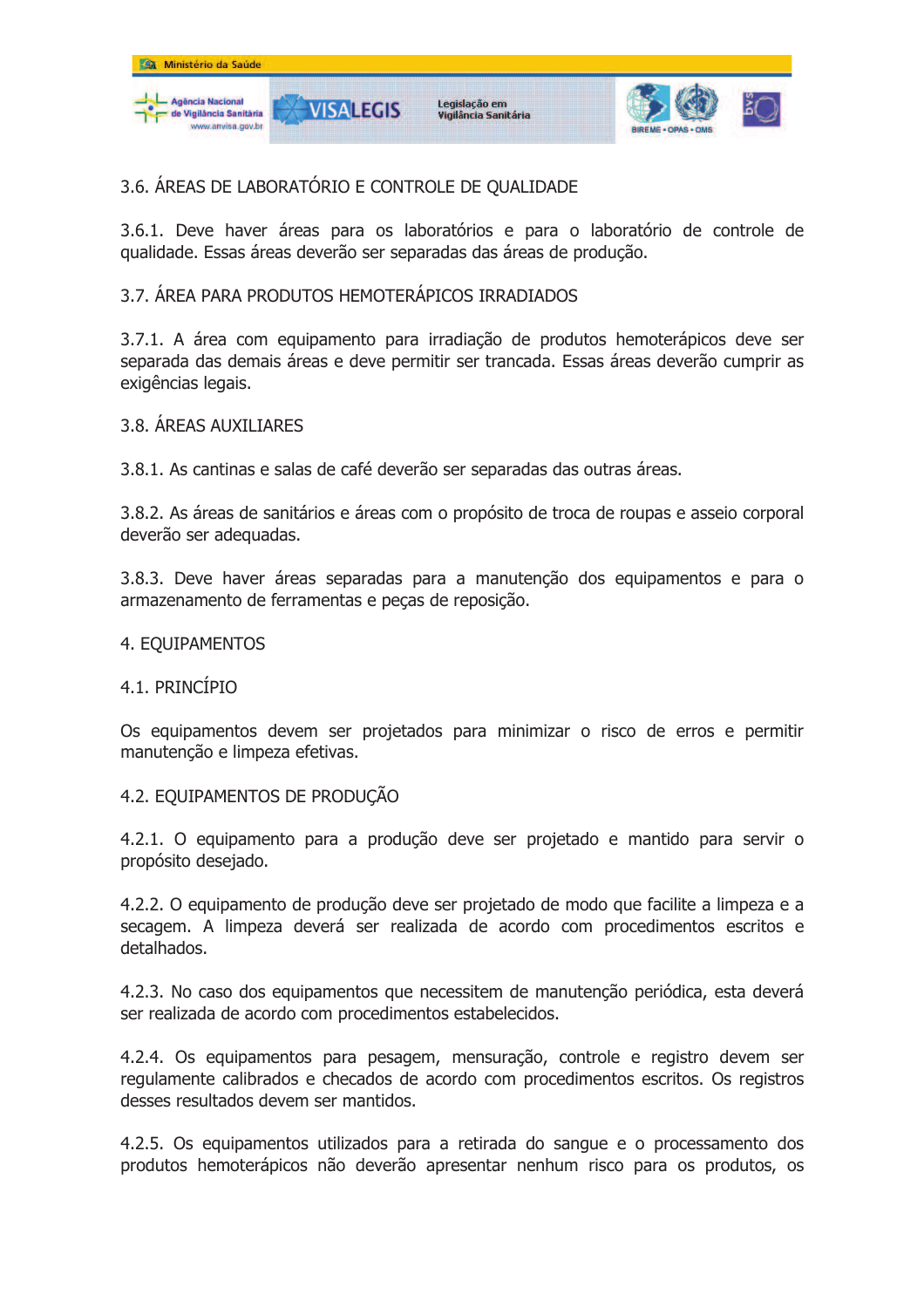

## 3.6. ÁREAS DE LABORATÓRIO E CONTROLE DE QUALIDADE

3.6.1. Deve haver áreas para os laboratórios e para o laboratório de controle de qualidade. Essas áreas deverão ser separadas das áreas de produção.

### 3.7. ÁREA PARA PRODUTOS HEMOTERÁPICOS IRRADIADOS

3.7.1. A área com equipamento para irradiação de produtos hemoterápicos deve ser separada das demais áreas e deve permitir ser trancada. Essas áreas deverão cumprir as exigências legais.

### 3.8. ÁRFAS AUXILIARES

3.8.1. As cantinas e salas de café deverão ser separadas das outras áreas.

3.8.2. As áreas de sanitários e áreas com o propósito de troca de roupas e asseio corporal deverão ser adequadas.

3.8.3. Deve haver áreas separadas para a manutenção dos equipamentos e para o armazenamento de ferramentas e peças de reposição.

#### 4. EOUIPAMENTOS

#### 4.1. PRINCÍPIO

Os equipamentos devem ser projetados para minimizar o risco de erros e permitir manutenção e limpeza efetivas.

#### 4.2. EQUIPAMENTOS DE PRODUÇÃO

4.2.1. O equipamento para a produção deve ser projetado e mantido para servir o propósito desejado.

4.2.2. O equipamento de produção deve ser projetado de modo que facilite a limpeza e a secagem. A limpeza deverá ser realizada de acordo com procedimentos escritos e detalhados.

4.2.3. No caso dos equipamentos que necessitem de manutenção periódica, esta deverá ser realizada de acordo com procedimentos estabelecidos.

4.2.4. Os equipamentos para pesagem, mensuração, controle e registro devem ser regulamente calibrados e checados de acordo com procedimentos escritos. Os registros desses resultados devem ser mantidos.

4.2.5. Os equipamentos utilizados para a retirada do sangue e o processamento dos produtos hemoterápicos não deverão apresentar nenhum risco para os produtos, os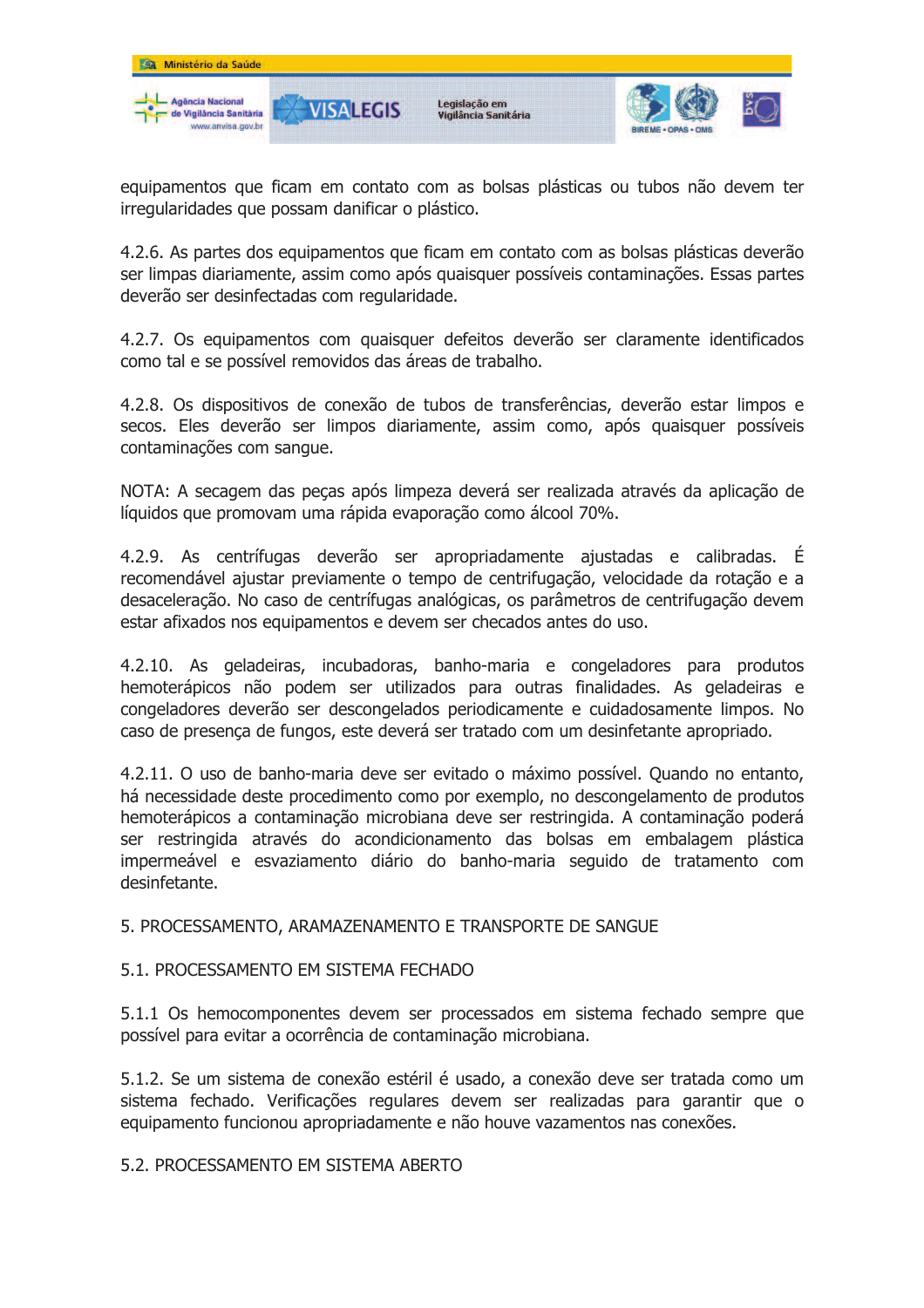

equipamentos que ficam em contato com as bolsas plásticas ou tubos não devem ter irregularidades que possam danificar o plástico.

4.2.6. As partes dos equipamentos que ficam em contato com as bolsas plásticas deverão ser limpas diariamente, assim como após quaisquer possíveis contaminações. Essas partes deverão ser desinfectadas com regularidade.

4.2.7. Os equipamentos com quaisquer defeitos deverão ser claramente identificados como tal e se possível removidos das áreas de trabalho.

4.2.8. Os dispositivos de conexão de tubos de transferências, deverão estar limpos e secos. Eles deverão ser limpos diariamente, assim como, após quaisquer possíveis contaminações com sangue.

NOTA: A secagem das pecas após limpeza deverá ser realizada através da aplicação de líquidos que promovam uma rápida evaporação como álcool 70%.

4.2.9. As centrífugas deverão ser apropriadamente ajustadas e calibradas. É recomendável ajustar previamente o tempo de centrifugação, velocidade da rotação e a desaceleração. No caso de centrífugas analógicas, os parâmetros de centrifugação devem estar afixados nos equipamentos e devem ser checados antes do uso.

4.2.10. As geladeiras, incubadoras, banho-maria e congeladores para produtos hemoterápicos não podem ser utilizados para outras finalidades. As geladeiras e congeladores deverão ser descongelados periodicamente e cuidadosamente limpos. No caso de presença de fungos, este deverá ser tratado com um desinfetante apropriado.

4.2.11. O uso de banho-maria deve ser evitado o máximo possível. Quando no entanto, há necessidade deste procedimento como por exemplo, no descongelamento de produtos hemoterápicos a contaminação microbiana deve ser restringida. A contaminação poderá ser restringida através do acondicionamento das bolsas em embalagem plástica impermeável e esvaziamento diário do banho-maria seguido de tratamento com desinfetante.

5. PROCESSAMENTO, ARAMAZENAMENTO E TRANSPORTE DE SANGUE

#### 5.1. PROCESSAMENTO EM SISTEMA FECHADO

5.1.1 Os hemocomponentes devem ser processados em sistema fechado sempre que possível para evitar a ocorrência de contaminação microbiana.

5.1.2. Se um sistema de conexão estéril é usado, a conexão deve ser tratada como um sistema fechado. Verificações regulares devem ser realizadas para garantir que o equipamento funcionou apropriadamente e não houve vazamentos nas conexões.

5.2. PROCESSAMENTO EM SISTEMA ABERTO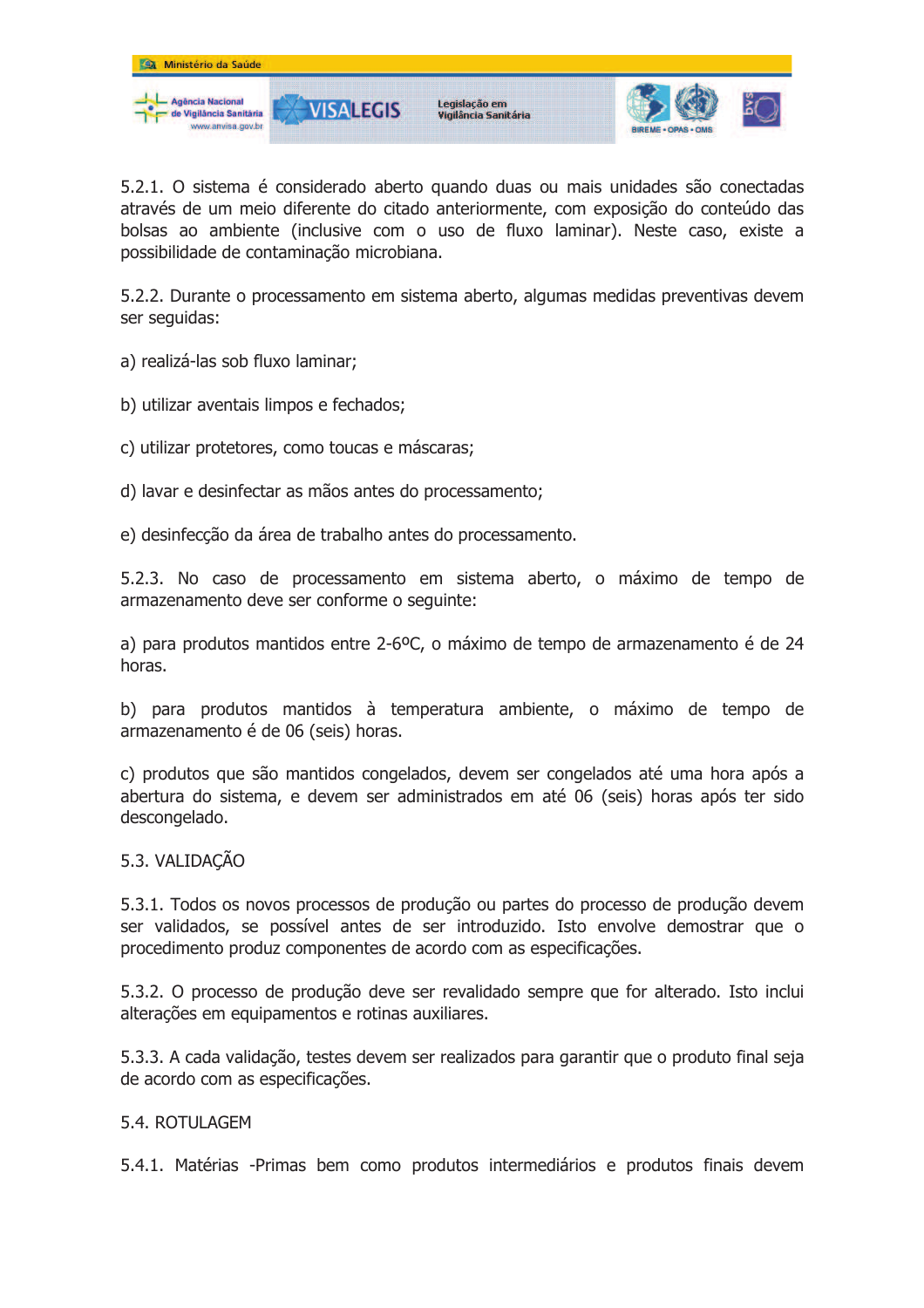

5.2.1. O sistema é considerado aberto quando duas ou mais unidades são conectadas através de um meio diferente do citado anteriormente, com exposição do conteúdo das bolsas ao ambiente (inclusive com o uso de fluxo laminar). Neste caso, existe a possibilidade de contaminação microbiana.

5.2.2. Durante o processamento em sistema aberto, algumas medidas preventivas devem ser sequidas:

a) realizá-las sob fluxo laminar;

- b) utilizar aventais limpos e fechados;
- c) utilizar protetores, como toucas e máscaras;
- d) lavar e desinfectar as mãos antes do processamento:
- e) desinfecção da área de trabalho antes do processamento.

5.2.3. No caso de processamento em sistema aberto, o máximo de tempo de armazenamento deve ser conforme o seguinte:

a) para produtos mantidos entre 2-6<sup>o</sup>C, o máximo de tempo de armazenamento é de 24 horas.

b) para produtos mantidos à temperatura ambiente, o máximo de tempo de armazenamento é de 06 (seis) horas.

c) produtos que são mantidos congelados, devem ser congelados até uma hora após a abertura do sistema, e devem ser administrados em até 06 (seis) horas após ter sido descongelado.

#### 5.3. VALIDAÇÃO

5.3.1. Todos os novos processos de produção ou partes do processo de produção devem ser validados, se possível antes de ser introduzido. Isto envolve demostrar que o procedimento produz componentes de acordo com as especificações.

5.3.2. O processo de produção deve ser revalidado sempre que for alterado. Isto inclui alterações em equipamentos e rotinas auxiliares.

5.3.3. A cada validação, testes devem ser realizados para garantir que o produto final seja de acordo com as especificações.

#### 5.4. ROTULAGEM

5.4.1. Matérias -Primas bem como produtos intermediários e produtos finais devem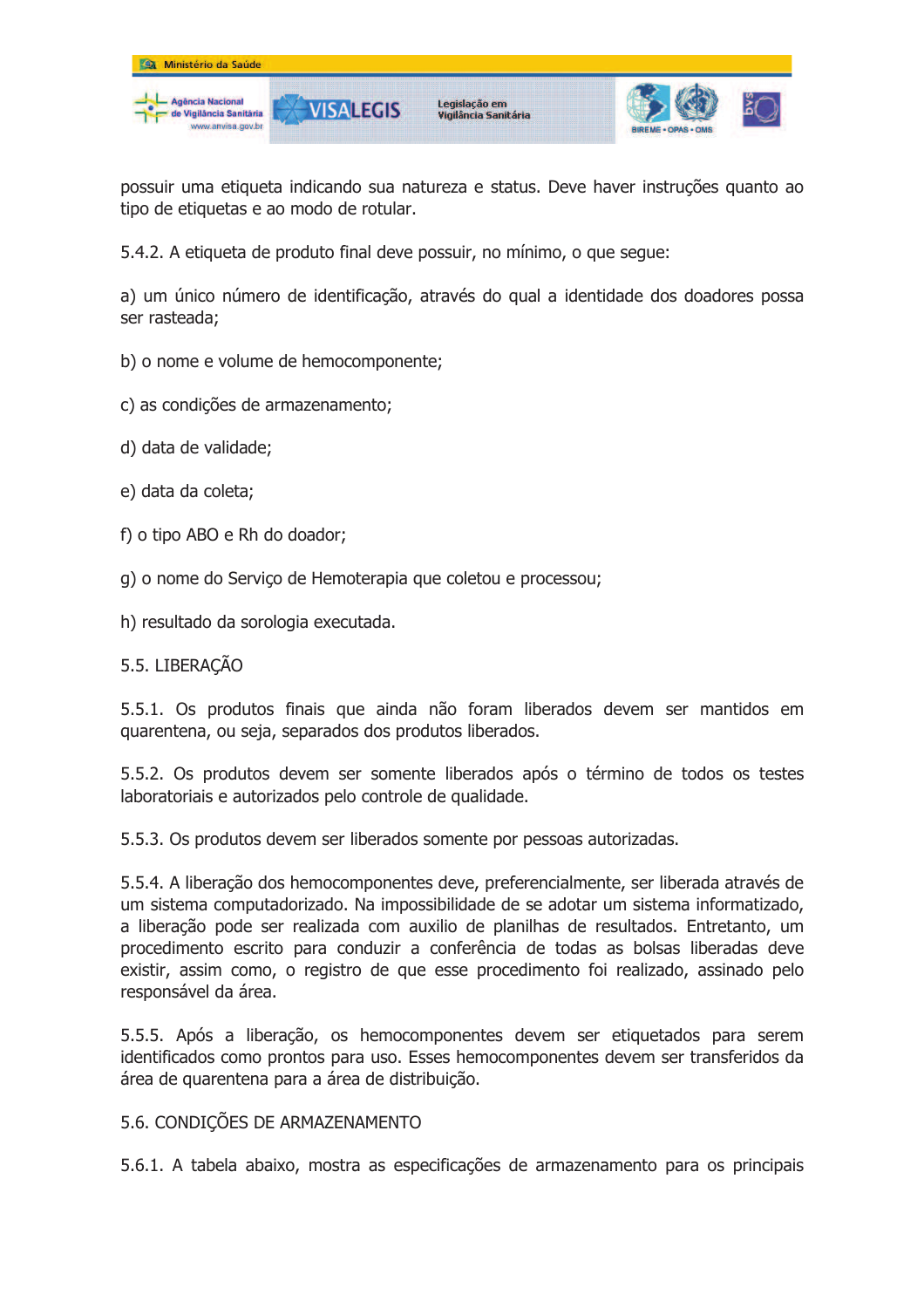

possuir uma etiqueta indicando sua natureza e status. Deve haver instruções quanto ao tipo de etiquetas e ao modo de rotular.

5.4.2. A etiqueta de produto final deve possuir, no mínimo, o que seque:

a) um único número de identificação, através do qual a identidade dos doadores possa ser rasteada:

- b) o nome e volume de hemocomponente;
- c) as condições de armazenamento;
- d) data de validade;
- e) data da coleta:
- f) o tipo ABO e Rh do doador;
- g) o nome do Serviço de Hemoterapia que coletou e processou;
- h) resultado da sorologia executada.

## 5.5. LIBERAÇÃO

5.5.1. Os produtos finais que ainda não foram liberados devem ser mantidos em quarentena, ou seja, separados dos produtos liberados.

5.5.2. Os produtos devem ser somente liberados após o término de todos os testes laboratoriais e autorizados pelo controle de qualidade.

5.5.3. Os produtos devem ser liberados somente por pessoas autorizadas.

5.5.4. A liberação dos hemocomponentes deve, preferencialmente, ser liberada através de um sistema computadorizado. Na impossibilidade de se adotar um sistema informatizado, a liberação pode ser realizada com auxilio de planilhas de resultados. Entretanto, um procedimento escrito para conduzir a conferência de todas as bolsas liberadas deve existir, assim como, o registro de que esse procedimento foi realizado, assinado pelo responsável da área.

5.5.5. Após a liberação, os hemocomponentes devem ser etiquetados para serem identificados como prontos para uso. Esses hemocomponentes devem ser transferidos da área de quarentena para a área de distribuição.

#### 5.6. CONDICÕES DE ARMAZENAMENTO

5.6.1. A tabela abaixo, mostra as especificações de armazenamento para os principais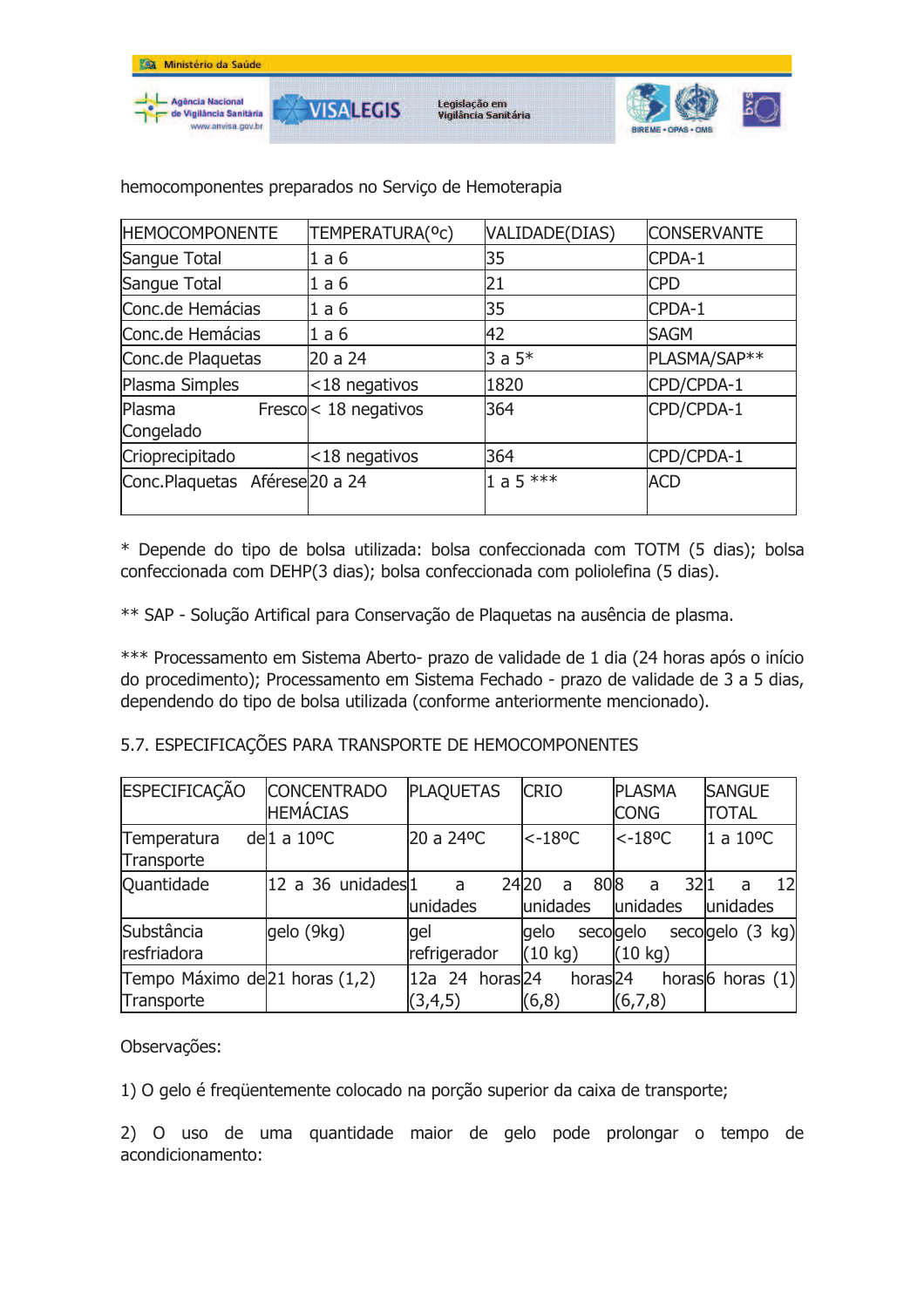

| <b>HEMOCOMPONENTE</b>           | TEMPERATURA(°C)            | VALIDADE(DIAS) | <b>CONSERVANTE</b> |
|---------------------------------|----------------------------|----------------|--------------------|
| Sangue Total                    | 1a6                        | 35             | CPDA-1             |
| Sangue Total                    | 1a6                        | 21             | <b>CPD</b>         |
| Conc.de Hemácias                | 1a6                        | 35             | CPDA-1             |
| Conc.de Hemácias                | 1a6                        | 42             | <b>SAGM</b>        |
| Conc.de Plaquetas               | 20 a 24                    | $3a5*$         | PLASMA/SAP**       |
| Plasma Simples                  | <18 negativos              | 1820           | CPD/CPDA-1         |
| Plasma<br>Congelado             | Fresco $\leq$ 18 negativos | 364            | CPD/CPDA-1         |
| Crioprecipitado                 | <18 negativos              | 364            | CPD/CPDA-1         |
| Conc. Plaquetas Aférese 20 a 24 |                            | 1 a 5 $***$    | <b>ACD</b>         |

hemocomponentes preparados no Serviço de Hemoterapia

\* Depende do tipo de bolsa utilizada: bolsa confeccionada com TOTM (5 dias); bolsa confeccionada com DEHP(3 dias); bolsa confeccionada com poliolefina (5 dias).

\*\* SAP - Solução Artifical para Conservação de Plaquetas na ausência de plasma.

\*\*\* Processamento em Sistema Aberto- prazo de validade de 1 dia (24 horas após o início do procedimento); Processamento em Sistema Fechado - prazo de validade de 3 a 5 dias, dependendo do tipo de bolsa utilizada (conforme anteriormente mencionado).

## 5.7. ESPECIFICAÇÕES PARA TRANSPORTE DE HEMOCOMPONENTES

| <b>ESPECIFICAÇÃO</b>                         | <b>CONCENTRADO</b><br><b>HEMÁCIAS</b> | <b>PLAQUETAS</b>           | <b>CRIO</b>                            | <b>PLASMA</b><br><b>CONG</b> | <b>SANGUE</b><br><b>TOTAL</b> |
|----------------------------------------------|---------------------------------------|----------------------------|----------------------------------------|------------------------------|-------------------------------|
| Temperatura<br>Transporte                    | del $1 a 10$ <sup>o</sup> C           | 20 a 24°C                  | $< -18$ <sup>o</sup> C                 | $< -18$ <sup>o</sup> C       | $1a10^{\circ}C$               |
| Quantidade                                   | 12 a 36 unidades 1                    | a<br>unidades              | 808<br>2420<br>a<br>unidades           | 32 1<br>a<br>unidades        | 121<br>a<br>lunidades         |
| Substância<br>resfriadora                    | gelo (9kg)                            | gel<br>refrigerador        | qelo<br>secolgelo<br>$(10 \text{ kg})$ | $(10 \text{ kg})$            | secolgelo $(3 \text{ kg})$    |
| Tempo Máximo de 21 horas (1,2)<br>Transporte |                                       | 12a 24 horas 24<br>(3,4,5) | horas <sub>24</sub><br>(6,8)           | (6,7,8)                      | horas $6$ horas $(1)$         |

Observações:

1) O gelo é freqüentemente colocado na porção superior da caixa de transporte;

2) O uso de uma quantidade maior de gelo pode prolongar o tempo de acondicionamento: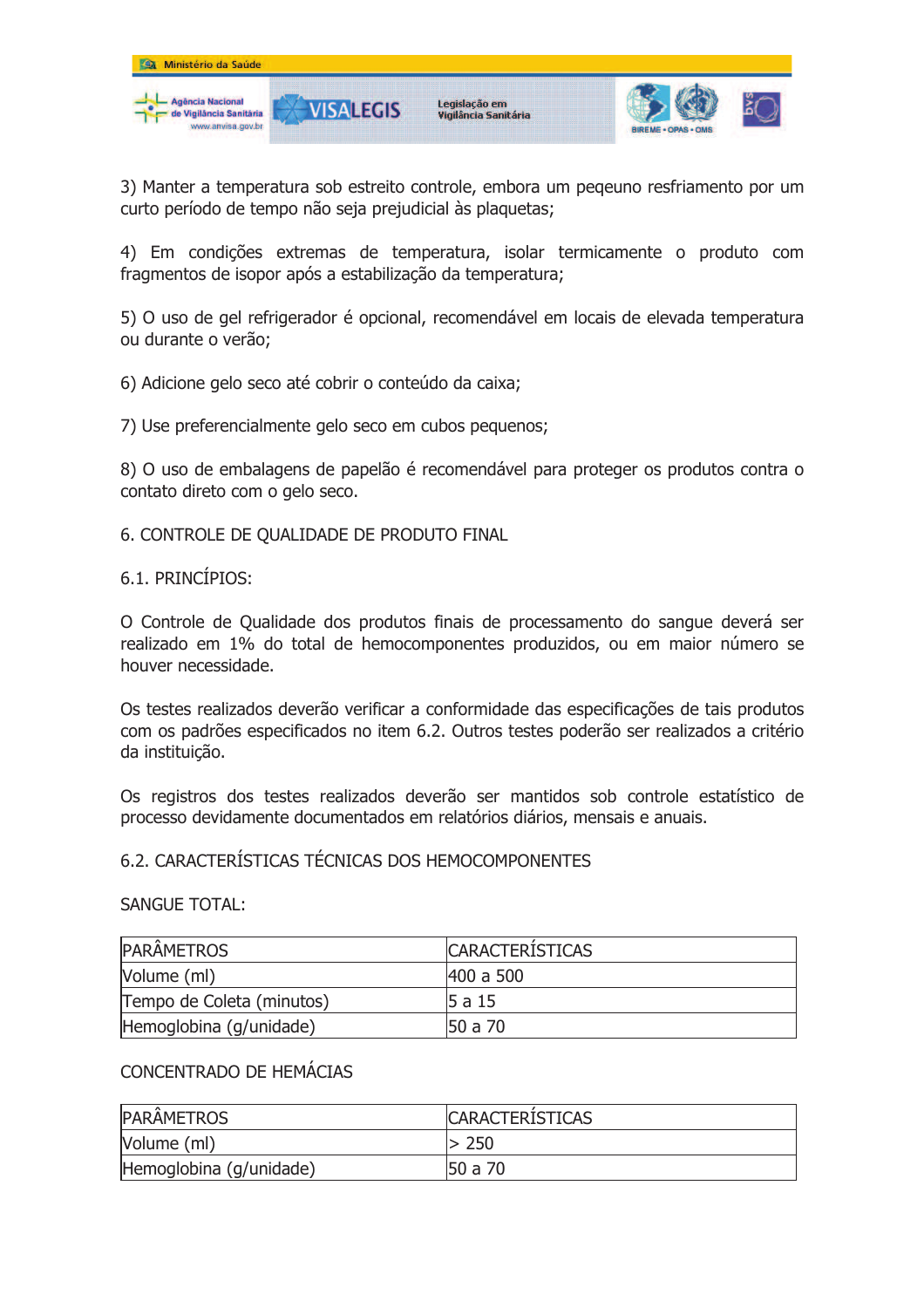

3) Manter a temperatura sob estreito controle, embora um peqeuno resfriamento por um curto período de tempo não seja prejudicial às plaquetas;

4) Em condições extremas de temperatura, isolar termicamente o produto com fragmentos de isopor após a estabilização da temperatura;

5) O uso de gel refrigerador é opcional, recomendável em locais de elevada temperatura ou durante o verão;

6) Adicione gelo seco até cobrir o conteúdo da caixa;

7) Use preferencialmente gelo seco em cubos pequenos:

8) O uso de embalagens de papelão é recomendável para proteger os produtos contra o contato direto com o gelo seco.

6. CONTROLE DE QUALIDADE DE PRODUTO FINAL

### 6.1. PRINCÍPIOS:

O Controle de Qualidade dos produtos finais de processamento do sangue deverá ser realizado em 1% do total de hemocomponentes produzidos, ou em maior número se houver necessidade.

Os testes realizados deverão verificar a conformidade das especificações de tais produtos com os padrões especificados no item 6.2. Outros testes poderão ser realizados a critério da instituição.

Os registros dos testes realizados deverão ser mantidos sob controle estatístico de processo devidamente documentados em relatórios diários, mensais e anuais.

## 6.2. CARACTERÍSTICAS TÉCNICAS DOS HEMOCOMPONENTES

#### **SANGUE TOTAL:**

| <b>PARÂMETROS</b>         | <b>CARACTERISTICAS</b> |
|---------------------------|------------------------|
| Volume (ml)               | 1400 a 500             |
| Tempo de Coleta (minutos) | l5 a 15                |
| Hemoglobina (g/unidade)   | 150 a 70               |

## CONCENTRADO DE HEMÁCIAS

| <b>PARAMETROS</b>       | <b>CARACTERISTICAS</b> |
|-------------------------|------------------------|
| Volume (ml)             | $-250$                 |
| Hemoglobina (g/unidade) | 50 a 70                |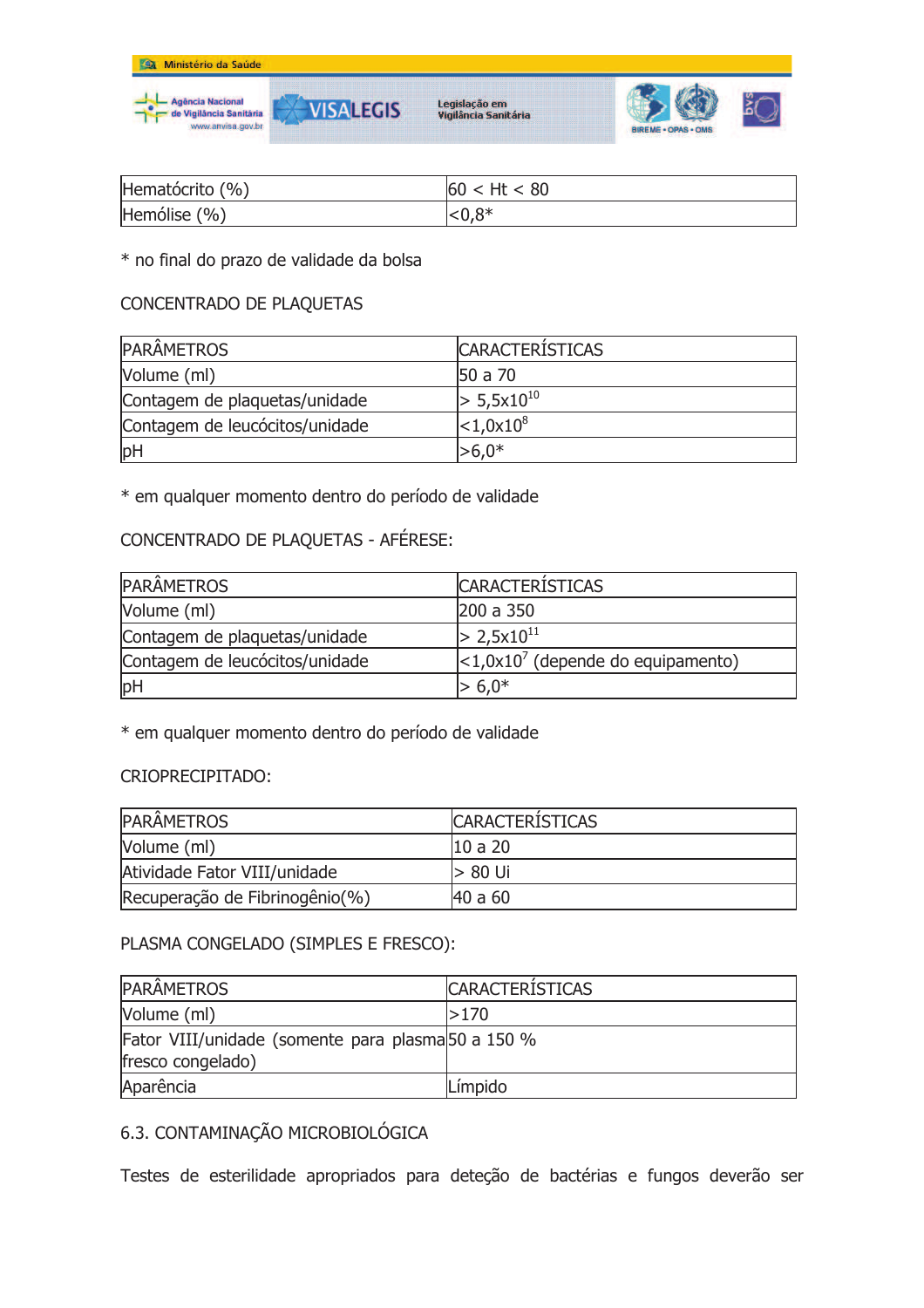

| Hematócrito (%) | 60 < Ht < 80 |
|-----------------|--------------|
| Hemólise (%)    | ${<}0.8*$    |

### \* no final do prazo de validade da bolsa

# CONCENTRADO DE PLAQUETAS

| <b>PARÂMETROS</b>              | <b>CARACTERISTICAS</b>       |
|--------------------------------|------------------------------|
| Volume (ml)                    | 50 a 70                      |
| Contagem de plaquetas/unidade  | $> 5,5x10^{10}$              |
| Contagem de leucócitos/unidade | $ <$ 1,0x10 $ $ <sup>8</sup> |
| pH                             | $> 6.0*$                     |

\* em qualquer momento dentro do período de validade

## CONCENTRADO DE PLAQUETAS - AFÉRESE:

| <b>PARÂMETROS</b>              | <b>CARACTERÍSTICAS</b>               |
|--------------------------------|--------------------------------------|
| Volume (ml)                    | 200 a 350                            |
| Contagem de plaquetas/unidade  | $> 2,5x10^{11}$                      |
| Contagem de leucócitos/unidade | $ <1.0x107$ (depende do equipamento) |
| pH                             | $> 6.0*$                             |

\* em qualquer momento dentro do período de validade

### CRIOPRECIPITADO:

| <b>PARÂMETROS</b>              | <b>CARACTERISTICAS</b> |
|--------------------------------|------------------------|
| Volume (ml)                    | 10 a 20                |
| Atividade Fator VIII/unidade   | > 80 Ui                |
| Recuperação de Fibrinogênio(%) | 40 a 60                |

## PLASMA CONGELADO (SIMPLES E FRESCO):

| <b>PARÂMETROS</b>                                  | <b>CARACTERISTICAS</b> |
|----------------------------------------------------|------------------------|
| Volume (ml)                                        | 1 > 170                |
| Fator VIII/unidade (somente para plasma 50 a 150 % |                        |
| fresco congelado)                                  |                        |
| Aparência                                          | Límpido                |

## 6.3. CONTAMINAÇÃO MICROBIOLÓGICA

Testes de esterilidade apropriados para deteção de bactérias e fungos deverão ser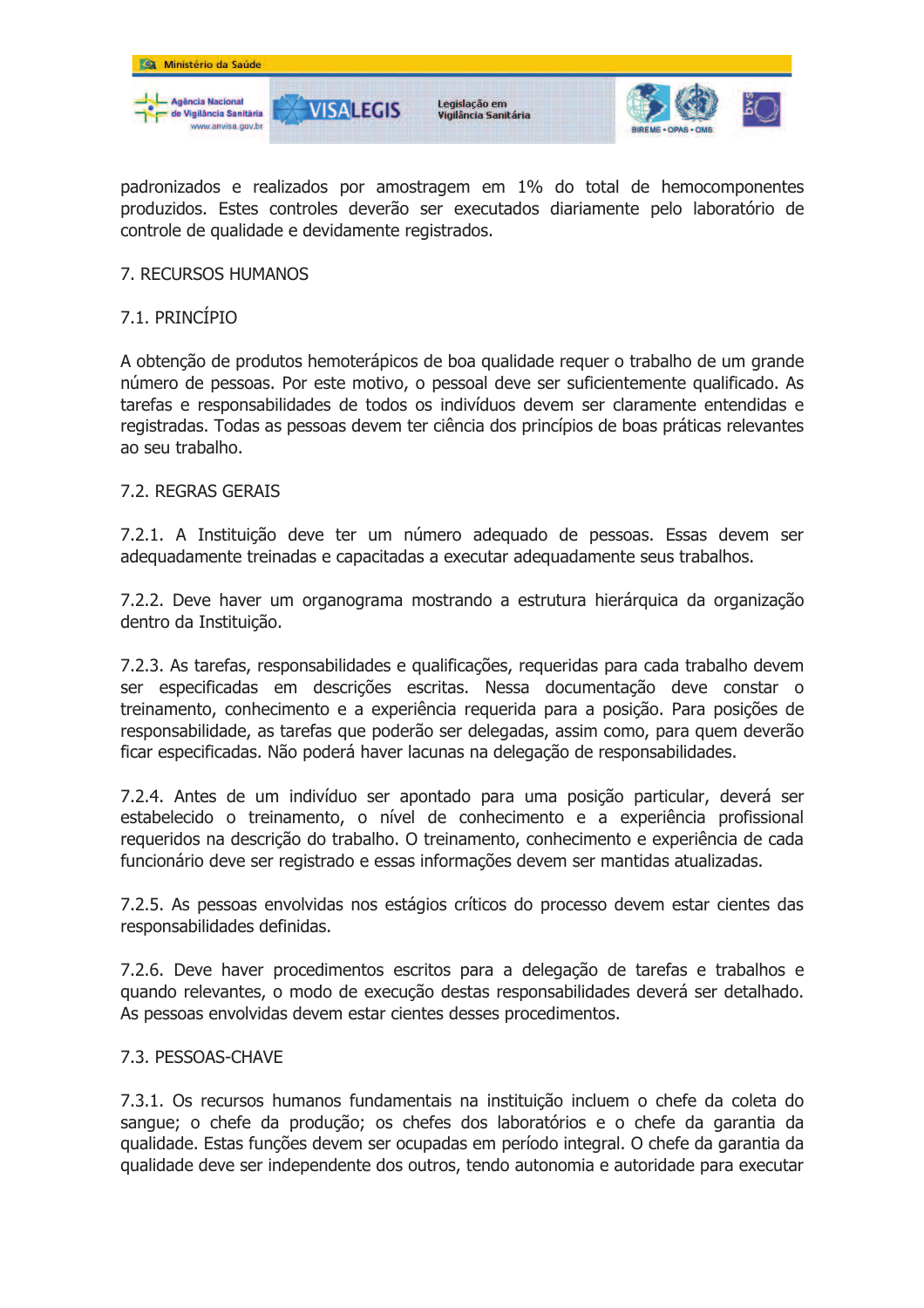

padronizados e realizados por amostragem em 1% do total de hemocomponentes produzidos. Estes controles deverão ser executados diariamente pelo laboratório de controle de qualidade e devidamente registrados.

### 7. RECURSOS HUMANOS

## 7.1. PRINCÍPIO

A obtenção de produtos hemoterápicos de boa qualidade requer o trabalho de um grande número de pessoas. Por este motivo, o pessoal deve ser suficientemente qualificado. As tarefas e responsabilidades de todos os indivíduos devem ser claramente entendidas e registradas. Todas as pessoas devem ter ciência dos princípios de boas práticas relevantes ao seu trabalho.

### 7.2. REGRAS GERAIS

7.2.1. A Instituição deve ter um número adequado de pessoas. Essas devem ser adequadamente treinadas e capacitadas a executar adequadamente seus trabalhos.

7.2.2. Deve haver um organograma mostrando a estrutura hierárquica da organização dentro da Instituição.

7.2.3. As tarefas, responsabilidades e qualificações, requeridas para cada trabalho devem ser especificadas em descrições escritas. Nessa documentação deve constar o treinamento, conhecimento e a experiência requerida para a posição. Para posições de responsabilidade, as tarefas que poderão ser delegadas, assim como, para quem deverão ficar especificadas. Não poderá haver lacunas na delegação de responsabilidades.

7.2.4. Antes de um indivíduo ser apontado para uma posição particular, deverá ser estabelecido o treinamento, o nível de conhecimento e a experiência profissional requeridos na descrição do trabalho. O treinamento, conhecimento e experiência de cada funcionário deve ser registrado e essas informações devem ser mantidas atualizadas.

7.2.5. As pessoas envolvidas nos estágios críticos do processo devem estar cientes das responsabilidades definidas.

7.2.6. Deve haver procedimentos escritos para a delegação de tarefas e trabalhos e quando relevantes, o modo de execução destas responsabilidades deverá ser detalhado. As pessoas envolvidas devem estar cientes desses procedimentos.

#### 7.3. PESSOAS-CHAVE

7.3.1. Os recursos humanos fundamentais na instituição incluem o chefe da coleta do sangue; o chefe da produção; os chefes dos laboratórios e o chefe da garantia da gualidade. Estas funções devem ser ocupadas em período integral. O chefe da garantia da qualidade deve ser independente dos outros, tendo autonomia e autoridade para executar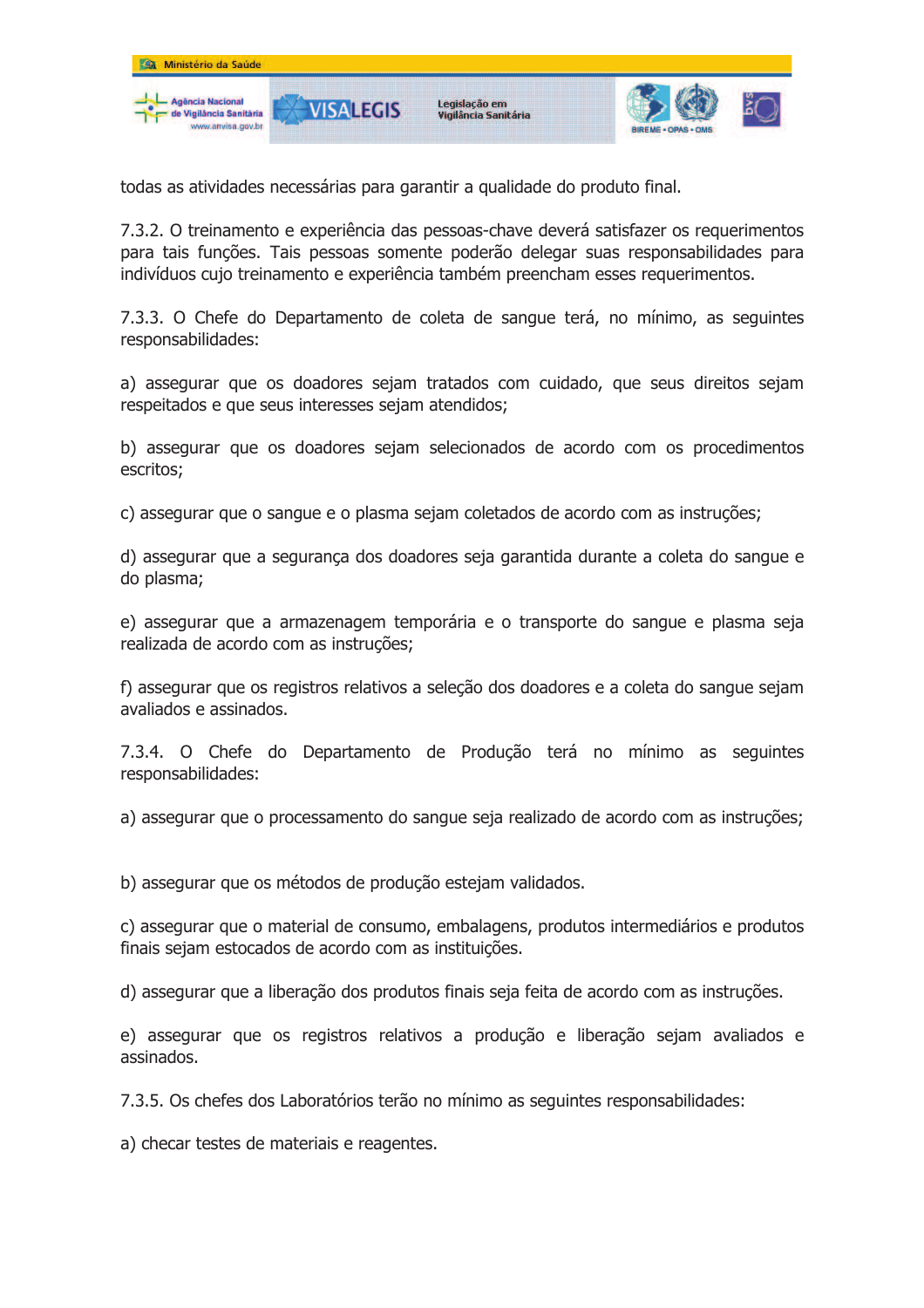

todas as atividades necessárias para garantir a qualidade do produto final.

7.3.2. O treinamento e experiência das pessoas-chave deverá satisfazer os requerimentos para tais funções. Tais pessoas somente poderão delegar suas responsabilidades para indivíduos cujo treinamento e experiência também preencham esses requerimentos.

7.3.3. O Chefe do Departamento de coleta de sangue terá, no mínimo, as seguintes responsabilidades:

a) assegurar que os doadores sejam tratados com cuidado, que seus direitos sejam respeitados e que seus interesses sejam atendidos;

b) assegurar que os doadores sejam selecionados de acordo com os procedimentos escritos;

c) assegurar que o sangue e o plasma sejam coletados de acordo com as instruções;

d) assegurar que a segurança dos doadores seja garantida durante a coleta do sangue e do plasma;

e) assegurar que a armazenagem temporária e o transporte do sangue e plasma seja realizada de acordo com as instruções;

f) assegurar que os registros relativos a seleção dos doadores e a coleta do sangue sejam avaliados e assinados.

7.3.4. O Chefe do Departamento de Produção terá no mínimo as seguintes responsabilidades:

a) assegurar que o processamento do sangue seja realizado de acordo com as instruções;

b) assegurar que os métodos de produção estejam validados.

c) assegurar que o material de consumo, embalagens, produtos intermediários e produtos finais sejam estocados de acordo com as instituições.

d) assegurar que a liberação dos produtos finais seja feita de acordo com as instruções.

e) assegurar que os registros relativos a produção e liberação sejam avaliados e assinados.

7.3.5. Os chefes dos Laboratórios terão no mínimo as seguintes responsabilidades:

a) checar testes de materiais e reagentes.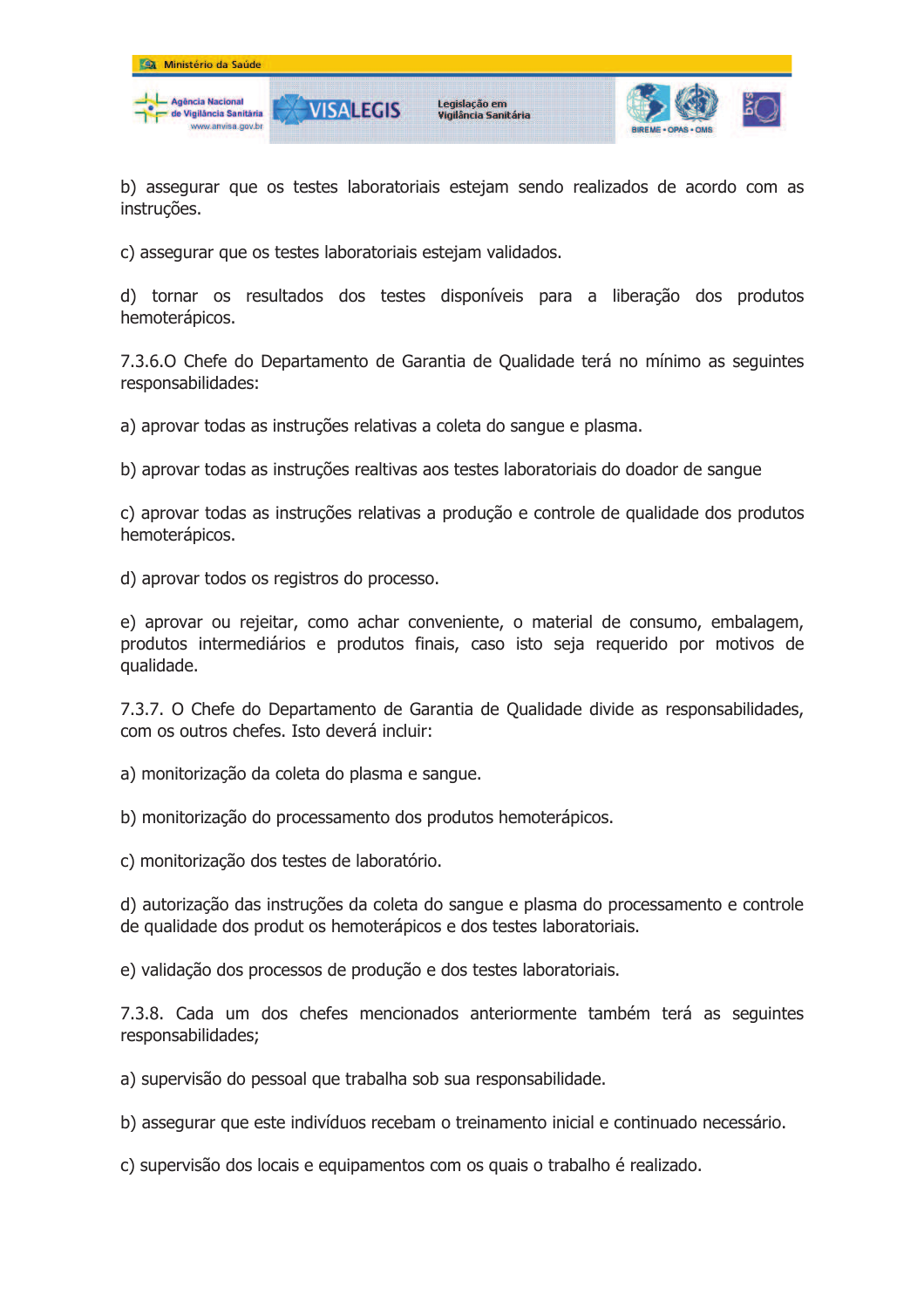

b) assegurar que os testes laboratoriais estejam sendo realizados de acordo com as instruções.

c) assegurar que os testes laboratoriais estejam validados.

d) tornar os resultados dos testes disponíveis para a liberação dos produtos hemoterápicos.

7.3.6.0 Chefe do Departamento de Garantia de Oualidade terá no mínimo as seguintes responsabilidades:

a) aprovar todas as instruções relativas a coleta do sangue e plasma.

b) aprovar todas as instruções realtivas aos testes laboratoriais do doador de sangue

c) aprovar todas as instruções relativas a produção e controle de qualidade dos produtos hemoterápicos.

d) aprovar todos os registros do processo.

e) aprovar ou rejeitar, como achar conveniente, o material de consumo, embalagem, produtos intermediários e produtos finais, caso isto seja requerido por motivos de qualidade.

7.3.7. O Chefe do Departamento de Garantia de Oualidade divide as responsabilidades, com os outros chefes. Isto deverá incluir:

a) monitorização da coleta do plasma e sangue.

b) monitorização do processamento dos produtos hemoterápicos.

c) monitorização dos testes de laboratório.

d) autorização das instruções da coleta do sangue e plasma do processamento e controle de qualidade dos produt os hemoterápicos e dos testes laboratoriais.

e) validação dos processos de produção e dos testes laboratoriais.

7.3.8. Cada um dos chefes mencionados anteriormente também terá as sequintes responsabilidades;

a) supervisão do pessoal que trabalha sob sua responsabilidade.

b) assegurar que este indivíduos recebam o treinamento inicial e continuado necessário.

c) supervisão dos locais e equipamentos com os quais o trabalho é realizado.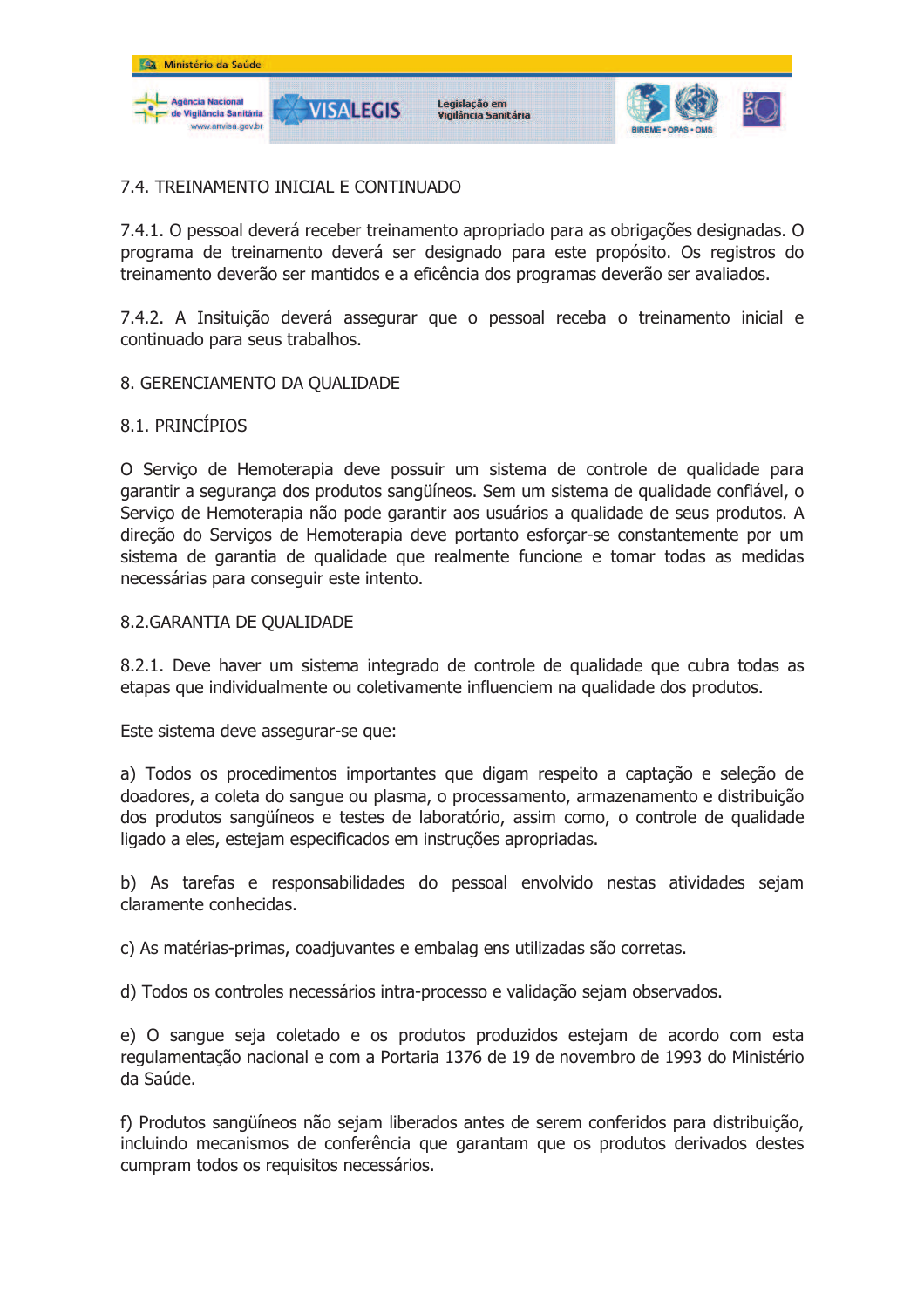

## 7.4. TREINAMENTO INICIAL E CONTINUADO

7.4.1. O pessoal deverá receber treinamento apropriado para as obrigações designadas. O programa de treinamento deverá ser designado para este propósito. Os registros do treinamento deverão ser mantidos e a eficência dos programas deverão ser avaliados.

7.4.2. A Insituição deverá assegurar que o pessoal receba o treinamento inicial e continuado para seus trabalhos.

#### 8. GERENCIAMENTO DA QUALIDADE

## 8.1. PRINCÍPIOS

O Serviço de Hemoterapia deve possuir um sistema de controle de qualidade para garantir a segurança dos produtos sangüíneos. Sem um sistema de qualidade confiável, o Servico de Hemoterapia não pode garantir aos usuários a qualidade de seus produtos. A direção do Serviços de Hemoterapia deve portanto esforçar-se constantemente por um sistema de garantia de qualidade que realmente funcione e tomar todas as medidas necessárias para conseguir este intento.

#### 8.2. GARANTIA DE OUALIDADE

8.2.1. Deve haver um sistema integrado de controle de qualidade que cubra todas as etapas que individualmente ou coletivamente influenciem na qualidade dos produtos.

Este sistema deve assegurar-se que:

a) Todos os procedimentos importantes que digam respeito a captação e seleção de doadores, a coleta do sangue ou plasma, o processamento, armazenamento e distribuição dos produtos sangüíneos e testes de laboratório, assim como, o controle de qualidade ligado a eles, estejam especificados em instruções apropriadas.

b) As tarefas e responsabilidades do pessoal envolvido nestas atividades sejam claramente conhecidas.

c) As matérias-primas, coadiuvantes e embalag ens utilizadas são corretas.

d) Todos os controles necessários intra-processo e validação sejam observados.

e) O sangue seja coletado e os produtos produzidos estejam de acordo com esta regulamentação nacional e com a Portaria 1376 de 19 de novembro de 1993 do Ministério da Saúde.

f) Produtos sangüíneos não sejam liberados antes de serem conferidos para distribuição, incluindo mecanismos de conferência que garantam que os produtos derivados destes cumpram todos os requisitos necessários.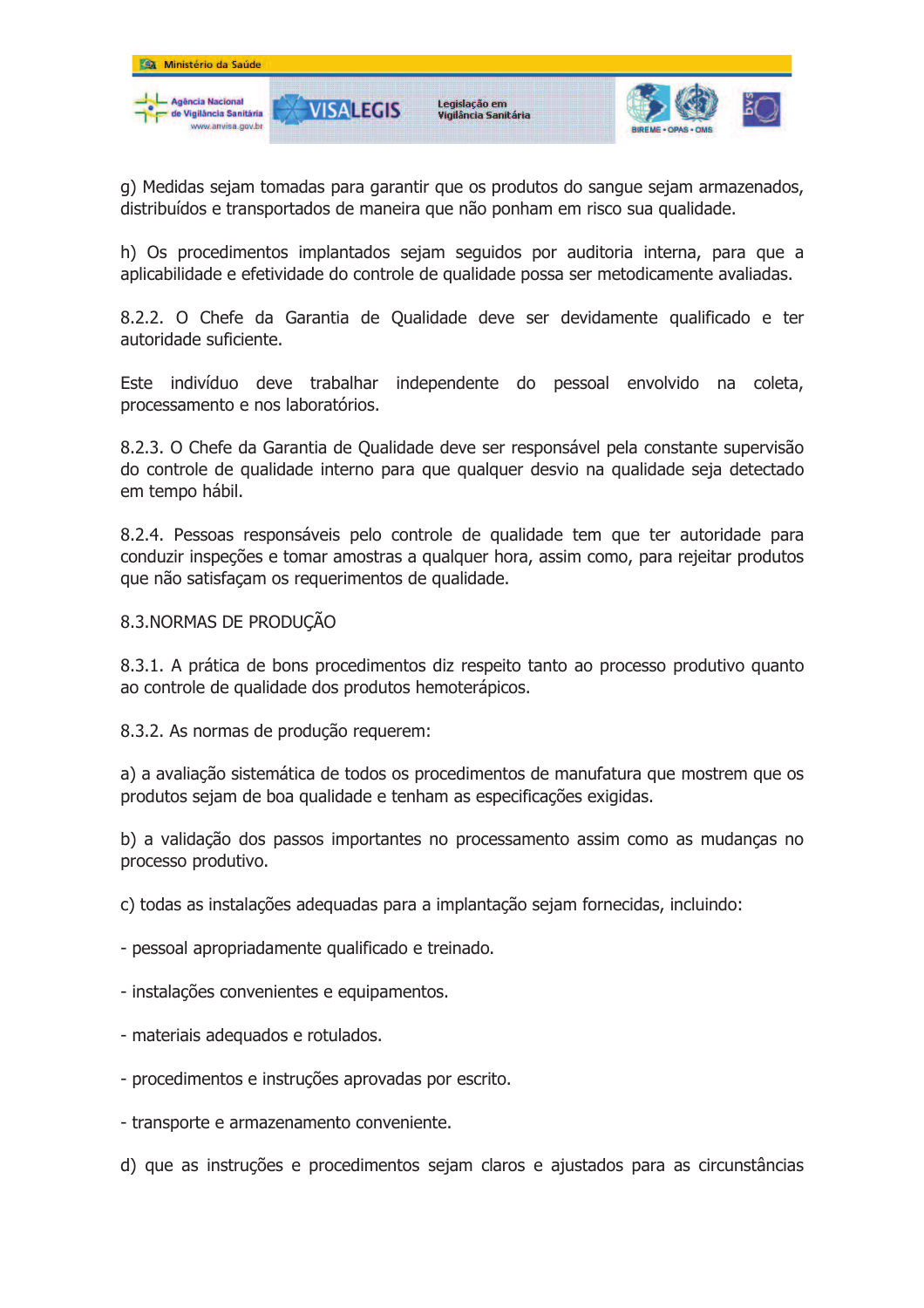

g) Medidas sejam tomadas para garantir que os produtos do sangue sejam armazenados, distribuídos e transportados de maneira que não ponham em risco sua qualidade.

h) Os procedimentos implantados sejam seguidos por auditoria interna, para que a aplicabilidade e efetividade do controle de qualidade possa ser metodicamente avaliadas.

8.2.2. O Chefe da Garantia de Qualidade deve ser devidamente qualificado e ter autoridade suficiente.

Este indivíduo deve trabalhar independente do pessoal envolvido na coleta, processamento e nos laboratórios.

8.2.3. O Chefe da Garantia de Qualidade deve ser responsável pela constante supervisão do controle de qualidade interno para que qualquer desvio na qualidade seja detectado em tempo hábil.

8.2.4. Pessoas responsáveis pelo controle de qualidade tem que ter autoridade para conduzir inspecões e tomar amostras a qualquer hora, assim como, para rejeitar produtos que não satisfaçam os requerimentos de qualidade.

#### 8.3. NORMAS DE PRODUÇÃO

8.3.1. A prática de bons procedimentos diz respeito tanto ao processo produtivo quanto ao controle de qualidade dos produtos hemoterápicos.

8.3.2. As normas de produção requerem:

a) a avaliação sistemática de todos os procedimentos de manufatura que mostrem que os produtos sejam de boa qualidade e tenham as especificações exigidas.

b) a validação dos passos importantes no processamento assim como as mudanças no processo produtivo.

c) todas as instalações adequadas para a implantação sejam fornecidas, incluindo:

- pessoal apropriadamente qualificado e treinado.

- instalações convenientes e equipamentos.
- materiais adequados e rotulados.
- procedimentos e instruções aprovadas por escrito.
- transporte e armazenamento conveniente.
- d) que as instruções e procedimentos sejam claros e ajustados para as circunstâncias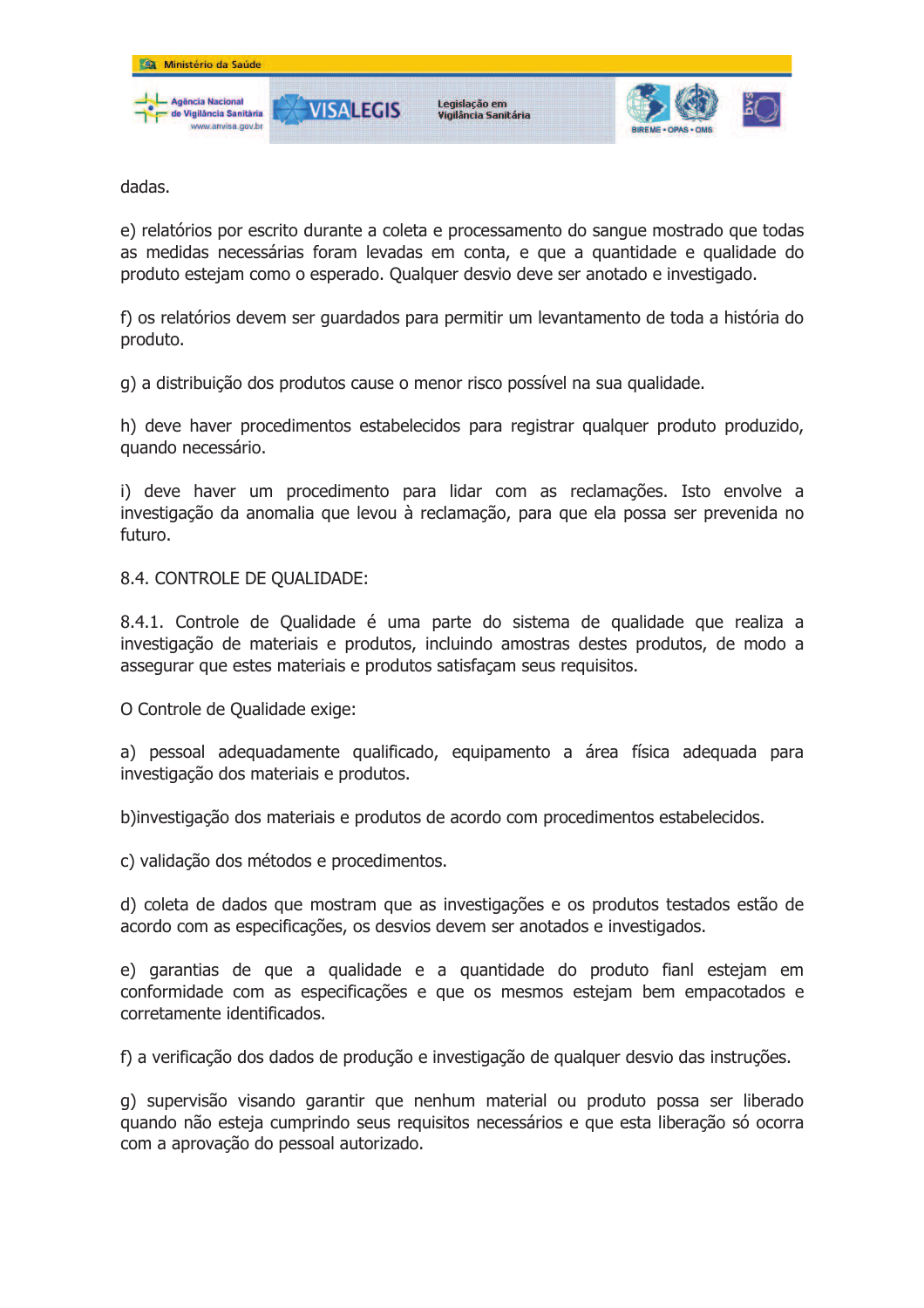

dadas.

e) relatórios por escrito durante a coleta e processamento do sangue mostrado que todas as medidas necessárias foram levadas em conta, e que a quantidade e qualidade do produto estejam como o esperado. Qualquer desvio deve ser anotado e investigado.

f) os relatórios devem ser quardados para permitir um levantamento de toda a história do produto.

g) a distribuição dos produtos cause o menor risco possível na sua qualidade.

h) deve haver procedimentos estabelecidos para registrar qualquer produto produzido, quando necessário.

i) deve haver um procedimento para lidar com as reclamações. Isto envolve a investigação da anomalia que levou à reclamação, para que ela possa ser prevenida no futuro.

8.4. CONTROLE DE QUALIDADE:

8.4.1. Controle de Oualidade é uma parte do sistema de qualidade que realiza a investigação de materiais e produtos, incluindo amostras destes produtos, de modo a assegurar que estes materiais e produtos satisfaçam seus requisitos.

O Controle de Qualidade exige:

a) pessoal adequadamente qualificado, equipamento a área física adequada para investigação dos materiais e produtos.

b) investigação dos materiais e produtos de acordo com procedimentos estabelecidos.

c) validação dos métodos e procedimentos.

d) coleta de dados que mostram que as investigações e os produtos testados estão de acordo com as especificações, os desvios devem ser anotados e investigados.

e) garantias de que a qualidade e a quantidade do produto fianl estejam em conformidade com as especificações e que os mesmos estejam bem empacotados e corretamente identificados.

f) a verificação dos dados de produção e investigação de qualquer desvio das instruções.

g) supervisão visando garantir que nenhum material ou produto possa ser liberado quando não esteja cumprindo seus requisitos necessários e que esta liberação só ocorra com a aprovação do pessoal autorizado.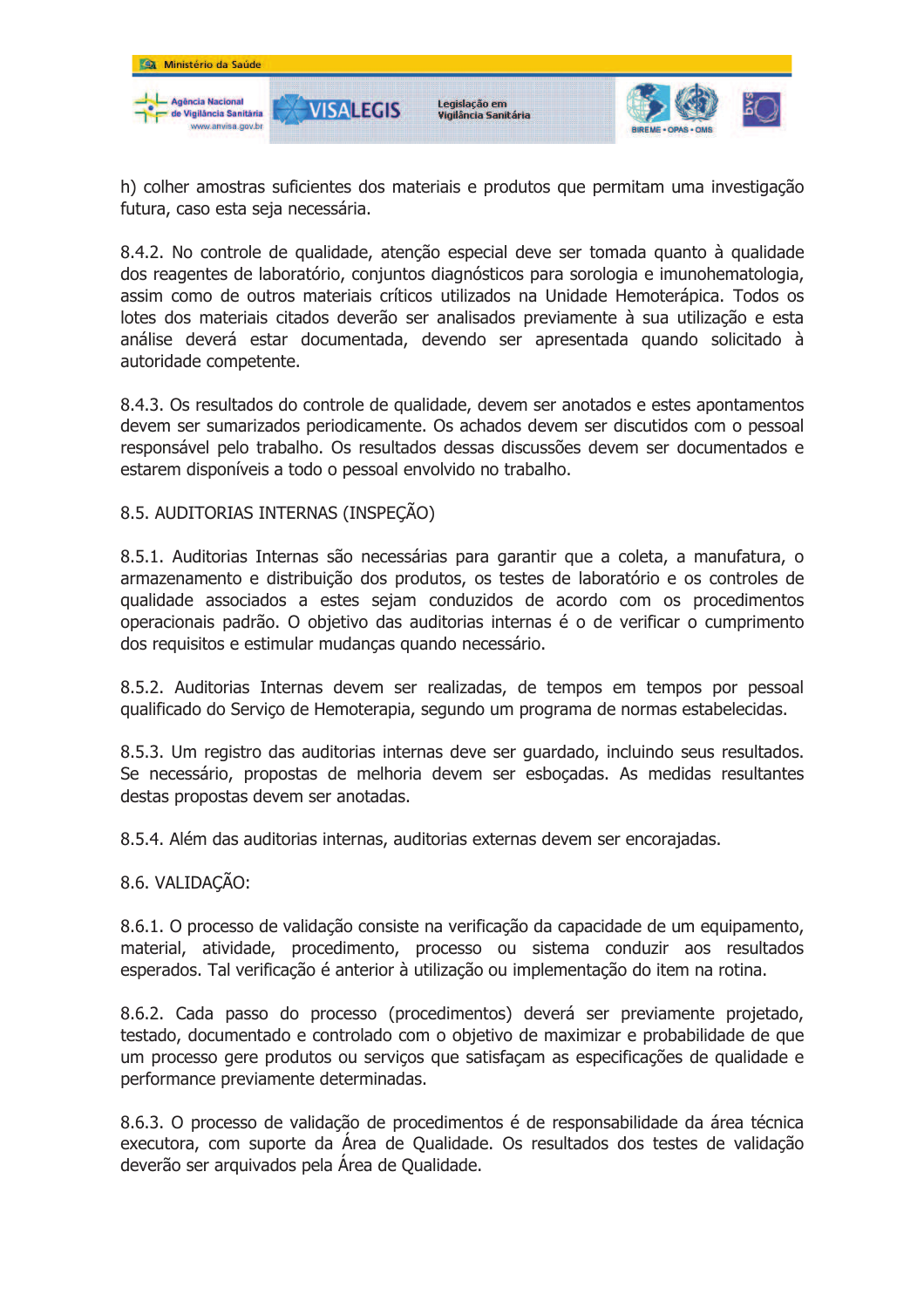

h) colher amostras suficientes dos materiais e produtos que permitam uma investigação futura, caso esta seja necessária.

8.4.2. No controle de qualidade, atenção especial deve ser tomada quanto à qualidade dos reagentes de laboratório, conjuntos diagnósticos para sorologia e imunohematologia, assim como de outros materiais críticos utilizados na Unidade Hemoterápica. Todos os lotes dos materiais citados deverão ser analisados previamente à sua utilização e esta análise deverá estar documentada, devendo ser apresentada quando solicitado à autoridade competente.

8.4.3. Os resultados do controle de qualidade, devem ser anotados e estes apontamentos devem ser sumarizados periodicamente. Os achados devem ser discutidos com o pessoal responsável pelo trabalho. Os resultados dessas discussões devem ser documentados e estarem disponíveis a todo o pessoal envolvido no trabalho.

## 8.5. AUDITORIAS INTERNAS (INSPEÇÃO)

8.5.1. Auditorias Internas são necessárias para garantir que a coleta, a manufatura, o armazenamento e distribuição dos produtos, os testes de laboratório e os controles de qualidade associados a estes sejam conduzidos de acordo com os procedimentos operacionais padrão. O objetivo das auditorias internas é o de verificar o cumprimento dos requisitos e estimular mudanças quando necessário.

8.5.2. Auditorias Internas devem ser realizadas, de tempos em tempos por pessoal gualificado do Servico de Hemoterapia, segundo um programa de normas estabelecidas.

8.5.3. Um registro das auditorias internas deve ser guardado, incluindo seus resultados. Se necessário, propostas de melhoria devem ser esbocadas. As medidas resultantes destas propostas devem ser anotadas.

8.5.4. Além das auditorias internas, auditorias externas devem ser encorajadas.

8.6. VALIDACÃO:

8.6.1. O processo de validação consiste na verificação da capacidade de um equipamento, material, atividade, procedimento, processo ou sistema conduzir aos resultados esperados. Tal verificação é anterior à utilização ou implementação do item na rotina.

8.6.2. Cada passo do processo (procedimentos) deverá ser previamente projetado, testado, documentado e controlado com o objetivo de maximizar e probabilidade de que um processo gere produtos ou serviços que satisfaçam as especificações de qualidade e performance previamente determinadas.

8.6.3. O processo de validação de procedimentos é de responsabilidade da área técnica executora, com suporte da Área de Qualidade. Os resultados dos testes de validação deverão ser arguivados pela Área de Qualidade.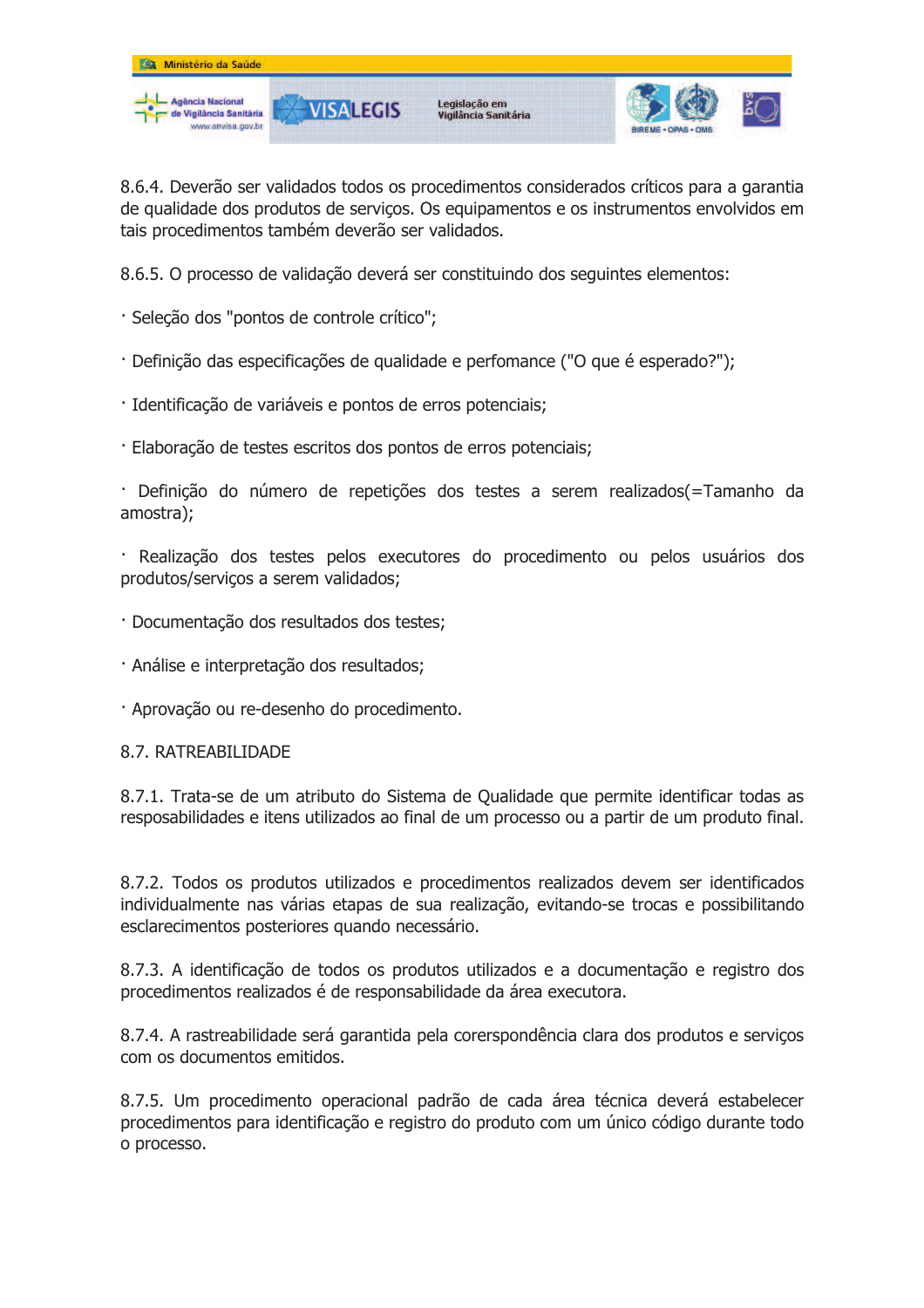

8.6.4. Deverão ser validados todos os procedimentos considerados críticos para a garantia de qualidade dos produtos de serviços. Os equipamentos e os instrumentos envolvidos em tais procedimentos também deverão ser validados.

8.6.5. O processo de validação deverá ser constituindo dos sequintes elementos:

- · Seleção dos "pontos de controle crítico";
- · Definicão das especificações de qualidade e perfomance ("O que é esperado?"):
- · Identificação de variáveis e pontos de erros potenciais;
- · Elaboração de testes escritos dos pontos de erros potenciais;

· Definição do número de repetições dos testes a serem realizados(=Tamanho da amostra);

· Realização dos testes pelos executores do procedimento ou pelos usuários dos produtos/servicos a serem validados;

- · Documentação dos resultados dos testes:
- · Análise e interpretação dos resultados;
- · Aprovação ou re-desenho do procedimento.

#### **8.7. RATREARILIDADE**

8.7.1. Trata-se de um atributo do Sistema de Qualidade que permite identificar todas as resposabilidades e itens utilizados ao final de um processo ou a partir de um produto final.

8.7.2. Todos os produtos utilizados e procedimentos realizados devem ser identificados individualmente nas várias etapas de sua realização, evitando-se trocas e possibilitando esclarecimentos posteriores quando necessário.

8.7.3. A identificação de todos os produtos utilizados e a documentação e registro dos procedimentos realizados é de responsabilidade da área executora.

8.7.4. A rastreabilidade será garantida pela corerspondência clara dos produtos e serviços com os documentos emitidos.

8.7.5. Um procedimento operacional padrão de cada área técnica deverá estabelecer procedimentos para identificação e registro do produto com um único código durante todo o processo.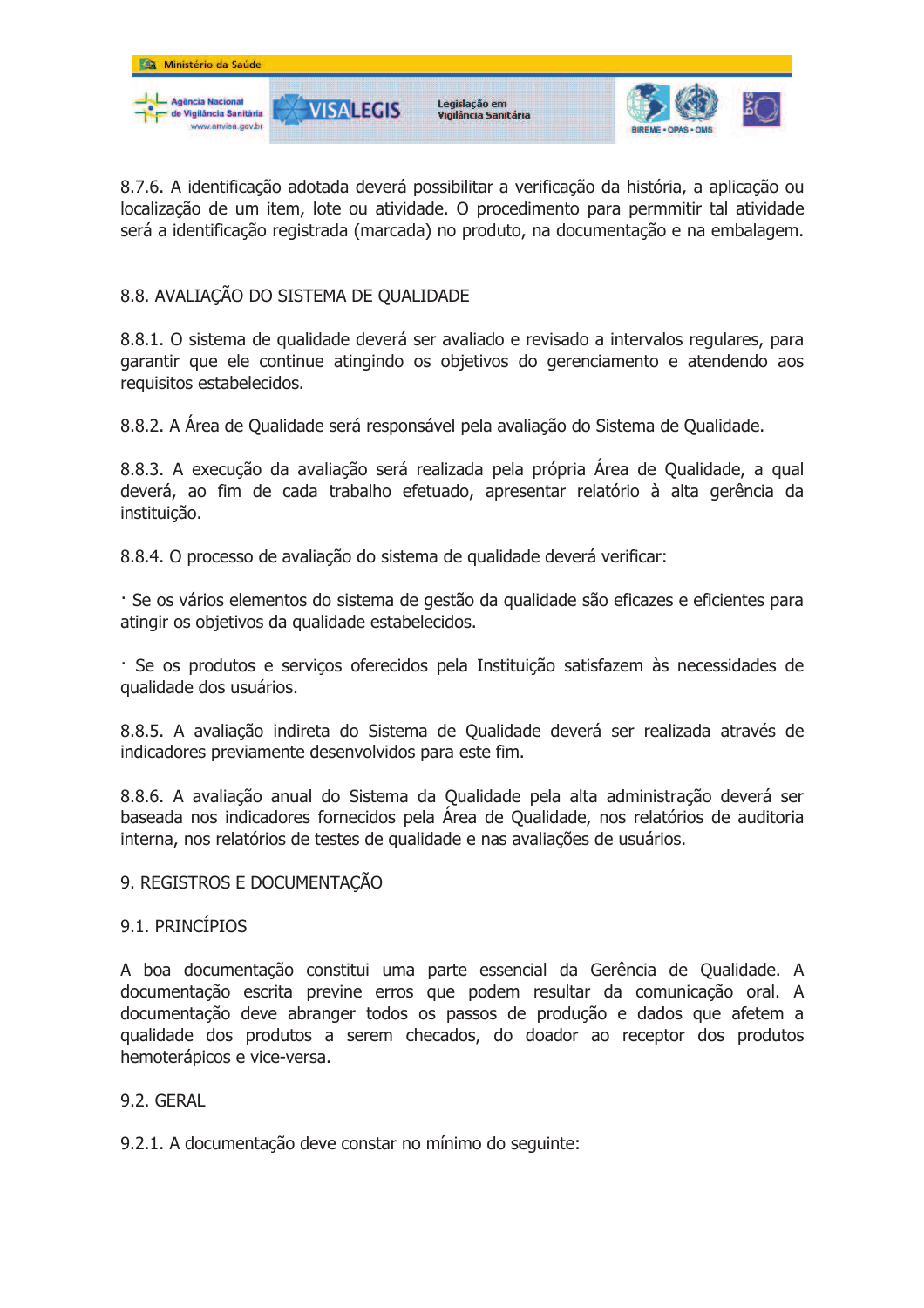

8.7.6. A identificação adotada deverá possibilitar a verificação da história, a aplicação ou localização de um item, lote ou atividade. O procedimento para permmitir tal atividade será a identificação registrada (marcada) no produto, na documentação e na embalagem.

## 8.8. AVALIAÇÃO DO SISTEMA DE QUALIDADE

8.8.1. O sistema de qualidade deverá ser avaliado e revisado a intervalos regulares, para garantir que ele continue atingindo os objetivos do gerenciamento e atendendo aos requisitos estabelecidos.

8.8.2. A Área de Oualidade será responsável pela avaliação do Sistema de Oualidade.

8.8.3. A execução da avaliação será realizada pela própria Área de Qualidade, a qual deverá, ao fim de cada trabalho efetuado, apresentar relatório à alta gerência da instituição.

8.8.4. O processo de avaliação do sistema de qualidade deverá verificar:

· Se os vários elementos do sistema de gestão da qualidade são eficazes e eficientes para atingir os objetivos da qualidade estabelecidos.

· Se os produtos e serviços oferecidos pela Instituição satisfazem às necessidades de qualidade dos usuários.

8.8.5. A avaliação indireta do Sistema de Qualidade deverá ser realizada através de indicadores previamente desenvolvidos para este fim.

8.8.6. A avaliação anual do Sistema da Qualidade pela alta administração deverá ser baseada nos indicadores fornecidos pela Área de Qualidade, nos relatórios de auditoria interna, nos relatórios de testes de qualidade e nas avaliações de usuários.

## 9. REGISTROS E DOCUMENTACÃO

## 9.1. PRINCÍPIOS

A boa documentação constitui uma parte essencial da Gerência de Qualidade. A documentação escrita previne erros que podem resultar da comunicação oral. A documentação deve abranger todos os passos de produção e dados que afetem a qualidade dos produtos a serem checados, do doador ao receptor dos produtos hemoterápicos e vice-versa.

## 9.2. GFRAI

9.2.1. A documentação deve constar no mínimo do seguinte: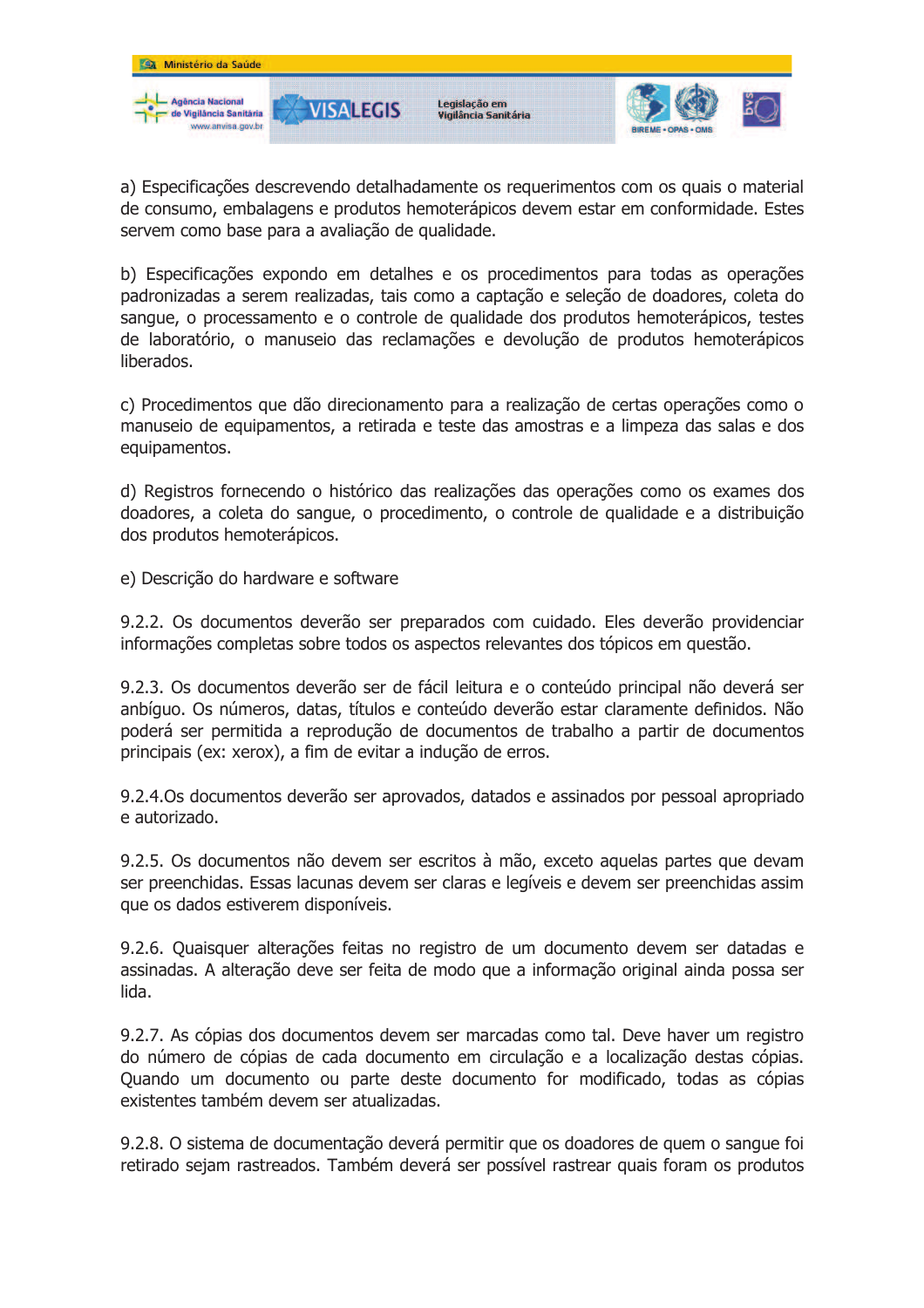

a) Especificações descrevendo detalhadamente os requerimentos com os quais o material de consumo, embalagens e produtos hemoterápicos devem estar em conformidade. Estes servem como base para a avaliação de qualidade.

b) Especificações expondo em detalhes e os procedimentos para todas as operações padronizadas a serem realizadas, tais como a captação e seleção de doadores, coleta do sangue, o processamento e o controle de gualidade dos produtos hemoterápicos, testes de laboratório, o manuseio das reclamações e devolução de produtos hemoterápicos liberados.

c) Procedimentos que dão direcionamento para a realização de certas operações como o manuseio de equipamentos, a retirada e teste das amostras e a limpeza das salas e dos equipamentos.

d) Registros fornecendo o histórico das realizações das operações como os exames dos doadores, a coleta do sangue, o procedimento, o controle de qualidade e a distribuição dos produtos hemoterápicos.

e) Descrição do hardware e software

9.2.2. Os documentos deverão ser preparados com cuidado. Eles deverão providenciar informações completas sobre todos os aspectos relevantes dos tópicos em questão.

9.2.3. Os documentos deverão ser de fácil leitura e o conteúdo principal não deverá ser anbíguo. Os números, datas, títulos e conteúdo deverão estar claramente definidos. Não poderá ser permitida a reprodução de documentos de trabalho a partir de documentos principais (ex: xerox), a fim de evitar a indução de erros.

9.2.4. Os documentos deverão ser aprovados, datados e assinados por pessoal apropriado e autorizado.

9.2.5. Os documentos não devem ser escritos à mão, exceto aquelas partes que devam ser preenchidas. Essas lacunas devem ser claras e legíveis e devem ser preenchidas assim que os dados estiverem disponíveis.

9.2.6. Ouaisquer alterações feitas no registro de um documento devem ser datadas e assinadas. A alteração deve ser feita de modo que a informação original ainda possa ser lida.

9.2.7. As cópias dos documentos devem ser marcadas como tal. Deve haver um registro do número de cópias de cada documento em circulação e a localização destas cópias. Quando um documento ou parte deste documento for modificado, todas as cópias existentes também devem ser atualizadas.

9.2.8. O sistema de documentação deverá permitir que os doadores de quem o sangue foi retirado sejam rastreados. Também deverá ser possível rastrear quais foram os produtos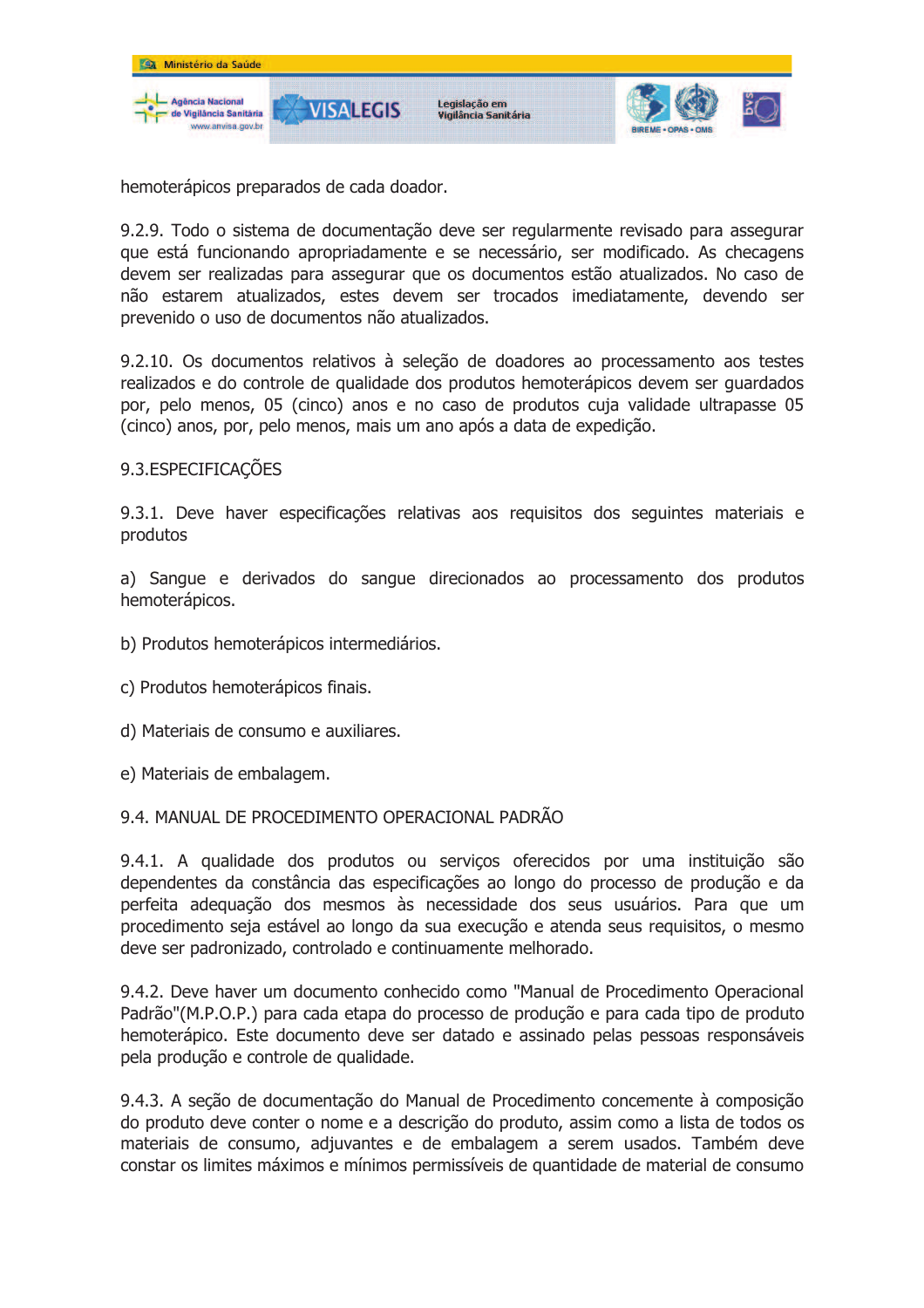

hemoterápicos preparados de cada doador.

9.2.9. Todo o sistema de documentação deve ser regularmente revisado para assegurar que está funcionando apropriadamente e se necessário, ser modificado. As checagens devem ser realizadas para assegurar que os documentos estão atualizados. No caso de não estarem atualizados, estes devem ser trocados imediatamente, devendo ser prevenido o uso de documentos não atualizados.

9.2.10. Os documentos relativos à seleção de doadores ao processamento aos testes realizados e do controle de qualidade dos produtos hemoterápicos devem ser quardados por, pelo menos, 05 (cinco) anos e no caso de produtos cuja validade ultrapasse 05 (cinco) anos, por, pelo menos, mais um ano após a data de expedição.

## 9.3. ESPECIFICAÇÕES

9.3.1. Deve haver especificações relativas aos requisitos dos seguintes materiais e produtos

a) Sangue e derivados do sangue direcionados ao processamento dos produtos hemoterápicos.

- b) Produtos hemoterápicos intermediários.
- c) Produtos hemoterápicos finais.
- d) Materiais de consumo e auxiliares.
- e) Materiais de embalagem.

#### 9.4. MANUAL DE PROCEDIMENTO OPERACIONAL PADRÃO

9.4.1. A qualidade dos produtos ou servicos oferecidos por uma instituição são dependentes da constância das especificações ao longo do processo de produção e da perfeita adequação dos mesmos às necessidade dos seus usuários. Para que um procedimento seja estável ao longo da sua execução e atenda seus reguisitos, o mesmo deve ser padronizado, controlado e continuamente melhorado.

9.4.2. Deve haver um documento conhecido como "Manual de Procedimento Operacional Padrão"(M.P.O.P.) para cada etapa do processo de produção e para cada tipo de produto hemoterápico. Este documento deve ser datado e assinado pelas pessoas responsáveis pela produção e controle de qualidade.

9.4.3. A seção de documentação do Manual de Procedimento concemente à composição do produto deve conter o nome e a descrição do produto, assim como a lista de todos os materiais de consumo, adjuvantes e de embalagem a serem usados. Também deve constar os limites máximos e mínimos permissíveis de quantidade de material de consumo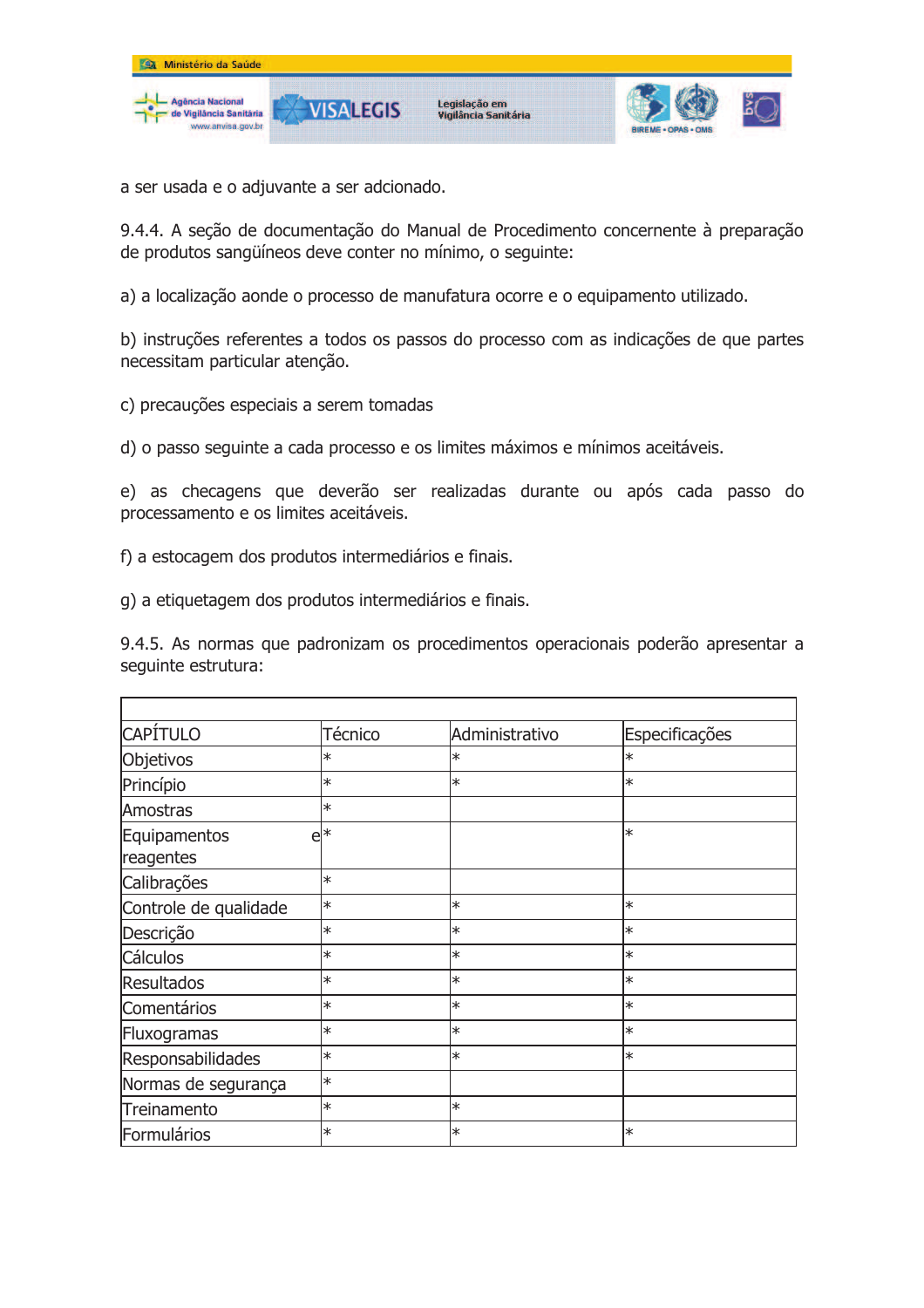

a ser usada e o adjuvante a ser adcionado.

9.4.4. A secão de documentação do Manual de Procedimento concernente à preparação de produtos sangüíneos deve conter no mínimo, o sequinte:

a) a localização aonde o processo de manufatura ocorre e o equipamento utilizado.

b) instruções referentes a todos os passos do processo com as indicações de que partes necessitam particular atenção.

c) precauções especiais a serem tomadas

d) o passo seguinte a cada processo e os limites máximos e mínimos aceitáveis.

e) as checagens que deverão ser realizadas durante ou após cada passo do processamento e os limites aceitáveis.

f) a estocagem dos produtos intermediários e finais.

g) a etiquetagem dos produtos intermediários e finais.

9.4.5. As normas que padronizam os procedimentos operacionais poderão apresentar a seguinte estrutura:

| <b>CAPÍTULO</b>           | Técnico | Administrativo | Especificações |
|---------------------------|---------|----------------|----------------|
| Objetivos                 | $\ast$  | $\ast$         | $\ast$         |
| Princípio                 | $\ast$  | $\ast$         | $\ast$         |
| Amostras                  | $\ast$  |                |                |
| Equipamentos<br>reagentes | $e^{*}$ |                | $\ast$         |
| Calibrações               | ∗       |                |                |
| Controle de qualidade     | ∗       | $\ast$         | ∣∗             |
| Descrição                 | ∗       | $\ast$         | ∣∗             |
| Cálculos                  | ∗       | $\ast$         | ∣∗             |
| <b>Resultados</b>         | $\ast$  | $\ast$         | $\ast$         |
| Comentários               | ∗       | $\ast$         | $\ast$         |
| Fluxogramas               | ∗       | $\ast$         | ∗              |
| Responsabilidades         | ∗       | $\ast$         | ∣∗             |
| Normas de segurança       | ∗       |                |                |
| Treinamento               | ∗       | ∗              |                |
| Formulários               | ∗       | ∗              | l∗             |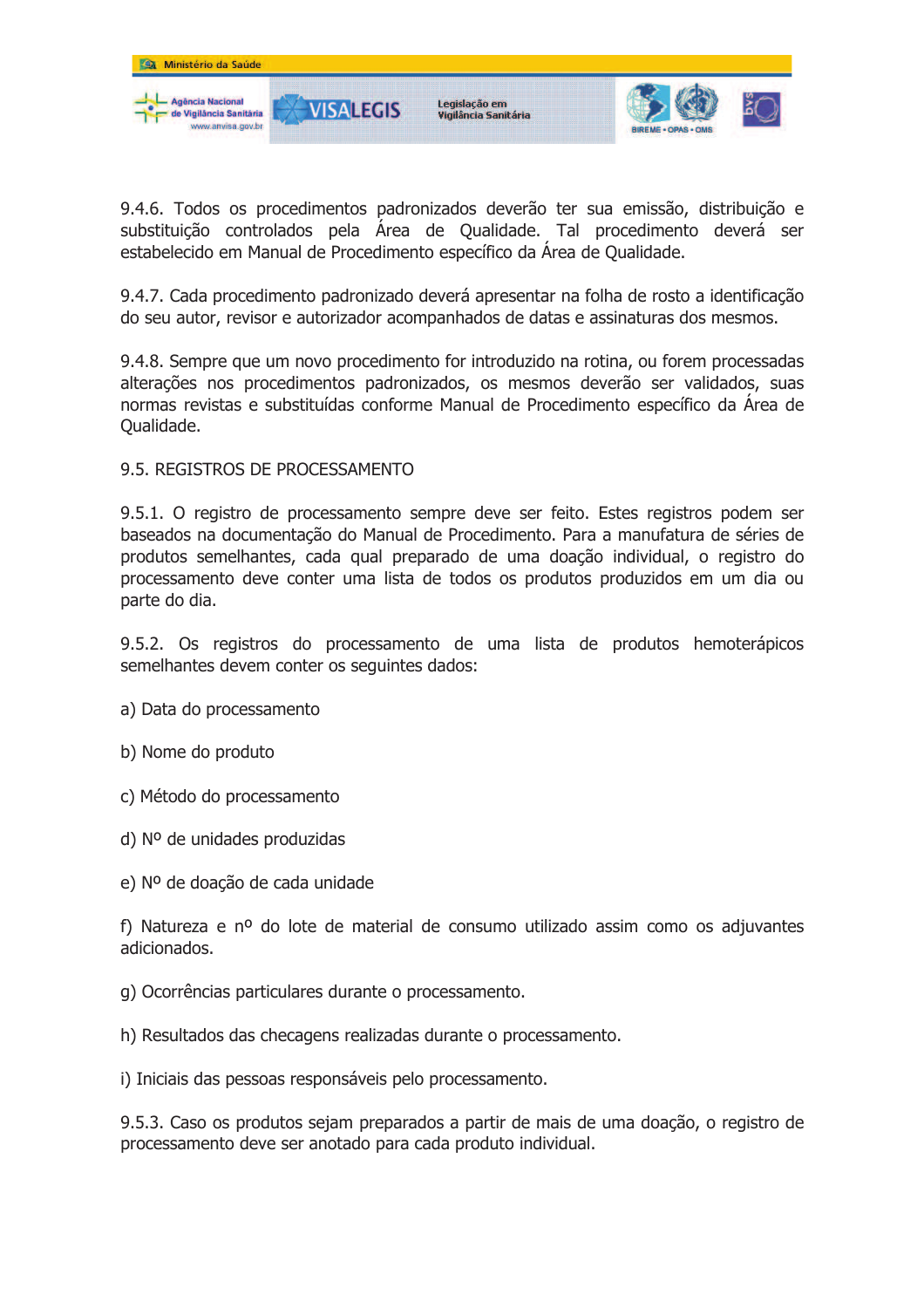

9.4.6. Todos os procedimentos padronizados deverão ter sua emissão, distribuição e substituição controlados pela Área de Qualidade. Tal procedimento deverá ser estabelecido em Manual de Procedimento específico da Área de Qualidade.

9.4.7. Cada procedimento padronizado deverá apresentar na folha de rosto a identificação do seu autor, revisor e autorizador acompanhados de datas e assinaturas dos mesmos.

9.4.8. Sempre que um novo procedimento for introduzido na rotina, ou forem processadas alterações nos procedimentos padronizados, os mesmos deverão ser validados, suas normas revistas e substituídas conforme Manual de Procedimento específico da Área de Oualidade.

#### 9.5. REGISTROS DE PROCESSAMENTO

9.5.1. O registro de processamento sempre deve ser feito. Estes registros podem ser baseados na documentação do Manual de Procedimento. Para a manufatura de séries de produtos semelhantes, cada qual preparado de uma doação individual, o registro do processamento deve conter uma lista de todos os produtos produzidos em um dia ou parte do dia.

9.5.2. Os registros do processamento de uma lista de produtos hemoterápicos semelhantes devem conter os sequintes dados:

- a) Data do processamento
- b) Nome do produto
- c) Método do processamento
- $d)$  N° de unidades produzidas
- e) Nº de doação de cada unidade

f) Natureza e nº do lote de material de consumo utilizado assim como os adjuvantes adicionados

- g) Ocorrências particulares durante o processamento.
- h) Resultados das checagens realizadas durante o processamento.
- i) Iniciais das pessoas responsáveis pelo processamento.

9.5.3. Caso os produtos sejam preparados a partir de mais de uma doação, o registro de processamento deve ser anotado para cada produto individual.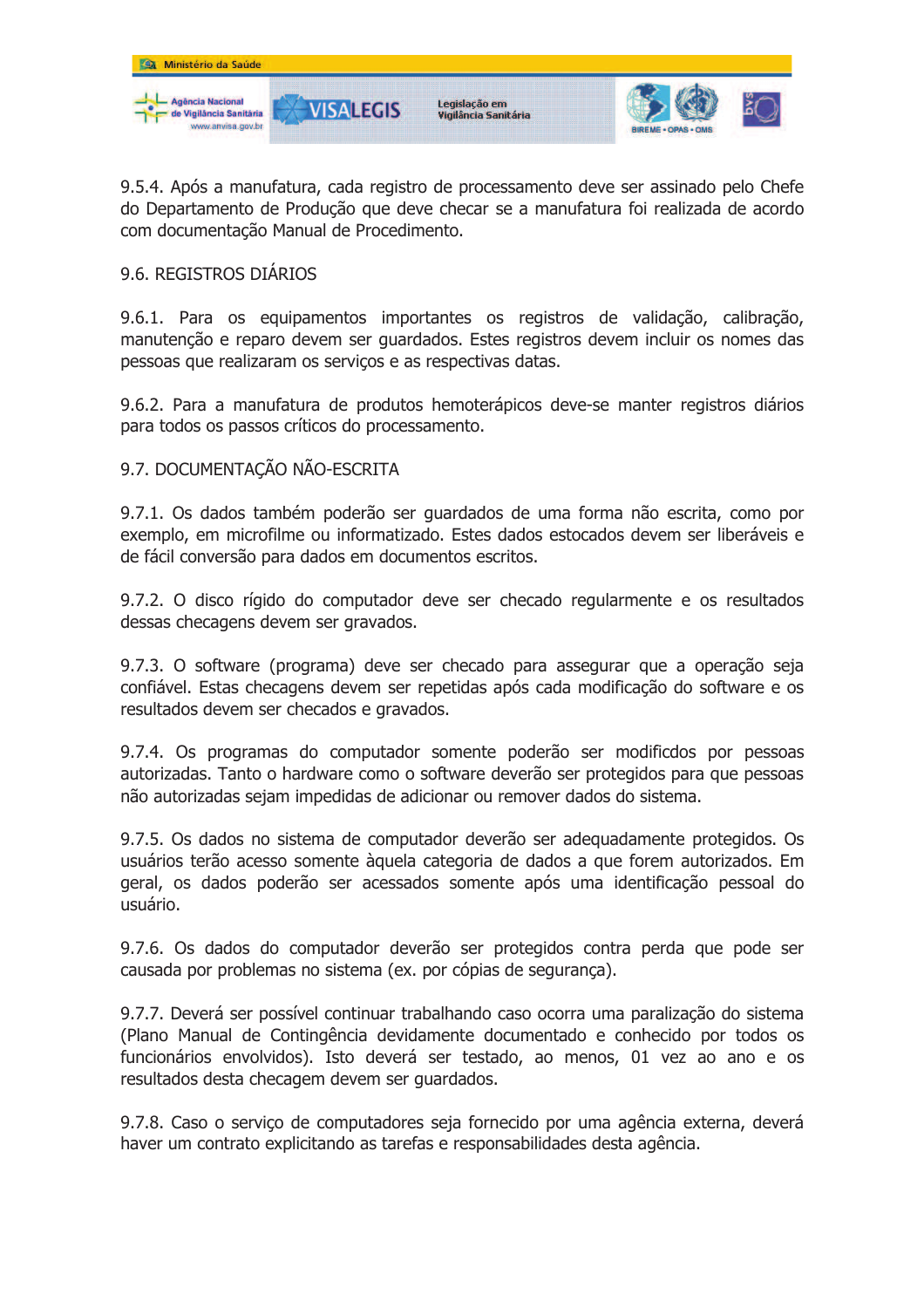

9.5.4. Após a manufatura, cada registro de processamento deve ser assinado pelo Chefe do Departamento de Produção que deve checar se a manufatura foi realizada de acordo com documentação Manual de Procedimento.

## 9.6. REGISTROS DIÁRIOS

9.6.1. Para os equipamentos importantes os registros de validação, calibração, manutenção e reparo devem ser quardados. Estes registros devem incluir os nomes das pessoas que realizaram os serviços e as respectivas datas.

9.6.2. Para a manufatura de produtos hemoterápicos deve-se manter registros diários para todos os passos críticos do processamento.

## 9.7. DOCUMENTAÇÃO NÃO-ESCRITA

9.7.1. Os dados também poderão ser quardados de uma forma não escrita, como por exemplo, em microfilme ou informatizado. Estes dados estocados devem ser liberáveis e de fácil conversão para dados em documentos escritos.

9.7.2. O disco rígido do computador deve ser checado regularmente e os resultados dessas checagens devem ser gravados.

9.7.3. O software (programa) deve ser checado para assegurar que a operação seja confiável. Estas checagens devem ser repetidas após cada modificação do software e os resultados devem ser checados e gravados.

9.7.4. Os programas do computador somente poderão ser modificdos por pessoas autorizadas. Tanto o hardware como o software deverão ser protegidos para que pessoas não autorizadas sejam impedidas de adicionar ou remover dados do sistema.

9.7.5. Os dados no sistema de computador deverão ser adequadamente protegidos. Os usuários terão acesso somente àquela categoria de dados a que forem autorizados. Em geral, os dados poderão ser acessados somente após uma identificação pessoal do usuário.

9.7.6. Os dados do computador deverão ser protegidos contra perda que pode ser causada por problemas no sistema (ex. por cópias de segurança).

9.7.7. Deverá ser possível continuar trabalhando caso ocorra uma paralização do sistema (Plano Manual de Contingência devidamente documentado e conhecido por todos os funcionários envolvidos). Isto deverá ser testado, ao menos, 01 vez ao ano e os resultados desta checagem devem ser quardados.

9.7.8. Caso o serviço de computadores seja fornecido por uma agência externa, deverá haver um contrato explicitando as tarefas e responsabilidades desta agência.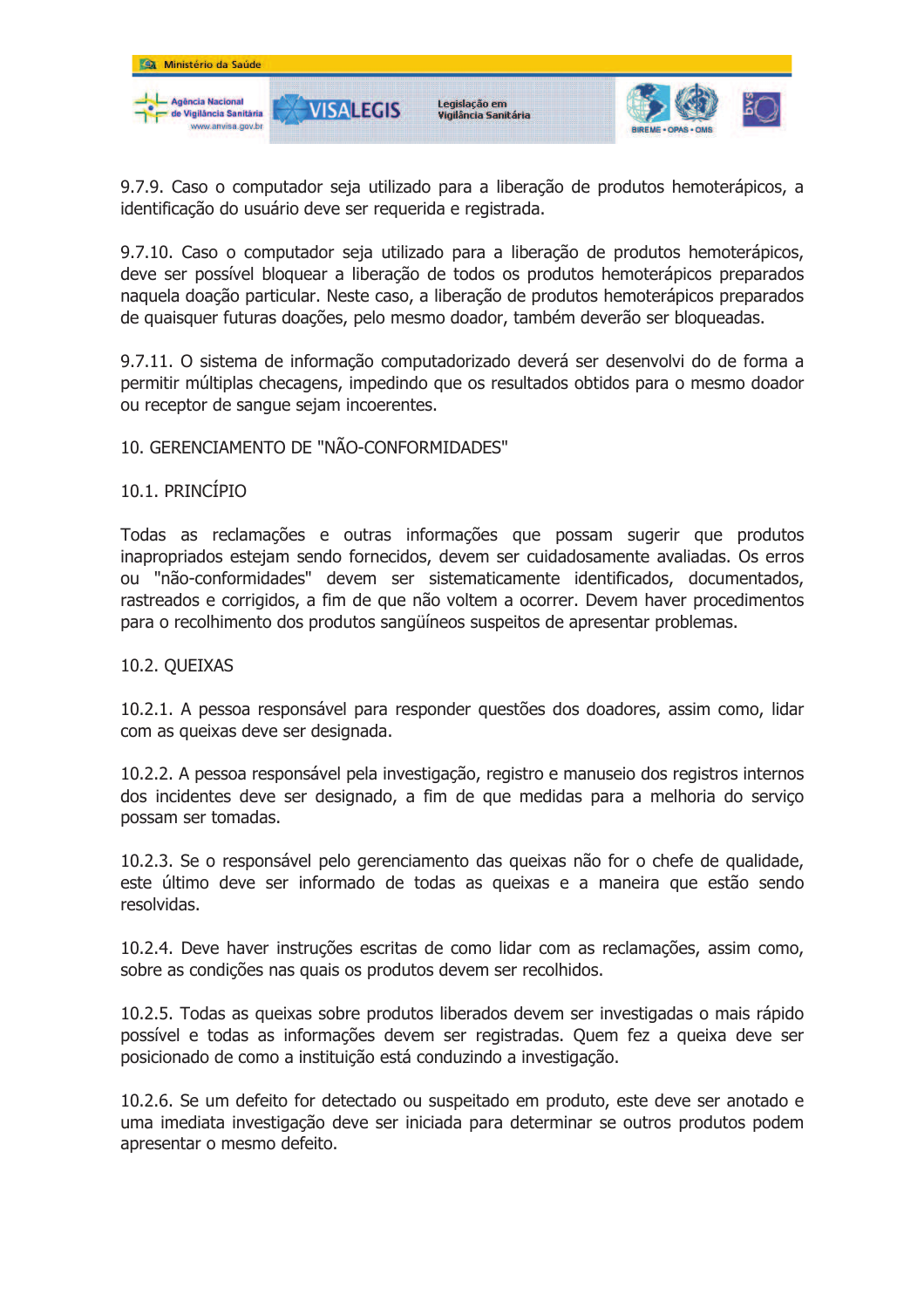

9.7.9. Caso o computador seja utilizado para a liberação de produtos hemoterápicos, a identificação do usuário deve ser requerida e registrada.

9.7.10. Caso o computador seja utilizado para a liberação de produtos hemoterápicos, deve ser possível bloquear a liberação de todos os produtos hemoterápicos preparados naquela doação particular. Neste caso, a liberação de produtos hemoterápicos preparados de quaisquer futuras doações, pelo mesmo doador, também deverão ser bloqueadas.

9.7.11. O sistema de informação computadorizado deverá ser desenvolvi do de forma a permitir múltiplas checagens, impedindo que os resultados obtidos para o mesmo doador ou receptor de sangue sejam incoerentes.

### 10. GERENCIAMENTO DE "NÃO-CONFORMIDADES"

### 10.1. PRINCÍPIO

Todas as reclamações e outras informações que possam sugerir que produtos inapropriados estejam sendo fornecidos, devem ser cuidadosamente avaliadas. Os erros ou "não-conformidades" devem ser sistematicamente identificados, documentados, rastreados e corrigidos, a fim de que não voltem a ocorrer. Devem haver procedimentos para o recolhimento dos produtos sanguíneos suspeitos de apresentar problemas.

#### 10.2. QUEIXAS

10.2.1. A pessoa responsável para responder questões dos doadores, assim como, lidar com as queixas deve ser designada.

10.2.2. A pessoa responsável pela investigação, registro e manuseio dos registros internos dos incidentes deve ser designado, a fim de que medidas para a melhoria do servico possam ser tomadas.

10.2.3. Se o responsável pelo gerenciamento das queixas não for o chefe de qualidade, este último deve ser informado de todas as queixas e a maneira que estão sendo resolvidas.

10.2.4. Deve haver instruções escritas de como lidar com as reclamações, assim como, sobre as condições nas quais os produtos devem ser recolhidos.

10.2.5. Todas as queixas sobre produtos liberados devem ser investigadas o mais rápido possível e todas as informações devem ser registradas. Quem fez a queixa deve ser posicionado de como a instituição está conduzindo a investigação.

10.2.6. Se um defeito for detectado ou suspeitado em produto, este deve ser anotado e uma imediata investigação deve ser iniciada para determinar se outros produtos podem apresentar o mesmo defeito.